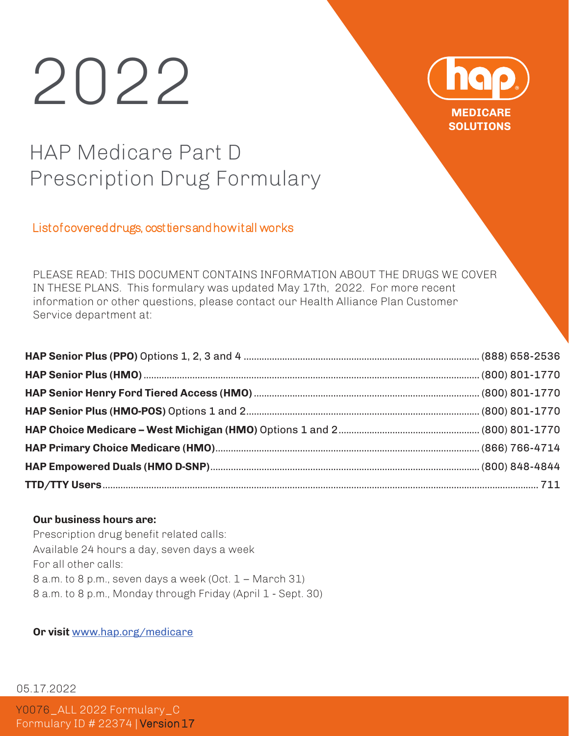# 202



## HAP Medicare Part D Prescription Drug Formulary

#### List of covered drugs, cost tiers and how it all works

PLEASE READ: THIS DOCUMENT CONTAINS INFORMATION ABOUT THE DRUGS WE COVER IN THESE PLANS. This formulary was updated May 17th, 2022. For more recent information or other questions, please contact our Health Alliance Plan Customer Service department at:

#### **Our business hours are:**

Prescription drug benefit related calls: Available 24 hours a day, seven days a week For all other calls: 8 a.m. to 8 p.m., seven days a week (Oct. 1 – March 31) 8 a.m. to 8 p.m., Monday through Friday (April 1 - Sept. 30)

**Or visit** www.hap.org/medicare

05.17.2022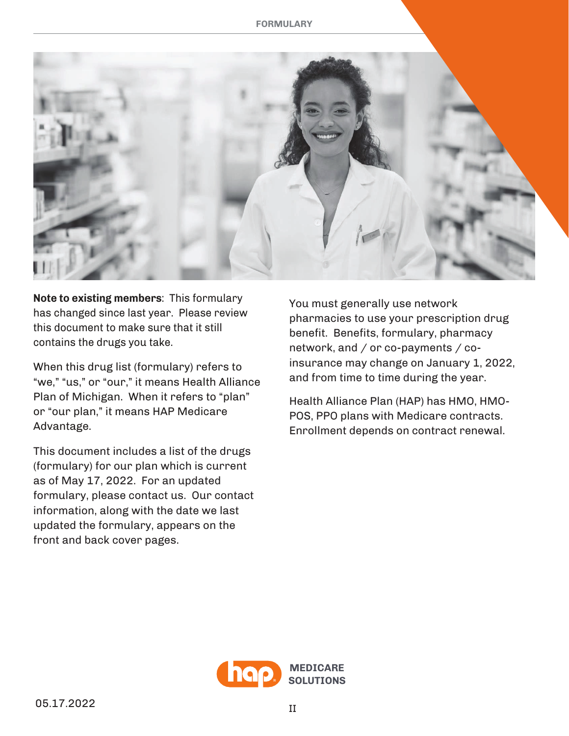

**Note to existing members:** This formulary has changed since last year. Please review this document to make sure that it still contains the drugs you take.

When this drug list (formulary) refers to "we," "us," or "our," it means Health Alliance Plan of Michigan. When it refers to "plan" or "our plan," it means HAP Medicare Advantage.

This document includes a list of the drugs (formulary) for our plan which is current as of May 17, 2022. For an updated formulary, please contact us. Our contact information, along with the date we last updated the formulary, appears on the front and back cover pages.

You must generally use network pharmacies to use your prescription drug benefit. Benefits, formulary, pharmacy network, and  $/$  or co-payments  $/$  coinsurance may change on January 1, 2022, and from time to time during the year.

Health Alliance Plan (HAP) has HMO, HMO-POS, PPO plans with Medicare contracts. Enrollment depends on contract renewal.

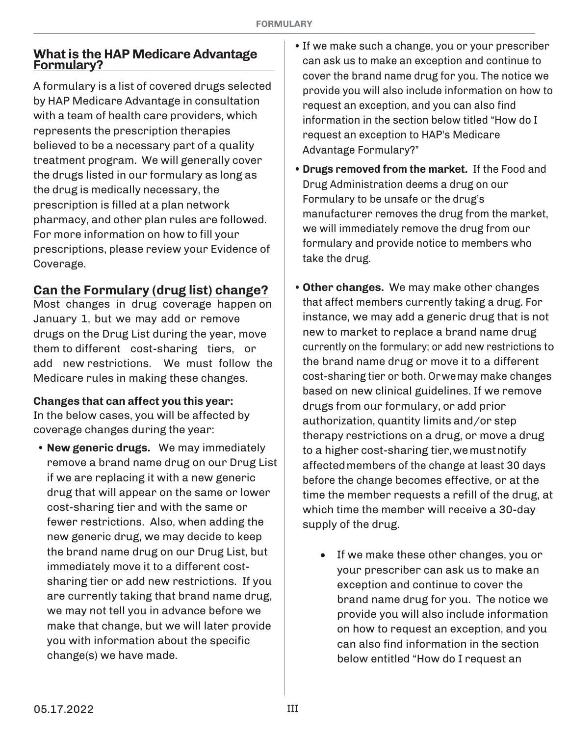#### **What is the HAP Medicare Advantage Formulary?**

A formulary is a list of covered drugs selected by HAP Medicare Advantage in consultation with a team of health care providers, which represents the prescription therapies believed to be a necessary part of a quality treatment program. We will generally cover the drugs listed in our formulary as long as the drug is medically necessary, the prescription is filled at a plan network pharmacy, and other plan rules are followed. For more information on how to fill your prescriptions, please review your Evidence of Coverage.

#### **Can the Formulary (drug list) change?**

Most changes in drug coverage happen on January 1, but we may add or remove drugs on the Drug List during the year, move them to different cost-sharing tiers, or add new restrictions. We must follow the Medicare rules in making these changes.

#### **Changes that can affect you this year:**

In the below cases, you will be affected by coverage changes during the year:

• **New generic drugs.** We may immediately remove a brand name drug on our Drug List if we are replacing it with a new generic drug that will appear on the same or lower cost-sharing tier and with the same or fewer restrictions. Also, when adding the new generic drug, we may decide to keep the brand name drug on our Drug List, but immediately move it to a different costsharing tier or add new restrictions. If you are currently taking that brand name drug, we may not tell you in advance before we make that change, but we will later provide you with information about the specific change(s) we have made.

- If we make such a change, you or your prescriber can ask us to make an exception and continue to cover the brand name drug for you. The notice we provide you will also include information on how to request an exception, and you can also find information in the section below titled "How do I request an exception to HAP's Medicare Advantage Formulary?"
- **Drugs removed from the market.** If the Food and Drug Administration deems a drug on our Formulary to be unsafe or the drug's manufacturer removes the drug from the market, we will immediately remove the drug from our formulary and provide notice to members who take the drug.
- **Other changes.** We may make other changes that affect members currently taking a drug. For instance, we may add a generic drug that is not new to market to replace a brand name drug currently on the formulary; or add new restrictions to the brand name drug or move it to a different cost-sharing tier or both. Orwemay make changes based on new clinical guidelines. If we remove drugs from our formulary, or add prior authorization, quantity limits and/or step therapy restrictions on a drug, or move a drug to a higher cost-sharing tier, we must notify affected members of the change at least 30 days before the change becomes effective, or at the time the member requests a refill of the drug, at which time the member will receive a 30-day supply of the drug.
	- If we make these other changes, you or your prescriber can ask us to make an exception and continue to cover the brand name drug for you. The notice we provide you will also include information on how to request an exception, and you can also find information in the section below entitled "How do I request an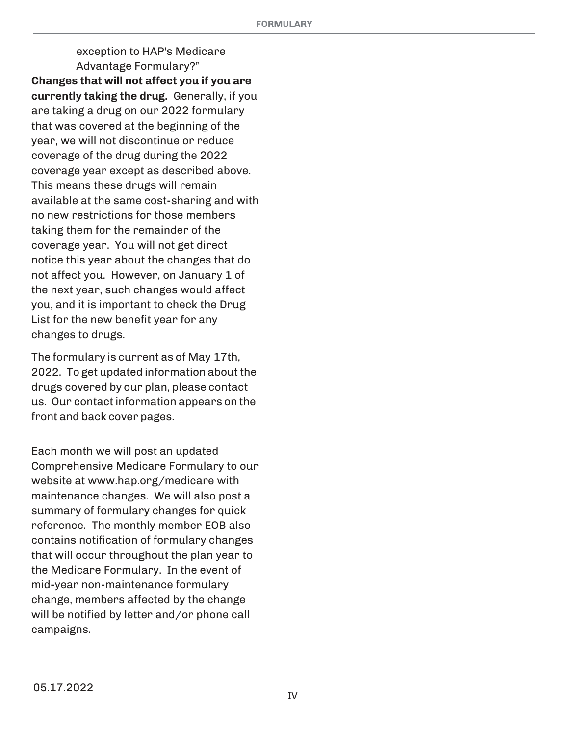exception to HAP's Medicare Advantage Formulary?" **Changes that will not affect you if you are** currently taking the drug. Generally, if you are taking a drug on our 2022 formulary that was covered at the beginning of the year, we will not discontinue or reduce coverage of the drug during the 2022 coverage year except as described above. This means these drugs will remain available at the same cost-sharing and with no new restrictions for those members taking them for the remainder of the coverage year. You will not get direct notice this year about the changes that do not affect you. However, on January 1 of the next year, such changes would affect you, and it is important to check the Drug List for the new benefit year for any changes to drugs.

The formulary is current as of May 17th, 2022. To get updated information about the drugs covered by our plan, please contact us. Our contact information appears on the front and back cover pages.

Each month we will post an updated Comprehensive Medicare Formulary to our website at www.hap.org/medicare with maintenance changes. We will also post a summary of formulary changes for quick reference. The monthly member EOB also contains notification of formulary changes that will occur throughout the plan year to the Medicare Formulary. In the event of mid-year non-maintenance formulary change, members affected by the change will be notified by letter and/or phone call campaigns.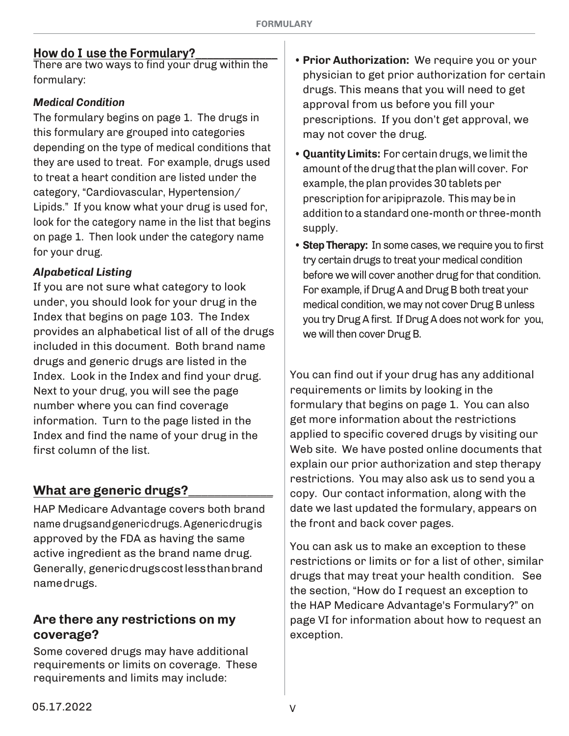There are two ways to find your drug within the formulary:

#### **Medical Condition**

The formulary begins on page 1. The drugs in this formulary are grouped into categories depending on the type of medical conditions that they are used to treat. For example, drugs used to treat a heart condition are listed under the category, "Cardiovascular, Hypertension/ Lipids." If you know what your drug is used for, look for the category name in the list that begins on page 1. Then look under the category name for your drug.

#### *Alpabetical Listing*

If you are not sure what category to look under, you should look for your drug in the Index that begins on page 103. The Index provides an alphabetical list of all of the drugs included in this document. Both brand name drugs and generic drugs are listed in the Index. Look in the Index and find your drug. Next to your drug, you will see the page number where you can find coverage information. Turn to the page listed in the Index and find the name of your drug in the first column of the list.

#### **What are generic drugs?\_\_\_\_\_\_\_\_\_\_\_\_\_**

HAP Medicare Advantage covers both brand name drugs and generic drugs. A generic drug is approved by the FDA as having the same active ingredient as the brand name drug. Generally, generic drugs cost less than brand name drugs.

#### Are there any restrictions on my coverage?

Some covered drugs may have additional requirements or limits on coverage. These requirements and limits may include:

- **How do I use the Formulary?**<br>There are two ways to find your days within the **Frior Authorization:** We require you or your physician to get prior authorization for certain drugs. This means that you will need to get approval from us before you fill your prescriptions. If you don't get approval, we may not cover the drug.
	- **Quantity Limits:** For certain drugs, we limit the amount of the drug that the plan will cover. For example, the plan provides 30 tablets per prescription for aripiprazole. This may be in addition to a standard one-month or three-month supply.
	- Step Therapy: In some cases, we require you to first try certain drugs to treat your medical condition before we will cover another drug for that condition. For example, if Drug A and Drug B both treat your medical condition, we may not cover Drug B unless you try Drug A first. If Drug A does not work for you, we will then cover Drug B.

You can find out if your drug has any additional requirements or limits by looking in the formulary that begins on page 1. You can also get more information about the restrictions applied to specific covered drugs by visiting our Web site. We have posted online documents that explain our prior authorization and step therapy restrictions. You may also ask us to send you a copy. Our contact information, along with the date we last updated the formulary, appears on the front and back cover pages.

You can ask us to make an exception to these restrictions or limits or for a list of other, similar drugs that may treat your health condition. See the section, "How do I request an exception to the HAP Medicare Advantage's Formulary?" on page VI for information about how to request an exception.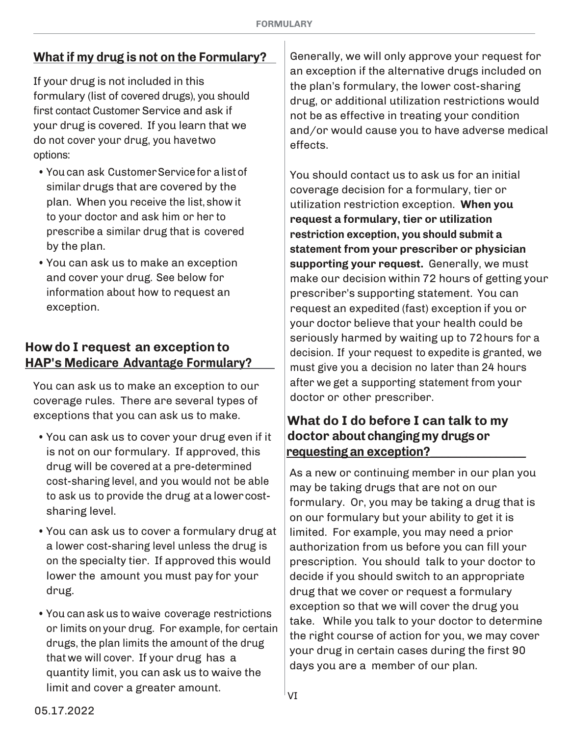### **What if my drug is not on the Formulary?**

If your drug is not included in this formulary (list of covered drugs), you should first contact Customer Service and ask if your drug is covered. If you learn that we do not cover your drug, you havetwo options:

- You can ask Customer Service for a list of similar drugs that are covered by the plan. When you receive the list, show it to your doctor and ask him or her to prescribe a similar drug that is covered by the plan.
- You can ask us to make an exception and cover your drug. See below for information about how to request an exception.

#### **How do I request an exception to HAPT Medicare Advantage Formulary?**

You can ask us to make an exception to our coverage rules. There are several types of exceptions that you can ask us to make.

- You can ask us to cover your drug even if it is not on our formulary. If approved, this drug will be covered at a pre-determined cost-sharing level, and you would not be able to ask us to provide the drug at a lower costsharing level.
- You can ask us to cover a formulary drug at a lower cost-sharing level unless the drug is on the specialty tier. If approved this would lower the amount you must pay for your drug.
- You can ask us to waive coverage restrictions or limits on your drug. For example, for certain drugs, the plan limits the amount of the drug that we will cover. If your drug has a quantity limit, you can ask us to waive the limit and cover a greater amount.

Generally, we will only approve your request for an exception if the alternative drugs included on the plan's formulary, the lower cost-sharing drug, or additional utilization restrictions would not be as effective in treating your condition and/or would cause you to have adverse medical effects.

You should contact us to ask us for an initial coverage decision for a formulary tier or utilization restriction exception. **When you request a formulary tier or utilization restriction exception, you should submit a statement from your prescriber or physician supporting your request.** Generally, we must make our decision within 72 hours of getting your prescriber's supporting statement. You can request an expedited (fast) exception if you or your doctor believe that your health could be seriously harmed by waiting up to 72 hours for a decision. If your request to expedite is granted, we must give you a decision no later than 24 hours after we get a supporting statement from your doctor or other prescriber.

#### **What do I do before I can talk to my doctor about changing my drugs or requesting an exception?\_\_\_\_\_\_\_\_\_\_\_\_\_\_\_\_**

As a new or continuing member in our plan you may be taking drugs that are not on our formulary. Or, you may be taking a drug that is on our formulary but your ability to get it is limited. For example, you may need a prior authorization from us before you can fill your prescription. You should talk to your doctor to decide if you should switch to an appropriate drug that we cover or request a formulary exception so that we will cover the drug you take. While you talk to your doctor to determine the right course of action for you, we may cover your drug in certain cases during the first 90 days you are a member of our plan.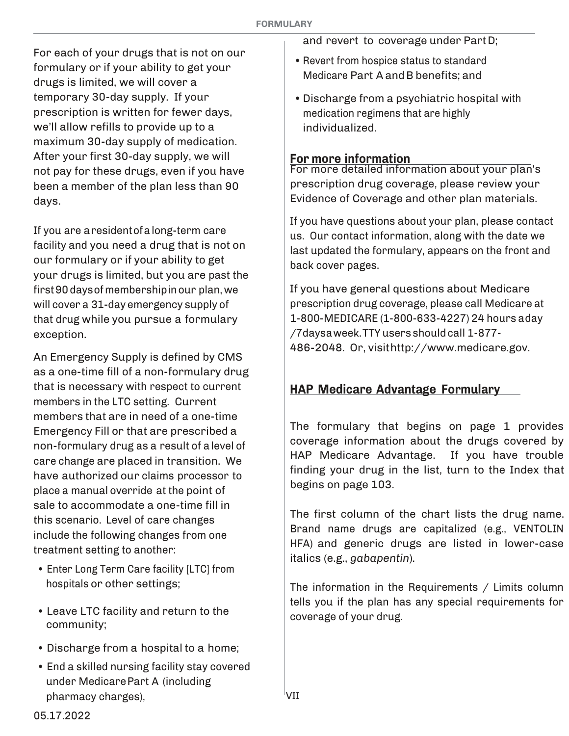For each of your drugs that is not on our formulary or if your ability to get your drugs is limited, we will cover a temporary 30-day supply. If your prescription is written for fewer days, we'll allow refills to provide up to a maximum 30-day supply of medication. After your first 30-day supply, we will not pay for these drugs, even if you have been a member of the plan less than 90 days.

If you are a resident ofa long-term care facility and you need a drug that is not on our formulary or if your ability to get your drugs is limited, but you are past the first 90 days of membership in our plan, we will cover a 31-day emergency supply of that drug while you pursue a formulary exception.

An Emergency Supply is defined by CMS as a one-time fill of a non-formulary drug that is necessary with respect to current members in the LTC setting. Current members that are in need of a one-time Emergency Fill or that are prescribed a non-formulary drug as a result of a level of care change are placed in transition. We have authorized our claims processor to place a manual override at the point of sale to accommodate a one-time fill in this scenario. Level of care changes include the following changes from one treatment setting to another:

- Enter Long Term Care facility [LTC] from hospitals or other settings;
- Leave LTC facility and return to the community;
- Discharge from a hospital to a home;
- End a skilled nursing facility stay covered under Medicare Part A (including pharmacy charges),

and revert to coverage under Part D;

- Revert from hospice status to standard Medicare Part A and B benefits; and
- Discharge from a psychiatric hospital with medication regimens that are highly individualized.

#### **For more information**

For more detailed information about your plan's prescription drug coverage, please review your Evidence of Coverage and other plan materials.

If you have questions about your plan, please contact us. Our contact information, along with the date we last updated the formulary, appears on the front and back cover pages.

If you have general questions about Medicare prescription drug coverage, please call Medicare at 1-800-MEDICARE (1-800-633-4227) 24 hours a day /7days a week. TTY users should call 1-877- 486-2048. Or, visit http://www.medicare.gov.

#### **HAP Medicare Advantage Formulary**

The formulary that begins on page 1 provides coverage information about the drugs covered by HAP Medicare Advantage. If you have trouble finding your drug in the list, turn to the Index that begins on page 103.

The first column of the chart lists the drug name. Brand name drugs are capitalized (e.g., VENTOLIN HFA) and generic drugs are listed in lower-case italics (e.g., *gabapentin*).

The information in the Requirements  $/$  Limits column tells you if the plan has any special requirements for coverage of your drug.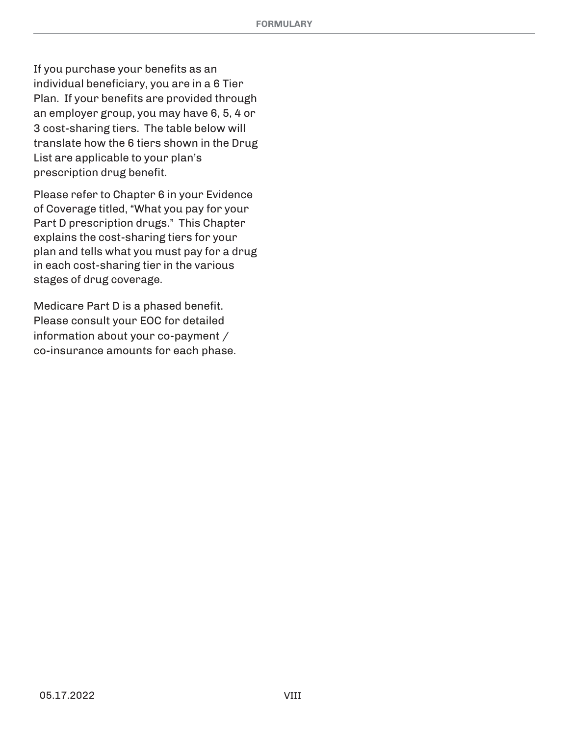If you purchase your benefits as an individual beneficiary, you are in a 6 Tier Plan. If your benefits are provided through an employer group, you may have 6, 5, 4 or 3 cost-sharing tiers. The table below will translate how the 6 tiers shown in the Drug List are applicable to your plan's prescription drug benefit.

Please refer to Chapter 6 in your Evidence of Coverage titled, "What you pay for your Part D prescription drugs." This Chapter explains the cost-sharing tiers for your plan and tells what you must pay for a drug in each cost-sharing tier in the various stages of drug coverage.

Medicare Part D is a phased benefit. Please consult your EOC for detailed information about your co-payment  $/$ co-insurance amounts for each phase.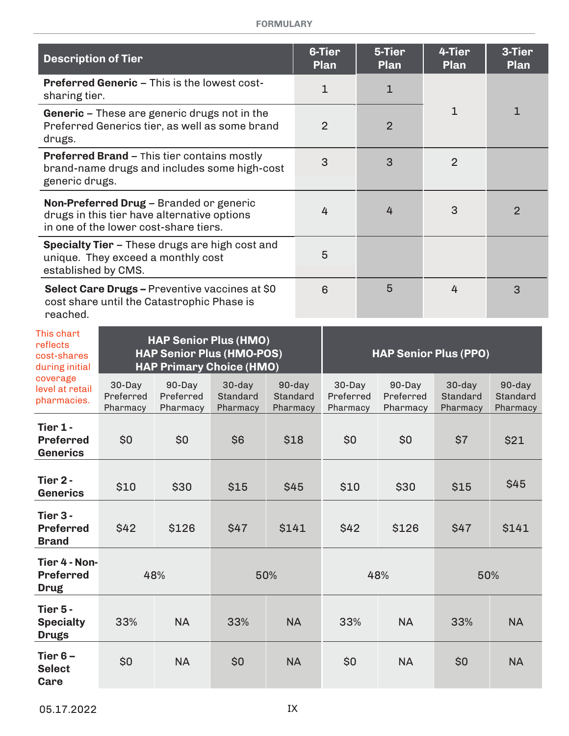#### **FORMULARY**

| <b>Description of Tier</b>                              |                                                     |                                                                                                                                 |                                                                                                       |  |                                | 6-Tier<br><b>Plan</b>           | 5-Tier<br><b>Plan</b>           | 4-Tier<br>Plan                    | 3-Tier<br>Plan                 |
|---------------------------------------------------------|-----------------------------------------------------|---------------------------------------------------------------------------------------------------------------------------------|-------------------------------------------------------------------------------------------------------|--|--------------------------------|---------------------------------|---------------------------------|-----------------------------------|--------------------------------|
| sharing tier.                                           | <b>Preferred Generic - This is the lowest cost-</b> |                                                                                                                                 |                                                                                                       |  | $\mathbf{1}$                   | 1                               |                                 |                                   |                                |
| drugs.                                                  |                                                     |                                                                                                                                 | <b>Generic</b> – These are generic drugs not in the<br>Preferred Generics tier, as well as some brand |  |                                | $\overline{2}$                  | $\overline{2}$                  | $\mathbf{1}$                      | $\mathbf{1}$                   |
| generic drugs.                                          |                                                     | Preferred Brand - This tier contains mostly                                                                                     | brand-name drugs and includes some high-cost                                                          |  |                                | 3                               | 3                               | $\overline{2}$                    |                                |
|                                                         |                                                     | Non-Preferred Drug - Branded or generic<br>drugs in this tier have alternative options<br>in one of the lower cost-share tiers. |                                                                                                       |  |                                | 4                               | 4                               | 3                                 | $\overline{2}$                 |
| established by CMS.                                     |                                                     | unique. They exceed a monthly cost                                                                                              | <b>Specialty Tier - These drugs are high cost and</b>                                                 |  |                                | 5                               |                                 |                                   |                                |
| reached.                                                |                                                     | cost share until the Catastrophic Phase is                                                                                      | Select Care Drugs - Preventive vaccines at \$0                                                        |  |                                | 6                               | 5                               | 4                                 | 3                              |
| This chart<br>reflects<br>cost-shares<br>during initial |                                                     |                                                                                                                                 | <b>HAP Senior Plus (HMO)</b><br><b>HAP Senior Plus (HMO-POS)</b><br><b>HAP Primary Choice (HMO)</b>   |  |                                |                                 |                                 | <b>HAP Senior Plus (PPO)</b>      |                                |
| coverage<br>level at retail<br>pharmacies.              | 30-Day<br>Preferred<br>Pharmacy                     | 90-Day<br>Preferred<br>Pharmacy                                                                                                 | 30-day<br>Standard<br>Pharmacy                                                                        |  | 90-day<br>Standard<br>Pharmacy | 30-Day<br>Preferred<br>Pharmacy | 90-Day<br>Preferred<br>Pharmacy | $30$ -day<br>Standard<br>Pharmacy | 90-day<br>Standard<br>Pharmacy |
| Tier 1 -<br><b>Preferred</b><br>Generics                | \$0                                                 | \$0                                                                                                                             | \$6                                                                                                   |  | \$18                           | \$0                             | \$0                             | \$7                               | \$21                           |
| Tier 2 -<br><b>Generics</b>                             | \$10                                                | \$30                                                                                                                            | \$15                                                                                                  |  | \$45                           | \$10                            | \$30                            | \$15                              | \$45                           |
| Tier 3 -<br><b>Preferred</b><br><b>Brand</b>            | \$42                                                | \$126                                                                                                                           | \$47                                                                                                  |  | \$141                          | \$42                            | \$126                           | \$47                              | \$141                          |
| Tier 4 - Non-<br><b>Preferred</b><br><b>Drug</b>        |                                                     | 48%                                                                                                                             | 50%                                                                                                   |  |                                |                                 | 48%                             |                                   | 50%                            |
| Tier 5 -<br><b>Specialty</b><br><b>Drugs</b>            | 33%                                                 | <b>NA</b>                                                                                                                       | 33%                                                                                                   |  | <b>NA</b>                      | 33%                             | <b>NA</b>                       | 33%                               | <b>NA</b>                      |
| Tier $6-$<br><b>Select</b><br>Care                      | \$0                                                 | <b>NA</b>                                                                                                                       | \$0                                                                                                   |  | <b>NA</b>                      | \$0                             | <b>NA</b>                       | \$0                               | <b>NA</b>                      |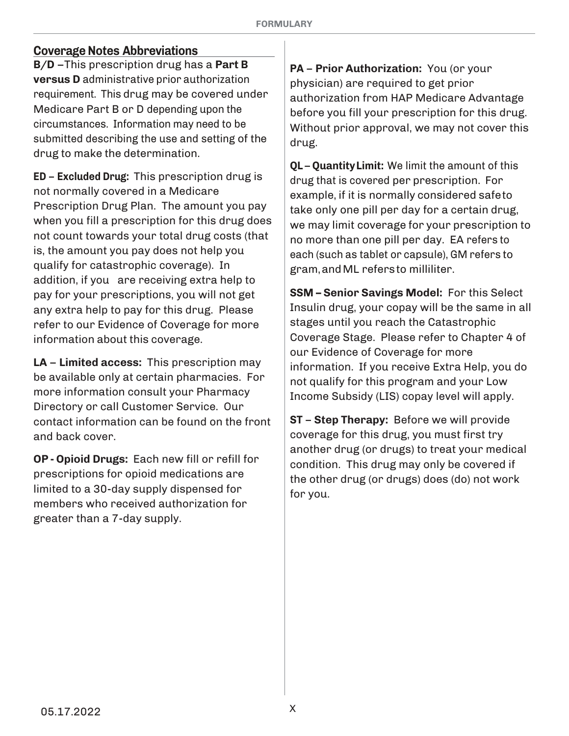#### **Coverage Notes Abbreviations**

**B/D** -This prescription drug has a Part **B versus D** administrative prior authorization requirement. This drug may be covered under Medicare Part B or D depending upon the circumstances. Information may need to be submitted describing the use and setting of the drug to make the determination.

**ED** – **Excluded Drug:** This prescription drug is not normally covered in a Medicare Prescription Drug Plan. The amount you pay when you fill a prescription for this drug does not count towards your total drug costs (that is, the amount you pay does not help you qualify for catastrophic coverage). In addition, if you are receiving extra help to pay for your prescriptions, you will not get any extra help to pay for this drug. Please refer to our Evidence of Coverage for more information about this coverage.

**LA – Limited access:** This prescription may be available only at certain pharmacies. For more information consult your Pharmacy Directory or call Customer Service. Our contact information can be found on the front and back cover.

**OP - Opioid Drugs:** Each new fill or refill for prescriptions for opioid medications are limited to a 30-day supply dispensed for members who received authorization for greater than a 7-day supply.

**PA** – **Prior Authorization:** You (or your physician) are required to get prior authorization from HAP Medicare Advantage before you fill your prescription for this drug. Without prior approval, we may not cover this drug.

**QL – Quantity Limit:** We limit the amount of this drug that is covered per prescription. For example, if it is normally considered safe to take only one pill per day for a certain drug, we may limit coverage for your prescription to no more than one pill per day. EA refers to each (such as tablet or capsule), GM refers to gram, and ML refers to milliliter.

**SSM - Senior Savings Model: For this Select** Insulin drug, your copay will be the same in all stages until you reach the Catastrophic Coverage Stage. Please refer to Chapter 4 of our Evidence of Coverage for more information. If you receive Extra Help, you do not qualify for this program and your Low Income Subsidy (LIS) copay level will apply.

**ST** – **Step Therapy:** Before we will provide coverage for this drug, you must first try another drug (or drugs) to treat your medical condition. This drug may only be covered if the other drug (or drugs) does (do) not work for you.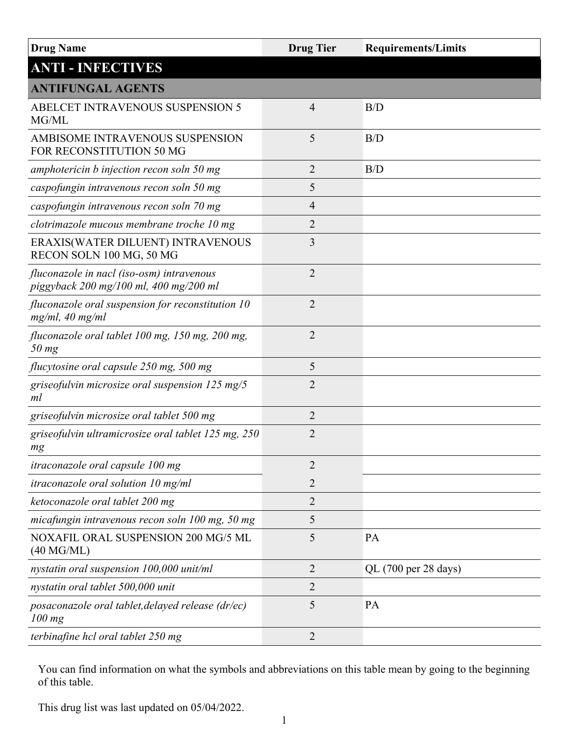| <b>Drug Name</b>                                                                    | <b>Drug Tier</b> | <b>Requirements/Limits</b> |
|-------------------------------------------------------------------------------------|------------------|----------------------------|
| <b>ANTI - INFECTIVES</b>                                                            |                  |                            |
| <b>ANTIFUNGAL AGENTS</b>                                                            |                  |                            |
| <b>ABELCET INTRAVENOUS SUSPENSION 5</b><br>MG/ML                                    | $\overline{4}$   | B/D                        |
| AMBISOME INTRAVENOUS SUSPENSION<br>FOR RECONSTITUTION 50 MG                         | 5                | B/D                        |
| amphotericin b injection recon soln 50 mg                                           | $\overline{2}$   | B/D                        |
| caspofungin intravenous recon soln 50 mg                                            | 5                |                            |
| caspofungin intravenous recon soln 70 mg                                            | 4                |                            |
| clotrimazole mucous membrane troche 10 mg                                           | $\overline{2}$   |                            |
| ERAXIS(WATER DILUENT) INTRAVENOUS<br>RECON SOLN 100 MG, 50 MG                       | 3                |                            |
| fluconazole in nacl (iso-osm) intravenous<br>piggyback 200 mg/100 ml, 400 mg/200 ml | $\overline{2}$   |                            |
| fluconazole oral suspension for reconstitution 10<br>mg/ml, 40 mg/ml                | $\overline{2}$   |                            |
| fluconazole oral tablet 100 mg, 150 mg, 200 mg,<br>$50$ mg                          | $\overline{2}$   |                            |
| flucytosine oral capsule 250 mg, 500 mg                                             | 5                |                            |
| griseofulvin microsize oral suspension 125 mg/5<br>ml                               | $\overline{2}$   |                            |
| griseofulvin microsize oral tablet 500 mg                                           | $\overline{2}$   |                            |
| griseofulvin ultramicrosize oral tablet 125 mg, 250<br>mg                           | $\overline{2}$   |                            |
| itraconazole oral capsule 100 mg                                                    | $\overline{2}$   |                            |
| <i>itraconazole oral solution 10 mg/ml</i>                                          | $\overline{2}$   |                            |
| ketoconazole oral tablet 200 mg                                                     | $\overline{2}$   |                            |
| micafungin intravenous recon soln 100 mg, 50 mg                                     | 5                |                            |
| NOXAFIL ORAL SUSPENSION 200 MG/5 ML<br>(40 M G/ML)                                  | 5                | <b>PA</b>                  |
| nystatin oral suspension 100,000 unit/ml                                            | 2                | QL (700 per 28 days)       |
| nystatin oral tablet 500,000 unit                                                   | 2                |                            |
| posaconazole oral tablet, delayed release (dr/ec)<br>$100$ mg                       | 5                | PA                         |
| terbinafine hcl oral tablet 250 mg                                                  | 2                |                            |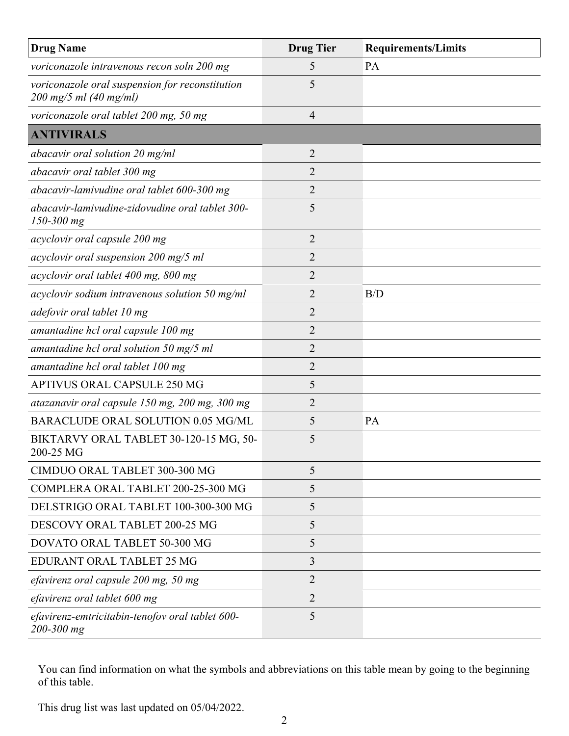| <b>Drug Name</b>                                                                        | <b>Drug Tier</b> | <b>Requirements/Limits</b> |
|-----------------------------------------------------------------------------------------|------------------|----------------------------|
| voriconazole intravenous recon soln 200 mg                                              | 5                | PA                         |
| voriconazole oral suspension for reconstitution<br>$200 \; mg/5 \; ml \; (40 \; mg/ml)$ | 5                |                            |
| voriconazole oral tablet 200 mg, 50 mg                                                  | $\overline{4}$   |                            |
| <b>ANTIVIRALS</b>                                                                       |                  |                            |
| abacavir oral solution 20 mg/ml                                                         | $\overline{2}$   |                            |
| abacavir oral tablet 300 mg                                                             | 2                |                            |
| abacavir-lamivudine oral tablet 600-300 mg                                              | 2                |                            |
| abacavir-lamivudine-zidovudine oral tablet 300-<br>150-300 mg                           | 5                |                            |
| acyclovir oral capsule 200 mg                                                           | $\overline{2}$   |                            |
| acyclovir oral suspension 200 mg/5 ml                                                   | 2                |                            |
| acyclovir oral tablet 400 mg, 800 mg                                                    | $\overline{2}$   |                            |
| acyclovir sodium intravenous solution 50 mg/ml                                          | 2                | B/D                        |
| adefovir oral tablet 10 mg                                                              | 2                |                            |
| amantadine hcl oral capsule 100 mg                                                      | $\overline{2}$   |                            |
| amantadine hcl oral solution $50 \text{ mg}/5 \text{ ml}$                               | $\overline{2}$   |                            |
| amantadine hcl oral tablet 100 mg                                                       | 2                |                            |
| APTIVUS ORAL CAPSULE 250 MG                                                             | 5                |                            |
| atazanavir oral capsule 150 mg, 200 mg, 300 mg                                          | 2                |                            |
| BARACLUDE ORAL SOLUTION 0.05 MG/ML                                                      | 5                | PA                         |
| BIKTARVY ORAL TABLET 30-120-15 MG, 50-<br>200-25 MG                                     | 5                |                            |
| CIMDUO ORAL TABLET 300-300 MG                                                           | 5                |                            |
| COMPLERA ORAL TABLET 200-25-300 MG                                                      | 5                |                            |
| DELSTRIGO ORAL TABLET 100-300-300 MG                                                    | 5                |                            |
| DESCOVY ORAL TABLET 200-25 MG                                                           | 5                |                            |
| DOVATO ORAL TABLET 50-300 MG                                                            | 5                |                            |
| EDURANT ORAL TABLET 25 MG                                                               | 3                |                            |
| efavirenz oral capsule 200 mg, 50 mg                                                    | $\overline{2}$   |                            |
| efavirenz oral tablet 600 mg                                                            | 2                |                            |
| efavirenz-emtricitabin-tenofov oral tablet 600-<br>200-300 mg                           | 5                |                            |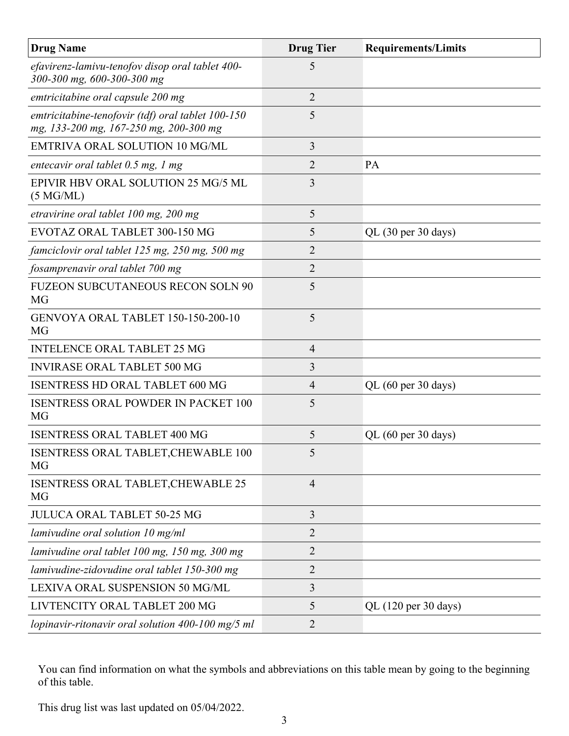| <b>Drug Name</b>                                                                            | <b>Drug Tier</b> | <b>Requirements/Limits</b> |
|---------------------------------------------------------------------------------------------|------------------|----------------------------|
| efavirenz-lamivu-tenofov disop oral tablet 400-<br>300-300 mg, 600-300-300 mg               | 5                |                            |
| emtricitabine oral capsule 200 mg                                                           | $\overline{2}$   |                            |
| emtricitabine-tenofovir (tdf) oral tablet 100-150<br>mg, 133-200 mg, 167-250 mg, 200-300 mg | 5                |                            |
| <b>EMTRIVA ORAL SOLUTION 10 MG/ML</b>                                                       | 3                |                            |
| entecavir oral tablet 0.5 mg, 1 mg                                                          | 2                | PA                         |
| EPIVIR HBV ORAL SOLUTION 25 MG/5 ML<br>$(5 \text{ MG/ML})$                                  | 3                |                            |
| etravirine oral tablet 100 mg, 200 mg                                                       | 5                |                            |
| EVOTAZ ORAL TABLET 300-150 MG                                                               | 5                | QL (30 per 30 days)        |
| famciclovir oral tablet 125 mg, 250 mg, 500 mg                                              | 2                |                            |
| fosamprenavir oral tablet 700 mg                                                            | $\overline{2}$   |                            |
| <b>FUZEON SUBCUTANEOUS RECON SOLN 90</b><br><b>MG</b>                                       | 5                |                            |
| GENVOYA ORAL TABLET 150-150-200-10<br><b>MG</b>                                             | 5                |                            |
| <b>INTELENCE ORAL TABLET 25 MG</b>                                                          | $\overline{4}$   |                            |
| <b>INVIRASE ORAL TABLET 500 MG</b>                                                          | 3                |                            |
| <b>ISENTRESS HD ORAL TABLET 600 MG</b>                                                      | $\overline{4}$   | QL (60 per 30 days)        |
| <b>ISENTRESS ORAL POWDER IN PACKET 100</b><br>MG                                            | 5                |                            |
| <b>ISENTRESS ORAL TABLET 400 MG</b>                                                         | 5                | QL (60 per 30 days)        |
| ISENTRESS ORAL TABLET, CHEWABLE 100<br>MG                                                   | 5                |                            |
| ISENTRESS ORAL TABLET, CHEWABLE 25<br>MG                                                    | $\overline{4}$   |                            |
| <b>JULUCA ORAL TABLET 50-25 MG</b>                                                          | 3                |                            |
| lamivudine oral solution 10 mg/ml                                                           | 2                |                            |
| lamivudine oral tablet 100 mg, 150 mg, 300 mg                                               | $\overline{2}$   |                            |
| lamivudine-zidovudine oral tablet 150-300 mg                                                | 2                |                            |
| LEXIVA ORAL SUSPENSION 50 MG/ML                                                             | 3                |                            |
| LIVTENCITY ORAL TABLET 200 MG                                                               | 5                | QL (120 per 30 days)       |
| lopinavir-ritonavir oral solution 400-100 mg/5 ml                                           | $\overline{2}$   |                            |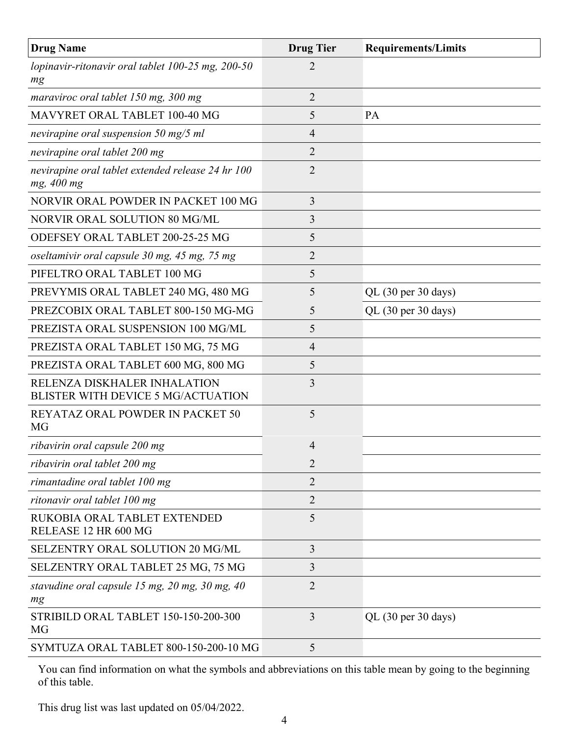| <b>Drug Name</b>                                                          | <b>Drug Tier</b> | <b>Requirements/Limits</b> |
|---------------------------------------------------------------------------|------------------|----------------------------|
| lopinavir-ritonavir oral tablet $100-25$ mg, $200-50$<br>mg               | 2                |                            |
| maraviroc oral tablet 150 mg, 300 mg                                      | $\overline{2}$   |                            |
| MAVYRET ORAL TABLET 100-40 MG                                             | 5                | PA                         |
| nevirapine oral suspension 50 mg/5 ml                                     | $\overline{4}$   |                            |
| nevirapine oral tablet 200 mg                                             | $\overline{2}$   |                            |
| nevirapine oral tablet extended release 24 hr 100<br>mg, 400 mg           | $\overline{2}$   |                            |
| NORVIR ORAL POWDER IN PACKET 100 MG                                       | 3                |                            |
| NORVIR ORAL SOLUTION 80 MG/ML                                             | 3                |                            |
| ODEFSEY ORAL TABLET 200-25-25 MG                                          | 5                |                            |
| oseltamivir oral capsule 30 mg, 45 mg, 75 mg                              | $\overline{2}$   |                            |
| PIFELTRO ORAL TABLET 100 MG                                               | 5                |                            |
| PREVYMIS ORAL TABLET 240 MG, 480 MG                                       | 5                | QL (30 per 30 days)        |
| PREZCOBIX ORAL TABLET 800-150 MG-MG                                       | 5                | QL (30 per 30 days)        |
| PREZISTA ORAL SUSPENSION 100 MG/ML                                        | 5                |                            |
| PREZISTA ORAL TABLET 150 MG, 75 MG                                        | $\overline{4}$   |                            |
| PREZISTA ORAL TABLET 600 MG, 800 MG                                       | 5                |                            |
| RELENZA DISKHALER INHALATION<br><b>BLISTER WITH DEVICE 5 MG/ACTUATION</b> | 3                |                            |
| REYATAZ ORAL POWDER IN PACKET 50<br><b>MG</b>                             | 5                |                            |
| ribavirin oral capsule 200 mg                                             | 4                |                            |
| ribavirin oral tablet 200 mg                                              | $\overline{2}$   |                            |
| rimantadine oral tablet 100 mg                                            | $\overline{2}$   |                            |
| ritonavir oral tablet 100 mg                                              | $\overline{2}$   |                            |
| RUKOBIA ORAL TABLET EXTENDED<br>RELEASE 12 HR 600 MG                      | 5                |                            |
| SELZENTRY ORAL SOLUTION 20 MG/ML                                          | 3                |                            |
| SELZENTRY ORAL TABLET 25 MG, 75 MG                                        | 3                |                            |
| stavudine oral capsule 15 mg, 20 mg, 30 mg, 40<br>mg                      | $\overline{2}$   |                            |
| STRIBILD ORAL TABLET 150-150-200-300<br>MG                                | $\overline{3}$   | QL (30 per 30 days)        |
| SYMTUZA ORAL TABLET 800-150-200-10 MG                                     | 5                |                            |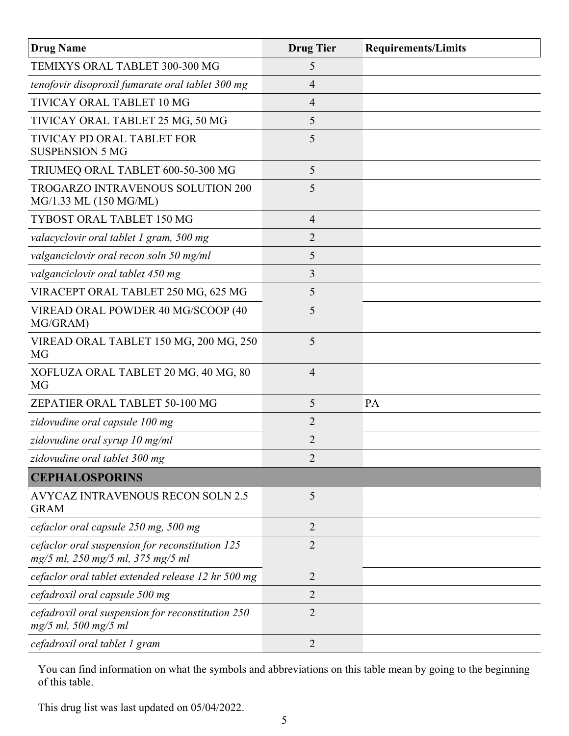| <b>Drug Name</b>                                                                     | <b>Drug Tier</b> | <b>Requirements/Limits</b> |
|--------------------------------------------------------------------------------------|------------------|----------------------------|
| TEMIXYS ORAL TABLET 300-300 MG                                                       | 5                |                            |
| tenofovir disoproxil fumarate oral tablet 300 mg                                     | 4                |                            |
| TIVICAY ORAL TABLET 10 MG                                                            | 4                |                            |
| TIVICAY ORAL TABLET 25 MG, 50 MG                                                     | 5                |                            |
| TIVICAY PD ORAL TABLET FOR<br><b>SUSPENSION 5 MG</b>                                 | 5                |                            |
| TRIUMEQ ORAL TABLET 600-50-300 MG                                                    | 5                |                            |
| TROGARZO INTRAVENOUS SOLUTION 200<br>MG/1.33 ML (150 MG/ML)                          | 5                |                            |
| TYBOST ORAL TABLET 150 MG                                                            | $\overline{4}$   |                            |
| valacyclovir oral tablet 1 gram, 500 mg                                              | $\overline{2}$   |                            |
| valganciclovir oral recon soln 50 mg/ml                                              | 5                |                            |
| valganciclovir oral tablet 450 mg                                                    | 3                |                            |
| VIRACEPT ORAL TABLET 250 MG, 625 MG                                                  | 5                |                            |
| VIREAD ORAL POWDER 40 MG/SCOOP (40<br>MG/GRAM)                                       | 5                |                            |
| VIREAD ORAL TABLET 150 MG, 200 MG, 250<br><b>MG</b>                                  | 5                |                            |
| XOFLUZA ORAL TABLET 20 MG, 40 MG, 80<br><b>MG</b>                                    | $\overline{4}$   |                            |
| ZEPATIER ORAL TABLET 50-100 MG                                                       | 5                | PA                         |
| zidovudine oral capsule 100 mg                                                       | 2                |                            |
| zidovudine oral syrup 10 mg/ml                                                       | $\overline{2}$   |                            |
| zidovudine oral tablet 300 mg                                                        |                  |                            |
| <b>CEPHALOSPORINS</b>                                                                |                  |                            |
| AVYCAZ INTRAVENOUS RECON SOLN 2.5<br><b>GRAM</b>                                     | 5                |                            |
| cefaclor oral capsule 250 mg, 500 mg                                                 | $\overline{2}$   |                            |
| cefaclor oral suspension for reconstitution 125<br>mg/5 ml, 250 mg/5 ml, 375 mg/5 ml | $\overline{2}$   |                            |
| cefaclor oral tablet extended release 12 hr 500 mg                                   | 2                |                            |
| cefadroxil oral capsule 500 mg                                                       | $\overline{2}$   |                            |
| cefadroxil oral suspension for reconstitution 250<br>$mg/5$ ml, 500 mg/5 ml          | $\overline{2}$   |                            |
| cefadroxil oral tablet 1 gram                                                        | $\overline{2}$   |                            |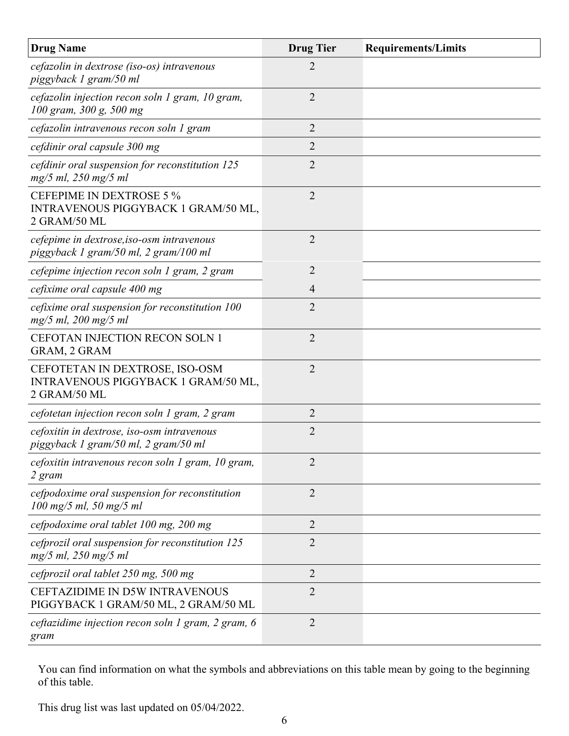| <b>Drug Name</b>                                                                             | <b>Drug Tier</b> | <b>Requirements/Limits</b> |
|----------------------------------------------------------------------------------------------|------------------|----------------------------|
| cefazolin in dextrose (iso-os) intravenous<br>piggyback 1 gram/50 ml                         | 2                |                            |
| cefazolin injection recon soln 1 gram, 10 gram,<br>100 gram, 300 g, 500 mg                   | $\overline{2}$   |                            |
| cefazolin intravenous recon soln 1 gram                                                      | $\overline{2}$   |                            |
| cefdinir oral capsule 300 mg                                                                 | 2                |                            |
| cefdinir oral suspension for reconstitution 125<br>$mg/5$ ml, 250 mg/5 ml                    | $\overline{2}$   |                            |
| <b>CEFEPIME IN DEXTROSE 5 %</b><br>INTRAVENOUS PIGGYBACK 1 GRAM/50 ML,<br>2 GRAM/50 ML       | $\overline{2}$   |                            |
| cefepime in dextrose, iso-osm intravenous<br>piggyback 1 gram/50 ml, 2 gram/100 ml           | $\overline{2}$   |                            |
| cefepime injection recon soln 1 gram, 2 gram                                                 | $\overline{2}$   |                            |
| cefixime oral capsule 400 mg                                                                 | 4                |                            |
| cefixime oral suspension for reconstitution 100<br>mg/5 ml, 200 mg/5 ml                      | $\overline{2}$   |                            |
| <b>CEFOTAN INJECTION RECON SOLN 1</b><br>GRAM, 2 GRAM                                        | $\overline{2}$   |                            |
| CEFOTETAN IN DEXTROSE, ISO-OSM<br>INTRAVENOUS PIGGYBACK 1 GRAM/50 ML,<br>2 GRAM/50 ML        | 2                |                            |
| cefotetan injection recon soln 1 gram, 2 gram                                                | 2                |                            |
| cefoxitin in dextrose, iso-osm intravenous<br>piggyback 1 gram/50 ml, 2 gram/50 ml           | $\overline{2}$   |                            |
| cefoxitin intravenous recon soln 1 gram, 10 gram,<br>2 gram                                  | $\overline{2}$   |                            |
| cefpodoxime oral suspension for reconstitution<br>$100 \text{ mg}/5 \text{ ml}$ , 50 mg/5 ml | $\overline{2}$   |                            |
| cefpodoxime oral tablet 100 mg, 200 mg                                                       | $\overline{2}$   |                            |
| cefprozil oral suspension for reconstitution 125<br>$mg/5$ ml, 250 mg/5 ml                   | 2                |                            |
| cefprozil oral tablet 250 mg, 500 mg                                                         | $\overline{2}$   |                            |
| <b>CEFTAZIDIME IN D5W INTRAVENOUS</b><br>PIGGYBACK 1 GRAM/50 ML, 2 GRAM/50 ML                | $\overline{2}$   |                            |
| ceftazidime injection recon soln 1 gram, 2 gram, 6<br>gram                                   | $\overline{2}$   |                            |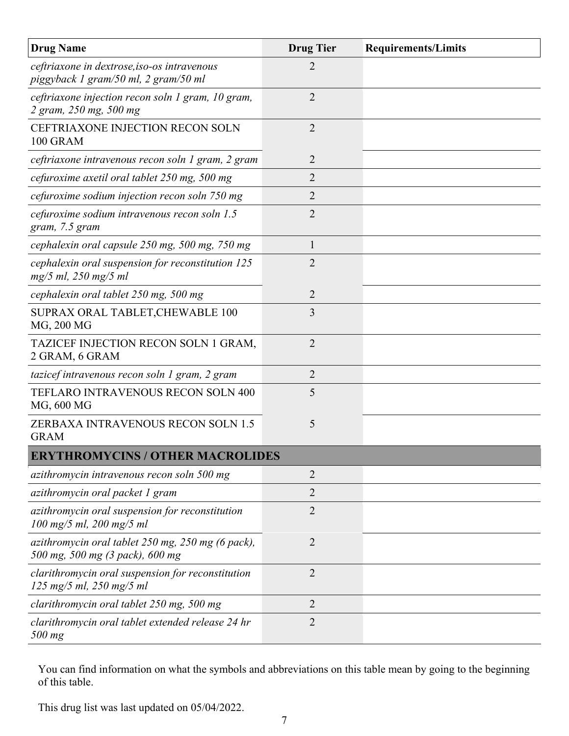| <b>Drug Name</b>                                                                                                | <b>Drug Tier</b> | <b>Requirements/Limits</b> |
|-----------------------------------------------------------------------------------------------------------------|------------------|----------------------------|
| ceftriaxone in dextrose, iso-os intravenous<br>piggyback 1 gram/50 ml, 2 gram/50 ml                             | 2                |                            |
| ceftriaxone injection recon soln 1 gram, 10 gram,<br>2 gram, 250 mg, 500 mg                                     | $\overline{2}$   |                            |
| <b>CEFTRIAXONE INJECTION RECON SOLN</b><br>100 GRAM                                                             | $\overline{2}$   |                            |
| ceftriaxone intravenous recon soln 1 gram, 2 gram                                                               | 2                |                            |
| cefuroxime axetil oral tablet 250 mg, 500 mg                                                                    | 2                |                            |
| cefuroxime sodium injection recon soln 750 mg                                                                   | 2                |                            |
| cefuroxime sodium intravenous recon soln 1.5<br>gram, 7.5 gram                                                  | 2                |                            |
| cephalexin oral capsule 250 mg, 500 mg, 750 mg                                                                  | $\mathbf{1}$     |                            |
| cephalexin oral suspension for reconstitution 125<br>$mg/5$ ml, 250 mg/5 ml                                     | $\overline{2}$   |                            |
| cephalexin oral tablet 250 mg, 500 mg                                                                           | $\overline{2}$   |                            |
| SUPRAX ORAL TABLET, CHEWABLE 100<br>MG, 200 MG                                                                  | 3                |                            |
| TAZICEF INJECTION RECON SOLN 1 GRAM,<br>2 GRAM, 6 GRAM                                                          | $\overline{2}$   |                            |
| tazicef intravenous recon soln 1 gram, 2 gram                                                                   | $\overline{2}$   |                            |
| TEFLARO INTRAVENOUS RECON SOLN 400<br>MG, 600 MG                                                                | 5                |                            |
| <b>ZERBAXA INTRAVENOUS RECON SOLN 1.5</b><br><b>GRAM</b>                                                        | 5                |                            |
| <b>ERYTHROMYCINS / OTHER MACROLIDES</b>                                                                         |                  |                            |
| azithromycin intravenous recon soln 500 mg                                                                      | 2                |                            |
| azithromycin oral packet 1 gram                                                                                 | $\overline{2}$   |                            |
| azithromycin oral suspension for reconstitution<br>$100 \text{ mg}/5 \text{ ml}, 200 \text{ mg}/5 \text{ ml}$   | 2                |                            |
| azithromycin oral tablet 250 mg, 250 mg (6 pack),<br>500 mg, 500 mg (3 pack), 600 mg                            | $\overline{2}$   |                            |
| clarithromycin oral suspension for reconstitution<br>$125 \text{ mg}/5 \text{ ml}, 250 \text{ mg}/5 \text{ ml}$ | $\overline{2}$   |                            |
| clarithromycin oral tablet 250 mg, 500 mg                                                                       | $\overline{2}$   |                            |
| clarithromycin oral tablet extended release 24 hr<br>500 mg                                                     | $\overline{2}$   |                            |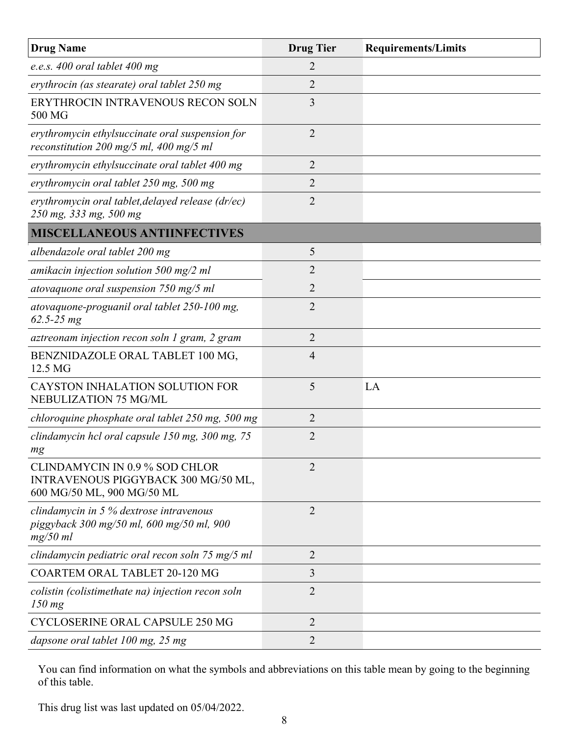| <b>Drug Name</b>                                                                                           | <b>Drug Tier</b> | <b>Requirements/Limits</b> |
|------------------------------------------------------------------------------------------------------------|------------------|----------------------------|
| e.e.s. $400$ oral tablet $400$ mg                                                                          | 2                |                            |
| erythrocin (as stearate) oral tablet 250 mg                                                                | 2                |                            |
| ERYTHROCIN INTRAVENOUS RECON SOLN<br>500 MG                                                                | 3                |                            |
| erythromycin ethylsuccinate oral suspension for<br>reconstitution 200 mg/5 ml, 400 mg/5 ml                 | $\overline{2}$   |                            |
| erythromycin ethylsuccinate oral tablet 400 mg                                                             | $\overline{2}$   |                            |
| erythromycin oral tablet 250 mg, 500 mg                                                                    | 2                |                            |
| erythromycin oral tablet, delayed release (dr/ec)<br>250 mg, 333 mg, 500 mg                                | 2                |                            |
| <b>MISCELLANEOUS ANTIINFECTIVES</b>                                                                        |                  |                            |
| albendazole oral tablet 200 mg                                                                             | 5                |                            |
| amikacin injection solution 500 mg/2 ml                                                                    | $\overline{2}$   |                            |
| atovaquone oral suspension $750$ mg/5 ml                                                                   | 2                |                            |
| atovaquone-proguanil oral tablet 250-100 mg,<br>$62.5 - 25 mg$                                             | $\overline{2}$   |                            |
| aztreonam injection recon soln 1 gram, 2 gram                                                              | $\overline{2}$   |                            |
| BENZNIDAZOLE ORAL TABLET 100 MG,<br>12.5 MG                                                                | 4                |                            |
| CAYSTON INHALATION SOLUTION FOR<br>NEBULIZATION 75 MG/ML                                                   | 5                | LA                         |
| chloroquine phosphate oral tablet 250 mg, 500 mg                                                           | $\overline{2}$   |                            |
| clindamycin hcl oral capsule 150 mg, 300 mg, 75<br>mg                                                      | $\overline{2}$   |                            |
| <b>CLINDAMYCIN IN 0.9 % SOD CHLOR</b><br>INTRAVENOUS PIGGYBACK 300 MG/50 ML,<br>600 MG/50 ML, 900 MG/50 ML | $\overline{2}$   |                            |
| clindamycin in 5 % dextrose intravenous<br>piggyback 300 mg/50 ml, 600 mg/50 ml, 900<br>$mg/50$ ml         | $\overline{2}$   |                            |
| clindamycin pediatric oral recon soln 75 mg/5 ml                                                           | 2                |                            |
| <b>COARTEM ORAL TABLET 20-120 MG</b>                                                                       | 3                |                            |
| colistin (colistimethate na) injection recon soln<br>$150$ mg                                              | $\overline{2}$   |                            |
| <b>CYCLOSERINE ORAL CAPSULE 250 MG</b>                                                                     | $\overline{2}$   |                            |
| dapsone oral tablet 100 mg, 25 mg                                                                          | 2                |                            |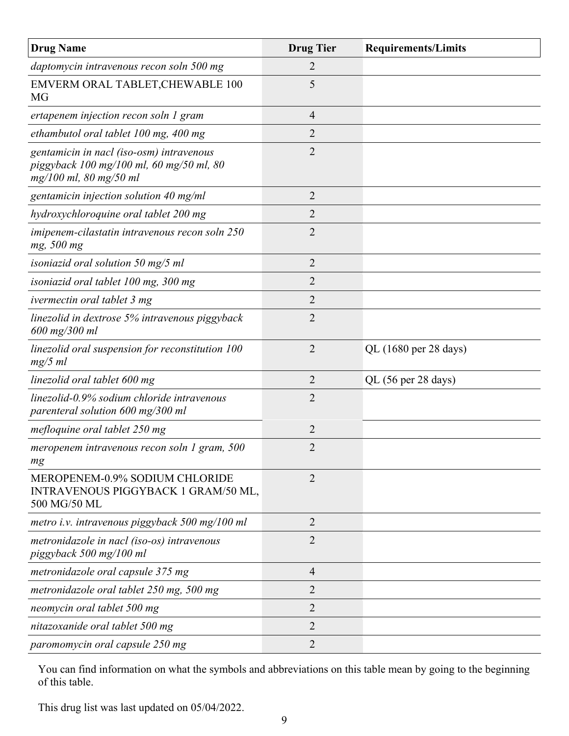| <b>Drug Name</b>                                                                                               | <b>Drug Tier</b> | <b>Requirements/Limits</b> |
|----------------------------------------------------------------------------------------------------------------|------------------|----------------------------|
| daptomycin intravenous recon soln 500 mg                                                                       | 2                |                            |
| EMVERM ORAL TABLET, CHEWABLE 100<br><b>MG</b>                                                                  | 5                |                            |
| ertapenem injection recon soln 1 gram                                                                          | $\overline{4}$   |                            |
| ethambutol oral tablet 100 mg, 400 mg                                                                          | $\overline{2}$   |                            |
| gentamicin in nacl (iso-osm) intravenous<br>piggyback 100 mg/100 ml, 60 mg/50 ml, 80<br>mg/100 ml, 80 mg/50 ml | $\overline{2}$   |                            |
| gentamicin injection solution 40 mg/ml                                                                         | $\overline{2}$   |                            |
| hydroxychloroquine oral tablet 200 mg                                                                          | 2                |                            |
| imipenem-cilastatin intravenous recon soln 250<br>mg, 500 mg                                                   | $\overline{2}$   |                            |
| isoniazid oral solution $50 \text{ mg}/5 \text{ ml}$                                                           | $\overline{2}$   |                            |
| isoniazid oral tablet 100 mg, 300 mg                                                                           | $\overline{2}$   |                            |
| ivermectin oral tablet 3 mg                                                                                    | $\overline{2}$   |                            |
| linezolid in dextrose 5% intravenous piggyback<br>600 mg/300 ml                                                | $\overline{2}$   |                            |
| linezolid oral suspension for reconstitution 100<br>$mg/5$ ml                                                  | $\overline{2}$   | QL (1680 per 28 days)      |
| linezolid oral tablet 600 mg                                                                                   | $\overline{2}$   | QL (56 per 28 days)        |
| linezolid-0.9% sodium chloride intravenous<br>parenteral solution 600 mg/300 ml                                | $\overline{2}$   |                            |
| mefloquine oral tablet 250 mg                                                                                  | $\overline{2}$   |                            |
| meropenem intravenous recon soln 1 gram, 500<br>mg                                                             | $\overline{2}$   |                            |
| MEROPENEM-0.9% SODIUM CHLORIDE<br>INTRAVENOUS PIGGYBACK 1 GRAM/50 ML,<br>500 MG/50 ML                          | $\overline{2}$   |                            |
| metro i.v. intravenous piggyback 500 mg/100 ml                                                                 | $\overline{2}$   |                            |
| metronidazole in nacl (iso-os) intravenous<br>piggyback 500 mg/100 ml                                          | $\overline{2}$   |                            |
| metronidazole oral capsule 375 mg                                                                              | $\overline{4}$   |                            |
| metronidazole oral tablet 250 mg, 500 mg                                                                       | $\overline{2}$   |                            |
| neomycin oral tablet 500 mg                                                                                    | $\overline{2}$   |                            |
| nitazoxanide oral tablet 500 mg                                                                                | $\overline{2}$   |                            |
| paromomycin oral capsule 250 mg                                                                                | $\overline{2}$   |                            |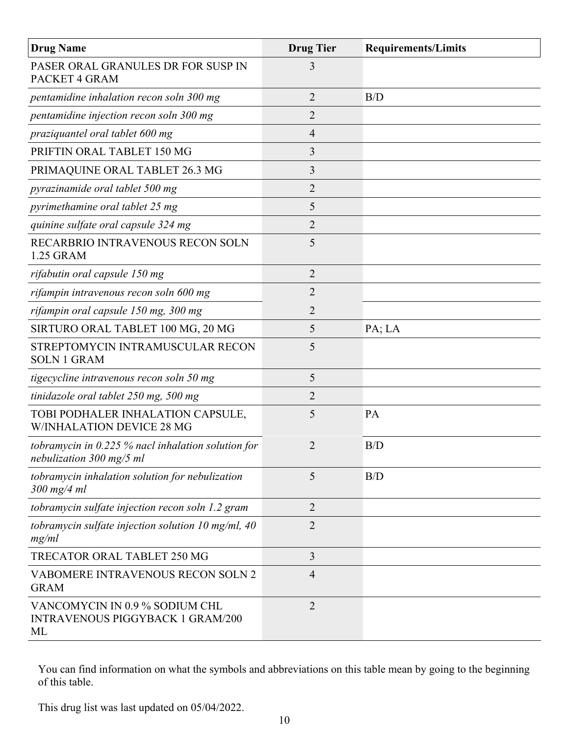| <b>Drug Name</b>                                                                | <b>Drug Tier</b> | <b>Requirements/Limits</b> |
|---------------------------------------------------------------------------------|------------------|----------------------------|
| PASER ORAL GRANULES DR FOR SUSP IN<br>PACKET 4 GRAM                             | 3                |                            |
| pentamidine inhalation recon soln 300 mg                                        | $\overline{2}$   | B/D                        |
| pentamidine injection recon soln 300 mg                                         | 2                |                            |
| praziquantel oral tablet 600 mg                                                 | 4                |                            |
| PRIFTIN ORAL TABLET 150 MG                                                      | 3                |                            |
| PRIMAQUINE ORAL TABLET 26.3 MG                                                  | 3                |                            |
| pyrazinamide oral tablet 500 mg                                                 | $\overline{2}$   |                            |
| pyrimethamine oral tablet 25 mg                                                 | 5                |                            |
| quinine sulfate oral capsule 324 mg                                             | $\overline{2}$   |                            |
| RECARBRIO INTRAVENOUS RECON SOLN<br>1.25 GRAM                                   | 5                |                            |
| rifabutin oral capsule 150 mg                                                   | 2                |                            |
| rifampin intravenous recon soln 600 mg                                          | $\overline{2}$   |                            |
| rifampin oral capsule 150 mg, 300 mg                                            | 2                |                            |
| SIRTURO ORAL TABLET 100 MG, 20 MG                                               | 5                | PA; LA                     |
| STREPTOMYCIN INTRAMUSCULAR RECON<br><b>SOLN 1 GRAM</b>                          | 5                |                            |
| tigecycline intravenous recon soln 50 mg                                        | 5                |                            |
| tinidazole oral tablet 250 mg, 500 mg                                           | 2                |                            |
| TOBI PODHALER INHALATION CAPSULE,<br><b>W/INHALATION DEVICE 28 MG</b>           | 5                | PA                         |
| tobramycin in 0.225 % nacl inhalation solution for<br>nebulization 300 mg/5 ml  | 2                | B/D                        |
| tobramycin inhalation solution for nebulization<br>$300$ mg/4 ml                | 5                | B/D                        |
| tobramycin sulfate injection recon soln 1.2 gram                                | $\overline{2}$   |                            |
| tobramycin sulfate injection solution $10$ mg/ml, $40$<br>mg/ml                 | $\overline{2}$   |                            |
| <b>TRECATOR ORAL TABLET 250 MG</b>                                              | 3                |                            |
| VABOMERE INTRAVENOUS RECON SOLN 2<br><b>GRAM</b>                                | $\overline{4}$   |                            |
| VANCOMYCIN IN 0.9 % SODIUM CHL<br><b>INTRAVENOUS PIGGYBACK 1 GRAM/200</b><br>ML | $\overline{2}$   |                            |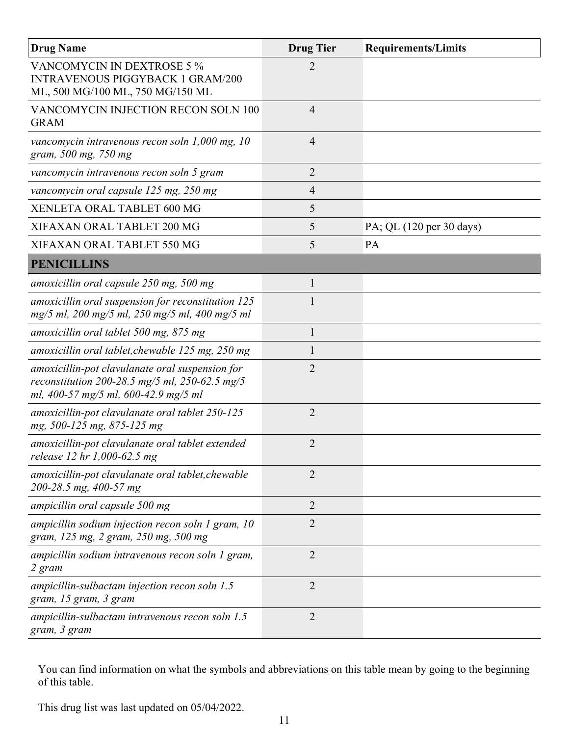| <b>Drug Name</b>                                                                                                                          | <b>Drug Tier</b> | <b>Requirements/Limits</b> |
|-------------------------------------------------------------------------------------------------------------------------------------------|------------------|----------------------------|
| VANCOMYCIN IN DEXTROSE 5 %<br><b>INTRAVENOUS PIGGYBACK 1 GRAM/200</b><br>ML, 500 MG/100 ML, 750 MG/150 ML                                 | 2                |                            |
| VANCOMYCIN INJECTION RECON SOLN 100<br><b>GRAM</b>                                                                                        | $\overline{4}$   |                            |
| vancomycin intravenous recon soln 1,000 mg, 10<br>gram, 500 mg, 750 mg                                                                    | $\overline{4}$   |                            |
| vancomycin intravenous recon soln 5 gram                                                                                                  | $\overline{2}$   |                            |
| vancomycin oral capsule 125 mg, 250 mg                                                                                                    | 4                |                            |
| XENLETA ORAL TABLET 600 MG                                                                                                                | 5                |                            |
| XIFAXAN ORAL TABLET 200 MG                                                                                                                | 5                | PA; QL (120 per 30 days)   |
| XIFAXAN ORAL TABLET 550 MG                                                                                                                | 5                | PA                         |
| <b>PENICILLINS</b>                                                                                                                        |                  |                            |
| amoxicillin oral capsule 250 mg, 500 mg                                                                                                   | $\mathbf{1}$     |                            |
| amoxicillin oral suspension for reconstitution 125<br>mg/5 ml, 200 mg/5 ml, 250 mg/5 ml, 400 mg/5 ml                                      |                  |                            |
| amoxicillin oral tablet 500 mg, 875 mg                                                                                                    | $\mathbf{1}$     |                            |
| amoxicillin oral tablet, chewable 125 mg, 250 mg                                                                                          | $\mathbf{1}$     |                            |
| amoxicillin-pot clavulanate oral suspension for<br>reconstitution 200-28.5 mg/5 ml, 250-62.5 mg/5<br>ml, 400-57 mg/5 ml, 600-42.9 mg/5 ml | 2                |                            |
| amoxicillin-pot clavulanate oral tablet 250-125<br>mg, 500-125 mg, 875-125 mg                                                             | $\overline{2}$   |                            |
| amoxicillin-pot clavulanate oral tablet extended<br>release 12 hr 1,000-62.5 mg                                                           | 2                |                            |
| amoxicillin-pot clavulanate oral tablet, chewable<br>200-28.5 mg, 400-57 mg                                                               | $\overline{2}$   |                            |
| ampicillin oral capsule 500 mg                                                                                                            | $\overline{2}$   |                            |
| ampicillin sodium injection recon soln $1$ gram, $10$<br>gram, 125 mg, 2 gram, 250 mg, 500 mg                                             | $\overline{2}$   |                            |
| ampicillin sodium intravenous recon soln 1 gram,<br>2 gram                                                                                | 2                |                            |
| ampicillin-sulbactam injection recon soln $1.5$<br>gram, 15 gram, 3 gram                                                                  | $\overline{2}$   |                            |
| ampicillin-sulbactam intravenous recon soln 1.5<br>gram, 3 gram                                                                           | $\overline{2}$   |                            |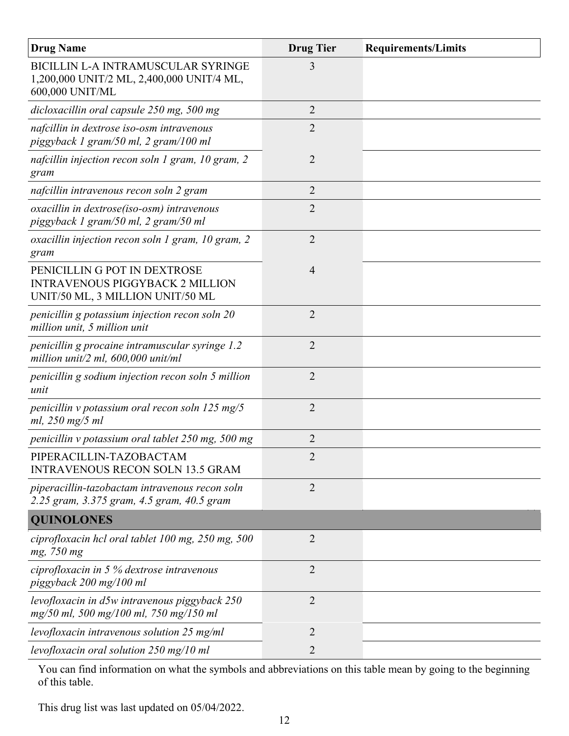| <b>Drug Name</b>                                                                                           | <b>Drug Tier</b> | <b>Requirements/Limits</b> |
|------------------------------------------------------------------------------------------------------------|------------------|----------------------------|
| BICILLIN L-A INTRAMUSCULAR SYRINGE<br>1,200,000 UNIT/2 ML, 2,400,000 UNIT/4 ML,<br>600,000 UNIT/ML         | 3                |                            |
| dicloxacillin oral capsule 250 mg, 500 mg                                                                  | $\overline{2}$   |                            |
| nafcillin in dextrose iso-osm intravenous<br>piggyback 1 gram/50 ml, 2 gram/100 ml                         | 2                |                            |
| nafcillin injection recon soln 1 gram, 10 gram, 2<br>gram                                                  | $\overline{2}$   |                            |
| nafcillin intravenous recon soln 2 gram                                                                    | $\overline{2}$   |                            |
| oxacillin in dextrose(iso-osm) intravenous<br>piggyback 1 gram/50 ml, 2 gram/50 ml                         | $\overline{2}$   |                            |
| oxacillin injection recon soln 1 gram, 10 gram, 2<br>gram                                                  | $\overline{2}$   |                            |
| PENICILLIN G POT IN DEXTROSE<br><b>INTRAVENOUS PIGGYBACK 2 MILLION</b><br>UNIT/50 ML, 3 MILLION UNIT/50 ML | $\overline{4}$   |                            |
| penicillin g potassium injection recon soln 20<br>million unit, 5 million unit                             | $\overline{2}$   |                            |
| penicillin g procaine intramuscular syringe 1.2<br>million unit/2 ml, $600,000$ unit/ml                    | $\overline{2}$   |                            |
| penicillin g sodium injection recon soln 5 million<br>unit                                                 | $\overline{2}$   |                            |
| penicillin v potassium oral recon soln $125 \text{ mg}/5$<br>ml, 250 mg/5 ml                               | $\overline{2}$   |                            |
| penicillin v potassium oral tablet 250 mg, 500 mg                                                          | $\overline{2}$   |                            |
| PIPERACILLIN-TAZOBACTAM<br><b>INTRAVENOUS RECON SOLN 13.5 GRAM</b>                                         | $\overline{2}$   |                            |
| piperacillin-tazobactam intravenous recon soln<br>2.25 gram, 3.375 gram, 4.5 gram, 40.5 gram               | $\overline{2}$   |                            |
| <b>QUINOLONES</b>                                                                                          |                  |                            |
| ciprofloxacin hcl oral tablet 100 mg, 250 mg, 500<br>mg, 750 mg                                            | $\overline{2}$   |                            |
| ciprofloxacin in 5 $\%$ dextrose intravenous<br>piggyback 200 mg/100 ml                                    | $\overline{2}$   |                            |
| levofloxacin in d5w intravenous piggyback 250<br>mg/50 ml, 500 mg/100 ml, 750 mg/150 ml                    | $\overline{2}$   |                            |
| levofloxacin intravenous solution 25 mg/ml                                                                 | 2                |                            |
| levofloxacin oral solution 250 mg/10 ml                                                                    | 2                |                            |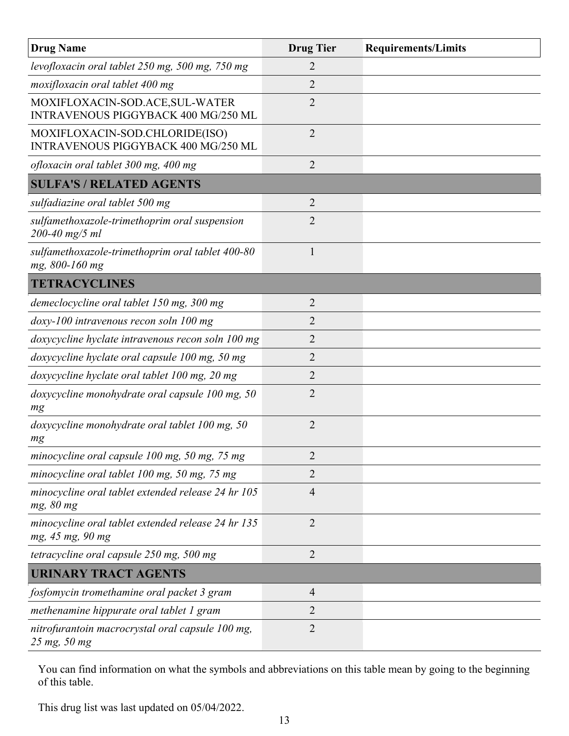| <b>Drug Name</b>                                                       | <b>Drug Tier</b> | <b>Requirements/Limits</b> |
|------------------------------------------------------------------------|------------------|----------------------------|
| levofloxacin oral tablet 250 mg, 500 mg, 750 mg                        | 2                |                            |
| moxifloxacin oral tablet 400 mg                                        | $\overline{2}$   |                            |
| MOXIFLOXACIN-SOD.ACE, SUL-WATER<br>INTRAVENOUS PIGGYBACK 400 MG/250 ML | $\overline{2}$   |                            |
| MOXIFLOXACIN-SOD.CHLORIDE(ISO)<br>INTRAVENOUS PIGGYBACK 400 MG/250 ML  | $\overline{2}$   |                            |
| ofloxacin oral tablet 300 mg, 400 mg                                   | $\overline{2}$   |                            |
| <b>SULFA'S / RELATED AGENTS</b>                                        |                  |                            |
| sulfadiazine oral tablet 500 mg                                        | 2                |                            |
| sulfamethoxazole-trimethoprim oral suspension<br>$200 - 40$ mg/5 ml    | $\overline{2}$   |                            |
| sulfamethoxazole-trimethoprim oral tablet 400-80<br>mg, 800-160 mg     | $\mathbf{1}$     |                            |
| <b>TETRACYCLINES</b>                                                   |                  |                            |
| demeclocycline oral tablet 150 mg, 300 mg                              | 2                |                            |
| doxy-100 intravenous recon soln 100 mg                                 | $\overline{2}$   |                            |
| doxycycline hyclate intravenous recon soln 100 mg                      | $\overline{2}$   |                            |
| doxycycline hyclate oral capsule 100 mg, 50 mg                         | $\overline{2}$   |                            |
| doxycycline hyclate oral tablet 100 mg, 20 mg                          | 2                |                            |
| doxycycline monohydrate oral capsule 100 mg, 50<br>mg                  | $\overline{2}$   |                            |
| doxycycline monohydrate oral tablet 100 mg, 50<br>mg                   | $\overline{2}$   |                            |
| minocycline oral capsule 100 mg, 50 mg, 75 mg                          | $\overline{2}$   |                            |
| minocycline oral tablet 100 mg, 50 mg, 75 mg                           | $\overline{2}$   |                            |
| minocycline oral tablet extended release 24 hr 105<br>mg, 80 mg        | $\overline{4}$   |                            |
| minocycline oral tablet extended release 24 hr 135<br>mg, 45 mg, 90 mg | $\overline{2}$   |                            |
| tetracycline oral capsule 250 mg, 500 mg                               | $\overline{2}$   |                            |
| <b>URINARY TRACT AGENTS</b>                                            |                  |                            |
| fosfomycin tromethamine oral packet 3 gram                             | $\overline{4}$   |                            |
| methenamine hippurate oral tablet 1 gram                               | 2                |                            |
| nitrofurantoin macrocrystal oral capsule 100 mg,<br>25 mg, 50 mg       | $\overline{2}$   |                            |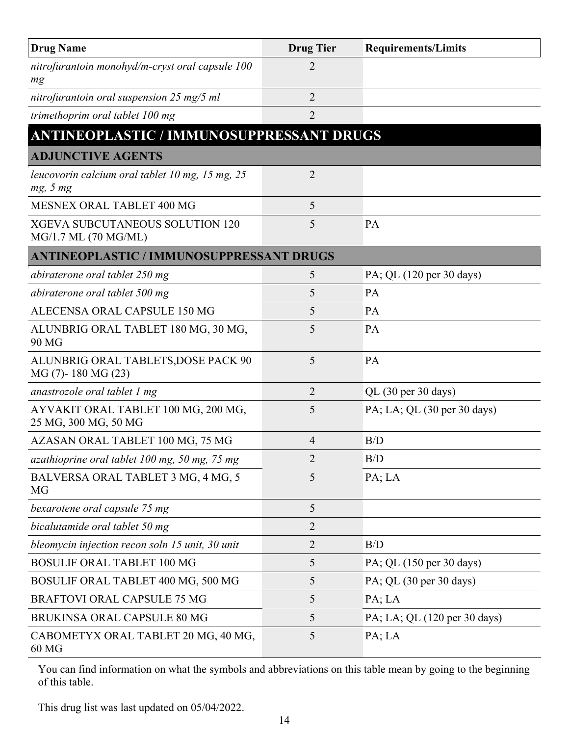| <b>Drug Name</b>                                               | <b>Drug Tier</b> | <b>Requirements/Limits</b>   |
|----------------------------------------------------------------|------------------|------------------------------|
| nitrofurantoin monohyd/m-cryst oral capsule 100<br>mg          | 2                |                              |
| nitrofurantoin oral suspension 25 mg/5 ml                      | $\overline{2}$   |                              |
| trimethoprim oral tablet 100 mg                                | $\overline{2}$   |                              |
| <b>ANTINEOPLASTIC / IMMUNOSUPPRESSANT DRUGS</b>                |                  |                              |
| <b>ADJUNCTIVE AGENTS</b>                                       |                  |                              |
| leucovorin calcium oral tablet 10 mg, 15 mg, 25<br>mg, 5 mg    | 2                |                              |
| MESNEX ORAL TABLET 400 MG                                      | 5                |                              |
| <b>XGEVA SUBCUTANEOUS SOLUTION 120</b><br>MG/1.7 ML (70 MG/ML) | 5                | PA                           |
| <b>ANTINEOPLASTIC / IMMUNOSUPPRESSANT DRUGS</b>                |                  |                              |
| abiraterone oral tablet 250 mg                                 | 5                | PA; QL (120 per 30 days)     |
| abiraterone oral tablet 500 mg                                 | 5                | <b>PA</b>                    |
| ALECENSA ORAL CAPSULE 150 MG                                   | 5                | PA                           |
| ALUNBRIG ORAL TABLET 180 MG, 30 MG,<br>90 MG                   | 5                | PA                           |
| ALUNBRIG ORAL TABLETS, DOSE PACK 90<br>$MG(7)$ - 180 MG $(23)$ | 5                | PA                           |
| anastrozole oral tablet 1 mg                                   | 2                | QL (30 per 30 days)          |
| AYVAKIT ORAL TABLET 100 MG, 200 MG,<br>25 MG, 300 MG, 50 MG    | 5                | PA; LA; QL (30 per 30 days)  |
| AZASAN ORAL TABLET 100 MG, 75 MG                               | 4                | B/D                          |
| azathioprine oral tablet 100 mg, 50 mg, 75 mg                  | 2                | B/D                          |
| BALVERSA ORAL TABLET 3 MG, 4 MG, 5<br>MG                       | 5                | PA; LA                       |
| bexarotene oral capsule 75 mg                                  | 5                |                              |
| bicalutamide oral tablet 50 mg                                 | $\overline{2}$   |                              |
| bleomycin injection recon soln 15 unit, 30 unit                | $\overline{2}$   | B/D                          |
| <b>BOSULIF ORAL TABLET 100 MG</b>                              | 5                | PA; QL (150 per 30 days)     |
| BOSULIF ORAL TABLET 400 MG, 500 MG                             | 5                | PA; QL (30 per 30 days)      |
| <b>BRAFTOVI ORAL CAPSULE 75 MG</b>                             | 5                | PA; LA                       |
| BRUKINSA ORAL CAPSULE 80 MG                                    | 5                | PA; LA; QL (120 per 30 days) |
| CABOMETYX ORAL TABLET 20 MG, 40 MG,<br>60 MG                   | 5                | PA; LA                       |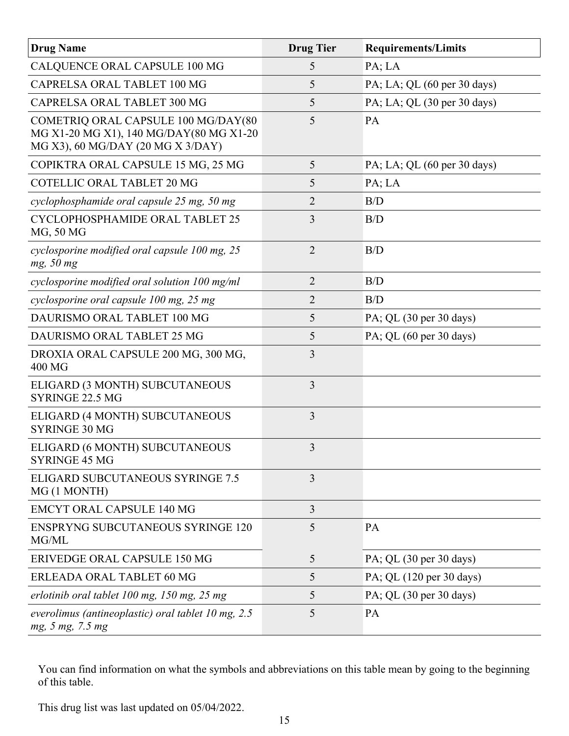| <b>Drug Name</b>                                                                                                    | <b>Drug Tier</b> | <b>Requirements/Limits</b>                 |
|---------------------------------------------------------------------------------------------------------------------|------------------|--------------------------------------------|
| CALQUENCE ORAL CAPSULE 100 MG                                                                                       | 5                | PA; LA                                     |
| CAPRELSA ORAL TABLET 100 MG                                                                                         | 5                | PA; LA; QL (60 per 30 days)                |
| CAPRELSA ORAL TABLET 300 MG                                                                                         | 5                | PA; LA; QL (30 per 30 days)                |
| COMETRIQ ORAL CAPSULE 100 MG/DAY(80<br>MG X1-20 MG X1), 140 MG/DAY(80 MG X1-20<br>MG X3), 60 MG/DAY (20 MG X 3/DAY) | 5                | PA                                         |
| COPIKTRA ORAL CAPSULE 15 MG, 25 MG                                                                                  | 5                | PA; LA; QL (60 per 30 days)                |
| <b>COTELLIC ORAL TABLET 20 MG</b>                                                                                   | 5                | PA; LA                                     |
| cyclophosphamide oral capsule 25 mg, 50 mg                                                                          | $\overline{2}$   | B/D                                        |
| CYCLOPHOSPHAMIDE ORAL TABLET 25<br>MG, 50 MG                                                                        | 3                | B/D                                        |
| cyclosporine modified oral capsule 100 mg, 25<br>mg, 50 mg                                                          | $\overline{2}$   | B/D                                        |
| cyclosporine modified oral solution 100 mg/ml                                                                       | $\overline{2}$   | B/D                                        |
| cyclosporine oral capsule 100 mg, 25 mg                                                                             | 2                | B/D                                        |
| DAURISMO ORAL TABLET 100 MG                                                                                         | 5                | PA; QL (30 per 30 days)                    |
| DAURISMO ORAL TABLET 25 MG                                                                                          | 5                | PA; QL $(60 \text{ per } 30 \text{ days})$ |
| DROXIA ORAL CAPSULE 200 MG, 300 MG,<br>400 MG                                                                       | 3                |                                            |
| ELIGARD (3 MONTH) SUBCUTANEOUS<br>SYRINGE 22.5 MG                                                                   | 3                |                                            |
| ELIGARD (4 MONTH) SUBCUTANEOUS<br><b>SYRINGE 30 MG</b>                                                              | 3                |                                            |
| ELIGARD (6 MONTH) SUBCUTANEOUS<br><b>SYRINGE 45 MG</b>                                                              | 3                |                                            |
| ELIGARD SUBCUTANEOUS SYRINGE 7.5<br>MG (1 MONTH)                                                                    | 3                |                                            |
| <b>EMCYT ORAL CAPSULE 140 MG</b>                                                                                    | 3                |                                            |
| <b>ENSPRYNG SUBCUTANEOUS SYRINGE 120</b><br>MG/ML                                                                   | 5                | PA                                         |
| ERIVEDGE ORAL CAPSULE 150 MG                                                                                        | 5                | PA; QL (30 per 30 days)                    |
| ERLEADA ORAL TABLET 60 MG                                                                                           | 5                | PA; QL (120 per 30 days)                   |
| erlotinib oral tablet 100 mg, 150 mg, 25 mg                                                                         | 5                | PA; QL (30 per 30 days)                    |
| everolimus (antineoplastic) oral tablet 10 mg, 2.5<br>mg, 5 mg, 7.5 mg                                              | 5                | PA                                         |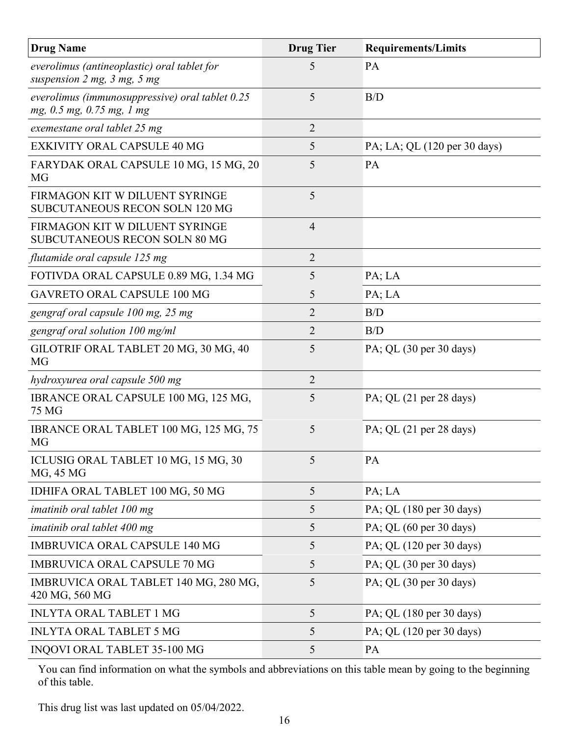| <b>Drug Name</b>                                                                 | <b>Drug Tier</b> | <b>Requirements/Limits</b>                 |
|----------------------------------------------------------------------------------|------------------|--------------------------------------------|
| everolimus (antineoplastic) oral tablet for<br>suspension $2$ mg, $3$ mg, $5$ mg | 5                | PA                                         |
| everolimus (immunosuppressive) oral tablet 0.25<br>mg, 0.5 mg, 0.75 mg, 1 mg     | 5                | B/D                                        |
| exemestane oral tablet 25 mg                                                     | $\overline{2}$   |                                            |
| EXKIVITY ORAL CAPSULE 40 MG                                                      | 5                | PA; LA; QL (120 per 30 days)               |
| FARYDAK ORAL CAPSULE 10 MG, 15 MG, 20<br>MG                                      | 5                | PA                                         |
| FIRMAGON KIT W DILUENT SYRINGE<br><b>SUBCUTANEOUS RECON SOLN 120 MG</b>          | 5                |                                            |
| FIRMAGON KIT W DILUENT SYRINGE<br>SUBCUTANEOUS RECON SOLN 80 MG                  | $\overline{4}$   |                                            |
| flutamide oral capsule 125 mg                                                    | 2                |                                            |
| FOTIVDA ORAL CAPSULE 0.89 MG, 1.34 MG                                            | 5                | PA; LA                                     |
| <b>GAVRETO ORAL CAPSULE 100 MG</b>                                               | 5                | PA; LA                                     |
| gengraf oral capsule 100 mg, 25 mg                                               | 2                | B/D                                        |
| gengraf oral solution 100 mg/ml                                                  | $\overline{2}$   | B/D                                        |
| GILOTRIF ORAL TABLET 20 MG, 30 MG, 40<br><b>MG</b>                               | 5                | PA; QL (30 per 30 days)                    |
| hydroxyurea oral capsule 500 mg                                                  | $\overline{2}$   |                                            |
| IBRANCE ORAL CAPSULE 100 MG, 125 MG,<br>75 MG                                    | 5                | PA; QL $(21 \text{ per } 28 \text{ days})$ |
| IBRANCE ORAL TABLET 100 MG, 125 MG, 75<br><b>MG</b>                              | 5                | PA; QL $(21 \text{ per } 28 \text{ days})$ |
| ICLUSIG ORAL TABLET 10 MG, 15 MG, 30<br>MG, 45 MG                                | 5                | PA                                         |
| IDHIFA ORAL TABLET 100 MG, 50 MG                                                 | 5                | PA; LA                                     |
| imatinib oral tablet 100 mg                                                      | 5                | PA; QL (180 per 30 days)                   |
| imatinib oral tablet 400 mg                                                      | 5                | PA; QL $(60 \text{ per } 30 \text{ days})$ |
| <b>IMBRUVICA ORAL CAPSULE 140 MG</b>                                             | 5                | PA; QL (120 per 30 days)                   |
| <b>IMBRUVICA ORAL CAPSULE 70 MG</b>                                              | 5                | PA; QL $(30 \text{ per } 30 \text{ days})$ |
| IMBRUVICA ORAL TABLET 140 MG, 280 MG,<br>420 MG, 560 MG                          | 5                | PA; QL $(30 \text{ per } 30 \text{ days})$ |
| <b>INLYTA ORAL TABLET 1 MG</b>                                                   | 5                | PA; QL (180 per 30 days)                   |
| <b>INLYTA ORAL TABLET 5 MG</b>                                                   | 5                | PA; QL (120 per 30 days)                   |
| INQOVI ORAL TABLET 35-100 MG                                                     | 5                | PA                                         |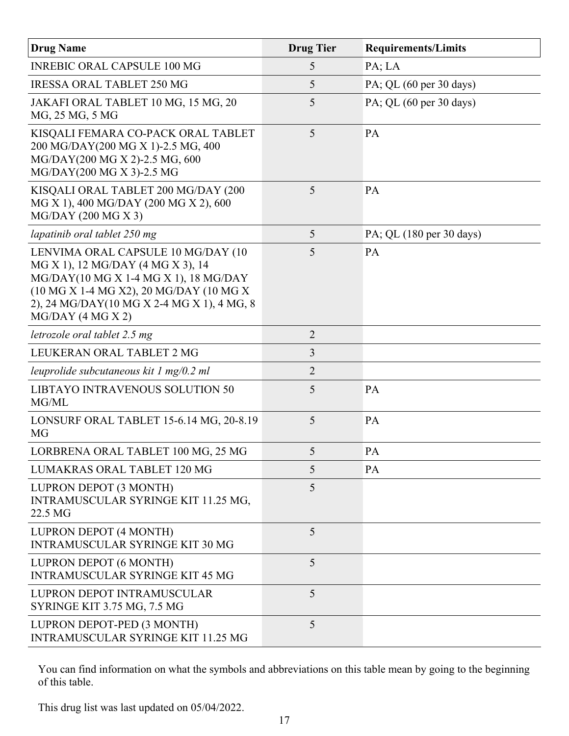| <b>Drug Name</b>                                                                                                                                                                                                                 | <b>Drug Tier</b> | <b>Requirements/Limits</b>                 |
|----------------------------------------------------------------------------------------------------------------------------------------------------------------------------------------------------------------------------------|------------------|--------------------------------------------|
| <b>INREBIC ORAL CAPSULE 100 MG</b>                                                                                                                                                                                               | 5                | PA; LA                                     |
| <b>IRESSA ORAL TABLET 250 MG</b>                                                                                                                                                                                                 | 5                | PA; QL (60 per 30 days)                    |
| JAKAFI ORAL TABLET 10 MG, 15 MG, 20<br>MG, 25 MG, 5 MG                                                                                                                                                                           | 5                | PA; QL $(60 \text{ per } 30 \text{ days})$ |
| KISQALI FEMARA CO-PACK ORAL TABLET<br>200 MG/DAY(200 MG X 1)-2.5 MG, 400<br>MG/DAY(200 MG X 2)-2.5 MG, 600<br>MG/DAY(200 MG X 3)-2.5 MG                                                                                          | 5                | PA                                         |
| KISQALI ORAL TABLET 200 MG/DAY (200<br>MG X 1), 400 MG/DAY (200 MG X 2), 600<br>$MG/DAY$ (200 MG X 3)                                                                                                                            | 5                | <b>PA</b>                                  |
| lapatinib oral tablet 250 mg                                                                                                                                                                                                     | 5                | PA; QL (180 per 30 days)                   |
| LENVIMA ORAL CAPSULE 10 MG/DAY (10<br>MG X 1), 12 MG/DAY (4 MG X 3), 14<br>MG/DAY(10 MG X 1-4 MG X 1), 18 MG/DAY<br>(10 MG X 1-4 MG X2), 20 MG/DAY (10 MG X<br>2), 24 MG/DAY(10 MG X 2-4 MG X 1), 4 MG, 8<br>$MG/DAY$ (4 MG X 2) | 5                | PA                                         |
| letrozole oral tablet 2.5 mg                                                                                                                                                                                                     | $\overline{2}$   |                                            |
| LEUKERAN ORAL TABLET 2 MG                                                                                                                                                                                                        | 3                |                                            |
| leuprolide subcutaneous kit $1 \text{ mg}/0.2 \text{ ml}$                                                                                                                                                                        | 2                |                                            |
| LIBTAYO INTRAVENOUS SOLUTION 50<br>MG/ML                                                                                                                                                                                         | 5                | PA                                         |
| LONSURF ORAL TABLET 15-6.14 MG, 20-8.19<br>MG                                                                                                                                                                                    | 5                | PA                                         |
| LORBRENA ORAL TABLET 100 MG, 25 MG                                                                                                                                                                                               | 5                | PA                                         |
| LUMAKRAS ORAL TABLET 120 MG                                                                                                                                                                                                      | 5                | PA                                         |
| LUPRON DEPOT (3 MONTH)<br>INTRAMUSCULAR SYRINGE KIT 11.25 MG,<br>22.5 MG                                                                                                                                                         | 5                |                                            |
| LUPRON DEPOT (4 MONTH)<br><b>INTRAMUSCULAR SYRINGE KIT 30 MG</b>                                                                                                                                                                 | 5                |                                            |
| LUPRON DEPOT (6 MONTH)<br><b>INTRAMUSCULAR SYRINGE KIT 45 MG</b>                                                                                                                                                                 | 5                |                                            |
| LUPRON DEPOT INTRAMUSCULAR<br>SYRINGE KIT 3.75 MG, 7.5 MG                                                                                                                                                                        | 5                |                                            |
| LUPRON DEPOT-PED (3 MONTH)<br>INTRAMUSCULAR SYRINGE KIT 11.25 MG                                                                                                                                                                 | 5                |                                            |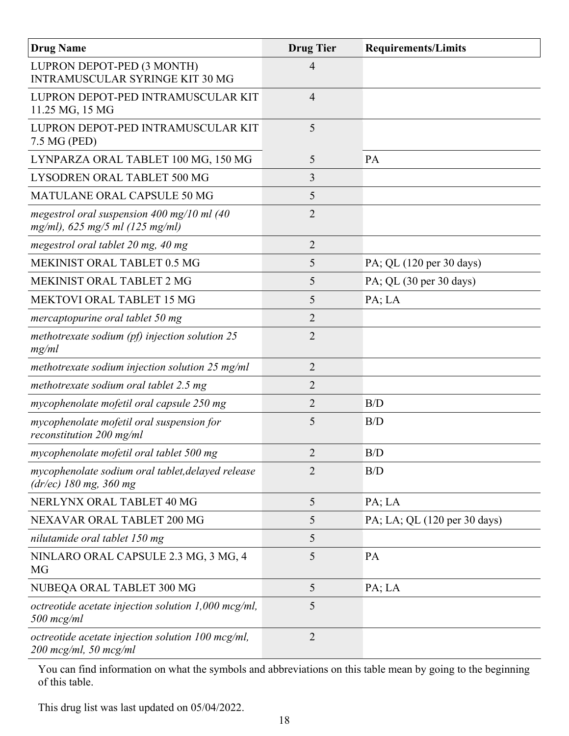| <b>Drug Name</b>                                                                                  | <b>Drug Tier</b> | <b>Requirements/Limits</b>   |
|---------------------------------------------------------------------------------------------------|------------------|------------------------------|
| LUPRON DEPOT-PED (3 MONTH)<br><b>INTRAMUSCULAR SYRINGE KIT 30 MG</b>                              | 4                |                              |
| LUPRON DEPOT-PED INTRAMUSCULAR KIT<br>11.25 MG, 15 MG                                             | $\overline{4}$   |                              |
| LUPRON DEPOT-PED INTRAMUSCULAR KIT<br>7.5 MG (PED)                                                | 5                |                              |
| LYNPARZA ORAL TABLET 100 MG, 150 MG                                                               | 5                | PA                           |
| LYSODREN ORAL TABLET 500 MG                                                                       | 3                |                              |
| MATULANE ORAL CAPSULE 50 MG                                                                       | 5                |                              |
| megestrol oral suspension $400 \text{ mg}/10 \text{ ml}$ (40<br>$mg/ml$ , 625 mg/5 ml (125 mg/ml) | 2                |                              |
| megestrol oral tablet 20 mg, 40 mg                                                                | $\overline{2}$   |                              |
| MEKINIST ORAL TABLET 0.5 MG                                                                       | 5                | PA; QL (120 per 30 days)     |
| MEKINIST ORAL TABLET 2 MG                                                                         | 5                | PA; QL (30 per 30 days)      |
| <b>MEKTOVI ORAL TABLET 15 MG</b>                                                                  | 5                | PA; LA                       |
| mercaptopurine oral tablet 50 mg                                                                  | 2                |                              |
| methotrexate sodium (pf) injection solution $25$<br>mg/ml                                         | 2                |                              |
| methotrexate sodium injection solution $25 \text{ mg/ml}$                                         | 2                |                              |
| methotrexate sodium oral tablet 2.5 mg                                                            | 2                |                              |
| mycophenolate mofetil oral capsule 250 mg                                                         | $\overline{2}$   | B/D                          |
| mycophenolate mofetil oral suspension for<br>reconstitution 200 mg/ml                             | 5                | B/D                          |
| mycophenolate mofetil oral tablet 500 mg                                                          | $\overline{2}$   | B/D                          |
| mycophenolate sodium oral tablet, delayed release<br>$(dr/ec)$ 180 mg, 360 mg                     | $\overline{2}$   | B/D                          |
| NERLYNX ORAL TABLET 40 MG                                                                         | 5                | PA; LA                       |
| NEXAVAR ORAL TABLET 200 MG                                                                        | 5                | PA; LA; QL (120 per 30 days) |
| nilutamide oral tablet 150 mg                                                                     | 5                |                              |
| NINLARO ORAL CAPSULE 2.3 MG, 3 MG, 4<br>MG                                                        | 5                | PA                           |
| NUBEQA ORAL TABLET 300 MG                                                                         | 5                | PA; LA                       |
| octreotide acetate injection solution $1,000$ mcg/ml,<br>$500$ mcg/ml                             | 5                |                              |
| octreotide acetate injection solution 100 mcg/ml,<br>$200$ mcg/ml, 50 mcg/ml                      | $\overline{2}$   |                              |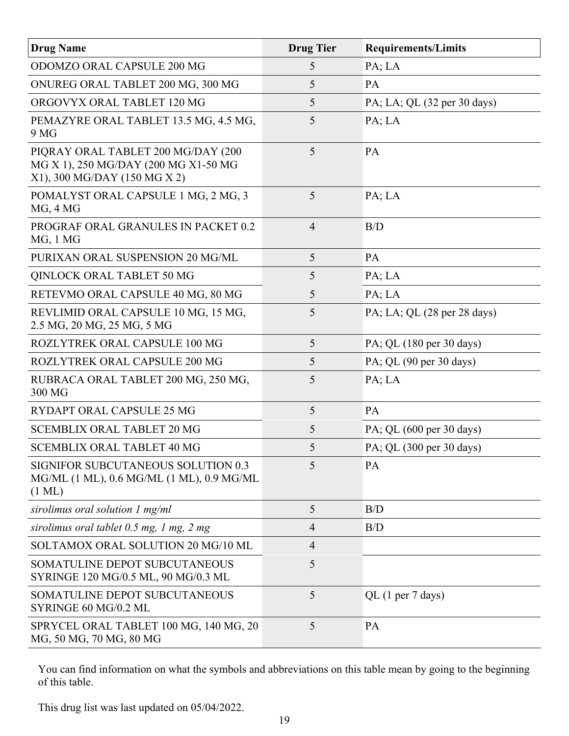| <b>Drug Name</b>                                                                                           | <b>Drug Tier</b> | <b>Requirements/Limits</b>                     |
|------------------------------------------------------------------------------------------------------------|------------------|------------------------------------------------|
| ODOMZO ORAL CAPSULE 200 MG                                                                                 | 5                | PA; LA                                         |
| ONUREG ORAL TABLET 200 MG, 300 MG                                                                          | 5                | PA                                             |
| ORGOVYX ORAL TABLET 120 MG                                                                                 | 5                | PA; LA; QL (32 per 30 days)                    |
| PEMAZYRE ORAL TABLET 13.5 MG, 4.5 MG,<br>9 MG                                                              | 5                | PA; LA                                         |
| PIQRAY ORAL TABLET 200 MG/DAY (200<br>MG X 1), 250 MG/DAY (200 MG X1-50 MG<br>X1), 300 MG/DAY (150 MG X 2) | 5                | <b>PA</b>                                      |
| POMALYST ORAL CAPSULE 1 MG, 2 MG, 3<br>MG, 4 MG                                                            | 5                | PA; LA                                         |
| PROGRAF ORAL GRANULES IN PACKET 0.2<br>MG, 1 MG                                                            | $\overline{4}$   | B/D                                            |
| PURIXAN ORAL SUSPENSION 20 MG/ML                                                                           | 5                | PA                                             |
| QINLOCK ORAL TABLET 50 MG                                                                                  | 5                | PA; LA                                         |
| RETEVMO ORAL CAPSULE 40 MG, 80 MG                                                                          | 5                | PA; LA                                         |
| REVLIMID ORAL CAPSULE 10 MG, 15 MG,<br>2.5 MG, 20 MG, 25 MG, 5 MG                                          | 5                | PA; LA; QL $(28 \text{ per } 28 \text{ days})$ |
| ROZLYTREK ORAL CAPSULE 100 MG                                                                              | 5                | PA; QL (180 per 30 days)                       |
| ROZLYTREK ORAL CAPSULE 200 MG                                                                              | 5                | PA; QL (90 per 30 days)                        |
| RUBRACA ORAL TABLET 200 MG, 250 MG,<br>300 MG                                                              | 5                | PA; LA                                         |
| RYDAPT ORAL CAPSULE 25 MG                                                                                  | 5                | PA                                             |
| <b>SCEMBLIX ORAL TABLET 20 MG</b>                                                                          | 5                | PA; QL (600 per 30 days)                       |
| <b>SCEMBLIX ORAL TABLET 40 MG</b>                                                                          | 5                | PA; QL (300 per 30 days)                       |
| <b>SIGNIFOR SUBCUTANEOUS SOLUTION 0.3</b><br>MG/ML (1 ML), 0.6 MG/ML (1 ML), 0.9 MG/ML<br>$(1 \text{ ML})$ | 5                | PA                                             |
| sirolimus oral solution 1 mg/ml                                                                            | 5                | B/D                                            |
| sirolimus oral tablet $0.5$ mg, 1 mg, 2 mg                                                                 | $\overline{4}$   | B/D                                            |
| SOLTAMOX ORAL SOLUTION 20 MG/10 ML                                                                         | $\overline{4}$   |                                                |
| SOMATULINE DEPOT SUBCUTANEOUS<br>SYRINGE 120 MG/0.5 ML, 90 MG/0.3 ML                                       | 5                |                                                |
| SOMATULINE DEPOT SUBCUTANEOUS<br>SYRINGE 60 MG/0.2 ML                                                      | 5                | QL (1 per 7 days)                              |
| SPRYCEL ORAL TABLET 100 MG, 140 MG, 20<br>MG, 50 MG, 70 MG, 80 MG                                          | 5                | PA                                             |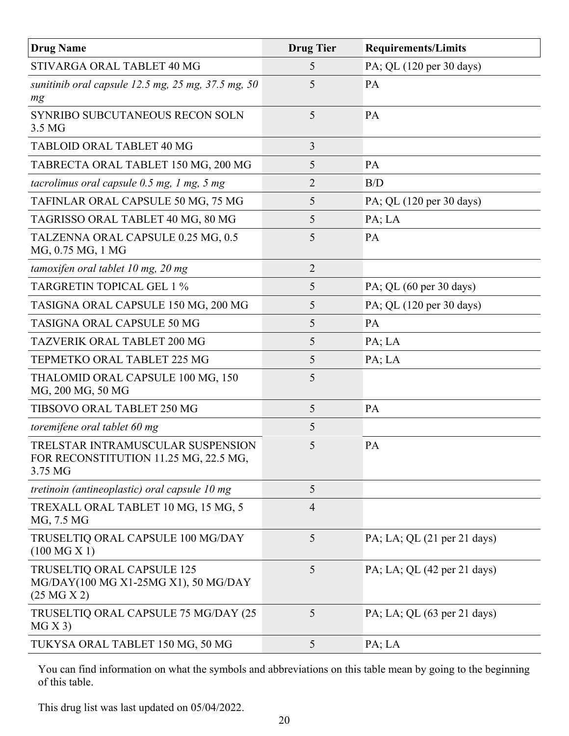| <b>Drug Name</b>                                                                      | <b>Drug Tier</b> | <b>Requirements/Limits</b>                     |
|---------------------------------------------------------------------------------------|------------------|------------------------------------------------|
| STIVARGA ORAL TABLET 40 MG                                                            | 5                | PA; QL (120 per 30 days)                       |
| sunitinib oral capsule 12.5 mg, $25$ mg, $37.5$ mg, $50$<br>mg                        | 5                | <b>PA</b>                                      |
| SYNRIBO SUBCUTANEOUS RECON SOLN<br>3.5 MG                                             | 5                | PA                                             |
| TABLOID ORAL TABLET 40 MG                                                             | 3                |                                                |
| TABRECTA ORAL TABLET 150 MG, 200 MG                                                   | 5                | PA                                             |
| tacrolimus oral capsule $0.5$ mg, 1 mg, 5 mg                                          | 2                | B/D                                            |
| TAFINLAR ORAL CAPSULE 50 MG, 75 MG                                                    | 5                | PA; QL (120 per 30 days)                       |
| TAGRISSO ORAL TABLET 40 MG, 80 MG                                                     | 5                | PA; LA                                         |
| TALZENNA ORAL CAPSULE 0.25 MG, 0.5<br>MG, 0.75 MG, 1 MG                               | 5                | PA                                             |
| tamoxifen oral tablet 10 mg, 20 mg                                                    | 2                |                                                |
| <b>TARGRETIN TOPICAL GEL 1 %</b>                                                      | 5                | PA; QL (60 per 30 days)                        |
| TASIGNA ORAL CAPSULE 150 MG, 200 MG                                                   | 5                | PA; QL (120 per 30 days)                       |
| TASIGNA ORAL CAPSULE 50 MG                                                            | 5                | PA                                             |
| <b>TAZVERIK ORAL TABLET 200 MG</b>                                                    | 5                | PA; LA                                         |
| TEPMETKO ORAL TABLET 225 MG                                                           | 5                | PA; LA                                         |
| THALOMID ORAL CAPSULE 100 MG, 150<br>MG, 200 MG, 50 MG                                | 5                |                                                |
| TIBSOVO ORAL TABLET 250 MG                                                            | 5                | PA                                             |
| toremifene oral tablet 60 mg                                                          | 5                |                                                |
| TRELSTAR INTRAMUSCULAR SUSPENSION<br>FOR RECONSTITUTION 11.25 MG, 22.5 MG,<br>3.75 MG | 5                | PA                                             |
| tretinoin (antineoplastic) oral capsule 10 mg                                         | 5                |                                                |
| TREXALL ORAL TABLET 10 MG, 15 MG, 5<br>MG, 7.5 MG                                     | $\overline{4}$   |                                                |
| TRUSELTIQ ORAL CAPSULE 100 MG/DAY<br>(100 MG X 1)                                     | 5                | PA; LA; QL $(21 \text{ per } 21 \text{ days})$ |
| TRUSELTIQ ORAL CAPSULE 125<br>MG/DAY(100 MG X1-25MG X1), 50 MG/DAY<br>(25 M G X 2)    | 5                | PA; LA; QL (42 per 21 days)                    |
| TRUSELTIQ ORAL CAPSULE 75 MG/DAY (25<br>MG X 3)                                       | 5                | PA; LA; QL $(63 \text{ per } 21 \text{ days})$ |
| TUKYSA ORAL TABLET 150 MG, 50 MG                                                      | 5                | PA; LA                                         |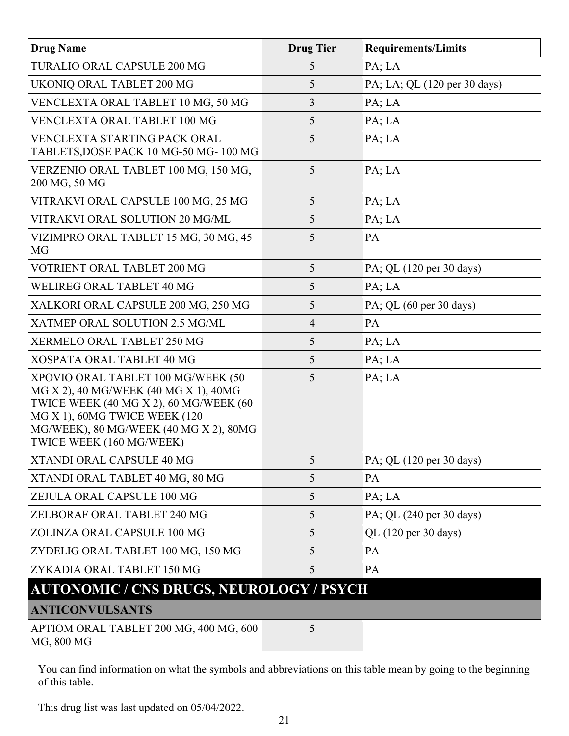| <b>Drug Name</b>                                                                                                                                                                                                             | <b>Drug Tier</b> | <b>Requirements/Limits</b>   |
|------------------------------------------------------------------------------------------------------------------------------------------------------------------------------------------------------------------------------|------------------|------------------------------|
| TURALIO ORAL CAPSULE 200 MG                                                                                                                                                                                                  | 5                | PA; LA                       |
| UKONIQ ORAL TABLET 200 MG                                                                                                                                                                                                    | 5                | PA; LA; QL (120 per 30 days) |
| VENCLEXTA ORAL TABLET 10 MG, 50 MG                                                                                                                                                                                           | 3                | PA; LA                       |
| VENCLEXTA ORAL TABLET 100 MG                                                                                                                                                                                                 | 5                | PA; LA                       |
| <b>VENCLEXTA STARTING PACK ORAL</b><br>TABLETS, DOSE PACK 10 MG-50 MG-100 MG                                                                                                                                                 | 5                | PA; LA                       |
| VERZENIO ORAL TABLET 100 MG, 150 MG,<br>200 MG, 50 MG                                                                                                                                                                        | 5                | PA; LA                       |
| VITRAKVI ORAL CAPSULE 100 MG, 25 MG                                                                                                                                                                                          | 5                | PA; LA                       |
| VITRAKVI ORAL SOLUTION 20 MG/ML                                                                                                                                                                                              | 5                | PA; LA                       |
| VIZIMPRO ORAL TABLET 15 MG, 30 MG, 45<br>MG                                                                                                                                                                                  | 5                | PA                           |
| VOTRIENT ORAL TABLET 200 MG                                                                                                                                                                                                  | 5                | PA; QL (120 per 30 days)     |
| WELIREG ORAL TABLET 40 MG                                                                                                                                                                                                    | 5                | PA; LA                       |
| XALKORI ORAL CAPSULE 200 MG, 250 MG                                                                                                                                                                                          | 5                | PA; QL (60 per 30 days)      |
| XATMEP ORAL SOLUTION 2.5 MG/ML                                                                                                                                                                                               | $\overline{4}$   | PA                           |
| XERMELO ORAL TABLET 250 MG                                                                                                                                                                                                   | 5                | PA; LA                       |
| XOSPATA ORAL TABLET 40 MG                                                                                                                                                                                                    | 5                | PA; LA                       |
| XPOVIO ORAL TABLET 100 MG/WEEK (50<br>MG X 2), 40 MG/WEEK (40 MG X 1), 40MG<br>TWICE WEEK (40 MG X 2), 60 MG/WEEK (60<br>MG X 1), 60MG TWICE WEEK (120<br>MG/WEEK), 80 MG/WEEK (40 MG X 2), 80MG<br>TWICE WEEK (160 MG/WEEK) | 5                | PA; LA                       |
| XTANDI ORAL CAPSULE 40 MG                                                                                                                                                                                                    | 5                | PA; QL (120 per 30 days)     |
| XTANDI ORAL TABLET 40 MG, 80 MG                                                                                                                                                                                              | 5                | PA                           |
| ZEJULA ORAL CAPSULE 100 MG                                                                                                                                                                                                   | 5                | PA; LA                       |
| ZELBORAF ORAL TABLET 240 MG                                                                                                                                                                                                  | 5                | PA; QL (240 per 30 days)     |
| ZOLINZA ORAL CAPSULE 100 MG                                                                                                                                                                                                  | 5                | QL (120 per 30 days)         |
| ZYDELIG ORAL TABLET 100 MG, 150 MG                                                                                                                                                                                           | 5                | PA                           |
| ZYKADIA ORAL TABLET 150 MG                                                                                                                                                                                                   | 5                | PA                           |
| <b>AUTONOMIC / CNS DRUGS, NEUROLOGY / PSYCH</b>                                                                                                                                                                              |                  |                              |
| <b>ANTICONVULSANTS</b>                                                                                                                                                                                                       |                  |                              |
| APTIOM ORAL TABLET 200 MG, 400 MG, 600<br>MG, 800 MG                                                                                                                                                                         | 5                |                              |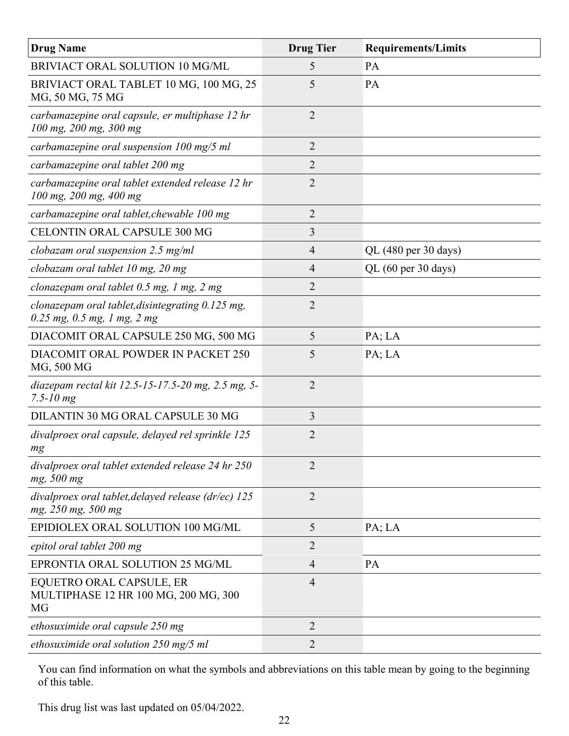| <b>Drug Name</b>                                                                    | <b>Drug Tier</b> | <b>Requirements/Limits</b> |
|-------------------------------------------------------------------------------------|------------------|----------------------------|
| BRIVIACT ORAL SOLUTION 10 MG/ML                                                     | 5                | PA                         |
| BRIVIACT ORAL TABLET 10 MG, 100 MG, 25<br>MG, 50 MG, 75 MG                          | 5                | PA                         |
| carbamazepine oral capsule, er multiphase 12 hr<br>100 mg, 200 mg, 300 mg           | $\overline{2}$   |                            |
| carbamazepine oral suspension $100 \text{ mg}/5 \text{ ml}$                         | 2                |                            |
| carbamazepine oral tablet 200 mg                                                    | $\overline{2}$   |                            |
| carbamazepine oral tablet extended release 12 hr<br>100 mg, 200 mg, 400 mg          | 2                |                            |
| carbamazepine oral tablet, chewable 100 mg                                          | $\overline{2}$   |                            |
| <b>CELONTIN ORAL CAPSULE 300 MG</b>                                                 | 3                |                            |
| clobazam oral suspension 2.5 mg/ml                                                  | $\overline{4}$   | QL (480 per 30 days)       |
| clobazam oral tablet 10 mg, 20 mg                                                   | $\overline{4}$   | QL (60 per 30 days)        |
| clonazepam oral tablet 0.5 mg, 1 mg, 2 mg                                           | $\overline{2}$   |                            |
| clonazepam oral tablet, disintegrating 0.125 mg,<br>$0.25$ mg, $0.5$ mg, 1 mg, 2 mg | $\overline{2}$   |                            |
| DIACOMIT ORAL CAPSULE 250 MG, 500 MG                                                | 5                | PA; LA                     |
| DIACOMIT ORAL POWDER IN PACKET 250<br>MG, 500 MG                                    | 5                | PA; LA                     |
| diazepam rectal kit 12.5-15-17.5-20 mg, 2.5 mg, 5-<br>$7.5 - 10 mg$                 | $\overline{2}$   |                            |
| DILANTIN 30 MG ORAL CAPSULE 30 MG                                                   | 3                |                            |
| divalproex oral capsule, delayed rel sprinkle 125<br>mg                             | $\overline{2}$   |                            |
| divalproex oral tablet extended release 24 hr 250<br>mg, 500 mg                     | $\overline{2}$   |                            |
| divalproex oral tablet, delayed release (dr/ec) 125<br>mg, 250 mg, 500 mg           | $\overline{2}$   |                            |
| EPIDIOLEX ORAL SOLUTION 100 MG/ML                                                   | 5                | PA; LA                     |
| epitol oral tablet 200 mg                                                           | $\overline{2}$   |                            |
| EPRONTIA ORAL SOLUTION 25 MG/ML                                                     | $\overline{4}$   | PA                         |
| EQUETRO ORAL CAPSULE, ER<br>MULTIPHASE 12 HR 100 MG, 200 MG, 300<br>MG              | $\overline{4}$   |                            |
| ethosuximide oral capsule 250 mg                                                    | $\overline{2}$   |                            |
| ethosuximide oral solution $250$ mg/5 ml                                            | 2                |                            |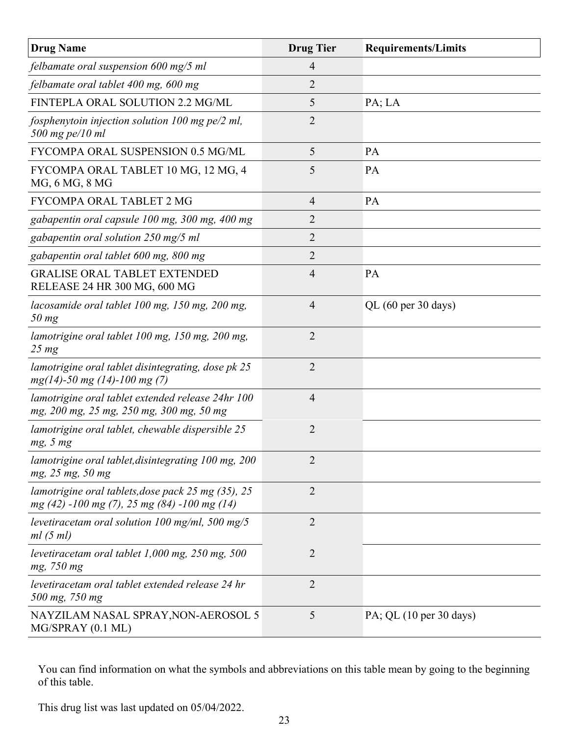| <b>Drug Name</b>                                                                                    | <b>Drug Tier</b> | <b>Requirements/Limits</b>                 |
|-----------------------------------------------------------------------------------------------------|------------------|--------------------------------------------|
| felbamate oral suspension 600 mg/5 ml                                                               | $\overline{4}$   |                                            |
| felbamate oral tablet 400 mg, 600 mg                                                                | $\overline{2}$   |                                            |
| FINTEPLA ORAL SOLUTION 2.2 MG/ML                                                                    | 5                | PA; LA                                     |
| fosphenytoin injection solution 100 mg pe/2 ml,<br>$500$ mg pe/10 ml                                | $\overline{2}$   |                                            |
| FYCOMPA ORAL SUSPENSION 0.5 MG/ML                                                                   | 5                | PA                                         |
| FYCOMPA ORAL TABLET 10 MG, 12 MG, 4<br>MG, 6 MG, 8 MG                                               | 5                | PA                                         |
| FYCOMPA ORAL TABLET 2 MG                                                                            | $\overline{4}$   | PA                                         |
| gabapentin oral capsule 100 mg, 300 mg, 400 mg                                                      | 2                |                                            |
| gabapentin oral solution 250 mg/5 ml                                                                | $\overline{2}$   |                                            |
| gabapentin oral tablet 600 mg, 800 mg                                                               | 2                |                                            |
| <b>GRALISE ORAL TABLET EXTENDED</b><br>RELEASE 24 HR 300 MG, 600 MG                                 | $\overline{4}$   | <b>PA</b>                                  |
| lacosamide oral tablet 100 mg, 150 mg, 200 mg,<br>$50$ mg                                           | $\overline{4}$   | QL (60 per 30 days)                        |
| lamotrigine oral tablet 100 mg, 150 mg, 200 mg,<br>$25 \, mg$                                       | 2                |                                            |
| lamotrigine oral tablet disintegrating, dose pk 25<br>$mg(14) - 50$ mg (14)-100 mg (7)              | $\overline{2}$   |                                            |
| lamotrigine oral tablet extended release 24hr 100<br>mg, 200 mg, 25 mg, 250 mg, 300 mg, 50 mg       | $\overline{4}$   |                                            |
| lamotrigine oral tablet, chewable dispersible 25<br>mg, 5 mg                                        | $\overline{2}$   |                                            |
| lamotrigine oral tablet, disintegrating 100 mg, 200<br>mg, 25 mg, 50 mg                             | $\overline{2}$   |                                            |
| lamotrigine oral tablets, dose pack 25 mg (35), 25<br>$mg(42) -100 mg(7)$ , 25 mg (84) -100 mg (14) | $\overline{2}$   |                                            |
| levetiracetam oral solution 100 mg/ml, 500 mg/5<br>ml(5 ml)                                         | $\overline{2}$   |                                            |
| levetiracetam oral tablet $1,000$ mg, $250$ mg, $500$<br>mg, 750 mg                                 | $\overline{2}$   |                                            |
| levetiracetam oral tablet extended release 24 hr<br>500 mg, 750 mg                                  | $\overline{2}$   |                                            |
| NAYZILAM NASAL SPRAY, NON-AEROSOL 5<br>MG/SPRAY (0.1 ML)                                            | 5                | PA; QL $(10 \text{ per } 30 \text{ days})$ |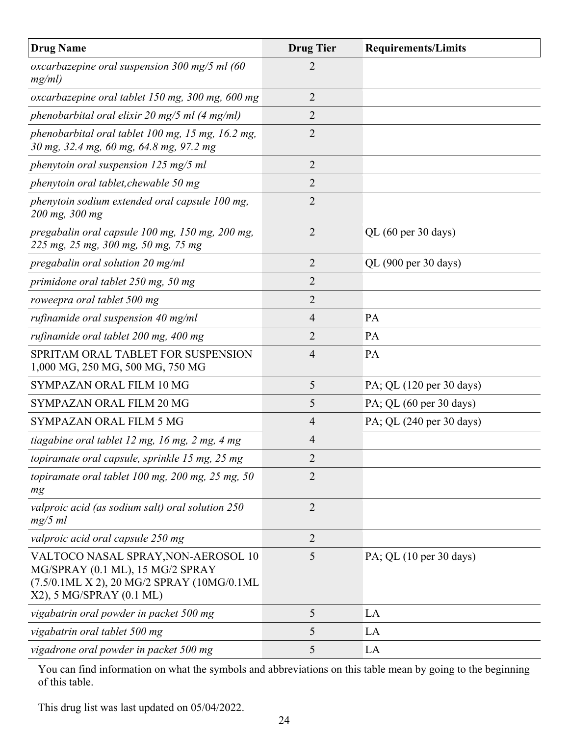| <b>Drug Name</b>                                                                                                                                   | <b>Drug Tier</b> | <b>Requirements/Limits</b>                 |
|----------------------------------------------------------------------------------------------------------------------------------------------------|------------------|--------------------------------------------|
| oxcarbazepine oral suspension $300 \text{ mg/s}$ ml (60<br>mg/ml)                                                                                  | 2                |                                            |
| oxcarbazepine oral tablet 150 mg, 300 mg, 600 mg                                                                                                   | $\overline{2}$   |                                            |
| phenobarbital oral elixir 20 mg/5 ml (4 mg/ml)                                                                                                     | $\overline{2}$   |                                            |
| phenobarbital oral tablet 100 mg, 15 mg, 16.2 mg,<br>30 mg, 32.4 mg, 60 mg, 64.8 mg, 97.2 mg                                                       | $\overline{2}$   |                                            |
| phenytoin oral suspension 125 mg/5 ml                                                                                                              | $\overline{2}$   |                                            |
| phenytoin oral tablet, chewable 50 mg                                                                                                              | $\overline{2}$   |                                            |
| phenytoin sodium extended oral capsule 100 mg,<br>200 mg, 300 mg                                                                                   | 2                |                                            |
| pregabalin oral capsule 100 mg, 150 mg, 200 mg,<br>225 mg, 25 mg, 300 mg, 50 mg, 75 mg                                                             | $\overline{2}$   | QL (60 per 30 days)                        |
| pregabalin oral solution 20 mg/ml                                                                                                                  | $\overline{2}$   | QL (900 per 30 days)                       |
| primidone oral tablet 250 mg, 50 mg                                                                                                                | $\overline{2}$   |                                            |
| roweepra oral tablet 500 mg                                                                                                                        | $\overline{2}$   |                                            |
| rufinamide oral suspension $40$ mg/ml                                                                                                              | $\overline{4}$   | PA                                         |
| rufinamide oral tablet 200 mg, 400 mg                                                                                                              | 2                | PA                                         |
| SPRITAM ORAL TABLET FOR SUSPENSION<br>1,000 MG, 250 MG, 500 MG, 750 MG                                                                             | 4                | PA                                         |
| SYMPAZAN ORAL FILM 10 MG                                                                                                                           | 5                | PA; QL (120 per 30 days)                   |
| SYMPAZAN ORAL FILM 20 MG                                                                                                                           | 5                | PA; QL (60 per 30 days)                    |
| <b>SYMPAZAN ORAL FILM 5 MG</b>                                                                                                                     | 4                | PA; QL (240 per 30 days)                   |
| tiagabine oral tablet 12 mg, 16 mg, 2 mg, 4 mg                                                                                                     | 4                |                                            |
| topiramate oral capsule, sprinkle 15 mg, 25 mg                                                                                                     | 2                |                                            |
| topiramate oral tablet 100 mg, 200 mg, 25 mg, 50<br>mg                                                                                             | $\overline{2}$   |                                            |
| valproic acid (as sodium salt) oral solution 250<br>$mg/5$ ml                                                                                      | $\overline{2}$   |                                            |
| valproic acid oral capsule 250 mg                                                                                                                  | $\overline{2}$   |                                            |
| VALTOCO NASAL SPRAY, NON-AEROSOL 10<br>MG/SPRAY (0.1 ML), 15 MG/2 SPRAY<br>(7.5/0.1ML X 2), 20 MG/2 SPRAY (10MG/0.1ML)<br>X2), 5 MG/SPRAY (0.1 ML) | 5                | PA; QL $(10 \text{ per } 30 \text{ days})$ |
| vigabatrin oral powder in packet 500 mg                                                                                                            | 5                | LA                                         |
| vigabatrin oral tablet 500 mg                                                                                                                      | 5                | LA                                         |
| vigadrone oral powder in packet 500 mg                                                                                                             | 5                | LA                                         |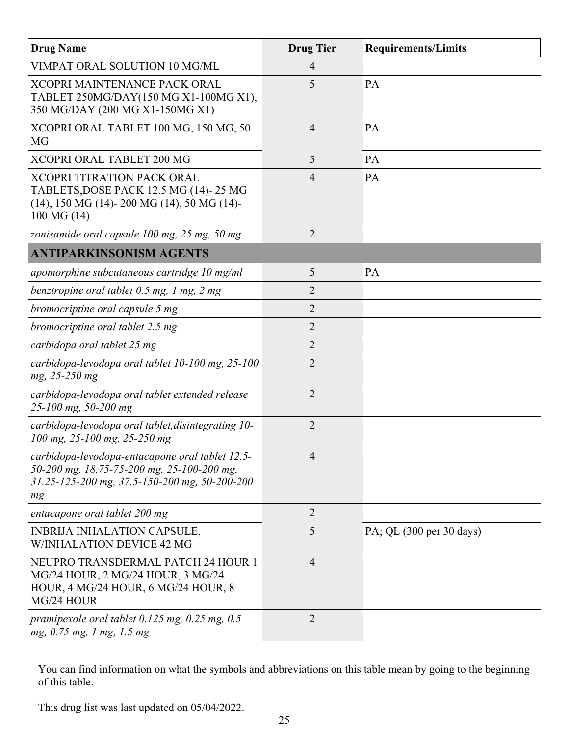| <b>Drug Name</b>                                                                                                                                     | <b>Drug Tier</b> | <b>Requirements/Limits</b> |
|------------------------------------------------------------------------------------------------------------------------------------------------------|------------------|----------------------------|
| VIMPAT ORAL SOLUTION 10 MG/ML                                                                                                                        | 4                |                            |
| <b>XCOPRI MAINTENANCE PACK ORAL</b><br>TABLET 250MG/DAY(150 MG X1-100MG X1),<br>350 MG/DAY (200 MG X1-150MG X1)                                      | 5                | PA                         |
| XCOPRI ORAL TABLET 100 MG, 150 MG, 50<br><b>MG</b>                                                                                                   | $\overline{4}$   | PA                         |
| <b>XCOPRI ORAL TABLET 200 MG</b>                                                                                                                     | 5                | PA                         |
| <b>XCOPRI TITRATION PACK ORAL</b><br>TABLETS, DOSE PACK 12.5 MG (14)-25 MG<br>$(14)$ , 150 MG $(14)$ - 200 MG $(14)$ , 50 MG $(14)$ -<br>100 MG (14) | $\overline{4}$   | PA                         |
| zonisamide oral capsule 100 mg, 25 mg, 50 mg                                                                                                         | $\overline{2}$   |                            |
| <b>ANTIPARKINSONISM AGENTS</b>                                                                                                                       |                  |                            |
| apomorphine subcutaneous cartridge 10 mg/ml                                                                                                          | 5                | PA                         |
| benztropine oral tablet 0.5 mg, 1 mg, 2 mg                                                                                                           | 2                |                            |
| bromocriptine oral capsule 5 mg                                                                                                                      | $\overline{2}$   |                            |
| bromocriptine oral tablet 2.5 mg                                                                                                                     | $\overline{2}$   |                            |
| carbidopa oral tablet 25 mg                                                                                                                          | $\overline{2}$   |                            |
| carbidopa-levodopa oral tablet 10-100 mg, 25-100<br>mg, 25-250 mg                                                                                    | $\overline{2}$   |                            |
| carbidopa-levodopa oral tablet extended release<br>25-100 mg, 50-200 mg                                                                              | $\overline{2}$   |                            |
| carbidopa-levodopa oral tablet, disintegrating 10-<br>100 mg, 25-100 mg, 25-250 mg                                                                   | $\overline{2}$   |                            |
| carbidopa-levodopa-entacapone oral tablet 12.5-<br>50-200 mg, 18.75-75-200 mg, 25-100-200 mg,<br>31.25-125-200 mg, 37.5-150-200 mg, 50-200-200<br>mg | $\overline{4}$   |                            |
| entacapone oral tablet 200 mg                                                                                                                        | $\overline{2}$   |                            |
| <b>INBRIJA INHALATION CAPSULE,</b><br><b>W/INHALATION DEVICE 42 MG</b>                                                                               | 5                | PA; QL (300 per 30 days)   |
| NEUPRO TRANSDERMAL PATCH 24 HOUR 1<br>MG/24 HOUR, 2 MG/24 HOUR, 3 MG/24<br>HOUR, 4 MG/24 HOUR, 6 MG/24 HOUR, 8<br>MG/24 HOUR                         | $\overline{4}$   |                            |
| pramipexole oral tablet $0.125$ mg, $0.25$ mg, $0.5$<br>mg, 0.75 mg, 1 mg, 1.5 mg                                                                    | 2                |                            |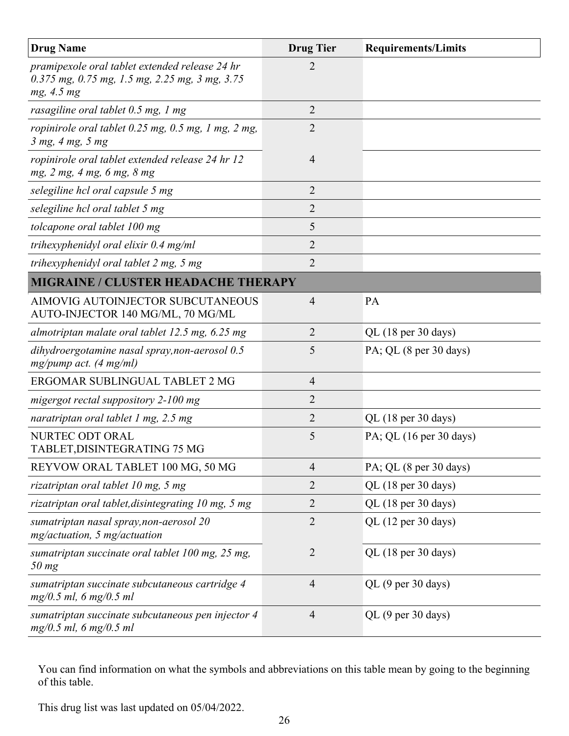| <b>Drug Name</b>                                                                                               | <b>Drug Tier</b> | <b>Requirements/Limits</b>                 |
|----------------------------------------------------------------------------------------------------------------|------------------|--------------------------------------------|
| pramipexole oral tablet extended release 24 hr<br>0.375 mg, 0.75 mg, 1.5 mg, 2.25 mg, 3 mg, 3.75<br>mg, 4.5 mg | $\overline{2}$   |                                            |
| rasagiline oral tablet 0.5 mg, 1 mg                                                                            | $\overline{2}$   |                                            |
| ropinirole oral tablet 0.25 mg, 0.5 mg, 1 mg, 2 mg,<br>3 mg, 4 mg, 5 mg                                        | $\overline{2}$   |                                            |
| ropinirole oral tablet extended release 24 hr 12<br>mg, 2 mg, 4 mg, 6 mg, 8 mg                                 | $\overline{4}$   |                                            |
| selegiline hcl oral capsule 5 mg                                                                               | 2                |                                            |
| selegiline hcl oral tablet 5 mg                                                                                | $\overline{2}$   |                                            |
| tolcapone oral tablet 100 mg                                                                                   | 5                |                                            |
| trihexyphenidyl oral elixir $0.4$ mg/ml                                                                        | $\overline{2}$   |                                            |
| trihexyphenidyl oral tablet 2 mg, 5 mg                                                                         | $\overline{2}$   |                                            |
| <b>MIGRAINE / CLUSTER HEADACHE THERAPY</b>                                                                     |                  |                                            |
| AIMOVIG AUTOINJECTOR SUBCUTANEOUS<br>AUTO-INJECTOR 140 MG/ML, 70 MG/ML                                         | $\overline{4}$   | PA                                         |
| almotriptan malate oral tablet 12.5 mg, 6.25 mg                                                                | $\overline{2}$   | QL (18 per 30 days)                        |
| dihydroergotamine nasal spray, non-aerosol 0.5<br>$mg/pump$ act. (4 mg/ml)                                     | 5                | PA; QL (8 per 30 days)                     |
| ERGOMAR SUBLINGUAL TABLET 2 MG                                                                                 | $\overline{4}$   |                                            |
| migergot rectal suppository 2-100 mg                                                                           | $\overline{2}$   |                                            |
| naratriptan oral tablet 1 mg, $2.5$ mg                                                                         | $\overline{2}$   | QL (18 per 30 days)                        |
| NURTEC ODT ORAL<br>TABLET, DISINTEGRATING 75 MG                                                                | 5                | PA; QL $(16 \text{ per } 30 \text{ days})$ |
| REYVOW ORAL TABLET 100 MG, 50 MG                                                                               | $\overline{4}$   | PA; QL (8 per 30 days)                     |
| rizatriptan oral tablet 10 mg, 5 mg                                                                            | 2                | QL (18 per 30 days)                        |
| rizatriptan oral tablet, disintegrating 10 mg, 5 mg                                                            | $\overline{2}$   | QL (18 per 30 days)                        |
| sumatriptan nasal spray, non-aerosol 20<br>$mg/actuation$ , 5 mg/actuation                                     | $\overline{2}$   | QL (12 per 30 days)                        |
| sumatriptan succinate oral tablet 100 mg, 25 mg,<br>$50$ mg                                                    | $\overline{2}$   | QL (18 per 30 days)                        |
| sumatriptan succinate subcutaneous cartridge 4<br>$mg/0.5$ ml, 6 mg/0.5 ml                                     | $\overline{4}$   | QL (9 per 30 days)                         |
| sumatriptan succinate subcutaneous pen injector 4<br>$mg/0.5$ ml, 6 mg/0.5 ml                                  | $\overline{4}$   | QL (9 per 30 days)                         |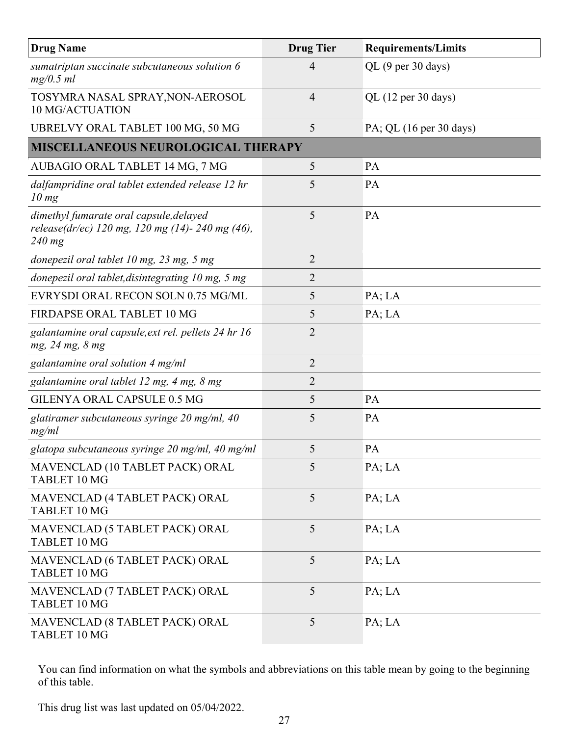| <b>Drug Name</b>                                                                                      | <b>Drug Tier</b> | <b>Requirements/Limits</b>                 |
|-------------------------------------------------------------------------------------------------------|------------------|--------------------------------------------|
| sumatriptan succinate subcutaneous solution 6<br>$mg/0.5$ ml                                          | 4                | QL (9 per 30 days)                         |
| TOSYMRA NASAL SPRAY, NON-AEROSOL<br>10 MG/ACTUATION                                                   | 4                | $QL$ (12 per 30 days)                      |
| UBRELVY ORAL TABLET 100 MG, 50 MG                                                                     | 5                | PA; QL $(16 \text{ per } 30 \text{ days})$ |
| <b>MISCELLANEOUS NEUROLOGICAL THERAPY</b>                                                             |                  |                                            |
| AUBAGIO ORAL TABLET 14 MG, 7 MG                                                                       | 5                | PA                                         |
| dalfampridine oral tablet extended release 12 hr<br>10 mg                                             | 5                | PA                                         |
| dimethyl fumarate oral capsule, delayed<br>release(dr/ec) 120 mg, 120 mg (14)- 240 mg (46),<br>240 mg | 5                | PA                                         |
| donepezil oral tablet 10 mg, 23 mg, 5 mg                                                              | 2                |                                            |
| donepezil oral tablet, disintegrating 10 mg, 5 mg                                                     | 2                |                                            |
| EVRYSDI ORAL RECON SOLN 0.75 MG/ML                                                                    | 5                | PA; LA                                     |
| FIRDAPSE ORAL TABLET 10 MG                                                                            | 5                | PA; LA                                     |
| galantamine oral capsule, ext rel. pellets 24 hr 16<br>mg, 24 mg, 8 mg                                | $\overline{2}$   |                                            |
| galantamine oral solution 4 mg/ml                                                                     | $\overline{2}$   |                                            |
| galantamine oral tablet 12 mg, 4 mg, 8 mg                                                             | $\overline{2}$   |                                            |
| GILENYA ORAL CAPSULE 0.5 MG                                                                           | 5                | PA                                         |
| glatiramer subcutaneous syringe $20$ mg/ml, $40$<br>mg/ml                                             | 5                | PA                                         |
| glatopa subcutaneous syringe 20 mg/ml, 40 mg/ml                                                       | 5                | PA                                         |
| MAVENCLAD (10 TABLET PACK) ORAL<br>TABLET 10 MG                                                       | 5                | PA; LA                                     |
| MAVENCLAD (4 TABLET PACK) ORAL<br>TABLET 10 MG                                                        | 5                | PA; LA                                     |
| MAVENCLAD (5 TABLET PACK) ORAL<br>TABLET 10 MG                                                        | 5                | PA; LA                                     |
| MAVENCLAD (6 TABLET PACK) ORAL<br>TABLET 10 MG                                                        | 5                | PA; LA                                     |
| MAVENCLAD (7 TABLET PACK) ORAL<br>TABLET 10 MG                                                        | 5                | PA; LA                                     |
| MAVENCLAD (8 TABLET PACK) ORAL<br>TABLET 10 MG                                                        | 5                | PA; LA                                     |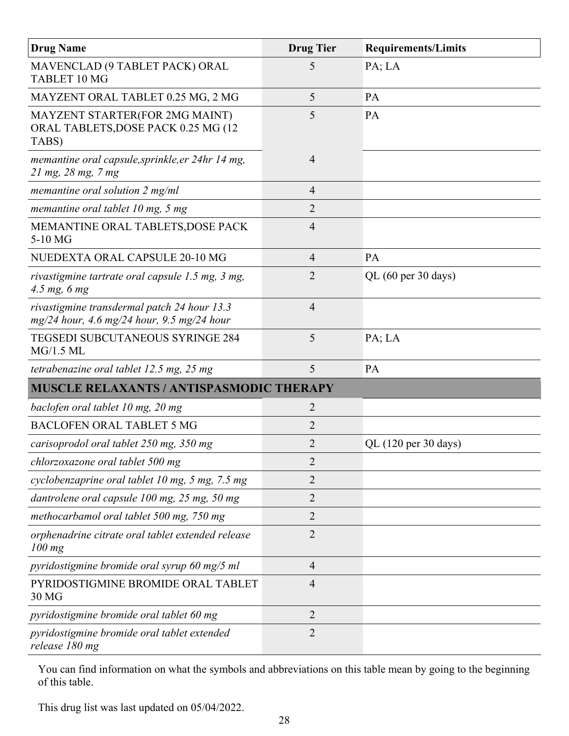| <b>Drug Name</b>                                                                            | <b>Drug Tier</b> | <b>Requirements/Limits</b> |
|---------------------------------------------------------------------------------------------|------------------|----------------------------|
| MAVENCLAD (9 TABLET PACK) ORAL<br>TABLET 10 MG                                              | 5                | PA; LA                     |
| MAYZENT ORAL TABLET 0.25 MG, 2 MG                                                           | 5                | PA                         |
| MAYZENT STARTER(FOR 2MG MAINT)<br>ORAL TABLETS, DOSE PACK 0.25 MG (12<br>TABS)              | 5                | PA                         |
| memantine oral capsule, sprinkle, er 24hr 14 mg,<br>$21 \, mg$ , $28 \, mg$ , $7 \, mg$     | $\overline{4}$   |                            |
| memantine oral solution $2 \text{ mg/ml}$                                                   | $\overline{4}$   |                            |
| memantine oral tablet $10$ mg, 5 mg                                                         | $\overline{2}$   |                            |
| MEMANTINE ORAL TABLETS, DOSE PACK<br>5-10 MG                                                | $\overline{4}$   |                            |
| NUEDEXTA ORAL CAPSULE 20-10 MG                                                              | $\overline{4}$   | PA                         |
| rivastigmine tartrate oral capsule 1.5 mg, 3 mg,<br>$4.5$ mg, 6 mg                          | $\overline{2}$   | QL (60 per 30 days)        |
| rivastigmine transdermal patch 24 hour 13.3<br>$mg/24$ hour, 4.6 mg/24 hour, 9.5 mg/24 hour | $\overline{4}$   |                            |
| <b>TEGSEDI SUBCUTANEOUS SYRINGE 284</b><br>MG/1.5 ML                                        | 5                | PA; LA                     |
| tetrabenazine oral tablet 12.5 mg, 25 mg                                                    | 5                | PA                         |
| <b>MUSCLE RELAXANTS / ANTISPASMODIC THERAPY</b>                                             |                  |                            |
| baclofen oral tablet 10 mg, 20 mg                                                           | $\overline{2}$   |                            |
| <b>BACLOFEN ORAL TABLET 5 MG</b>                                                            | $\overline{2}$   |                            |
| carisoprodol oral tablet 250 mg, 350 mg                                                     | $\overline{2}$   | QL (120 per 30 days)       |
| chlorzoxazone oral tablet 500 mg                                                            | $\overline{2}$   |                            |
| cyclobenzaprine oral tablet 10 mg, 5 mg, 7.5 mg                                             | 2                |                            |
| dantrolene oral capsule 100 mg, 25 mg, 50 mg                                                | 2                |                            |
| methocarbamol oral tablet 500 mg, 750 mg                                                    | 2                |                            |
| orphenadrine citrate oral tablet extended release<br>$100$ mg                               | $\overline{2}$   |                            |
| pyridostigmine bromide oral syrup 60 mg/5 ml                                                | $\overline{4}$   |                            |
| PYRIDOSTIGMINE BROMIDE ORAL TABLET<br>30 MG                                                 | $\overline{4}$   |                            |
| pyridostigmine bromide oral tablet 60 mg                                                    | $\overline{2}$   |                            |
| pyridostigmine bromide oral tablet extended<br>release 180 mg                               | $\overline{2}$   |                            |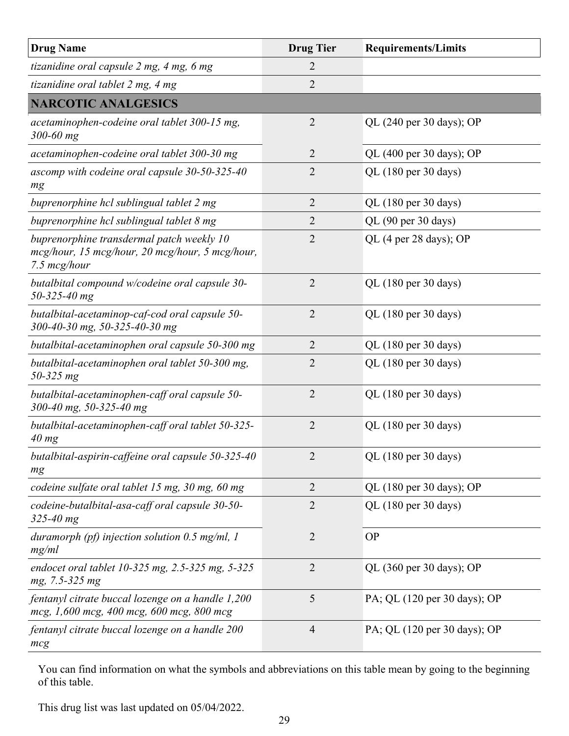| <b>Drug Name</b>                                                                                             | <b>Drug Tier</b> | <b>Requirements/Limits</b>                   |
|--------------------------------------------------------------------------------------------------------------|------------------|----------------------------------------------|
| tizanidine oral capsule 2 mg, 4 mg, 6 mg                                                                     | 2                |                                              |
| tizanidine oral tablet 2 mg, 4 mg                                                                            | $\overline{2}$   |                                              |
| <b>NARCOTIC ANALGESICS</b>                                                                                   |                  |                                              |
| acetaminophen-codeine oral tablet 300-15 mg,<br>300-60 mg                                                    | $\overline{2}$   | QL (240 per 30 days); OP                     |
| acetaminophen-codeine oral tablet 300-30 mg                                                                  | $\overline{2}$   | QL (400 per 30 days); OP                     |
| ascomp with codeine oral capsule 30-50-325-40<br>mg                                                          | $\overline{2}$   | QL (180 per 30 days)                         |
| buprenorphine hcl sublingual tablet 2 mg                                                                     | $\overline{2}$   | QL (180 per 30 days)                         |
| buprenorphine hcl sublingual tablet 8 mg                                                                     | 2                | QL (90 per 30 days)                          |
| buprenorphine transdermal patch weekly 10<br>mcg/hour, 15 mcg/hour, 20 mcg/hour, 5 mcg/hour,<br>7.5 mcg/hour | $\overline{2}$   | QL (4 per 28 days); OP                       |
| butalbital compound w/codeine oral capsule 30-<br>$50 - 325 - 40$ mg                                         | $\overline{2}$   | QL (180 per 30 days)                         |
| butalbital-acetaminop-caf-cod oral capsule 50-<br>300-40-30 mg, 50-325-40-30 mg                              | $\overline{2}$   | QL (180 per 30 days)                         |
| butalbital-acetaminophen oral capsule 50-300 mg                                                              | 2                | QL (180 per 30 days)                         |
| butalbital-acetaminophen oral tablet 50-300 mg,<br>50-325 mg                                                 | $\overline{2}$   | QL (180 per 30 days)                         |
| butalbital-acetaminophen-caff oral capsule 50-<br>300-40 mg, 50-325-40 mg                                    | $\overline{2}$   | QL (180 per 30 days)                         |
| butalbital-acetaminophen-caff oral tablet 50-325-<br>40 mg                                                   | $\overline{2}$   | QL (180 per 30 days)                         |
| butalbital-aspirin-caffeine oral capsule 50-325-40<br>mg                                                     | 2                | QL (180 per 30 days)                         |
| codeine sulfate oral tablet 15 mg, 30 mg, 60 mg                                                              | $\overline{2}$   | QL $(180 \text{ per } 30 \text{ days})$ ; OP |
| codeine-butalbital-asa-caff oral capsule 30-50-<br>$325 - 40$ mg                                             | $\overline{2}$   | QL (180 per 30 days)                         |
| duramorph (pf) injection solution $0.5$ mg/ml, 1<br>mg/ml                                                    | $\overline{2}$   | <b>OP</b>                                    |
| endocet oral tablet 10-325 mg, 2.5-325 mg, 5-325<br>mg, 7.5-325 mg                                           | $\overline{2}$   | QL $(360 \text{ per } 30 \text{ days})$ ; OP |
| fentanyl citrate buccal lozenge on a handle 1,200<br>mcg, 1,600 mcg, 400 mcg, 600 mcg, 800 mcg               | 5                | PA; QL (120 per 30 days); OP                 |
| fentanyl citrate buccal lozenge on a handle 200<br>mcg                                                       | $\overline{4}$   | PA; QL (120 per 30 days); OP                 |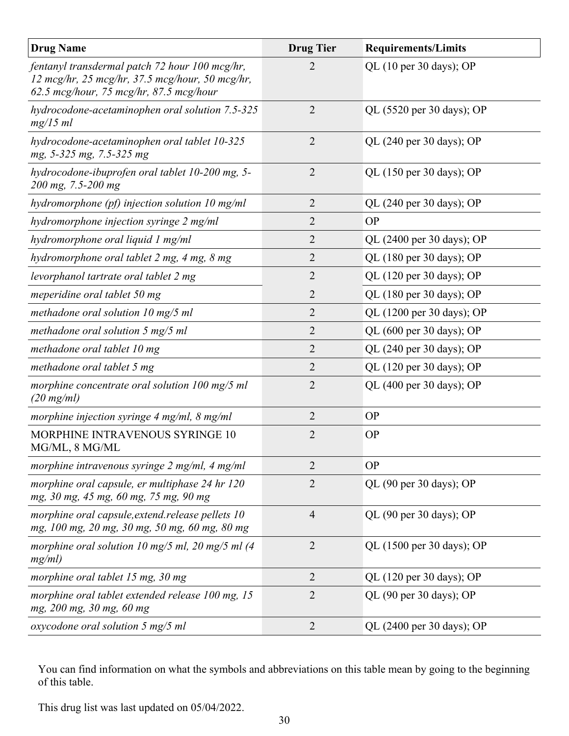| <b>Drug Name</b>                                                                                                                             | <b>Drug Tier</b> | <b>Requirements/Limits</b>                   |
|----------------------------------------------------------------------------------------------------------------------------------------------|------------------|----------------------------------------------|
| fentanyl transdermal patch 72 hour 100 mcg/hr,<br>12 mcg/hr, 25 mcg/hr, 37.5 mcg/hour, 50 mcg/hr,<br>62.5 mcg/hour, 75 mcg/hr, 87.5 mcg/hour | 2                | QL $(10 \text{ per } 30 \text{ days})$ ; OP  |
| hydrocodone-acetaminophen oral solution 7.5-325<br>mg/15 ml                                                                                  | $\overline{2}$   | QL (5520 per 30 days); OP                    |
| hydrocodone-acetaminophen oral tablet 10-325<br>mg, 5-325 mg, 7.5-325 mg                                                                     | $\overline{2}$   | QL $(240 \text{ per } 30 \text{ days})$ ; OP |
| hydrocodone-ibuprofen oral tablet 10-200 mg, 5-<br>200 mg, 7.5-200 mg                                                                        | $\overline{2}$   | QL (150 per 30 days); OP                     |
| hydromorphone (pf) injection solution 10 mg/ml                                                                                               | $\overline{2}$   | QL (240 per 30 days); OP                     |
| hydromorphone injection syringe 2 mg/ml                                                                                                      | 2                | <b>OP</b>                                    |
| hydromorphone oral liquid 1 mg/ml                                                                                                            | $\overline{2}$   | QL (2400 per 30 days); OP                    |
| hydromorphone oral tablet 2 mg, 4 mg, 8 mg                                                                                                   | 2                | QL (180 per 30 days); OP                     |
| levorphanol tartrate oral tablet 2 mg                                                                                                        | $\overline{2}$   | QL (120 per 30 days); OP                     |
| meperidine oral tablet 50 mg                                                                                                                 | $\overline{2}$   | QL (180 per 30 days); OP                     |
| methadone oral solution $10 \text{ mg}/5 \text{ ml}$                                                                                         | 2                | QL (1200 per 30 days); OP                    |
| methadone oral solution 5 mg/5 ml                                                                                                            | 2                | QL (600 per 30 days); OP                     |
| methadone oral tablet 10 mg                                                                                                                  | $\overline{2}$   | QL (240 per 30 days); OP                     |
| methadone oral tablet 5 mg                                                                                                                   | 2                | QL (120 per 30 days); OP                     |
| morphine concentrate oral solution 100 mg/5 ml<br>$(20 \text{ mg/ml})$                                                                       | $\overline{2}$   | QL (400 per 30 days); OP                     |
| morphine injection syringe $4 \text{ mg/ml}$ , $8 \text{ mg/ml}$                                                                             | $\overline{2}$   | <b>OP</b>                                    |
| MORPHINE INTRAVENOUS SYRINGE 10<br>MG/ML, 8 MG/ML                                                                                            | $\overline{2}$   | <b>OP</b>                                    |
| morphine intravenous syringe 2 mg/ml, 4 mg/ml                                                                                                | $\overline{2}$   | <b>OP</b>                                    |
| morphine oral capsule, er multiphase 24 hr 120<br>mg, 30 mg, 45 mg, 60 mg, 75 mg, 90 mg                                                      | 2                | QL (90 per 30 days); OP                      |
| morphine oral capsule, extend. release pellets 10<br>mg, 100 mg, 20 mg, 30 mg, 50 mg, 60 mg, 80 mg                                           | 4                | QL (90 per 30 days); OP                      |
| morphine oral solution 10 mg/5 ml, 20 mg/5 ml $(4)$<br>mg/ml)                                                                                | $\overline{2}$   | QL (1500 per 30 days); OP                    |
| morphine oral tablet 15 mg, 30 mg                                                                                                            | $\overline{2}$   | QL (120 per 30 days); OP                     |
| morphine oral tablet extended release 100 mg, 15<br>mg, 200 mg, 30 mg, 60 mg                                                                 | $\overline{2}$   | QL (90 per 30 days); OP                      |
| oxycodone oral solution 5 mg/5 ml                                                                                                            | $\overline{2}$   | QL (2400 per 30 days); OP                    |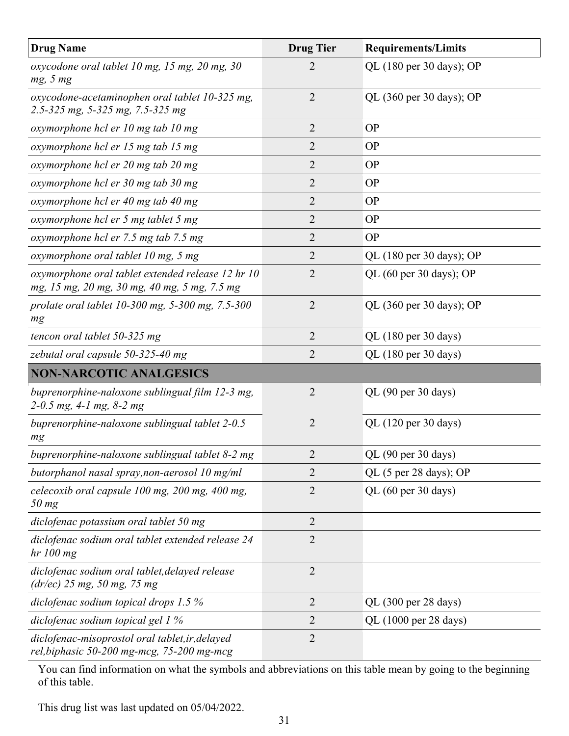| <b>Drug Name</b>                                                                                  | <b>Drug Tier</b> | <b>Requirements/Limits</b> |
|---------------------------------------------------------------------------------------------------|------------------|----------------------------|
| oxycodone oral tablet 10 mg, 15 mg, 20 mg, 30<br>mg, 5 mg                                         | 2                | QL (180 per 30 days); OP   |
| oxycodone-acetaminophen oral tablet 10-325 mg,<br>2.5-325 mg, 5-325 mg, 7.5-325 mg                | $\overline{2}$   | QL (360 per 30 days); OP   |
| oxymorphone hcl er 10 mg tab 10 mg                                                                | $\overline{2}$   | <b>OP</b>                  |
| oxymorphone hcl er 15 mg tab 15 mg                                                                | 2                | <b>OP</b>                  |
| oxymorphone hcl er 20 mg tab 20 mg                                                                | $\overline{2}$   | <b>OP</b>                  |
| oxymorphone hcl er 30 mg tab 30 mg                                                                | $\overline{2}$   | <b>OP</b>                  |
| oxymorphone hcl er 40 mg tab 40 mg                                                                | 2                | <b>OP</b>                  |
| oxymorphone hcl er 5 mg tablet 5 mg                                                               | $\overline{2}$   | <b>OP</b>                  |
| oxymorphone hcl er 7.5 mg tab 7.5 mg                                                              | $\overline{2}$   | <b>OP</b>                  |
| oxymorphone oral tablet 10 mg, 5 mg                                                               | 2                | QL (180 per 30 days); OP   |
| oxymorphone oral tablet extended release 12 hr 10<br>mg, 15 mg, 20 mg, 30 mg, 40 mg, 5 mg, 7.5 mg | $\overline{2}$   | QL (60 per 30 days); OP    |
| prolate oral tablet 10-300 mg, 5-300 mg, 7.5-300<br>mg                                            | $\overline{2}$   | QL (360 per 30 days); OP   |
| tencon oral tablet 50-325 mg                                                                      | $\overline{2}$   | QL (180 per 30 days)       |
| zebutal oral capsule 50-325-40 mg                                                                 | $\overline{2}$   | QL (180 per 30 days)       |
| <b>NON-NARCOTIC ANALGESICS</b>                                                                    |                  |                            |
| buprenorphine-naloxone sublingual film 12-3 mg,<br>2-0.5 mg, 4-1 mg, 8-2 mg                       | $\overline{2}$   | QL (90 per 30 days)        |
| buprenorphine-naloxone sublingual tablet 2-0.5<br>mg                                              | $\overline{2}$   | QL (120 per 30 days)       |
| buprenorphine-naloxone sublingual tablet 8-2 mg                                                   | $\overline{2}$   | QL (90 per 30 days)        |
| butorphanol nasal spray, non-aerosol 10 mg/ml                                                     | $\overline{2}$   | QL (5 per 28 days); OP     |
| celecoxib oral capsule 100 mg, 200 mg, 400 mg,<br>$50$ mg                                         | $\overline{2}$   | QL (60 per 30 days)        |
| diclofenac potassium oral tablet 50 mg                                                            | $\overline{2}$   |                            |
| diclofenac sodium oral tablet extended release 24<br>hr 100 mg                                    | $\overline{2}$   |                            |
| diclofenac sodium oral tablet, delayed release<br>$(dr/ec)$ 25 mg, 50 mg, 75 mg                   | $\overline{2}$   |                            |
| diclofenac sodium topical drops $1.5\%$                                                           | $\overline{2}$   | QL (300 per 28 days)       |
| diclofenac sodium topical gel 1 %                                                                 | 2                | QL (1000 per 28 days)      |
| diclofenac-misoprostol oral tablet, ir, delayed<br>rel, biphasic 50-200 mg-mcg, 75-200 mg-mcg     | $\overline{2}$   |                            |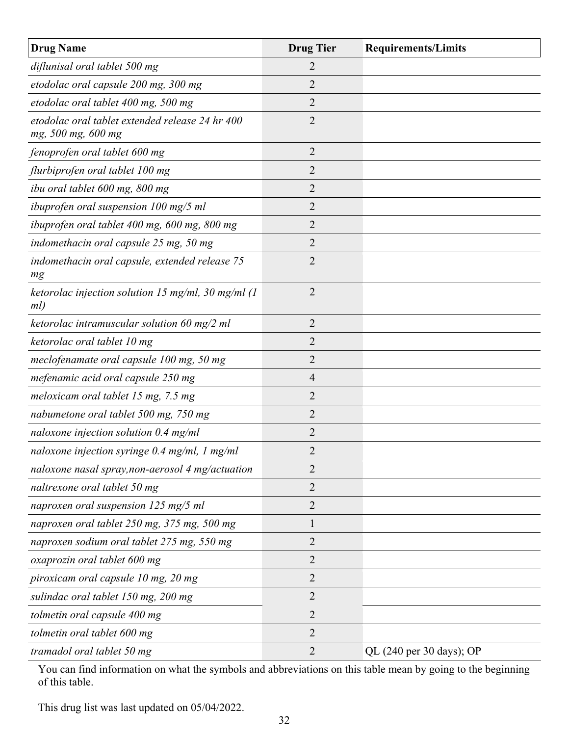| <b>Drug Name</b>                                                      | <b>Drug Tier</b> | <b>Requirements/Limits</b> |
|-----------------------------------------------------------------------|------------------|----------------------------|
| diflunisal oral tablet 500 mg                                         | 2                |                            |
| etodolac oral capsule 200 mg, 300 mg                                  | 2                |                            |
| etodolac oral tablet 400 mg, 500 mg                                   | 2                |                            |
| etodolac oral tablet extended release 24 hr 400<br>mg, 500 mg, 600 mg | $\overline{2}$   |                            |
| fenoprofen oral tablet 600 mg                                         | 2                |                            |
| flurbiprofen oral tablet 100 mg                                       | 2                |                            |
| ibu oral tablet 600 mg, 800 mg                                        | 2                |                            |
| ibuprofen oral suspension 100 mg/5 ml                                 | 2                |                            |
| ibuprofen oral tablet 400 mg, 600 mg, 800 mg                          | $\overline{2}$   |                            |
| indomethacin oral capsule 25 mg, 50 mg                                | $\overline{2}$   |                            |
| indomethacin oral capsule, extended release 75<br>mg                  | $\overline{2}$   |                            |
| ketorolac injection solution 15 mg/ml, 30 mg/ml $(1)$<br>ml)          | $\overline{2}$   |                            |
| ketorolac intramuscular solution 60 mg/2 ml                           | $\overline{2}$   |                            |
| ketorolac oral tablet 10 mg                                           | $\overline{2}$   |                            |
| meclofenamate oral capsule 100 mg, 50 mg                              | 2                |                            |
| mefenamic acid oral capsule 250 mg                                    | 4                |                            |
| meloxicam oral tablet 15 mg, 7.5 mg                                   | 2                |                            |
| nabumetone oral tablet 500 mg, 750 mg                                 | $\overline{2}$   |                            |
| naloxone injection solution $0.4$ mg/ml                               | 2                |                            |
| naloxone injection syringe 0.4 mg/ml, 1 mg/ml                         | $\overline{2}$   |                            |
| naloxone nasal spray, non-aerosol 4 mg/actuation                      | 2                |                            |
| naltrexone oral tablet 50 mg                                          | $\overline{2}$   |                            |
| naproxen oral suspension 125 mg/5 ml                                  | $\overline{2}$   |                            |
| naproxen oral tablet 250 mg, 375 mg, 500 mg                           | 1                |                            |
| naproxen sodium oral tablet 275 mg, 550 mg                            | 2                |                            |
| oxaprozin oral tablet 600 mg                                          | 2                |                            |
| piroxicam oral capsule 10 mg, 20 mg                                   | 2                |                            |
| sulindac oral tablet 150 mg, 200 mg                                   | 2                |                            |
| tolmetin oral capsule 400 mg                                          | $\overline{2}$   |                            |
| tolmetin oral tablet 600 mg                                           | 2                |                            |
| tramadol oral tablet 50 mg                                            | 2                | QL (240 per 30 days); OP   |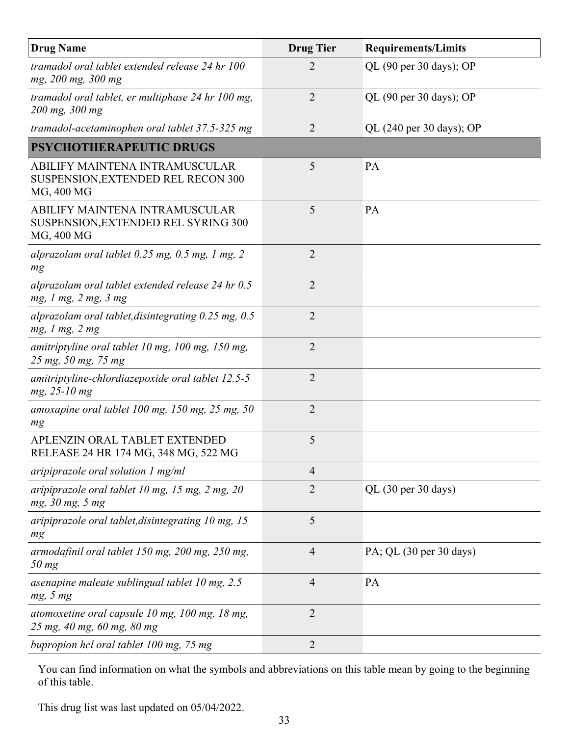| <b>Drug Name</b>                                                                    | <b>Drug Tier</b> | <b>Requirements/Limits</b>                   |
|-------------------------------------------------------------------------------------|------------------|----------------------------------------------|
| tramadol oral tablet extended release 24 hr 100<br>mg, 200 mg, 300 mg               | 2                | QL (90 per 30 days); OP                      |
| tramadol oral tablet, er multiphase 24 hr 100 mg,<br>200 mg, 300 mg                 | $\overline{2}$   | QL (90 per 30 days); OP                      |
| tramadol-acetaminophen oral tablet 37.5-325 mg                                      | $\overline{2}$   | QL $(240 \text{ per } 30 \text{ days})$ ; OP |
| <b>PSYCHOTHERAPEUTIC DRUGS</b>                                                      |                  |                                              |
| ABILIFY MAINTENA INTRAMUSCULAR<br>SUSPENSION, EXTENDED REL RECON 300<br>MG, 400 MG  | 5                | PA                                           |
| ABILIFY MAINTENA INTRAMUSCULAR<br>SUSPENSION, EXTENDED REL SYRING 300<br>MG, 400 MG | 5                | PA                                           |
| alprazolam oral tablet $0.25$ mg, $0.5$ mg, 1 mg, 2<br>mg                           | $\overline{2}$   |                                              |
| alprazolam oral tablet extended release 24 hr 0.5<br>mg, 1 mg, 2 mg, 3 mg           | $\overline{2}$   |                                              |
| alprazolam oral tablet, disintegrating $0.25$ mg, $0.5$<br>mg, 1 mg, 2 mg           | $\overline{2}$   |                                              |
| amitriptyline oral tablet 10 mg, 100 mg, 150 mg,<br>25 mg, 50 mg, 75 mg             | $\overline{2}$   |                                              |
| amitriptyline-chlordiazepoxide oral tablet 12.5-5<br>$mg, 25-10 mg$                 | $\overline{2}$   |                                              |
| amoxapine oral tablet $100$ mg, $150$ mg, $25$ mg, $50$<br>mg                       | $\overline{2}$   |                                              |
| APLENZIN ORAL TABLET EXTENDED<br>RELEASE 24 HR 174 MG, 348 MG, 522 MG               | 5                |                                              |
| aripiprazole oral solution 1 mg/ml                                                  | $\overline{4}$   |                                              |
| aripiprazole oral tablet 10 mg, 15 mg, 2 mg, 20<br>mg, 30 mg, 5 mg                  | $\overline{2}$   | QL (30 per 30 days)                          |
| aripiprazole oral tablet, disintegrating 10 mg, 15<br>mg                            | 5                |                                              |
| armodafinil oral tablet 150 mg, 200 mg, 250 mg,<br>$50$ mg                          | $\overline{4}$   | PA; QL (30 per 30 days)                      |
| asenapine maleate sublingual tablet 10 mg, 2.5<br>mg, 5 mg                          | $\overline{4}$   | PA                                           |
| atomoxetine oral capsule $10$ mg, $100$ mg, $18$ mg,<br>25 mg, 40 mg, 60 mg, 80 mg  | $\overline{2}$   |                                              |
| bupropion hcl oral tablet 100 mg, 75 mg                                             | $\overline{2}$   |                                              |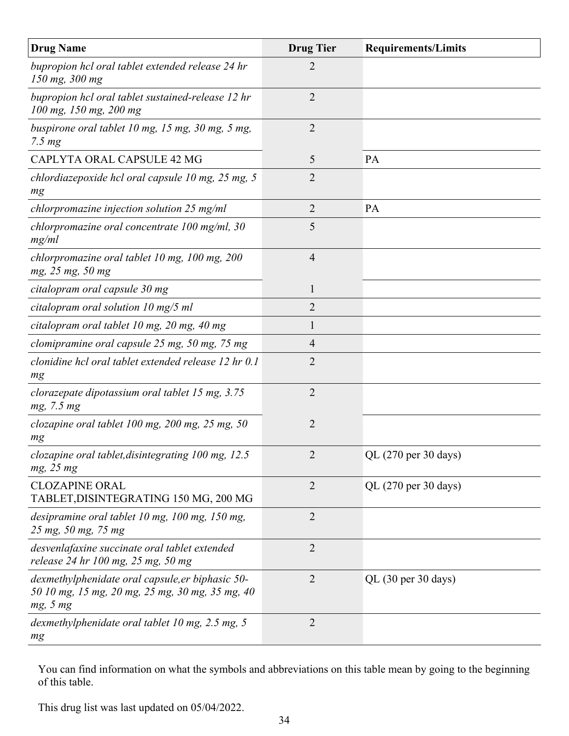| <b>Drug Name</b>                                                                                                | <b>Drug Tier</b> | <b>Requirements/Limits</b> |
|-----------------------------------------------------------------------------------------------------------------|------------------|----------------------------|
| bupropion hcl oral tablet extended release 24 hr<br>150 mg, 300 mg                                              | 2                |                            |
| bupropion hcl oral tablet sustained-release 12 hr<br>100 mg, 150 mg, 200 mg                                     | $\overline{2}$   |                            |
| buspirone oral tablet 10 mg, 15 mg, 30 mg, 5 mg,<br>7.5 <sub>mg</sub>                                           | 2                |                            |
| CAPLYTA ORAL CAPSULE 42 MG                                                                                      | 5                | <b>PA</b>                  |
| chlordiazepoxide hcl oral capsule 10 mg, 25 mg, 5<br>mg                                                         | 2                |                            |
| chlorpromazine injection solution $25 \text{ mg/ml}$                                                            | $\overline{2}$   | PA                         |
| chlorpromazine oral concentrate $100$ mg/ml, $30$<br>mg/ml                                                      | 5                |                            |
| chlorpromazine oral tablet 10 mg, 100 mg, 200<br>mg, 25 mg, 50 mg                                               | $\overline{4}$   |                            |
| citalopram oral capsule 30 mg                                                                                   | 1                |                            |
| citalopram oral solution 10 mg/5 ml                                                                             | 2                |                            |
| citalopram oral tablet 10 mg, 20 mg, 40 mg                                                                      | 1                |                            |
| clomipramine oral capsule 25 mg, 50 mg, 75 mg                                                                   | 4                |                            |
| clonidine hcl oral tablet extended release 12 hr 0.1<br>mg                                                      | $\overline{2}$   |                            |
| clorazepate dipotassium oral tablet 15 mg, 3.75<br>mg, 7.5 mg                                                   | $\overline{2}$   |                            |
| clozapine oral tablet $100$ mg, $200$ mg, $25$ mg, $50$<br>mg                                                   | $\overline{2}$   |                            |
| clozapine oral tablet, disintegrating 100 mg, 12.5<br>mg, 25 mg                                                 | $\overline{2}$   | QL (270 per 30 days)       |
| <b>CLOZAPINE ORAL</b><br>TABLET, DISINTEGRATING 150 MG, 200 MG                                                  | 2                | QL (270 per 30 days)       |
| desipramine oral tablet 10 mg, 100 mg, 150 mg,<br>25 mg, 50 mg, 75 mg                                           | $\overline{2}$   |                            |
| desvenlafaxine succinate oral tablet extended<br>release 24 hr 100 mg, 25 mg, 50 mg                             | $\overline{2}$   |                            |
| dexmethylphenidate oral capsule, er biphasic 50-<br>50 10 mg, 15 mg, 20 mg, 25 mg, 30 mg, 35 mg, 40<br>mg, 5 mg | $\overline{2}$   | $QL$ (30 per 30 days)      |
| dexmethylphenidate oral tablet 10 mg, 2.5 mg, 5<br>$mg$                                                         | $\overline{2}$   |                            |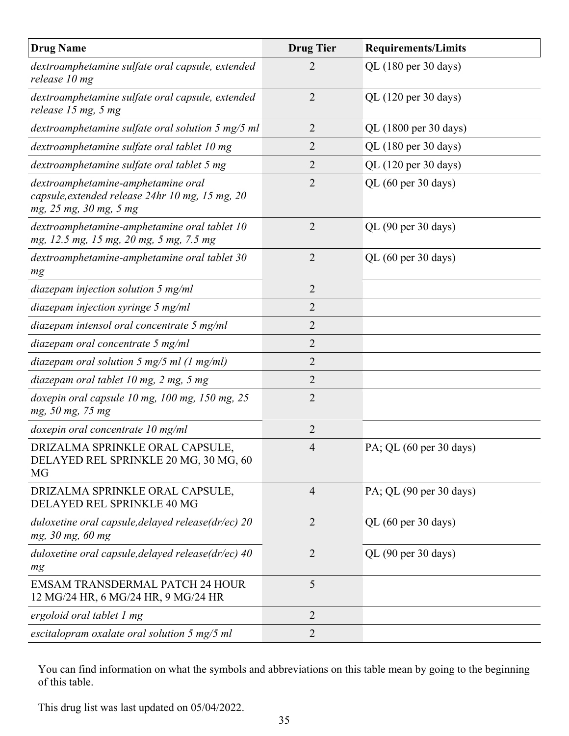| <b>Drug Name</b>                                                                                                | <b>Drug Tier</b> | <b>Requirements/Limits</b> |
|-----------------------------------------------------------------------------------------------------------------|------------------|----------------------------|
| dextroamphetamine sulfate oral capsule, extended<br>release 10 mg                                               | $\overline{2}$   | QL (180 per 30 days)       |
| dextroamphetamine sulfate oral capsule, extended<br>release 15 mg, 5 mg                                         | $\overline{2}$   | QL (120 per 30 days)       |
| dextroamphetamine sulfate oral solution 5 mg/5 ml                                                               | $\overline{2}$   | QL (1800 per 30 days)      |
| dextroamphetamine sulfate oral tablet 10 mg                                                                     | $\overline{2}$   | QL (180 per 30 days)       |
| dextroamphetamine sulfate oral tablet 5 mg                                                                      | 2                | QL (120 per 30 days)       |
| dextroamphetamine-amphetamine oral<br>capsule, extended release 24hr 10 mg, 15 mg, 20<br>mg, 25 mg, 30 mg, 5 mg | $\overline{2}$   | QL (60 per 30 days)        |
| dextroamphetamine-amphetamine oral tablet 10<br>mg, 12.5 mg, 15 mg, 20 mg, 5 mg, 7.5 mg                         | $\overline{2}$   | QL (90 per 30 days)        |
| dextroamphetamine-amphetamine oral tablet 30<br>mg                                                              | 2                | QL (60 per 30 days)        |
| diazepam injection solution $5 \text{ mg/ml}$                                                                   | $\overline{2}$   |                            |
| diazepam injection syringe $5$ mg/ml                                                                            | 2                |                            |
| diazepam intensol oral concentrate 5 mg/ml                                                                      | $\overline{2}$   |                            |
| diazepam oral concentrate 5 mg/ml                                                                               | 2                |                            |
| diazepam oral solution 5 mg/5 ml $(1 \text{ mg/ml})$                                                            | $\overline{2}$   |                            |
| diazepam oral tablet 10 mg, 2 mg, 5 mg                                                                          | $\overline{2}$   |                            |
| doxepin oral capsule $10$ mg, $100$ mg, $150$ mg, $25$<br>mg, 50 mg, 75 mg                                      | $\overline{2}$   |                            |
| doxepin oral concentrate 10 mg/ml                                                                               | $\overline{2}$   |                            |
| DRIZALMA SPRINKLE ORAL CAPSULE,<br>DELAYED REL SPRINKLE 20 MG, 30 MG, 60<br>MG                                  | $\overline{4}$   | PA; QL (60 per 30 days)    |
| DRIZALMA SPRINKLE ORAL CAPSULE,<br>DELAYED REL SPRINKLE 40 MG                                                   | $\overline{4}$   | PA; QL (90 per 30 days)    |
| duloxetine oral capsule, delayed release(dr/ec) 20<br>mg, 30 mg, 60 mg                                          | $\overline{2}$   | QL (60 per 30 days)        |
| duloxetine oral capsule, delayed release(dr/ec) 40<br>mg                                                        | $\overline{2}$   | QL (90 per 30 days)        |
| <b>EMSAM TRANSDERMAL PATCH 24 HOUR</b><br>12 MG/24 HR, 6 MG/24 HR, 9 MG/24 HR                                   | 5                |                            |
| ergoloid oral tablet 1 mg                                                                                       | $\overline{2}$   |                            |
| escitalopram oxalate oral solution 5 mg/5 ml                                                                    | $\overline{2}$   |                            |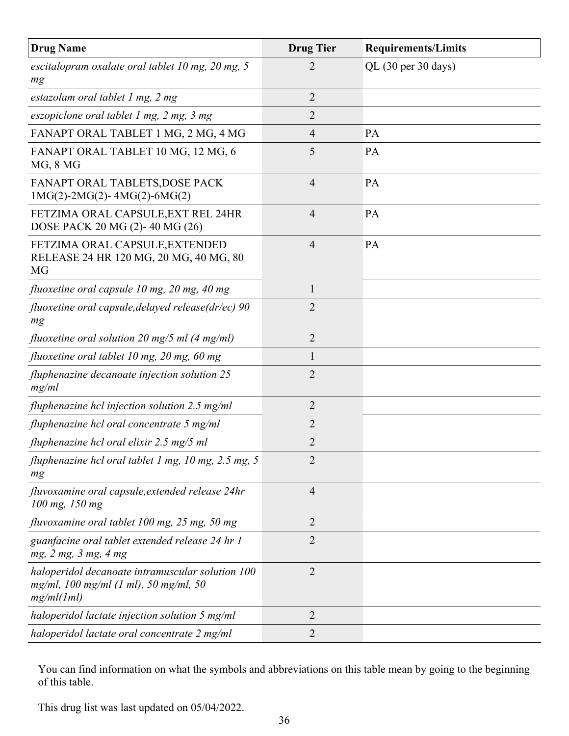| <b>Drug Name</b>                                                                                        | <b>Drug Tier</b> | <b>Requirements/Limits</b> |
|---------------------------------------------------------------------------------------------------------|------------------|----------------------------|
| escitalopram oxalate oral tablet $10$ mg, $20$ mg, $5$<br>mg                                            | 2                | $QL$ (30 per 30 days)      |
| estazolam oral tablet 1 mg, 2 mg                                                                        | $\overline{2}$   |                            |
| eszopiclone oral tablet 1 mg, 2 mg, 3 mg                                                                | $\overline{2}$   |                            |
| FANAPT ORAL TABLET 1 MG, 2 MG, 4 MG                                                                     | $\overline{4}$   | PA                         |
| FANAPT ORAL TABLET 10 MG, 12 MG, 6<br>MG, 8 MG                                                          | 5                | PA                         |
| FANAPT ORAL TABLETS, DOSE PACK<br>$1MG(2)-2MG(2)-4MG(2)-6MG(2)$                                         | $\overline{4}$   | PA                         |
| FETZIMA ORAL CAPSULE, EXT REL 24HR<br>DOSE PACK 20 MG (2)-40 MG (26)                                    | $\overline{4}$   | PA                         |
| FETZIMA ORAL CAPSULE, EXTENDED<br>RELEASE 24 HR 120 MG, 20 MG, 40 MG, 80<br>MG                          | $\overline{4}$   | PA                         |
| fluoxetine oral capsule 10 mg, 20 mg, 40 mg                                                             | 1                |                            |
| fluoxetine oral capsule, delayed release(dr/ec) 90<br>mg                                                | $\overline{2}$   |                            |
| fluoxetine oral solution 20 mg/5 ml (4 mg/ml)                                                           | $\overline{2}$   |                            |
| fluoxetine oral tablet 10 mg, 20 mg, 60 mg                                                              | 1                |                            |
| fluphenazine decanoate injection solution 25<br>mg/ml                                                   | $\overline{2}$   |                            |
| fluphenazine hcl injection solution 2.5 mg/ml                                                           | $\overline{2}$   |                            |
| fluphenazine hcl oral concentrate 5 mg/ml                                                               | $\overline{2}$   |                            |
| fluphenazine hcl oral elixir 2.5 mg/5 ml                                                                | $\overline{2}$   |                            |
| fluphenazine hcl oral tablet 1 mg, 10 mg, 2.5 mg, 5<br>mg                                               | $\overline{2}$   |                            |
| fluvoxamine oral capsule, extended release 24hr<br>100 mg, 150 mg                                       | $\overline{4}$   |                            |
| fluvoxamine oral tablet 100 mg, 25 mg, 50 mg                                                            | $\overline{2}$   |                            |
| guanfacine oral tablet extended release 24 hr 1<br>mg, 2 mg, 3 mg, 4 mg                                 | 2                |                            |
| haloperidol decanoate intramuscular solution 100<br>mg/ml, 100 mg/ml (1 ml), 50 mg/ml, 50<br>mg/ml(1ml) | $\overline{2}$   |                            |
| haloperidol lactate injection solution 5 mg/ml                                                          | $\overline{2}$   |                            |
| haloperidol lactate oral concentrate 2 mg/ml                                                            | 2                |                            |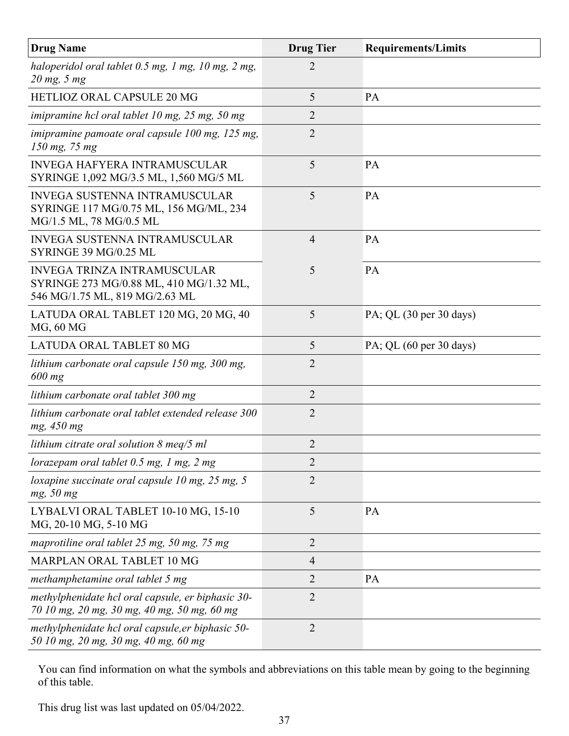| <b>Drug Name</b>                                                                                                | <b>Drug Tier</b> | <b>Requirements/Limits</b>                 |
|-----------------------------------------------------------------------------------------------------------------|------------------|--------------------------------------------|
| haloperidol oral tablet 0.5 mg, 1 mg, 10 mg, 2 mg,<br>$20$ mg, 5 mg                                             | $\overline{2}$   |                                            |
| HETLIOZ ORAL CAPSULE 20 MG                                                                                      | 5                | PA                                         |
| imipramine hcl oral tablet 10 mg, 25 mg, 50 mg                                                                  | $\overline{2}$   |                                            |
| imipramine pamoate oral capsule 100 mg, 125 mg,<br>$150$ mg, 75 mg                                              | $\overline{2}$   |                                            |
| <b>INVEGA HAFYERA INTRAMUSCULAR</b><br>SYRINGE 1,092 MG/3.5 ML, 1,560 MG/5 ML                                   | 5                | PA                                         |
| <b>INVEGA SUSTENNA INTRAMUSCULAR</b><br>SYRINGE 117 MG/0.75 ML, 156 MG/ML, 234<br>MG/1.5 ML, 78 MG/0.5 ML       | 5                | <b>PA</b>                                  |
| <b>INVEGA SUSTENNA INTRAMUSCULAR</b><br>SYRINGE 39 MG/0.25 ML                                                   | $\overline{4}$   | PA                                         |
| <b>INVEGA TRINZA INTRAMUSCULAR</b><br>SYRINGE 273 MG/0.88 ML, 410 MG/1.32 ML,<br>546 MG/1.75 ML, 819 MG/2.63 ML | 5                | PA                                         |
| LATUDA ORAL TABLET 120 MG, 20 MG, 40<br>MG, 60 MG                                                               | 5                | PA; QL $(30 \text{ per } 30 \text{ days})$ |
| <b>LATUDA ORAL TABLET 80 MG</b>                                                                                 | 5                | PA; QL $(60 \text{ per } 30 \text{ days})$ |
| lithium carbonate oral capsule 150 mg, 300 mg,<br>$600$ mg                                                      | $\overline{2}$   |                                            |
| lithium carbonate oral tablet 300 mg                                                                            | $\overline{2}$   |                                            |
| lithium carbonate oral tablet extended release 300<br>mg, 450 mg                                                | $\overline{2}$   |                                            |
| lithium citrate oral solution $\delta$ meq/5 ml                                                                 | $\overline{2}$   |                                            |
| lorazepam oral tablet $0.5$ mg, 1 mg, 2 mg                                                                      | $\overline{2}$   |                                            |
| loxapine succinate oral capsule 10 mg, $25$ mg, $5$<br>mg, 50 mg                                                | $\overline{2}$   |                                            |
| LYBALVI ORAL TABLET 10-10 MG, 15-10<br>MG, 20-10 MG, 5-10 MG                                                    | 5                | PA                                         |
| maprotiline oral tablet 25 mg, 50 mg, 75 mg                                                                     | $\overline{2}$   |                                            |
| MARPLAN ORAL TABLET 10 MG                                                                                       | $\overline{4}$   |                                            |
| methamphetamine oral tablet 5 mg                                                                                | $\overline{2}$   | PA                                         |
| methylphenidate hcl oral capsule, er biphasic 30-<br>70 10 mg, 20 mg, 30 mg, 40 mg, 50 mg, 60 mg                | $\overline{2}$   |                                            |
| methylphenidate hcl oral capsule, er biphasic 50-<br>50 10 mg, 20 mg, 30 mg, 40 mg, 60 mg                       | $\overline{2}$   |                                            |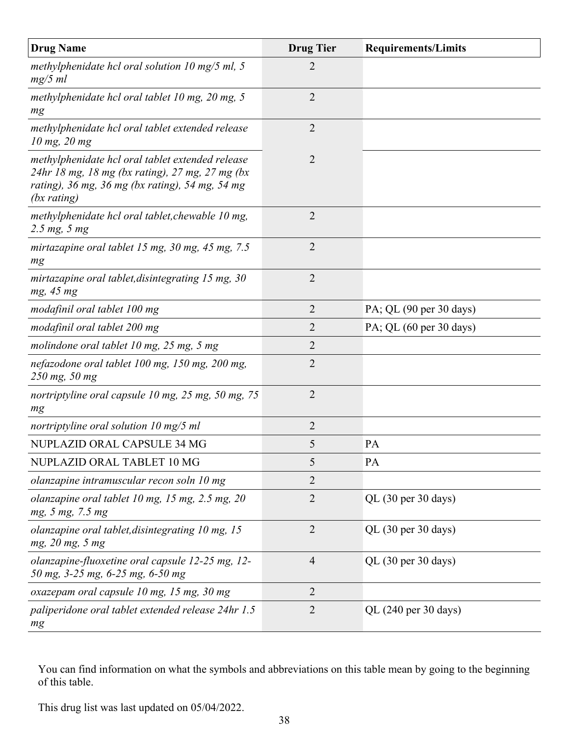| <b>Drug Name</b>                                                                                                                                                      | <b>Drug Tier</b> | <b>Requirements/Limits</b>             |
|-----------------------------------------------------------------------------------------------------------------------------------------------------------------------|------------------|----------------------------------------|
| methylphenidate hcl oral solution $10 \text{ mg}/5 \text{ ml}$ , 5<br>$mg/5$ ml                                                                                       | $\overline{2}$   |                                        |
| methylphenidate hcl oral tablet 10 mg, 20 mg, 5<br>mg                                                                                                                 | $\overline{2}$   |                                        |
| methylphenidate hcl oral tablet extended release<br>$10$ mg, $20$ mg                                                                                                  | $\overline{2}$   |                                        |
| methylphenidate hcl oral tablet extended release<br>24hr 18 mg, 18 mg (bx rating), 27 mg, 27 mg (bx<br>rating), 36 mg, 36 mg (bx rating), 54 mg, 54 mg<br>(bx rating) | $\overline{2}$   |                                        |
| methylphenidate hcl oral tablet, chewable 10 mg,<br>$2.5 \, mg, 5 \, mg$                                                                                              | $\overline{2}$   |                                        |
| mirtazapine oral tablet 15 mg, 30 mg, 45 mg, 7.5<br>mg                                                                                                                | 2                |                                        |
| mirtazapine oral tablet, disintegrating 15 mg, 30<br>mg, 45 mg                                                                                                        | $\overline{2}$   |                                        |
| modafinil oral tablet 100 mg                                                                                                                                          | $\overline{2}$   | PA; QL (90 per 30 days)                |
| modafinil oral tablet 200 mg                                                                                                                                          | $\overline{2}$   | PA; QL (60 per 30 days)                |
| molindone oral tablet 10 mg, 25 mg, 5 mg                                                                                                                              | $\overline{2}$   |                                        |
| nefazodone oral tablet 100 mg, 150 mg, 200 mg,<br>250 mg, 50 mg                                                                                                       | $\overline{2}$   |                                        |
| nortriptyline oral capsule 10 mg, 25 mg, 50 mg, 75<br>mg                                                                                                              | $\overline{2}$   |                                        |
| nortriptyline oral solution $10 \text{ mg}/5 \text{ ml}$                                                                                                              | $\overline{2}$   |                                        |
| NUPLAZID ORAL CAPSULE 34 MG                                                                                                                                           | 5                | PA                                     |
| NUPLAZID ORAL TABLET 10 MG                                                                                                                                            | 5                | PA                                     |
| olanzapine intramuscular recon soln 10 mg                                                                                                                             | $\overline{2}$   |                                        |
| olanzapine oral tablet 10 mg, 15 mg, 2.5 mg, 20<br>mg, 5 mg, 7.5 mg                                                                                                   | $\overline{2}$   | QL (30 per 30 days)                    |
| olanzapine oral tablet, disintegrating 10 mg, 15<br>mg, 20 mg, 5 mg                                                                                                   | $\overline{2}$   | QL (30 per 30 days)                    |
| olanzapine-fluoxetine oral capsule 12-25 mg, 12-<br>50 mg, 3-25 mg, 6-25 mg, 6-50 mg                                                                                  | $\overline{4}$   | QL $(30 \text{ per } 30 \text{ days})$ |
| oxazepam oral capsule 10 mg, 15 mg, 30 mg                                                                                                                             | $\overline{2}$   |                                        |
| paliperidone oral tablet extended release 24hr 1.5<br>mg                                                                                                              | $\overline{2}$   | QL (240 per 30 days)                   |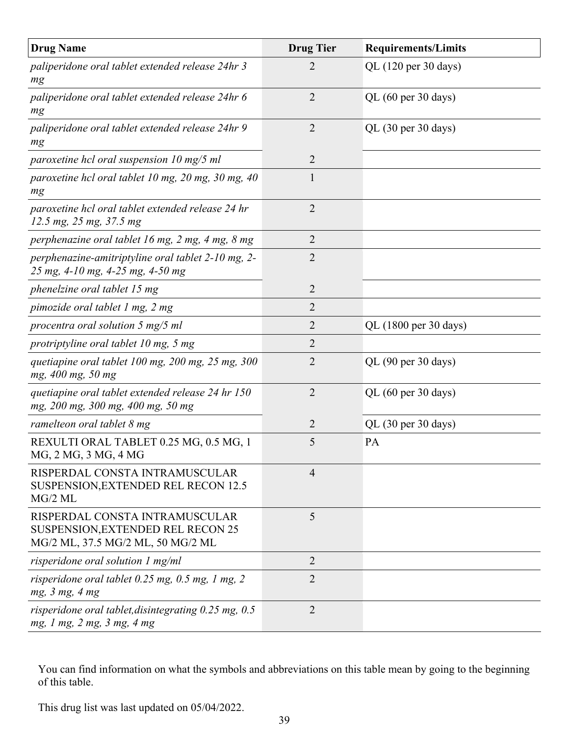| <b>Drug Name</b>                                                                                         | <b>Drug Tier</b> | <b>Requirements/Limits</b> |
|----------------------------------------------------------------------------------------------------------|------------------|----------------------------|
| paliperidone oral tablet extended release 24hr 3<br>mg                                                   | 2                | QL (120 per 30 days)       |
| paliperidone oral tablet extended release 24hr 6<br>mg                                                   | $\overline{2}$   | QL (60 per 30 days)        |
| paliperidone oral tablet extended release 24hr 9<br>mg                                                   | $\overline{2}$   | QL (30 per 30 days)        |
| paroxetine hcl oral suspension $10 \text{ mg}/5 \text{ ml}$                                              | $\overline{2}$   |                            |
| paroxetine hcl oral tablet 10 mg, 20 mg, 30 mg, 40<br>mg                                                 | 1                |                            |
| paroxetine hcl oral tablet extended release 24 hr<br>12.5 mg, 25 mg, 37.5 mg                             | $\overline{2}$   |                            |
| perphenazine oral tablet 16 mg, 2 mg, 4 mg, 8 mg                                                         | $\overline{2}$   |                            |
| perphenazine-amitriptyline oral tablet 2-10 mg, 2-<br>25 mg, 4-10 mg, 4-25 mg, 4-50 mg                   | $\overline{2}$   |                            |
| phenelzine oral tablet 15 mg                                                                             | $\overline{2}$   |                            |
| pimozide oral tablet 1 mg, 2 mg                                                                          | $\overline{2}$   |                            |
| procentra oral solution $5 \text{ mg}/5 \text{ ml}$                                                      | 2                | QL (1800 per 30 days)      |
| protriptyline oral tablet 10 mg, 5 mg                                                                    | 2                |                            |
| quetiapine oral tablet 100 mg, 200 mg, 25 mg, 300<br>mg, 400 mg, 50 mg                                   | $\overline{2}$   | QL (90 per 30 days)        |
| quetiapine oral tablet extended release 24 hr 150<br>mg, 200 mg, 300 mg, 400 mg, 50 mg                   | $\overline{2}$   | QL (60 per 30 days)        |
| ramelteon oral tablet 8 mg                                                                               | $\overline{2}$   | QL (30 per 30 days)        |
| REXULTI ORAL TABLET 0.25 MG, 0.5 MG, 1<br>MG, 2 MG, 3 MG, 4 MG                                           | 5                | PA                         |
| RISPERDAL CONSTA INTRAMUSCULAR<br><b>SUSPENSION, EXTENDED REL RECON 12.5</b><br>$MG/2$ ML                | $\overline{4}$   |                            |
| RISPERDAL CONSTA INTRAMUSCULAR<br>SUSPENSION, EXTENDED REL RECON 25<br>MG/2 ML, 37.5 MG/2 ML, 50 MG/2 ML | 5                |                            |
| risperidone oral solution 1 mg/ml                                                                        | $\overline{2}$   |                            |
| risperidone oral tablet 0.25 mg, 0.5 mg, 1 mg, 2<br>mg, 3 mg, 4 mg                                       | $\overline{2}$   |                            |
| risperidone oral tablet, disintegrating $0.25$ mg, $0.5$<br>mg, 1 mg, 2 mg, 3 mg, 4 mg                   | $\overline{2}$   |                            |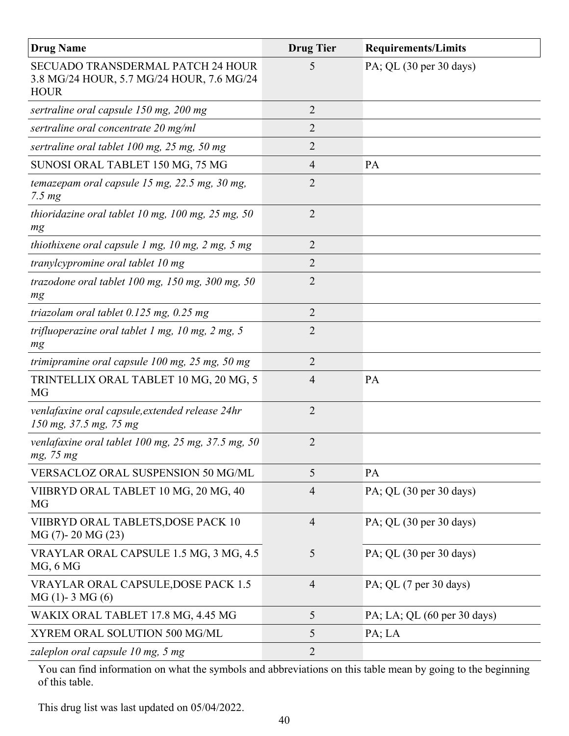| <b>Drug Name</b>                                                                              | <b>Drug Tier</b> | <b>Requirements/Limits</b>                 |
|-----------------------------------------------------------------------------------------------|------------------|--------------------------------------------|
| SECUADO TRANSDERMAL PATCH 24 HOUR<br>3.8 MG/24 HOUR, 5.7 MG/24 HOUR, 7.6 MG/24<br><b>HOUR</b> | 5                | PA; QL $(30 \text{ per } 30 \text{ days})$ |
| sertraline oral capsule 150 mg, 200 mg                                                        | $\overline{2}$   |                                            |
| sertraline oral concentrate 20 mg/ml                                                          | 2                |                                            |
| sertraline oral tablet 100 mg, 25 mg, 50 mg                                                   | 2                |                                            |
| SUNOSI ORAL TABLET 150 MG, 75 MG                                                              | $\overline{4}$   | PA                                         |
| temazepam oral capsule 15 mg, 22.5 mg, 30 mg,<br>$7.5 \, mg$                                  | $\overline{2}$   |                                            |
| thioridazine oral tablet 10 mg, 100 mg, 25 mg, 50<br>mg                                       | $\overline{2}$   |                                            |
| thiothixene oral capsule $1$ mg, $10$ mg, $2$ mg, $5$ mg                                      | $\overline{2}$   |                                            |
| tranylcypromine oral tablet 10 mg                                                             | $\overline{2}$   |                                            |
| trazodone oral tablet $100$ mg, $150$ mg, $300$ mg, $50$<br>mg                                | $\overline{2}$   |                                            |
| triazolam oral tablet $0.125$ mg, $0.25$ mg                                                   | $\overline{2}$   |                                            |
| trifluoperazine oral tablet $1$ mg, $10$ mg, $2$ mg, $5$<br>mg                                | $\overline{2}$   |                                            |
| trimipramine oral capsule $100$ mg, $25$ mg, $50$ mg                                          | $\overline{2}$   |                                            |
| TRINTELLIX ORAL TABLET 10 MG, 20 MG, 5<br>MG                                                  | $\overline{4}$   | PA                                         |
| venlafaxine oral capsule, extended release 24hr<br>150 mg, 37.5 mg, 75 mg                     | $\overline{2}$   |                                            |
| venlafaxine oral tablet $100$ mg, $25$ mg, $37.5$ mg, $50$<br>mg, 75 mg                       | $\overline{2}$   |                                            |
| VERSACLOZ ORAL SUSPENSION 50 MG/ML                                                            | 5                | PA                                         |
| VIIBRYD ORAL TABLET 10 MG, 20 MG, 40<br>MG                                                    | $\overline{4}$   | PA; QL $(30 \text{ per } 30 \text{ days})$ |
| VIIBRYD ORAL TABLETS, DOSE PACK 10<br>MG (7)-20 MG (23)                                       | $\overline{4}$   | PA; QL $(30 \text{ per } 30 \text{ days})$ |
| VRAYLAR ORAL CAPSULE 1.5 MG, 3 MG, 4.5<br>MG, 6 MG                                            | 5                | PA; QL $(30 \text{ per } 30 \text{ days})$ |
| VRAYLAR ORAL CAPSULE, DOSE PACK 1.5<br>$MG(1) - 3 MG(6)$                                      | $\overline{4}$   | PA; QL (7 per 30 days)                     |
| WAKIX ORAL TABLET 17.8 MG, 4.45 MG                                                            | 5                | PA; LA; QL (60 per 30 days)                |
| XYREM ORAL SOLUTION 500 MG/ML                                                                 | 5                | PA; LA                                     |
| zaleplon oral capsule $10$ mg, $5$ mg                                                         | $\overline{2}$   |                                            |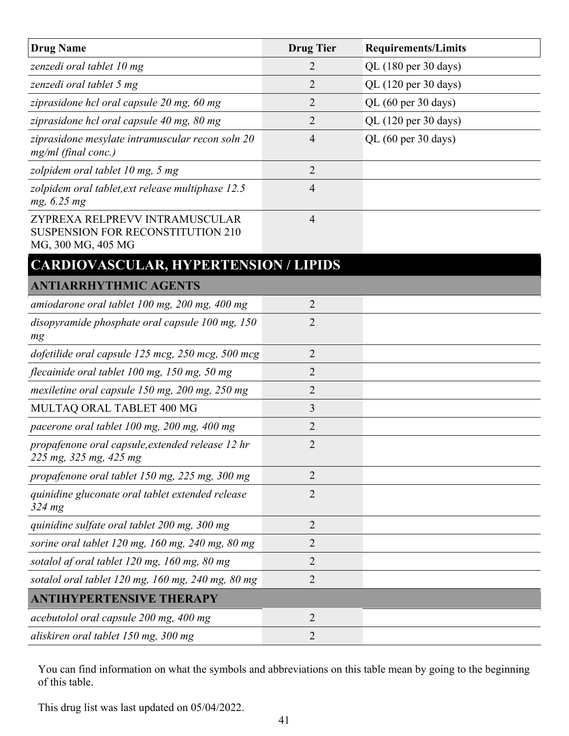| <b>Drug Name</b>                                                                                 | <b>Drug Tier</b> | <b>Requirements/Limits</b> |
|--------------------------------------------------------------------------------------------------|------------------|----------------------------|
| zenzedi oral tablet 10 mg                                                                        | 2                | QL (180 per 30 days)       |
| zenzedi oral tablet 5 mg                                                                         | 2                | QL (120 per 30 days)       |
| ziprasidone hcl oral capsule 20 mg, 60 mg                                                        | 2                | QL (60 per 30 days)        |
| ziprasidone hcl oral capsule 40 mg, 80 mg                                                        | 2                | QL (120 per 30 days)       |
| ziprasidone mesylate intramuscular recon soln 20<br>$mg/ml$ (final conc.)                        | 4                | QL (60 per 30 days)        |
| zolpidem oral tablet 10 mg, 5 mg                                                                 | $\overline{2}$   |                            |
| zolpidem oral tablet, ext release multiphase 12.5<br>mg, 6.25 mg                                 | 4                |                            |
| ZYPREXA RELPREVV INTRAMUSCULAR<br><b>SUSPENSION FOR RECONSTITUTION 210</b><br>MG, 300 MG, 405 MG | 4                |                            |
| <b>CARDIOVASCULAR, HYPERTENSION / LIPIDS</b>                                                     |                  |                            |
| <b>ANTIARRHYTHMIC AGENTS</b>                                                                     |                  |                            |
| amiodarone oral tablet 100 mg, 200 mg, 400 mg                                                    | $\overline{2}$   |                            |
| disopyramide phosphate oral capsule 100 mg, 150<br>mg                                            | $\overline{2}$   |                            |
| dofetilide oral capsule 125 mcg, 250 mcg, 500 mcg                                                | 2                |                            |
| flecainide oral tablet 100 mg, 150 mg, 50 mg                                                     | $\overline{2}$   |                            |
| mexiletine oral capsule 150 mg, 200 mg, 250 mg                                                   | 2                |                            |
| MULTAQ ORAL TABLET 400 MG                                                                        | 3                |                            |
| pacerone oral tablet 100 mg, 200 mg, 400 mg                                                      | 2                |                            |
| propafenone oral capsule, extended release 12 hr<br>225 mg, 325 mg, 425 mg                       | $\overline{2}$   |                            |
| propafenone oral tablet 150 mg, 225 mg, 300 mg                                                   | 2                |                            |
| quinidine gluconate oral tablet extended release<br>$324 \text{ mg}$                             | 2                |                            |
| quinidine sulfate oral tablet 200 mg, 300 mg                                                     | $\overline{2}$   |                            |
| sorine oral tablet $120$ mg, $160$ mg, $240$ mg, $80$ mg                                         | 2                |                            |
| sotalol af oral tablet 120 mg, 160 mg, 80 mg                                                     | 2                |                            |
| sotalol oral tablet 120 mg, 160 mg, 240 mg, 80 mg                                                | 2                |                            |
| <b>ANTIHYPERTENSIVE THERAPY</b>                                                                  |                  |                            |
| acebutolol oral capsule 200 mg, 400 mg                                                           | $\overline{2}$   |                            |
| aliskiren oral tablet 150 mg, 300 mg                                                             | 2                |                            |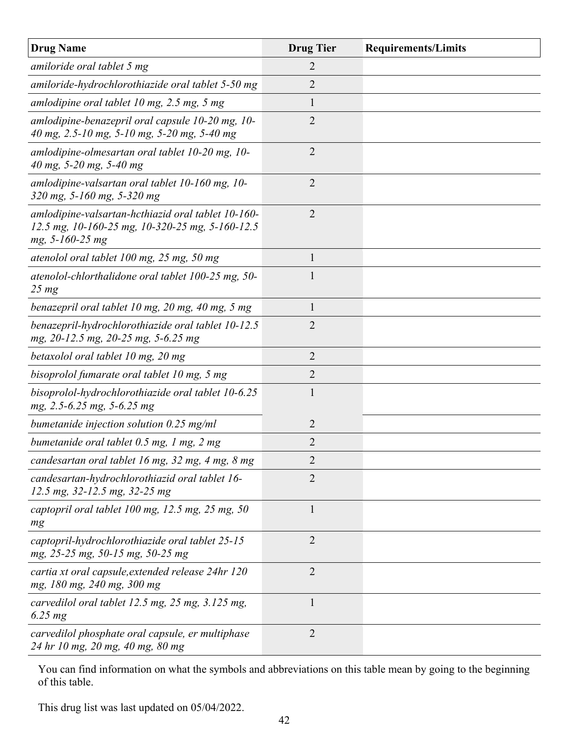| <b>Drug Name</b>                                                                                                         | <b>Drug Tier</b> | <b>Requirements/Limits</b> |
|--------------------------------------------------------------------------------------------------------------------------|------------------|----------------------------|
| amiloride oral tablet 5 mg                                                                                               | 2                |                            |
| amiloride-hydrochlorothiazide oral tablet 5-50 mg                                                                        | 2                |                            |
| amlodipine oral tablet 10 mg, 2.5 mg, 5 mg                                                                               | 1                |                            |
| amlodipine-benazepril oral capsule 10-20 mg, 10-<br>40 mg, 2.5-10 mg, 5-10 mg, 5-20 mg, 5-40 mg                          | $\overline{2}$   |                            |
| amlodipine-olmesartan oral tablet 10-20 mg, 10-<br>40 mg, 5-20 mg, 5-40 mg                                               | 2                |                            |
| amlodipine-valsartan oral tablet 10-160 mg, 10-<br>320 mg, 5-160 mg, 5-320 mg                                            | $\overline{2}$   |                            |
| amlodipine-valsartan-hcthiazid oral tablet 10-160-<br>12.5 mg, 10-160-25 mg, 10-320-25 mg, 5-160-12.5<br>mg, 5-160-25 mg | 2                |                            |
| atenolol oral tablet 100 mg, 25 mg, 50 mg                                                                                | 1                |                            |
| atenolol-chlorthalidone oral tablet 100-25 mg, 50-<br>$25 \, mg$                                                         | 1                |                            |
| benazepril oral tablet 10 mg, 20 mg, 40 mg, 5 mg                                                                         | $\mathbf{1}$     |                            |
| benazepril-hydrochlorothiazide oral tablet 10-12.5<br>mg, 20-12.5 mg, 20-25 mg, 5-6.25 mg                                | $\overline{2}$   |                            |
| betaxolol oral tablet 10 mg, 20 mg                                                                                       | $\overline{2}$   |                            |
| bisoprolol fumarate oral tablet 10 mg, 5 mg                                                                              | 2                |                            |
| bisoprolol-hydrochlorothiazide oral tablet 10-6.25<br>mg, 2.5-6.25 mg, 5-6.25 mg                                         | 1                |                            |
| bumetanide injection solution $0.25$ mg/ml                                                                               | $\overline{2}$   |                            |
| bumetanide oral tablet 0.5 mg, 1 mg, 2 mg                                                                                | 2                |                            |
| candesartan oral tablet 16 mg, 32 mg, 4 mg, 8 mg                                                                         | 2                |                            |
| candesartan-hydrochlorothiazid oral tablet 16-<br>12.5 mg, 32-12.5 mg, 32-25 mg                                          | $\overline{2}$   |                            |
| captopril oral tablet $100$ mg, $12.5$ mg, $25$ mg, $50$<br>mg                                                           | 1                |                            |
| captopril-hydrochlorothiazide oral tablet 25-15<br>mg, 25-25 mg, 50-15 mg, 50-25 mg                                      | $\overline{2}$   |                            |
| cartia xt oral capsule, extended release 24hr 120<br>mg, 180 mg, 240 mg, 300 mg                                          | $\overline{2}$   |                            |
| carvedilol oral tablet 12.5 mg, 25 mg, 3.125 mg,<br>$6.25$ mg                                                            | $\mathbf{1}$     |                            |
| carvedilol phosphate oral capsule, er multiphase<br>24 hr 10 mg, 20 mg, 40 mg, 80 mg                                     | $\overline{2}$   |                            |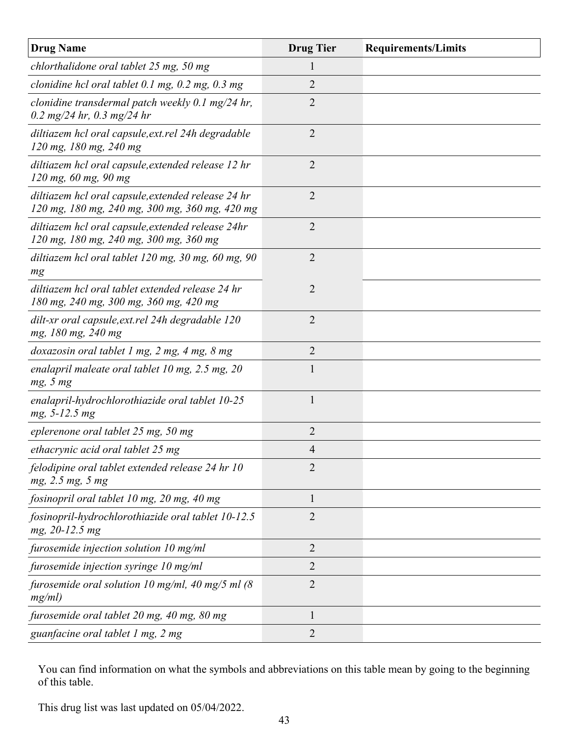| <b>Drug Name</b>                                                                                     | <b>Drug Tier</b> | <b>Requirements/Limits</b> |
|------------------------------------------------------------------------------------------------------|------------------|----------------------------|
| chlorthalidone oral tablet 25 mg, 50 mg                                                              |                  |                            |
| clonidine hcl oral tablet $0.1$ mg, $0.2$ mg, $0.3$ mg                                               | 2                |                            |
| clonidine transdermal patch weekly $0.1 \text{ mg}/24$ hr,<br>0.2 mg/24 hr, 0.3 mg/24 hr             | $\overline{2}$   |                            |
| diltiazem hcl oral capsule, ext.rel 24h degradable<br>120 mg, 180 mg, 240 mg                         | $\overline{2}$   |                            |
| diltiazem hcl oral capsule, extended release 12 hr<br>120 mg, 60 mg, 90 mg                           | $\overline{2}$   |                            |
| diltiazem hcl oral capsule, extended release 24 hr<br>120 mg, 180 mg, 240 mg, 300 mg, 360 mg, 420 mg | $\overline{2}$   |                            |
| diltiazem hcl oral capsule, extended release 24hr<br>120 mg, 180 mg, 240 mg, 300 mg, 360 mg          | $\overline{2}$   |                            |
| diltiazem hcl oral tablet $120$ mg, $30$ mg, $60$ mg, $90$<br>mg                                     | $\overline{2}$   |                            |
| diltiazem hcl oral tablet extended release 24 hr<br>180 mg, 240 mg, 300 mg, 360 mg, 420 mg           | $\overline{2}$   |                            |
| dilt-xr oral capsule, ext.rel 24h degradable 120<br>mg, 180 mg, 240 mg                               | $\overline{2}$   |                            |
| doxazosin oral tablet 1 mg, 2 mg, 4 mg, 8 mg                                                         | $\overline{2}$   |                            |
| enalapril maleate oral tablet 10 mg, $2.5$ mg, $20$<br>mg, 5 mg                                      | 1                |                            |
| enalapril-hydrochlorothiazide oral tablet 10-25<br>mg, 5-12.5 mg                                     | 1                |                            |
| eplerenone oral tablet 25 mg, 50 mg                                                                  | $\overline{2}$   |                            |
| ethacrynic acid oral tablet 25 mg                                                                    | $\overline{4}$   |                            |
| felodipine oral tablet extended release 24 hr 10<br>mg, 2.5 mg, 5 mg                                 | $\overline{2}$   |                            |
| fosinopril oral tablet 10 mg, 20 mg, 40 mg                                                           | 1                |                            |
| fosinopril-hydrochlorothiazide oral tablet 10-12.5<br>mg, 20-12.5 mg                                 | $\overline{2}$   |                            |
| furosemide injection solution 10 mg/ml                                                               | $\overline{2}$   |                            |
| furosemide injection syringe 10 mg/ml                                                                | $\overline{2}$   |                            |
| furosemide oral solution 10 mg/ml, 40 mg/5 ml $(8)$<br>mg/ml)                                        | $\overline{2}$   |                            |
| furosemide oral tablet 20 mg, 40 mg, 80 mg                                                           | 1                |                            |
| guanfacine oral tablet 1 mg, 2 mg                                                                    | 2                |                            |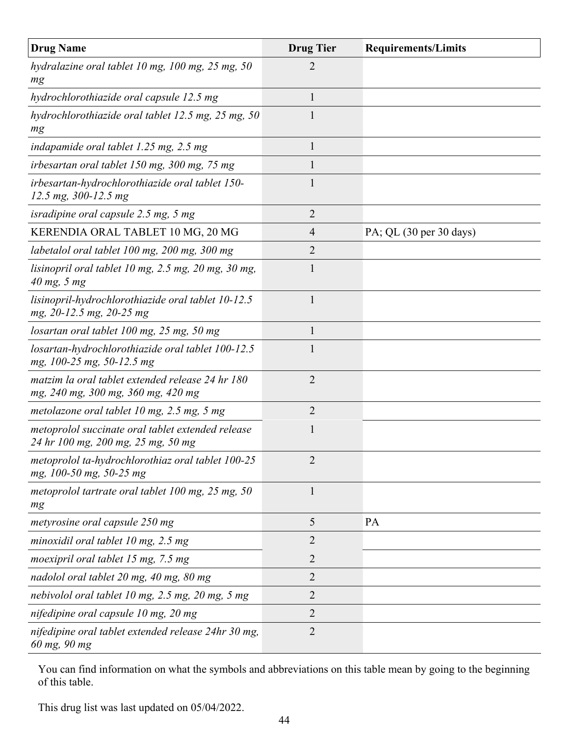| <b>Drug Name</b>                                                                        | <b>Drug Tier</b> | <b>Requirements/Limits</b> |
|-----------------------------------------------------------------------------------------|------------------|----------------------------|
| hydralazine oral tablet 10 mg, 100 mg, 25 mg, 50<br>mg                                  | 2                |                            |
| hydrochlorothiazide oral capsule 12.5 mg                                                | $\mathbf{1}$     |                            |
| hydrochlorothiazide oral tablet 12.5 mg, 25 mg, 50<br>mg                                |                  |                            |
| indapamide oral tablet 1.25 mg, 2.5 mg                                                  | 1                |                            |
| irbesartan oral tablet 150 mg, 300 mg, 75 mg                                            | 1                |                            |
| irbesartan-hydrochlorothiazide oral tablet 150-<br>12.5 mg, 300-12.5 mg                 |                  |                            |
| isradipine oral capsule 2.5 mg, 5 mg                                                    | 2                |                            |
| KERENDIA ORAL TABLET 10 MG, 20 MG                                                       | $\overline{4}$   | PA; QL (30 per 30 days)    |
| labetalol oral tablet 100 mg, 200 mg, 300 mg                                            | $\overline{2}$   |                            |
| lisinopril oral tablet 10 mg, $2.5$ mg, $20$ mg, $30$ mg,<br>40 mg, 5 mg                | 1                |                            |
| lisinopril-hydrochlorothiazide oral tablet 10-12.5<br>mg, 20-12.5 mg, 20-25 mg          | 1                |                            |
| losartan oral tablet $100$ mg, $25$ mg, $50$ mg                                         | 1                |                            |
| losartan-hydrochlorothiazide oral tablet 100-12.5<br>mg, 100-25 mg, 50-12.5 mg          | 1                |                            |
| matzim la oral tablet extended release 24 hr 180<br>mg, 240 mg, 300 mg, 360 mg, 420 mg  | 2                |                            |
| metolazone oral tablet $10$ mg, $2.5$ mg, $5$ mg                                        | $\overline{2}$   |                            |
| metoprolol succinate oral tablet extended release<br>24 hr 100 mg, 200 mg, 25 mg, 50 mg | 1                |                            |
| metoprolol ta-hydrochlorothiaz oral tablet 100-25<br>mg, 100-50 mg, 50-25 mg            | $\overline{2}$   |                            |
| metoprolol tartrate oral tablet 100 mg, 25 mg, 50<br>mg                                 | $\mathbf{1}$     |                            |
| metyrosine oral capsule 250 mg                                                          | 5                | <b>PA</b>                  |
| minoxidil oral tablet $10$ mg, $2.5$ mg                                                 | $\overline{2}$   |                            |
| moexipril oral tablet 15 mg, 7.5 mg                                                     | $\overline{2}$   |                            |
| nadolol oral tablet 20 mg, 40 mg, 80 mg                                                 | $\overline{2}$   |                            |
| nebivolol oral tablet 10 mg, 2.5 mg, 20 mg, 5 mg                                        | $\overline{2}$   |                            |
| nifedipine oral capsule 10 mg, 20 mg                                                    | $\overline{2}$   |                            |
| nifedipine oral tablet extended release 24hr 30 mg,<br>60 mg, 90 mg                     | $\overline{2}$   |                            |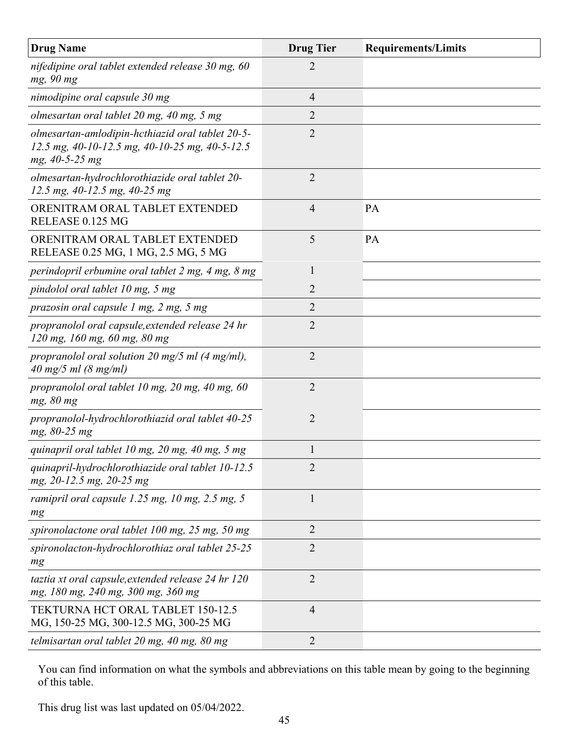| <b>Drug Name</b>                                                                                                     | <b>Drug Tier</b> | <b>Requirements/Limits</b> |
|----------------------------------------------------------------------------------------------------------------------|------------------|----------------------------|
| nifedipine oral tablet extended release 30 mg, 60<br>mg, 90 mg                                                       | $\overline{2}$   |                            |
| nimodipine oral capsule 30 mg                                                                                        | $\overline{4}$   |                            |
| olmesartan oral tablet 20 mg, 40 mg, 5 mg                                                                            | 2                |                            |
| olmesartan-amlodipin-hcthiazid oral tablet 20-5-<br>12.5 mg, 40-10-12.5 mg, 40-10-25 mg, 40-5-12.5<br>mg, 40-5-25 mg | $\overline{2}$   |                            |
| olmesartan-hydrochlorothiazide oral tablet 20-<br>12.5 mg, 40-12.5 mg, 40-25 mg                                      | $\overline{2}$   |                            |
| ORENITRAM ORAL TABLET EXTENDED<br>RELEASE 0.125 MG                                                                   | $\overline{4}$   | PA                         |
| ORENITRAM ORAL TABLET EXTENDED<br>RELEASE 0.25 MG, 1 MG, 2.5 MG, 5 MG                                                | 5                | PA                         |
| perindopril erbumine oral tablet 2 mg, 4 mg, 8 mg                                                                    | $\mathbf{1}$     |                            |
| pindolol oral tablet 10 mg, 5 mg                                                                                     | $\overline{2}$   |                            |
| prazosin oral capsule 1 mg, 2 mg, 5 mg                                                                               | 2                |                            |
| propranolol oral capsule, extended release 24 hr<br>120 mg, 160 mg, 60 mg, 80 mg                                     | 2                |                            |
| propranolol oral solution 20 mg/5 ml $(4 \text{ mg/ml})$ ,<br>40 mg/5 ml $(8 \text{ mg/ml})$                         | $\overline{2}$   |                            |
| propranolol oral tablet 10 mg, 20 mg, 40 mg, 60<br>mg, 80 mg                                                         | $\overline{2}$   |                            |
| propranolol-hydrochlorothiazid oral tablet 40-25<br>mg, 80-25 mg                                                     | $\overline{2}$   |                            |
| quinapril oral tablet 10 mg, 20 mg, 40 mg, 5 mg                                                                      | $\mathbf{1}$     |                            |
| quinapril-hydrochlorothiazide oral tablet 10-12.5<br>mg, 20-12.5 mg, 20-25 mg                                        | $\overline{2}$   |                            |
| ramipril oral capsule 1.25 mg, 10 mg, 2.5 mg, 5<br>mg                                                                | 1                |                            |
| spironolactone oral tablet $100$ mg, $25$ mg, $50$ mg                                                                | $\overline{2}$   |                            |
| spironolacton-hydrochlorothiaz oral tablet 25-25<br>mg                                                               | $\overline{2}$   |                            |
| taztia xt oral capsule, extended release 24 hr 120<br>mg, 180 mg, 240 mg, 300 mg, 360 mg                             | $\overline{2}$   |                            |
| TEKTURNA HCT ORAL TABLET 150-12.5<br>MG, 150-25 MG, 300-12.5 MG, 300-25 MG                                           | $\overline{4}$   |                            |
| telmisartan oral tablet 20 mg, 40 mg, 80 mg                                                                          | 2                |                            |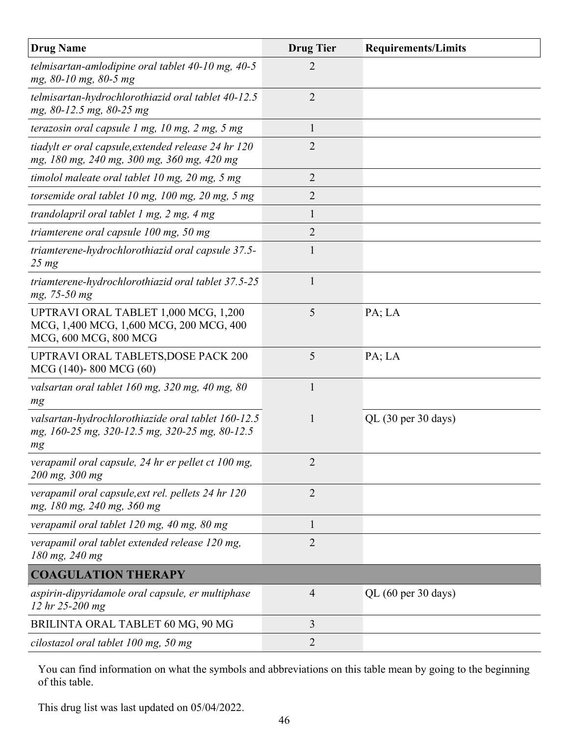| <b>Drug Name</b>                                                                                           | <b>Drug Tier</b> | <b>Requirements/Limits</b>             |
|------------------------------------------------------------------------------------------------------------|------------------|----------------------------------------|
| telmisartan-amlodipine oral tablet $40$ -10 mg, $40$ -5<br>mg, 80-10 mg, 80-5 mg                           | 2                |                                        |
| telmisartan-hydrochlorothiazid oral tablet 40-12.5<br>mg, 80-12.5 mg, 80-25 mg                             | $\overline{2}$   |                                        |
| terazosin oral capsule $1$ mg, $10$ mg, $2$ mg, $5$ mg                                                     | $\mathbf{1}$     |                                        |
| tiadylt er oral capsule, extended release 24 hr 120<br>mg, 180 mg, 240 mg, 300 mg, 360 mg, 420 mg          | 2                |                                        |
| timolol maleate oral tablet 10 mg, 20 mg, 5 mg                                                             | $\overline{2}$   |                                        |
| torsemide oral tablet $10$ mg, $100$ mg, $20$ mg, $5$ mg                                                   | 2                |                                        |
| trandolapril oral tablet $1$ mg, $2$ mg, $4$ mg                                                            | 1                |                                        |
| triamterene oral capsule 100 mg, 50 mg                                                                     | $\overline{2}$   |                                        |
| triamterene-hydrochlorothiazid oral capsule 37.5-<br>$25 \, mg$                                            | 1                |                                        |
| triamterene-hydrochlorothiazid oral tablet 37.5-25<br>mg, 75-50 mg                                         | $\mathbf{1}$     |                                        |
| UPTRAVI ORAL TABLET 1,000 MCG, 1,200<br>MCG, 1,400 MCG, 1,600 MCG, 200 MCG, 400<br>MCG, 600 MCG, 800 MCG   | 5                | PA; LA                                 |
| UPTRAVI ORAL TABLETS, DOSE PACK 200<br>MCG (140)-800 MCG (60)                                              | 5                | PA; LA                                 |
| valsartan oral tablet 160 mg, 320 mg, 40 mg, 80<br>mg                                                      | $\mathbf{1}$     |                                        |
| valsartan-hydrochlorothiazide oral tablet 160-12.5<br>mg, 160-25 mg, 320-12.5 mg, 320-25 mg, 80-12.5<br>mg | 1                | $QL$ (30 per 30 days)                  |
| verapamil oral capsule, 24 hr er pellet ct 100 mg,<br>200 mg, 300 mg                                       | $\overline{2}$   |                                        |
| verapamil oral capsule, ext rel. pellets 24 hr 120<br>mg, 180 mg, 240 mg, 360 mg                           | $\overline{2}$   |                                        |
| verapamil oral tablet 120 mg, 40 mg, 80 mg                                                                 | $\mathbf{1}$     |                                        |
| verapamil oral tablet extended release 120 mg,<br>180 mg, 240 mg                                           | 2                |                                        |
| <b>COAGULATION THERAPY</b>                                                                                 |                  |                                        |
| aspirin-dipyridamole oral capsule, er multiphase<br>12 hr 25-200 mg                                        | $\overline{4}$   | QL $(60 \text{ per } 30 \text{ days})$ |
| BRILINTA ORAL TABLET 60 MG, 90 MG                                                                          | 3                |                                        |
| cilostazol oral tablet 100 mg, 50 mg                                                                       | 2                |                                        |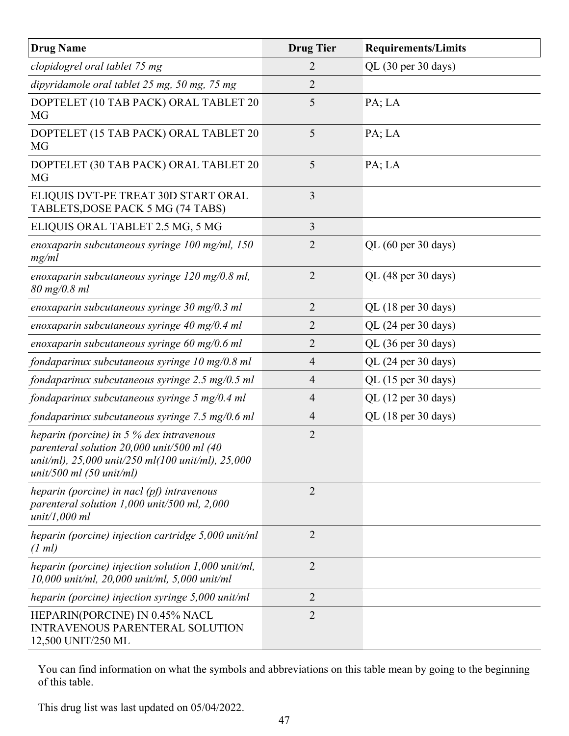| <b>Drug Name</b>                                                                                                                                                                   | <b>Drug Tier</b> | <b>Requirements/Limits</b> |
|------------------------------------------------------------------------------------------------------------------------------------------------------------------------------------|------------------|----------------------------|
| clopidogrel oral tablet 75 mg                                                                                                                                                      | 2                | QL (30 per 30 days)        |
| dipyridamole oral tablet 25 mg, 50 mg, 75 mg                                                                                                                                       | 2                |                            |
| DOPTELET (10 TAB PACK) ORAL TABLET 20<br>MG                                                                                                                                        | 5                | PA; LA                     |
| DOPTELET (15 TAB PACK) ORAL TABLET 20<br>MG                                                                                                                                        | 5                | PA; LA                     |
| DOPTELET (30 TAB PACK) ORAL TABLET 20<br><b>MG</b>                                                                                                                                 | 5                | PA; LA                     |
| ELIQUIS DVT-PE TREAT 30D START ORAL<br>TABLETS, DOSE PACK 5 MG (74 TABS)                                                                                                           | 3                |                            |
| ELIQUIS ORAL TABLET 2.5 MG, 5 MG                                                                                                                                                   | 3                |                            |
| enoxaparin subcutaneous syringe $100$ mg/ml, $150$<br>mg/ml                                                                                                                        | 2                | QL (60 per 30 days)        |
| enoxaparin subcutaneous syringe 120 mg/0.8 ml,<br>80 mg/0.8 ml                                                                                                                     | $\overline{2}$   | QL (48 per 30 days)        |
| enoxaparin subcutaneous syringe $30 \text{ mg}/0.3 \text{ ml}$                                                                                                                     | $\overline{2}$   | QL (18 per 30 days)        |
| enoxaparin subcutaneous syringe $40 \text{ mg}/0.4 \text{ ml}$                                                                                                                     | 2                | QL (24 per 30 days)        |
| enoxaparin subcutaneous syringe $60 \text{ mg}/0.6 \text{ ml}$                                                                                                                     | 2                | QL (36 per 30 days)        |
| fondaparinux subcutaneous syringe $10 \text{ mg}/0.8 \text{ ml}$                                                                                                                   | 4                | QL (24 per 30 days)        |
| fondaparinux subcutaneous syringe $2.5 \text{ mg}/0.5 \text{ ml}$                                                                                                                  | 4                | QL (15 per 30 days)        |
| fondaparinux subcutaneous syringe 5 mg/0.4 ml                                                                                                                                      | 4                | QL (12 per 30 days)        |
| fondaparinux subcutaneous syringe $7.5 \text{ mg}/0.6 \text{ ml}$                                                                                                                  | $\overline{4}$   | QL (18 per 30 days)        |
| heparin (porcine) in $5%$ dex intravenous<br>parenteral solution 20,000 unit/500 ml (40<br>unit/ml), 25,000 unit/250 ml(100 unit/ml), 25,000<br>unit/500 ml $(50 \text{ unit/ml})$ | $\overline{2}$   |                            |
| heparin (porcine) in nacl $(pf)$ intravenous<br>parenteral solution $1,000$ unit/500 ml, $2,000$<br>unit/1,000 ml                                                                  | $\overline{2}$   |                            |
| heparin (porcine) injection cartridge 5,000 unit/ml<br>(1 ml)                                                                                                                      | $\overline{2}$   |                            |
| heparin (porcine) injection solution $1,000$ unit/ml,<br>$10,000$ unit/ml, $20,000$ unit/ml, $5,000$ unit/ml                                                                       | $\overline{2}$   |                            |
| heparin (porcine) injection syringe 5,000 unit/ml                                                                                                                                  | $\overline{2}$   |                            |
| HEPARIN(PORCINE) IN 0.45% NACL<br><b>INTRAVENOUS PARENTERAL SOLUTION</b><br>12,500 UNIT/250 ML                                                                                     | $\overline{2}$   |                            |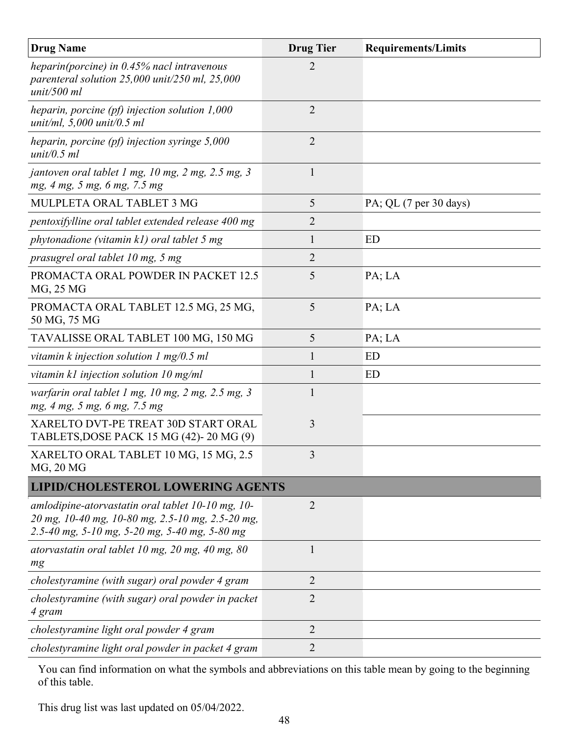| <b>Drug Name</b>                                                                                                                                       | <b>Drug Tier</b> | <b>Requirements/Limits</b> |
|--------------------------------------------------------------------------------------------------------------------------------------------------------|------------------|----------------------------|
| heparin(porcine) in $0.45\%$ nacl intravenous<br>parenteral solution $25,000$ unit/250 ml, $25,000$<br>unit/500 ml                                     | 2                |                            |
| heparin, porcine $(pf)$ injection solution 1,000<br>unit/ml, $5,000 \text{ unit}/0.5 \text{ ml}$                                                       | $\overline{2}$   |                            |
| heparin, porcine $(pf)$ injection syringe 5,000<br>unit/0.5 ml                                                                                         | $\overline{2}$   |                            |
| jantoven oral tablet 1 mg, 10 mg, 2 mg, 2.5 mg, 3<br>mg, 4 mg, 5 mg, 6 mg, 7.5 mg                                                                      | $\mathbf{1}$     |                            |
| MULPLETA ORAL TABLET 3 MG                                                                                                                              | 5                | PA; QL (7 per 30 days)     |
| pentoxifylline oral tablet extended release 400 mg                                                                                                     | 2                |                            |
| phytonadione (vitamin k1) oral tablet 5 mg                                                                                                             | 1                | ED                         |
| prasugrel oral tablet 10 mg, 5 mg                                                                                                                      | 2                |                            |
| PROMACTA ORAL POWDER IN PACKET 12.5<br>MG, 25 MG                                                                                                       | 5                | PA; LA                     |
| PROMACTA ORAL TABLET 12.5 MG, 25 MG,<br>50 MG, 75 MG                                                                                                   | 5                | PA; LA                     |
| TAVALISSE ORAL TABLET 100 MG, 150 MG                                                                                                                   | 5                | PA; LA                     |
| vitamin $k$ injection solution 1 mg/0.5 ml                                                                                                             | 1                | ED                         |
| vitamin $k1$ injection solution 10 mg/ml                                                                                                               | 1                | ED                         |
| warfarin oral tablet 1 mg, 10 mg, 2 mg, 2.5 mg, 3<br>mg, 4 mg, 5 mg, 6 mg, 7.5 mg                                                                      | 1                |                            |
| XARELTO DVT-PE TREAT 30D START ORAL<br>TABLETS, DOSE PACK 15 MG (42)-20 MG (9)                                                                         | 3                |                            |
| XARELTO ORAL TABLET 10 MG, 15 MG, 2.5<br><b>MG, 20 MG</b>                                                                                              | 3                |                            |
| <b>LIPID/CHOLESTEROL LOWERING AGENTS</b>                                                                                                               |                  |                            |
| amlodipine-atorvastatin oral tablet 10-10 mg, 10-<br>20 mg, 10-40 mg, 10-80 mg, 2.5-10 mg, 2.5-20 mg,<br>2.5-40 mg, 5-10 mg, 5-20 mg, 5-40 mg, 5-80 mg | $\overline{2}$   |                            |
| atorvastatin oral tablet 10 mg, 20 mg, 40 mg, 80<br>mg                                                                                                 | 1                |                            |
| cholestyramine (with sugar) oral powder 4 gram                                                                                                         | $\overline{2}$   |                            |
| cholestyramine (with sugar) oral powder in packet<br>4 gram                                                                                            | $\overline{2}$   |                            |
| cholestyramine light oral powder 4 gram                                                                                                                | $\overline{2}$   |                            |
| cholestyramine light oral powder in packet 4 gram                                                                                                      | $\overline{2}$   |                            |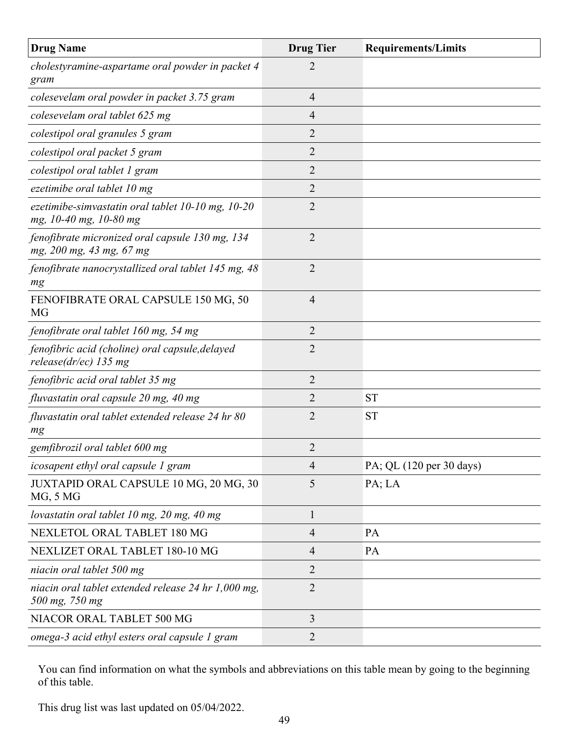| <b>Drug Name</b>                                                                | <b>Drug Tier</b> | <b>Requirements/Limits</b> |
|---------------------------------------------------------------------------------|------------------|----------------------------|
| cholestyramine-aspartame oral powder in packet 4<br>gram                        | 2                |                            |
| colesevelam oral powder in packet 3.75 gram                                     | $\overline{4}$   |                            |
| colesevelam oral tablet 625 mg                                                  | 4                |                            |
| colestipol oral granules 5 gram                                                 | $\overline{2}$   |                            |
| colestipol oral packet 5 gram                                                   | $\overline{2}$   |                            |
| colestipol oral tablet 1 gram                                                   | $\overline{2}$   |                            |
| ezetimibe oral tablet 10 mg                                                     | $\overline{2}$   |                            |
| ezetimibe-simvastatin oral tablet $10-10$ mg, $10-20$<br>mg, 10-40 mg, 10-80 mg | $\overline{2}$   |                            |
| fenofibrate micronized oral capsule 130 mg, 134<br>mg, 200 mg, 43 mg, 67 mg     | $\overline{2}$   |                            |
| fenofibrate nanocrystallized oral tablet 145 mg, 48<br>mg                       | $\overline{2}$   |                            |
| FENOFIBRATE ORAL CAPSULE 150 MG, 50<br>MG                                       | $\overline{4}$   |                            |
| fenofibrate oral tablet 160 mg, 54 mg                                           | 2                |                            |
| fenofibric acid (choline) oral capsule, delayed<br>release(dr/ec) $135$ mg      | $\overline{2}$   |                            |
| fenofibric acid oral tablet 35 mg                                               | $\overline{2}$   |                            |
| fluvastatin oral capsule 20 mg, 40 mg                                           | 2                | <b>ST</b>                  |
| fluvastatin oral tablet extended release 24 hr 80<br>mg                         | 2                | <b>ST</b>                  |
| gemfibrozil oral tablet 600 mg                                                  | $\overline{2}$   |                            |
| icosapent ethyl oral capsule 1 gram                                             | $\overline{4}$   | PA; QL (120 per 30 days)   |
| JUXTAPID ORAL CAPSULE 10 MG, 20 MG, 30<br>MG, 5 MG                              | 5                | PA; LA                     |
| lovastatin oral tablet 10 mg, 20 mg, 40 mg                                      | 1                |                            |
| NEXLETOL ORAL TABLET 180 MG                                                     | $\overline{4}$   | PA                         |
| NEXLIZET ORAL TABLET 180-10 MG                                                  | 4                | <b>PA</b>                  |
| niacin oral tablet 500 mg                                                       | 2                |                            |
| niacin oral tablet extended release 24 hr 1,000 mg,<br>500 mg, 750 mg           | $\overline{2}$   |                            |
| NIACOR ORAL TABLET 500 MG                                                       | $\overline{3}$   |                            |
| omega-3 acid ethyl esters oral capsule 1 gram                                   | 2                |                            |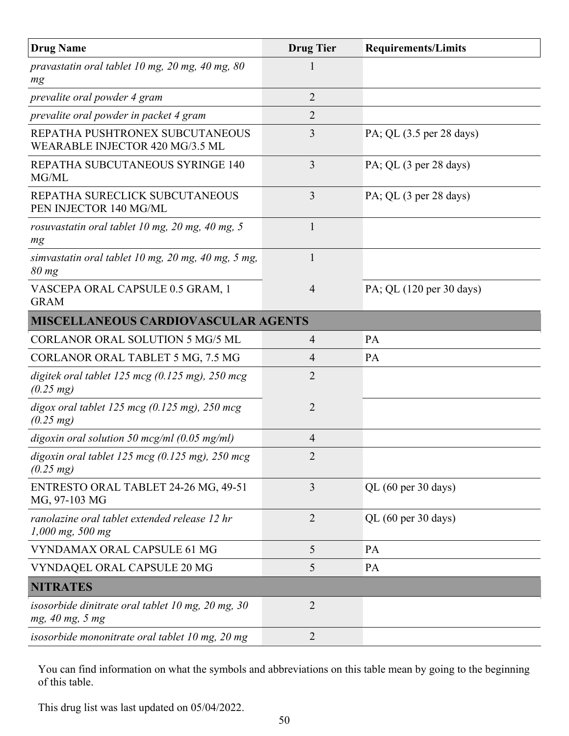| <b>Drug Name</b>                                                             | <b>Drug Tier</b> | <b>Requirements/Limits</b>             |
|------------------------------------------------------------------------------|------------------|----------------------------------------|
| pravastatin oral tablet 10 mg, 20 mg, 40 mg, 80<br>mg                        |                  |                                        |
| prevalite oral powder 4 gram                                                 | $\overline{2}$   |                                        |
| prevalite oral powder in packet 4 gram                                       | $\overline{2}$   |                                        |
| REPATHA PUSHTRONEX SUBCUTANEOUS<br>WEARABLE INJECTOR 420 MG/3.5 ML           | 3                | PA; QL (3.5 per 28 days)               |
| REPATHA SUBCUTANEOUS SYRINGE 140<br>MG/ML                                    | 3                | PA; QL (3 per 28 days)                 |
| REPATHA SURECLICK SUBCUTANEOUS<br>PEN INJECTOR 140 MG/ML                     | 3                | PA; QL (3 per 28 days)                 |
| rosuvastatin oral tablet 10 mg, 20 mg, 40 mg, 5<br>mg                        | $\mathbf{1}$     |                                        |
| simvastatin oral tablet 10 mg, 20 mg, 40 mg, 5 mg,<br>$80 \, mg$             | 1                |                                        |
| VASCEPA ORAL CAPSULE 0.5 GRAM, 1<br><b>GRAM</b>                              | $\overline{4}$   | PA; QL (120 per 30 days)               |
| <b>MISCELLANEOUS CARDIOVASCULAR AGENTS</b>                                   |                  |                                        |
| <b>CORLANOR ORAL SOLUTION 5 MG/5 ML</b>                                      | 4                | PA                                     |
| CORLANOR ORAL TABLET 5 MG, 7.5 MG                                            | 4                | <b>PA</b>                              |
| digitek oral tablet 125 mcg $(0.125 \text{ mg})$ , 250 mcg<br>$(0.25 \, mg)$ | $\overline{2}$   |                                        |
| digox oral tablet 125 mcg $(0.125$ mg), 250 mcg<br>$(0.25 \, mg)$            | $\overline{2}$   |                                        |
| digoxin oral solution 50 mcg/ml $(0.05 \text{ mg/ml})$                       | $\overline{4}$   |                                        |
| digoxin oral tablet 125 mcg (0.125 mg), 250 mcg<br>$(0.25 \text{ mg})$       | $\overline{2}$   |                                        |
| ENTRESTO ORAL TABLET 24-26 MG, 49-51<br>MG, 97-103 MG                        | 3                | QL $(60 \text{ per } 30 \text{ days})$ |
| ranolazine oral tablet extended release 12 hr<br>$1,000$ mg, 500 mg          | $\overline{2}$   | QL $(60 \text{ per } 30 \text{ days})$ |
| VYNDAMAX ORAL CAPSULE 61 MG                                                  | 5                | PA                                     |
| VYNDAQEL ORAL CAPSULE 20 MG                                                  | 5                | PA                                     |
| <b>NITRATES</b>                                                              |                  |                                        |
| isosorbide dinitrate oral tablet 10 mg, $20$ mg, $30$<br>mg, 40 mg, 5 mg     | $\overline{2}$   |                                        |
| isosorbide mononitrate oral tablet 10 mg, 20 mg                              | $\overline{2}$   |                                        |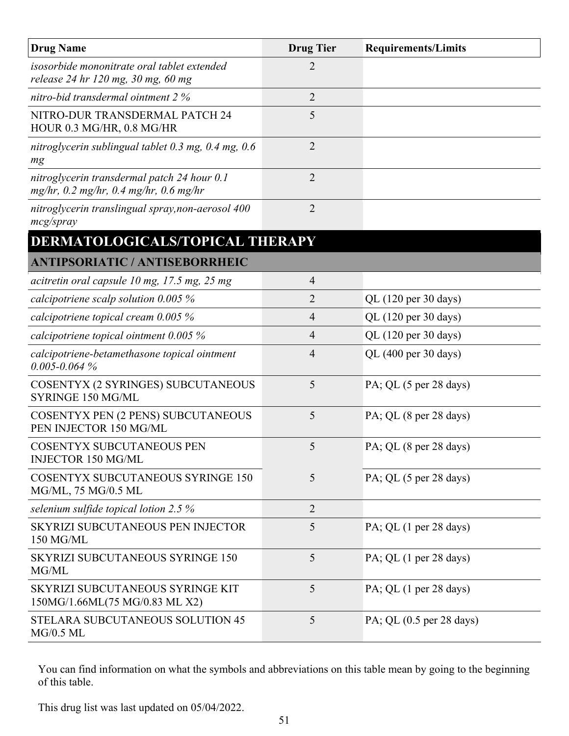| <b>Drug Name</b>                                                                      | <b>Drug Tier</b> | <b>Requirements/Limits</b> |
|---------------------------------------------------------------------------------------|------------------|----------------------------|
| isosorbide mononitrate oral tablet extended<br>release 24 hr 120 mg, 30 mg, 60 mg     | $\overline{2}$   |                            |
| nitro-bid transdermal ointment 2 %                                                    | $\overline{2}$   |                            |
| NITRO-DUR TRANSDERMAL PATCH 24<br>HOUR 0.3 MG/HR, 0.8 MG/HR                           | 5                |                            |
| nitroglycerin sublingual tablet 0.3 mg, 0.4 mg, 0.6<br>mg                             | $\overline{2}$   |                            |
| nitroglycerin transdermal patch 24 hour 0.1<br>mg/hr, 0.2 mg/hr, 0.4 mg/hr, 0.6 mg/hr | $\overline{2}$   |                            |
| nitroglycerin translingual spray, non-aerosol 400<br>mcg/spray                        | $\overline{2}$   |                            |
| DERMATOLOGICALS/TOPICAL THERAPY                                                       |                  |                            |
| <b>ANTIPSORIATIC / ANTISEBORRHEIC</b>                                                 |                  |                            |
| acitretin oral capsule 10 mg, 17.5 mg, 25 mg                                          | $\overline{4}$   |                            |
| calcipotriene scalp solution $0.005\%$                                                | $\overline{2}$   | QL (120 per 30 days)       |
| calcipotriene topical cream $0.005\%$                                                 | $\overline{4}$   | QL (120 per 30 days)       |
| calcipotriene topical ointment $0.005\%$                                              | $\overline{4}$   | QL (120 per 30 days)       |
| calcipotriene-betamethasone topical ointment<br>$0.005 - 0.064\%$                     | $\overline{4}$   | QL (400 per 30 days)       |
| COSENTYX (2 SYRINGES) SUBCUTANEOUS<br>SYRINGE 150 MG/ML                               | 5                | PA; QL (5 per 28 days)     |
| COSENTYX PEN (2 PENS) SUBCUTANEOUS<br>PEN INJECTOR 150 MG/ML                          | 5                | PA; QL (8 per 28 days)     |
| <b>COSENTYX SUBCUTANEOUS PEN</b><br><b>INJECTOR 150 MG/ML</b>                         | 5                | PA; QL (8 per 28 days)     |
| <b>COSENTYX SUBCUTANEOUS SYRINGE 150</b><br>MG/ML, 75 MG/0.5 ML                       | 5                | PA; QL (5 per 28 days)     |
| selenium sulfide topical lotion 2.5 $%$                                               | $\overline{2}$   |                            |
| SKYRIZI SUBCUTANEOUS PEN INJECTOR<br>150 MG/ML                                        | 5                | PA; QL (1 per 28 days)     |
| <b>SKYRIZI SUBCUTANEOUS SYRINGE 150</b><br>MG/ML                                      | 5                | PA; QL (1 per 28 days)     |
| SKYRIZI SUBCUTANEOUS SYRINGE KIT<br>150MG/1.66ML(75 MG/0.83 ML X2)                    | 5                | PA; QL (1 per 28 days)     |
| STELARA SUBCUTANEOUS SOLUTION 45<br>$MG/0.5$ ML                                       | 5                | PA; QL $(0.5$ per 28 days) |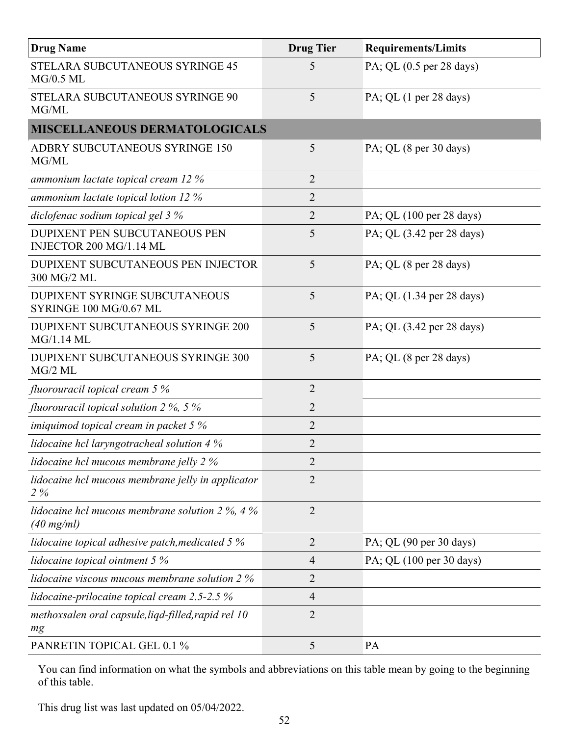| <b>Drug Name</b>                                                          | <b>Drug Tier</b> | <b>Requirements/Limits</b> |
|---------------------------------------------------------------------------|------------------|----------------------------|
| STELARA SUBCUTANEOUS SYRINGE 45<br>$MG/0.5$ ML                            | 5                | PA; QL (0.5 per 28 days)   |
| STELARA SUBCUTANEOUS SYRINGE 90<br>MG/ML                                  | 5                | PA; QL (1 per 28 days)     |
| <b>MISCELLANEOUS DERMATOLOGICALS</b>                                      |                  |                            |
| <b>ADBRY SUBCUTANEOUS SYRINGE 150</b><br>MG/ML                            | 5                | PA; QL (8 per 30 days)     |
| ammonium lactate topical cream 12 %                                       | $\overline{2}$   |                            |
| ammonium lactate topical lotion $12\%$                                    | $\overline{2}$   |                            |
| diclofenac sodium topical gel 3 %                                         | $\overline{2}$   | PA; QL (100 per 28 days)   |
| <b>DUPIXENT PEN SUBCUTANEOUS PEN</b><br>INJECTOR 200 MG/1.14 ML           | 5                | PA; QL (3.42 per 28 days)  |
| DUPIXENT SUBCUTANEOUS PEN INJECTOR<br>300 MG/2 ML                         | 5                | PA; QL (8 per 28 days)     |
| <b>DUPIXENT SYRINGE SUBCUTANEOUS</b><br>SYRINGE 100 MG/0.67 ML            | 5                | PA; QL (1.34 per 28 days)  |
| <b>DUPIXENT SUBCUTANEOUS SYRINGE 200</b><br>MG/1.14 ML                    | 5                | PA; QL (3.42 per 28 days)  |
| DUPIXENT SUBCUTANEOUS SYRINGE 300<br>$MG/2$ ML                            | 5                | PA; QL (8 per 28 days)     |
| fluorouracil topical cream 5 %                                            | $\overline{2}$   |                            |
| fluorouracil topical solution 2 $\%$ , 5 $\%$                             | $\overline{2}$   |                            |
| imiquimod topical cream in packet $5\%$                                   | $\overline{2}$   |                            |
| lidocaine hcl laryngotracheal solution 4 %                                | $\overline{2}$   |                            |
| <i>lidocaine hcl mucous membrane jelly 2 %</i>                            | $\overline{2}$   |                            |
| lidocaine hcl mucous membrane jelly in applicator<br>$2\%$                | $\overline{2}$   |                            |
| lidocaine hcl mucous membrane solution $2\%$ , 4%<br>$(40 \text{ mg/ml})$ | $\overline{2}$   |                            |
| lidocaine topical adhesive patch, medicated 5 %                           | $\overline{2}$   | PA; QL (90 per 30 days)    |
| lidocaine topical ointment 5 %                                            | $\overline{4}$   | PA; QL (100 per 30 days)   |
| <i>lidocaine viscous mucous membrane solution 2 %</i>                     | $\overline{2}$   |                            |
| lidocaine-prilocaine topical cream $2.5$ -2.5 $%$                         | $\overline{4}$   |                            |
| methoxsalen oral capsule, liqd-filled, rapid rel 10<br>mg                 | $\overline{2}$   |                            |
| PANRETIN TOPICAL GEL 0.1 %                                                | 5                | PA                         |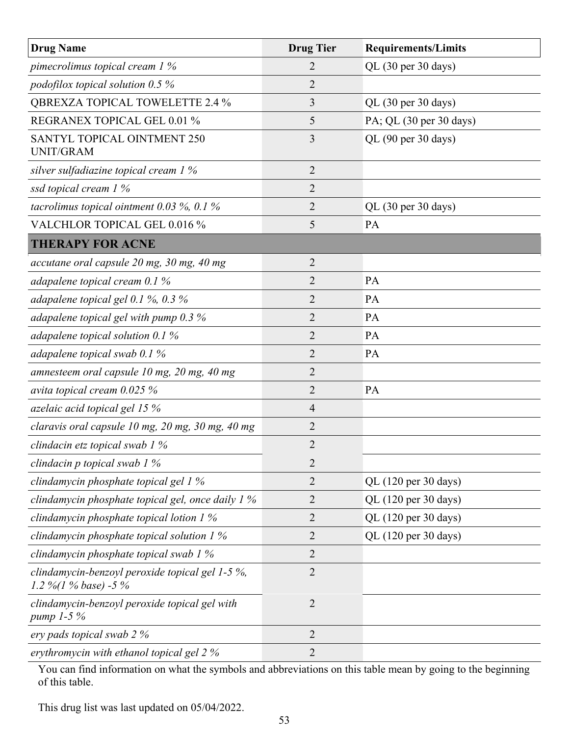| <b>Drug Name</b>                                                        | <b>Drug Tier</b> | <b>Requirements/Limits</b> |
|-------------------------------------------------------------------------|------------------|----------------------------|
| pimecrolimus topical cream $1\%$                                        | 2                | QL (30 per 30 days)        |
| podofilox topical solution $0.5\%$                                      | 2                |                            |
| <b>QBREXZA TOPICAL TOWELETTE 2.4 %</b>                                  | 3                | QL (30 per 30 days)        |
| REGRANEX TOPICAL GEL 0.01 %                                             | 5                | PA; QL (30 per 30 days)    |
| SANTYL TOPICAL OINTMENT 250<br><b>UNIT/GRAM</b>                         | 3                | QL (90 per 30 days)        |
| silver sulfadiazine topical cream 1 %                                   | $\overline{2}$   |                            |
| ssd topical cream 1 %                                                   | 2                |                            |
| tacrolimus topical ointment 0.03 %, 0.1 %                               | $\overline{2}$   | QL (30 per 30 days)        |
| VALCHLOR TOPICAL GEL 0.016 %                                            | 5                | PA                         |
| <b>THERAPY FOR ACNE</b>                                                 |                  |                            |
| accutane oral capsule 20 mg, 30 mg, 40 mg                               | 2                |                            |
| adapalene topical cream $0.1\%$                                         | 2                | PA                         |
| adapalene topical gel $0.1\%$ , $0.3\%$                                 | 2                | PA                         |
| adapalene topical gel with pump $0.3\%$                                 | 2                | PA                         |
| adapalene topical solution $0.1\%$                                      | 2                | PA                         |
| adapalene topical swab 0.1 %                                            | 2                | PA                         |
| amnesteem oral capsule 10 mg, 20 mg, 40 mg                              | $\overline{2}$   |                            |
| avita topical cream $0.025%$                                            | $\overline{2}$   | PA                         |
| azelaic acid topical gel 15 %                                           | 4                |                            |
| claravis oral capsule 10 mg, 20 mg, 30 mg, 40 mg                        | $\overline{2}$   |                            |
| clindacin etz topical swab 1 %                                          | $\overline{2}$   |                            |
| clindacin p topical swab 1 %                                            | $\overline{2}$   |                            |
| clindamycin phosphate topical gel 1 %                                   | $\overline{2}$   | QL (120 per 30 days)       |
| clindamycin phosphate topical gel, once daily 1 %                       | 2                | QL (120 per 30 days)       |
| clindamycin phosphate topical lotion $1\%$                              | 2                | QL (120 per 30 days)       |
| clindamycin phosphate topical solution $1\%$                            | 2                | QL (120 per 30 days)       |
| clindamycin phosphate topical swab 1 %                                  | $\overline{2}$   |                            |
| clindamycin-benzoyl peroxide topical gel 1-5 %,<br>1.2 %(1 % base) -5 % | $\overline{2}$   |                            |
| clindamycin-benzoyl peroxide topical gel with<br>pump 1-5 %             | $\overline{2}$   |                            |
| ery pads topical swab 2 %                                               | $\overline{2}$   |                            |
| erythromycin with ethanol topical gel 2 %                               | $\overline{2}$   |                            |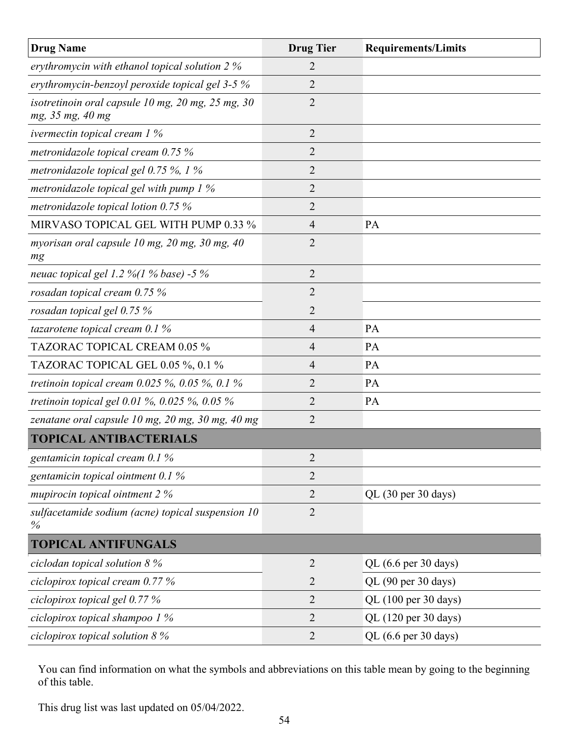| <b>Drug Name</b>                                                      | <b>Drug Tier</b> | <b>Requirements/Limits</b> |
|-----------------------------------------------------------------------|------------------|----------------------------|
| erythromycin with ethanol topical solution 2 %                        | 2                |                            |
| erythromycin-benzoyl peroxide topical gel 3-5 %                       | 2                |                            |
| isotretinoin oral capsule 10 mg, 20 mg, 25 mg, 30<br>mg, 35 mg, 40 mg | $\overline{2}$   |                            |
| ivermectin topical cream $1\%$                                        | 2                |                            |
| metronidazole topical cream 0.75 %                                    | $\overline{2}$   |                            |
| metronidazole topical gel $0.75\%$ , 1%                               | $\overline{2}$   |                            |
| metronidazole topical gel with pump $1\%$                             | 2                |                            |
| metronidazole topical lotion $0.75\%$                                 | $\overline{2}$   |                            |
| MIRVASO TOPICAL GEL WITH PUMP 0.33 %                                  | 4                | PA                         |
| myorisan oral capsule 10 mg, 20 mg, 30 mg, 40<br>mg                   | 2                |                            |
| neuac topical gel 1.2 %(1 % base) -5 %                                | 2                |                            |
| rosadan topical cream 0.75 %                                          | $\overline{2}$   |                            |
| rosadan topical gel 0.75 %                                            | 2                |                            |
| tazarotene topical cream $0.1\%$                                      | $\overline{4}$   | PA                         |
| TAZORAC TOPICAL CREAM 0.05 %                                          | 4                | PA                         |
| TAZORAC TOPICAL GEL 0.05 %, 0.1 %                                     | 4                | PA                         |
| tretinoin topical cream $0.025 \%$ , $0.05 \%$ , $0.1 \%$             | 2                | <b>PA</b>                  |
| tretinoin topical gel 0.01 %, 0.025 %, 0.05 %                         | 2                | PA                         |
| zenatane oral capsule 10 mg, 20 mg, 30 mg, 40 mg                      | 2                |                            |
| <b>TOPICAL ANTIBACTERIALS</b>                                         |                  |                            |
| gentamicin topical cream 0.1 %                                        | $\overline{2}$   |                            |
| gentamicin topical ointment $0.1\%$                                   | $\overline{2}$   |                            |
| mupirocin topical ointment 2 %                                        | 2                | QL (30 per 30 days)        |
| sulfacetamide sodium (acne) topical suspension 10<br>$\%$             | $\overline{2}$   |                            |
| <b>TOPICAL ANTIFUNGALS</b>                                            |                  |                            |
| ciclodan topical solution $8\%$                                       | $\overline{2}$   | QL (6.6 per 30 days)       |
| ciclopirox topical cream $0.77\%$                                     | $\overline{2}$   | QL (90 per 30 days)        |
| ciclopirox topical gel 0.77 %                                         | $\overline{2}$   | QL (100 per 30 days)       |
| ciclopirox topical shampoo $1\%$                                      | $\overline{2}$   | QL (120 per 30 days)       |
| ciclopirox topical solution $8\%$                                     | $\overline{2}$   | QL (6.6 per 30 days)       |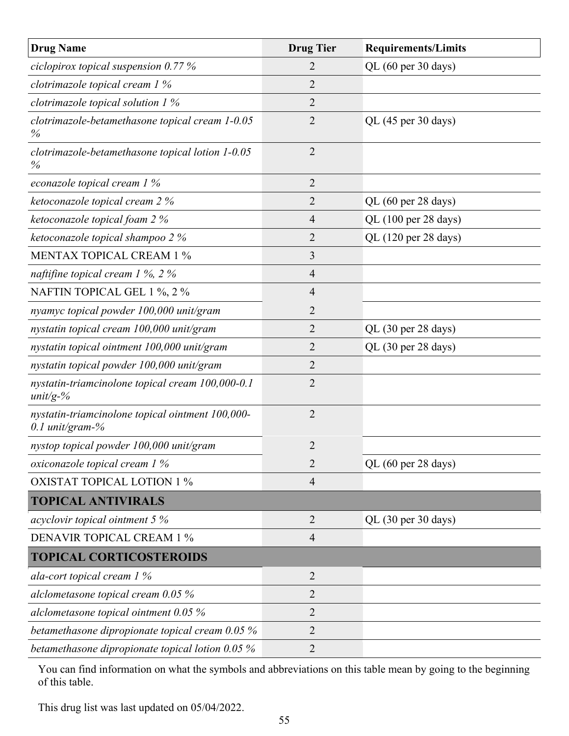| <b>Drug Name</b>                                                    | <b>Drug Tier</b> | <b>Requirements/Limits</b> |
|---------------------------------------------------------------------|------------------|----------------------------|
| ciclopirox topical suspension $0.77\%$                              | 2                | QL (60 per 30 days)        |
| clotrimazole topical cream 1 %                                      | $\overline{2}$   |                            |
| clotrimazole topical solution $1\%$                                 | $\overline{2}$   |                            |
| clotrimazole-betamethasone topical cream 1-0.05<br>$\%$             | $\overline{2}$   | QL (45 per 30 days)        |
| clotrimazole-betamethasone topical lotion 1-0.05<br>$\%$            | $\overline{2}$   |                            |
| econazole topical cream 1 %                                         | $\overline{2}$   |                            |
| ketoconazole topical cream 2 %                                      | 2                | QL (60 per 28 days)        |
| ketoconazole topical foam 2 %                                       | 4                | QL (100 per 28 days)       |
| ketoconazole topical shampoo 2 %                                    | $\overline{2}$   | QL (120 per 28 days)       |
| <b>MENTAX TOPICAL CREAM 1 %</b>                                     | 3                |                            |
| naftifine topical cream $1\%$ , $2\%$                               | $\overline{4}$   |                            |
| NAFTIN TOPICAL GEL 1 %, 2 %                                         | 4                |                            |
| nyamyc topical powder 100,000 unit/gram                             | $\overline{2}$   |                            |
| nystatin topical cream 100,000 unit/gram                            | $\overline{2}$   | QL (30 per 28 days)        |
| nystatin topical ointment 100,000 unit/gram                         | 2                | QL (30 per 28 days)        |
| nystatin topical powder 100,000 unit/gram                           | $\overline{2}$   |                            |
| nystatin-triamcinolone topical cream 100,000-0.1<br>$unit/g-%$      | $\overline{2}$   |                            |
| nystatin-triamcinolone topical ointment 100,000-<br>0.1 unit/gram-% | 2                |                            |
| nystop topical powder 100,000 unit/gram                             | $\overline{2}$   |                            |
| oxiconazole topical cream 1 %                                       | $\overline{2}$   | QL (60 per 28 days)        |
| <b>OXISTAT TOPICAL LOTION 1 %</b>                                   | $\overline{4}$   |                            |
| <b>TOPICAL ANTIVIRALS</b>                                           |                  |                            |
| acyclovir topical ointment 5 %                                      | 2                | QL (30 per 30 days)        |
| <b>DENAVIR TOPICAL CREAM 1 %</b>                                    | 4                |                            |
| <b>TOPICAL CORTICOSTEROIDS</b>                                      |                  |                            |
| ala-cort topical cream $1\%$                                        | $\overline{2}$   |                            |
| alclometasone topical cream 0.05 %                                  | $\overline{2}$   |                            |
| alclometasone topical ointment $0.05\%$                             | $\overline{2}$   |                            |
| betamethasone dipropionate topical cream 0.05 %                     | 2                |                            |
| betamethasone dipropionate topical lotion $0.05\%$                  | $\overline{2}$   |                            |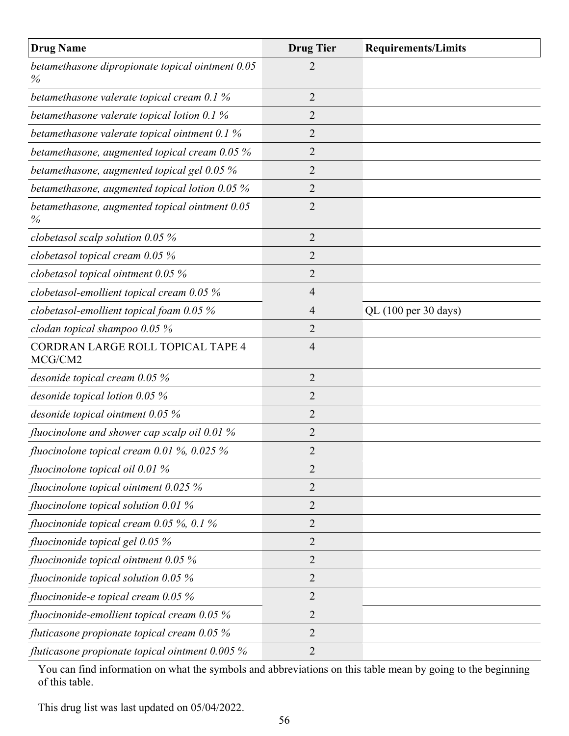| <b>Drug Name</b>                                         | <b>Drug Tier</b> | <b>Requirements/Limits</b> |
|----------------------------------------------------------|------------------|----------------------------|
| betamethasone dipropionate topical ointment 0.05<br>$\%$ | 2                |                            |
| betamethasone valerate topical cream 0.1 %               | $\overline{2}$   |                            |
| betamethasone valerate topical lotion 0.1 %              | 2                |                            |
| betamethasone valerate topical ointment 0.1 %            | 2                |                            |
| betamethasone, augmented topical cream 0.05 %            | 2                |                            |
| betamethasone, augmented topical gel 0.05 %              | 2                |                            |
| betamethasone, augmented topical lotion $0.05\%$         | 2                |                            |
| betamethasone, augmented topical ointment 0.05<br>$\%$   | $\overline{2}$   |                            |
| clobetasol scalp solution $0.05\%$                       | $\overline{2}$   |                            |
| clobetasol topical cream $0.05\%$                        | 2                |                            |
| clobetasol topical ointment $0.05\%$                     | $\overline{2}$   |                            |
| clobetasol-emollient topical cream 0.05 %                | $\overline{4}$   |                            |
| clobetasol-emollient topical foam $0.05\%$               | $\overline{4}$   | QL (100 per 30 days)       |
| clodan topical shampoo 0.05 %                            | $\overline{2}$   |                            |
| CORDRAN LARGE ROLL TOPICAL TAPE 4<br>MCG/CM2             | $\overline{4}$   |                            |
| desonide topical cream $0.05\,\%$                        | $\overline{2}$   |                            |
| desonide topical lotion 0.05 %                           | $\overline{2}$   |                            |
| desonide topical ointment 0.05 %                         | $\overline{2}$   |                            |
| fluocinolone and shower cap scalp oil $0.01\%$           | 2                |                            |
| fluocinolone topical cream $0.01\%$ , $0.025\%$          | 2                |                            |
| fluocinolone topical oil $0.01\%$                        | 2                |                            |
| fluocinolone topical ointment $0.025\%$                  | 2                |                            |
| fluocinolone topical solution $0.01\%$                   | 2                |                            |
| fluocinonide topical cream $0.05\%$ , $0.1\%$            | 2                |                            |
| fluocinonide topical gel 0.05 %                          | 2                |                            |
| fluocinonide topical ointment $0.05\%$                   | $\overline{2}$   |                            |
| fluocinonide topical solution $0.05\%$                   | 2                |                            |
| fluocinonide-e topical cream $0.05\%$                    | 2                |                            |
| fluocinonide-emollient topical cream $0.05\%$            | $\overline{2}$   |                            |
| fluticasone propionate topical cream $0.05\%$            | 2                |                            |
| fluticasone propionate topical ointment $0.005\%$        | 2                |                            |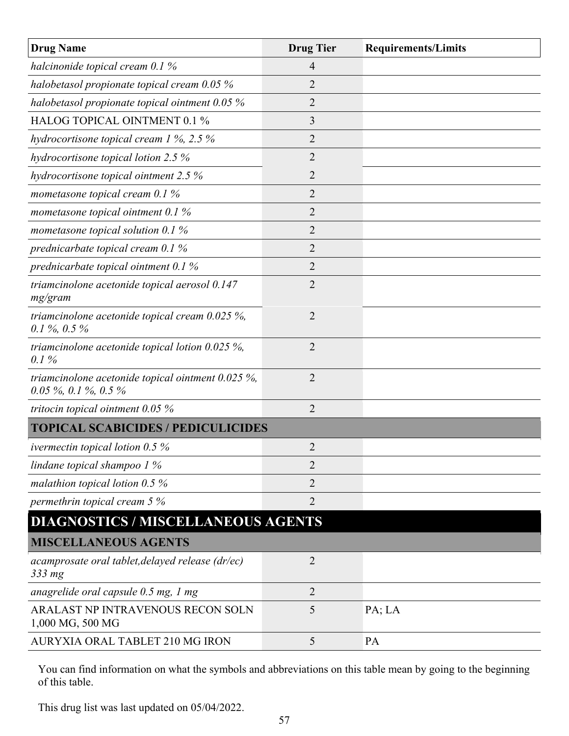| <b>Drug Name</b>                                                             | <b>Drug Tier</b> | <b>Requirements/Limits</b> |
|------------------------------------------------------------------------------|------------------|----------------------------|
| halcinonide topical cream $0.1\%$                                            | 4                |                            |
| halobetasol propionate topical cream 0.05 %                                  | 2                |                            |
| halobetasol propionate topical ointment 0.05 %                               | $\overline{2}$   |                            |
| HALOG TOPICAL OINTMENT 0.1 %                                                 | 3                |                            |
| hydrocortisone topical cream $1\%$ , 2.5 $\%$                                | $\overline{2}$   |                            |
| hydrocortisone topical lotion 2.5 %                                          | $\overline{2}$   |                            |
| hydrocortisone topical ointment 2.5 %                                        | $\overline{2}$   |                            |
| mometasone topical cream $0.1\%$                                             | 2                |                            |
| mometasone topical ointment $0.1\%$                                          | 2                |                            |
| mometasone topical solution 0.1 $%$                                          | $\overline{2}$   |                            |
| prednicarbate topical cream 0.1 %                                            | $\overline{2}$   |                            |
| prednicarbate topical ointment 0.1 %                                         | 2                |                            |
| triamcinolone acetonide topical aerosol 0.147<br>mg/gram                     | $\overline{2}$   |                            |
| triamcinolone acetonide topical cream $0.025\%$ ,<br>$0.1\%$ , $0.5\%$       | $\overline{2}$   |                            |
| triamcinolone acetonide topical lotion $0.025\%$ ,<br>0.1%                   | 2                |                            |
| triamcinolone acetonide topical ointment $0.025\%$ ,<br>0.05 %, 0.1 %, 0.5 % | $\overline{2}$   |                            |
| tritocin topical ointment $0.05\%$                                           | $\overline{2}$   |                            |
| <b>TOPICAL SCABICIDES / PEDICULICIDES</b>                                    |                  |                            |
| ivermectin topical lotion $0.5\%$                                            | 2                |                            |
| lindane topical shampoo $1\%$                                                | $\overline{2}$   |                            |
| malathion topical lotion $0.5\%$                                             | $\overline{2}$   |                            |
| permethrin topical cream 5 %                                                 | $\overline{2}$   |                            |
| <b>DIAGNOSTICS / MISCELLANEOUS AGENTS</b>                                    |                  |                            |
| <b>MISCELLANEOUS AGENTS</b>                                                  |                  |                            |
| acamprosate oral tablet, delayed release (dr/ec)<br>333 mg                   | $\overline{2}$   |                            |
| anagrelide oral capsule 0.5 mg, 1 mg                                         | $\overline{2}$   |                            |
| ARALAST NP INTRAVENOUS RECON SOLN<br>1,000 MG, 500 MG                        | 5                | PA; LA                     |
| AURYXIA ORAL TABLET 210 MG IRON                                              | 5                | PA                         |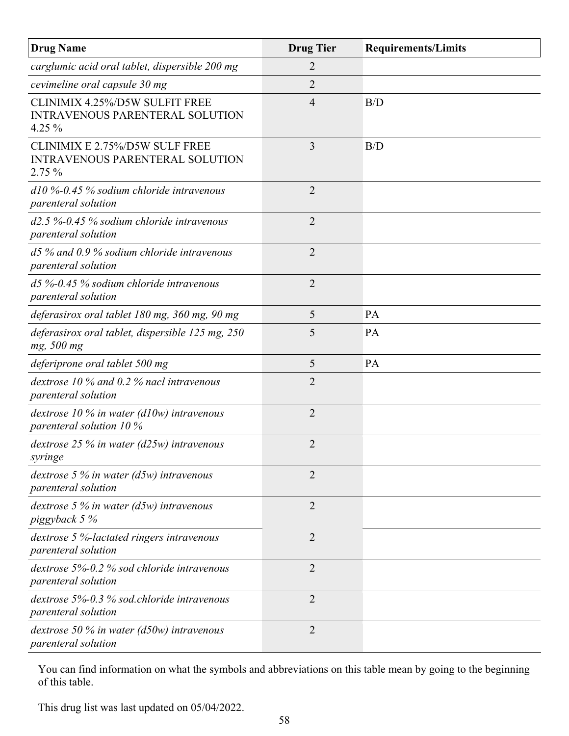| <b>Drug Name</b>                                                                            | <b>Drug Tier</b> | <b>Requirements/Limits</b> |
|---------------------------------------------------------------------------------------------|------------------|----------------------------|
| carglumic acid oral tablet, dispersible 200 mg                                              | 2                |                            |
| cevimeline oral capsule 30 mg                                                               | $\overline{2}$   |                            |
| <b>CLINIMIX 4.25%/D5W SULFIT FREE</b><br><b>INTRAVENOUS PARENTERAL SOLUTION</b><br>4.25 $%$ | 4                | B/D                        |
| CLINIMIX E 2.75%/D5W SULF FREE<br><b>INTRAVENOUS PARENTERAL SOLUTION</b><br>$2.75\%$        | 3                | B/D                        |
| $d10\%$ -0.45% sodium chloride intravenous<br>parenteral solution                           | $\overline{2}$   |                            |
| $d2.5\%$ -0.45% sodium chloride intravenous<br>parenteral solution                          | $\overline{2}$   |                            |
| $d5\%$ and 0.9 % sodium chloride intravenous<br>parenteral solution                         | $\overline{2}$   |                            |
| $d5\%$ -0.45% sodium chloride intravenous<br>parenteral solution                            | $\overline{2}$   |                            |
| deferasirox oral tablet 180 mg, 360 mg, 90 mg                                               | 5                | PA                         |
| deferasirox oral tablet, dispersible 125 mg, 250<br>mg, 500 mg                              | 5                | PA                         |
| deferiprone oral tablet 500 mg                                                              | 5                | PA                         |
| dextrose 10 $\%$ and 0.2 $\%$ nacl intravenous<br><i>parenteral solution</i>                | $\overline{2}$   |                            |
| dextrose $10\%$ in water (d10w) intravenous<br>parenteral solution 10 %                     | $\overline{2}$   |                            |
| dextrose 25 % in water ( $d25w$ ) intravenous<br>syringe                                    | $\overline{2}$   |                            |
| dextrose 5 $\%$ in water (d5w) intravenous<br>parenteral solution                           | 2                |                            |
| dextrose 5 $\%$ in water (d5w) intravenous<br>piggyback 5 %                                 | $\overline{2}$   |                            |
| dextrose 5 %-lactated ringers intravenous<br>parenteral solution                            | $\overline{2}$   |                            |
| dextrose $5\%$ -0.2 % sod chloride intravenous<br><i>parenteral solution</i>                | $\overline{2}$   |                            |
| dextrose 5%-0.3 % sod.chloride intravenous<br><i>parenteral solution</i>                    | $\overline{2}$   |                            |
| dextrose 50 $\%$ in water (d50w) intravenous<br>parenteral solution                         | 2                |                            |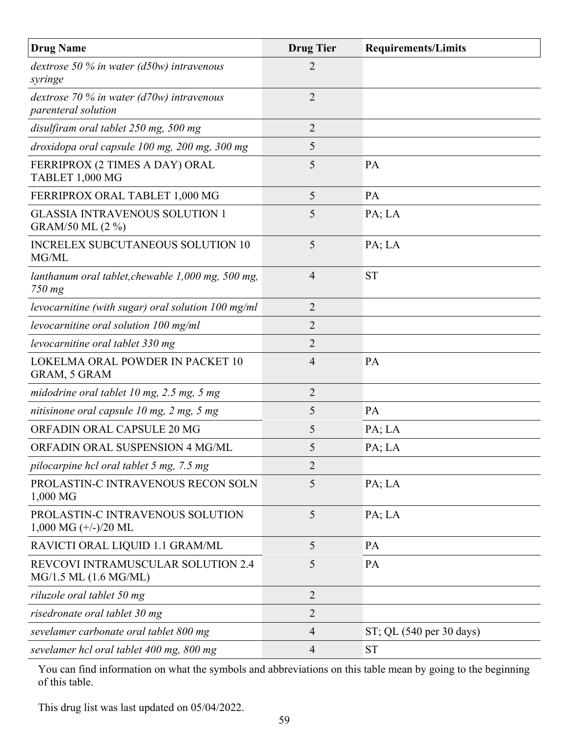| <b>Drug Name</b>                                                     | <b>Drug Tier</b> | <b>Requirements/Limits</b> |
|----------------------------------------------------------------------|------------------|----------------------------|
| dextrose 50 % in water ( $d50w$ ) intravenous<br>syringe             | $\overline{2}$   |                            |
| dextrose 70 % in water ( $d70w$ ) intravenous<br>parenteral solution | $\overline{2}$   |                            |
| disulfiram oral tablet 250 mg, 500 mg                                | $\overline{2}$   |                            |
| droxidopa oral capsule 100 mg, 200 mg, 300 mg                        | 5                |                            |
| FERRIPROX (2 TIMES A DAY) ORAL<br>TABLET 1,000 MG                    | 5                | PA                         |
| FERRIPROX ORAL TABLET 1,000 MG                                       | 5                | PA                         |
| <b>GLASSIA INTRAVENOUS SOLUTION 1</b><br>GRAM/50 ML (2 %)            | 5                | PA; LA                     |
| <b>INCRELEX SUBCUTANEOUS SOLUTION 10</b><br>MG/ML                    | 5                | PA; LA                     |
| lanthanum oral tablet, chewable 1,000 mg, 500 mg,<br>750 mg          | $\overline{4}$   | <b>ST</b>                  |
| levocarnitine (with sugar) oral solution $100$ mg/ml                 | $\overline{2}$   |                            |
| levocarnitine oral solution 100 mg/ml                                | $\overline{2}$   |                            |
| levocarnitine oral tablet 330 mg                                     | $\overline{2}$   |                            |
| LOKELMA ORAL POWDER IN PACKET 10<br>GRAM, 5 GRAM                     | $\overline{4}$   | PA                         |
| midodrine oral tablet $10$ mg, $2.5$ mg, $5$ mg                      | $\overline{2}$   |                            |
| nitisinone oral capsule 10 mg, 2 mg, 5 mg                            | 5                | PA                         |
| ORFADIN ORAL CAPSULE 20 MG                                           | 5                | PA; LA                     |
| ORFADIN ORAL SUSPENSION 4 MG/ML                                      | 5                | PA; LA                     |
| pilocarpine hcl oral tablet 5 mg, 7.5 mg                             | $\overline{2}$   |                            |
| PROLASTIN-C INTRAVENOUS RECON SOLN<br>1,000 MG                       | 5                | PA; LA                     |
| PROLASTIN-C INTRAVENOUS SOLUTION<br>$1,000$ MG $(+/-)/20$ ML         | 5                | PA; LA                     |
| RAVICTI ORAL LIQUID 1.1 GRAM/ML                                      | 5                | PA                         |
| REVCOVI INTRAMUSCULAR SOLUTION 2.4<br>MG/1.5 ML (1.6 MG/ML)          | 5                | PA                         |
| riluzole oral tablet 50 mg                                           | $\overline{2}$   |                            |
| risedronate oral tablet 30 mg                                        | $\overline{2}$   |                            |
| sevelamer carbonate oral tablet 800 mg                               | $\overline{4}$   | ST; QL (540 per 30 days)   |
| sevelamer hcl oral tablet 400 mg, 800 mg                             | $\overline{4}$   | <b>ST</b>                  |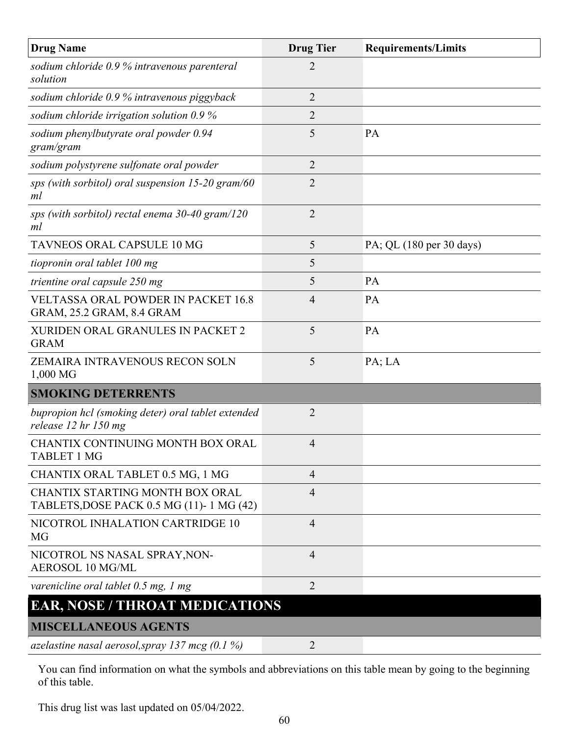| <b>Drug Name</b>                                                               | <b>Drug Tier</b> | <b>Requirements/Limits</b> |
|--------------------------------------------------------------------------------|------------------|----------------------------|
| sodium chloride 0.9 % intravenous parenteral<br>solution                       | $\overline{2}$   |                            |
| sodium chloride 0.9 % intravenous piggyback                                    | $\overline{2}$   |                            |
| sodium chloride irrigation solution 0.9 %                                      | $\overline{2}$   |                            |
| sodium phenylbutyrate oral powder 0.94<br>gram/gram                            | 5                | PA                         |
| sodium polystyrene sulfonate oral powder                                       | $\overline{2}$   |                            |
| sps (with sorbitol) oral suspension $15-20$ gram/60<br>ml                      | $\overline{2}$   |                            |
| sps (with sorbitol) rectal enema $30-40$ gram/120<br>ml                        | $\overline{2}$   |                            |
| TAVNEOS ORAL CAPSULE 10 MG                                                     | 5                | PA; QL (180 per 30 days)   |
| tiopronin oral tablet 100 mg                                                   | 5                |                            |
| trientine oral capsule 250 mg                                                  | 5                | PA                         |
| <b>VELTASSA ORAL POWDER IN PACKET 16.8</b><br>GRAM, 25.2 GRAM, 8.4 GRAM        | 4                | PA                         |
| XURIDEN ORAL GRANULES IN PACKET 2<br><b>GRAM</b>                               | 5                | PA                         |
| ZEMAIRA INTRAVENOUS RECON SOLN<br>1,000 MG                                     | 5                | PA; LA                     |
| <b>SMOKING DETERRENTS</b>                                                      |                  |                            |
| bupropion hcl (smoking deter) oral tablet extended<br>release $12$ hr $150$ mg | $\overline{2}$   |                            |
| CHANTIX CONTINUING MONTH BOX ORAL<br><b>TABLET 1 MG</b>                        | 4                |                            |
| CHANTIX ORAL TABLET 0.5 MG, 1 MG                                               | $\overline{4}$   |                            |
| CHANTIX STARTING MONTH BOX ORAL<br>TABLETS, DOSE PACK 0.5 MG (11)-1 MG (42)    | $\overline{4}$   |                            |
| NICOTROL INHALATION CARTRIDGE 10<br>MG                                         | $\overline{4}$   |                            |
| NICOTROL NS NASAL SPRAY, NON-<br><b>AEROSOL 10 MG/ML</b>                       | $\overline{4}$   |                            |
| varenicline oral tablet $0.5$ mg, 1 mg                                         | $\overline{2}$   |                            |
| <b>EAR, NOSE / THROAT MEDICATIONS</b>                                          |                  |                            |
| <b>MISCELLANEOUS AGENTS</b>                                                    |                  |                            |
| azelastine nasal aerosol, spray 137 mcg $(0.1\%)$                              | $\overline{2}$   |                            |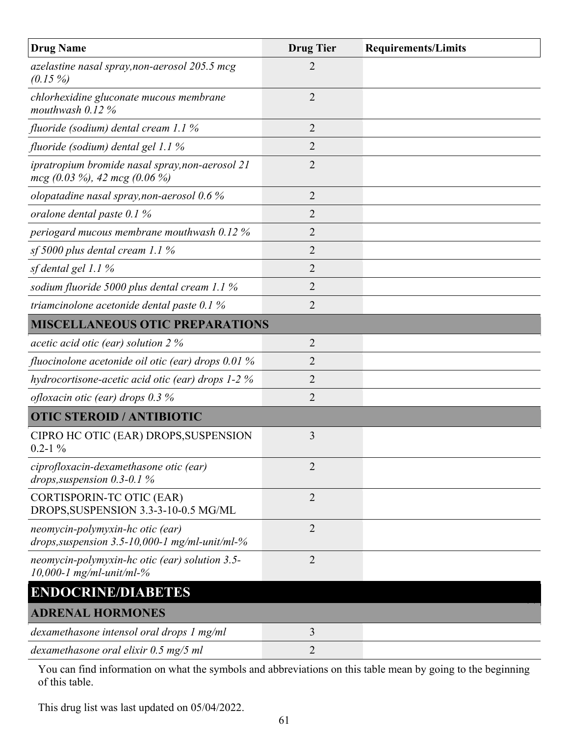| <b>Drug Name</b>                                                                      | <b>Drug Tier</b> | <b>Requirements/Limits</b> |
|---------------------------------------------------------------------------------------|------------------|----------------------------|
| azelastine nasal spray, non-aerosol 205.5 mcg<br>$(0.15\%)$                           | $\overline{2}$   |                            |
| chlorhexidine gluconate mucous membrane<br>mouthwash $0.12%$                          | 2                |                            |
| fluoride (sodium) dental cream 1.1 %                                                  | $\overline{2}$   |                            |
| fluoride (sodium) dental gel 1.1 %                                                    | $\overline{2}$   |                            |
| ipratropium bromide nasal spray, non-aerosol 21<br>$mcg$ (0.03 %), 42 mcg (0.06 %)    | $\overline{2}$   |                            |
| olopatadine nasal spray, non-aerosol $0.6\%$                                          | $\overline{2}$   |                            |
| oralone dental paste $0.1\%$                                                          | $\overline{2}$   |                            |
| periogard mucous membrane mouthwash 0.12 %                                            | 2                |                            |
| sf 5000 plus dental cream 1.1 $%$                                                     | $\overline{2}$   |                            |
| sf dental gel 1.1 %                                                                   | $\overline{2}$   |                            |
| sodium fluoride 5000 plus dental cream 1.1 %                                          | $\overline{2}$   |                            |
| triamcinolone acetonide dental paste 0.1 %                                            | $\overline{2}$   |                            |
| <b>MISCELLANEOUS OTIC PREPARATIONS</b>                                                |                  |                            |
| acetic acid otic (ear) solution $2\%$                                                 | $\overline{2}$   |                            |
| fluocinolone acetonide oil otic (ear) drops $0.01\%$                                  | 2                |                            |
| hydrocortisone-acetic acid otic (ear) drops $1-2\%$                                   | $\overline{2}$   |                            |
| ofloxacin otic (ear) drops $0.3\%$                                                    | $\overline{2}$   |                            |
| <b>OTIC STEROID / ANTIBIOTIC</b>                                                      |                  |                            |
| CIPRO HC OTIC (EAR) DROPS, SUSPENSION<br>$0.2 - 1\%$                                  | 3                |                            |
| ciprofloxacin-dexamethasone otic (ear)<br>drops, suspension $0.3$ - $0.1\%$           | $\overline{2}$   |                            |
| <b>CORTISPORIN-TC OTIC (EAR)</b><br>DROPS, SUSPENSION 3.3-3-10-0.5 MG/ML              | $\overline{2}$   |                            |
| neomycin-polymyxin-hc otic (ear)<br>drops, suspension $3.5$ -10,000-1 mg/ml-unit/ml-% | $\overline{2}$   |                            |
| neomycin-polymyxin-hc otic (ear) solution 3.5-<br>10,000-1 mg/ml-unit/ml-%            | $\overline{2}$   |                            |
| <b>ENDOCRINE/DIABETES</b>                                                             |                  |                            |
| <b>ADRENAL HORMONES</b>                                                               |                  |                            |
| dexamethasone intensol oral drops 1 mg/ml                                             | 3                |                            |
| dexamethasone oral elixir 0.5 mg/5 ml                                                 | $\overline{2}$   |                            |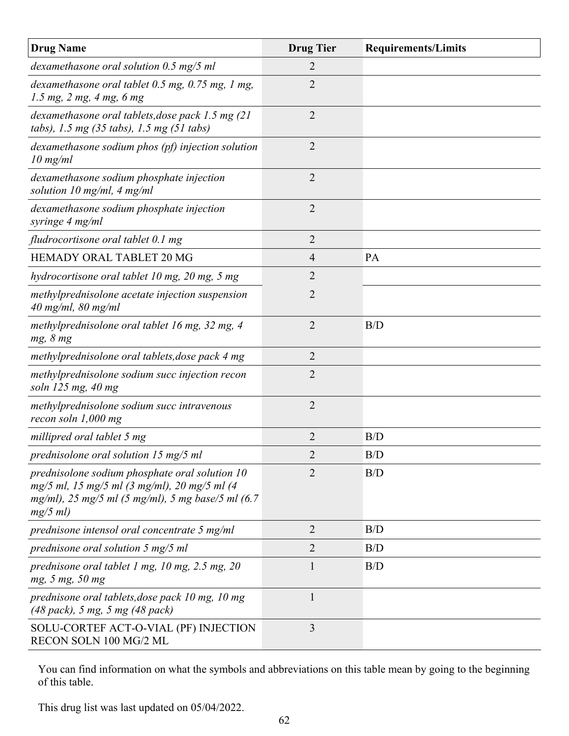| <b>Drug Name</b>                                                                                                                                                  | <b>Drug Tier</b> | <b>Requirements/Limits</b> |
|-------------------------------------------------------------------------------------------------------------------------------------------------------------------|------------------|----------------------------|
| dexamethasone oral solution $0.5 \text{ mg}/5 \text{ ml}$                                                                                                         | $\overline{2}$   |                            |
| dexamethasone oral tablet $0.5$ mg, $0.75$ mg, 1 mg,<br>1.5 mg, 2 mg, 4 mg, 6 mg                                                                                  | $\overline{2}$   |                            |
| dexamethasone oral tablets, dose pack 1.5 mg (21<br>tabs), 1.5 mg (35 tabs), 1.5 mg (51 tabs)                                                                     | $\overline{2}$   |                            |
| dexamethasone sodium phos (pf) injection solution<br>$10 \text{ mg/ml}$                                                                                           | $\overline{2}$   |                            |
| dexamethasone sodium phosphate injection<br>solution 10 mg/ml, 4 mg/ml                                                                                            | $\overline{2}$   |                            |
| dexamethasone sodium phosphate injection<br>syringe 4 mg/ml                                                                                                       | $\overline{2}$   |                            |
| fludrocortisone oral tablet 0.1 mg                                                                                                                                | $\overline{2}$   |                            |
| HEMADY ORAL TABLET 20 MG                                                                                                                                          | $\overline{4}$   | PA                         |
| hydrocortisone oral tablet 10 mg, 20 mg, 5 mg                                                                                                                     | $\overline{2}$   |                            |
| methylprednisolone acetate injection suspension<br>$40$ mg/ml, $80$ mg/ml                                                                                         | $\overline{2}$   |                            |
| methylprednisolone oral tablet 16 mg, 32 mg, 4<br>mg, 8 mg                                                                                                        | $\overline{2}$   | B/D                        |
| methylprednisolone oral tablets, dose pack 4 mg                                                                                                                   | $\overline{2}$   |                            |
| methylprednisolone sodium succ injection recon<br>soln 125 mg, 40 mg                                                                                              | $\overline{2}$   |                            |
| methylprednisolone sodium succ intravenous<br>recon soln $1,000$ mg                                                                                               | $\overline{2}$   |                            |
| millipred oral tablet 5 mg                                                                                                                                        | $\overline{2}$   | B/D                        |
| prednisolone oral solution 15 mg/5 ml                                                                                                                             | $\overline{2}$   | B/D                        |
| prednisolone sodium phosphate oral solution 10<br>mg/5 ml, 15 mg/5 ml (3 mg/ml), 20 mg/5 ml (4<br>mg/ml), 25 mg/5 ml (5 mg/ml), 5 mg base/5 ml (6.7<br>$mg/5$ ml) | $\overline{2}$   | B/D                        |
| prednisone intensol oral concentrate 5 mg/ml                                                                                                                      | $\overline{2}$   | B/D                        |
| prednisone oral solution $5 \text{ mg}/5 \text{ ml}$                                                                                                              | 2                | B/D                        |
| prednisone oral tablet 1 mg, 10 mg, 2.5 mg, 20<br>mg, 5 mg, 50 mg                                                                                                 | 1                | B/D                        |
| prednisone oral tablets, dose pack 10 mg, 10 mg<br>(48 pack), 5 mg, 5 mg (48 pack)                                                                                | $\mathbf{1}$     |                            |
| SOLU-CORTEF ACT-O-VIAL (PF) INJECTION<br>RECON SOLN 100 MG/2 ML                                                                                                   | $\overline{3}$   |                            |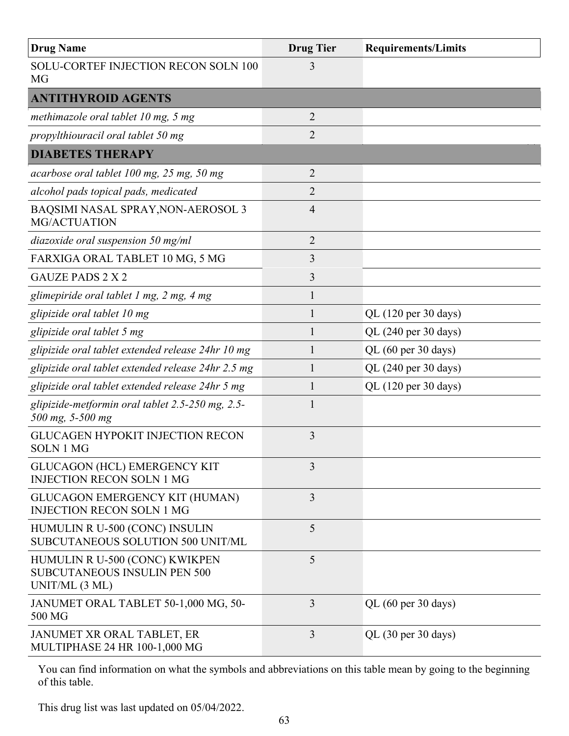| <b>Drug Name</b>                                                                        | <b>Drug Tier</b> | <b>Requirements/Limits</b> |
|-----------------------------------------------------------------------------------------|------------------|----------------------------|
| SOLU-CORTEF INJECTION RECON SOLN 100<br><b>MG</b>                                       | 3                |                            |
| <b>ANTITHYROID AGENTS</b>                                                               |                  |                            |
| methimazole oral tablet $10$ mg, $5$ mg                                                 | $\overline{2}$   |                            |
| propylthiouracil oral tablet 50 mg                                                      | $\overline{2}$   |                            |
| <b>DIABETES THERAPY</b>                                                                 |                  |                            |
| acarbose oral tablet 100 mg, 25 mg, 50 mg                                               | $\overline{2}$   |                            |
| alcohol pads topical pads, medicated                                                    | 2                |                            |
| BAQSIMI NASAL SPRAY, NON-AEROSOL 3<br>MG/ACTUATION                                      | 4                |                            |
| diazoxide oral suspension 50 mg/ml                                                      | $\overline{2}$   |                            |
| FARXIGA ORAL TABLET 10 MG, 5 MG                                                         | 3                |                            |
| <b>GAUZE PADS 2 X 2</b>                                                                 | 3                |                            |
| glimepiride oral tablet 1 mg, 2 mg, 4 mg                                                | 1                |                            |
| glipizide oral tablet 10 mg                                                             | 1                | QL (120 per 30 days)       |
| glipizide oral tablet 5 mg                                                              |                  | QL (240 per 30 days)       |
| glipizide oral tablet extended release 24hr 10 mg                                       | 1                | QL (60 per 30 days)        |
| glipizide oral tablet extended release 24hr 2.5 mg                                      |                  | QL (240 per 30 days)       |
| glipizide oral tablet extended release 24hr 5 mg                                        |                  | QL (120 per 30 days)       |
| glipizide-metformin oral tablet 2.5-250 mg, 2.5-<br>500 mg, 5-500 mg                    | 1                |                            |
| <b>GLUCAGEN HYPOKIT INJECTION RECON</b><br><b>SOLN 1 MG</b>                             | 3                |                            |
| <b>GLUCAGON (HCL) EMERGENCY KIT</b><br><b>INJECTION RECON SOLN 1 MG</b>                 | 3                |                            |
| GLUCAGON EMERGENCY KIT (HUMAN)<br><b>INJECTION RECON SOLN 1 MG</b>                      | 3                |                            |
| HUMULIN R U-500 (CONC) INSULIN<br>SUBCUTANEOUS SOLUTION 500 UNIT/ML                     | 5                |                            |
| HUMULIN R U-500 (CONC) KWIKPEN<br><b>SUBCUTANEOUS INSULIN PEN 500</b><br>UNIT/ML (3 ML) | 5                |                            |
| JANUMET ORAL TABLET 50-1,000 MG, 50-<br>500 MG                                          | 3                | QL (60 per 30 days)        |
| JANUMET XR ORAL TABLET, ER<br>MULTIPHASE 24 HR 100-1,000 MG                             | 3                | QL (30 per 30 days)        |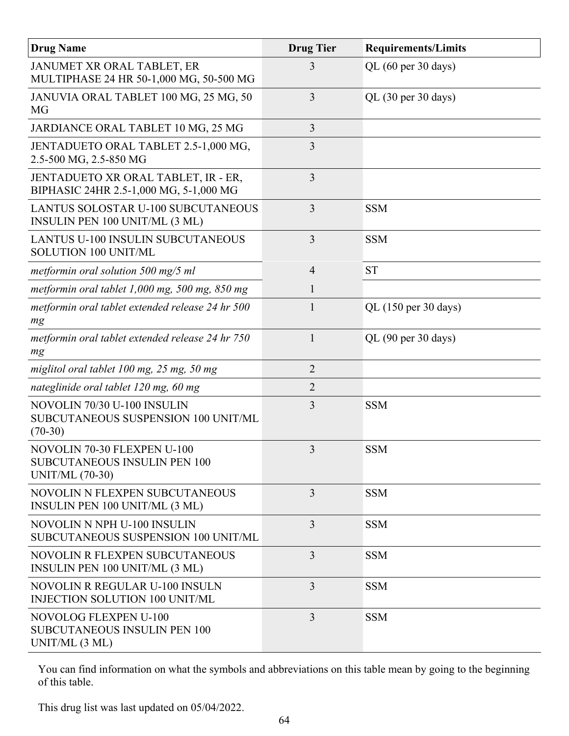| <b>Drug Name</b>                                                                             | <b>Drug Tier</b> | <b>Requirements/Limits</b>             |
|----------------------------------------------------------------------------------------------|------------------|----------------------------------------|
| JANUMET XR ORAL TABLET, ER<br>MULTIPHASE 24 HR 50-1,000 MG, 50-500 MG                        | 3                | QL (60 per 30 days)                    |
| JANUVIA ORAL TABLET 100 MG, 25 MG, 50<br>MG                                                  | 3                | QL $(30 \text{ per } 30 \text{ days})$ |
| JARDIANCE ORAL TABLET 10 MG, 25 MG                                                           | 3                |                                        |
| JENTADUETO ORAL TABLET 2.5-1,000 MG,<br>2.5-500 MG, 2.5-850 MG                               | 3                |                                        |
| JENTADUETO XR ORAL TABLET, IR - ER,<br>BIPHASIC 24HR 2.5-1,000 MG, 5-1,000 MG                | 3                |                                        |
| <b>LANTUS SOLOSTAR U-100 SUBCUTANEOUS</b><br>INSULIN PEN 100 UNIT/ML (3 ML)                  | 3                | <b>SSM</b>                             |
| <b>LANTUS U-100 INSULIN SUBCUTANEOUS</b><br>SOLUTION 100 UNIT/ML                             | 3                | <b>SSM</b>                             |
| metformin oral solution 500 mg/5 ml                                                          | $\overline{4}$   | <b>ST</b>                              |
| metformin oral tablet $1,000$ mg, 500 mg, 850 mg                                             |                  |                                        |
| metformin oral tablet extended release 24 hr 500<br>mg                                       | $\mathbf{1}$     | QL (150 per 30 days)                   |
| metformin oral tablet extended release 24 hr 750<br>mg                                       | $\mathbf{1}$     | QL (90 per 30 days)                    |
| miglitol oral tablet 100 mg, 25 mg, 50 mg                                                    | $\overline{2}$   |                                        |
| nateglinide oral tablet 120 mg, 60 mg                                                        | $\overline{2}$   |                                        |
| NOVOLIN 70/30 U-100 INSULIN<br>SUBCUTANEOUS SUSPENSION 100 UNIT/ML<br>$(70-30)$              | 3                | <b>SSM</b>                             |
| NOVOLIN 70-30 FLEXPEN U-100<br><b>SUBCUTANEOUS INSULIN PEN 100</b><br><b>UNIT/ML (70-30)</b> | 3                | <b>SSM</b>                             |
| NOVOLIN N FLEXPEN SUBCUTANEOUS<br><b>INSULIN PEN 100 UNIT/ML (3 ML)</b>                      | 3                | <b>SSM</b>                             |
| NOVOLIN N NPH U-100 INSULIN<br>SUBCUTANEOUS SUSPENSION 100 UNIT/ML                           | 3                | <b>SSM</b>                             |
| <b>NOVOLIN R FLEXPEN SUBCUTANEOUS</b><br><b>INSULIN PEN 100 UNIT/ML (3 ML)</b>               | 3                | <b>SSM</b>                             |
| NOVOLIN R REGULAR U-100 INSULN<br>INJECTION SOLUTION 100 UNIT/ML                             | $\overline{3}$   | <b>SSM</b>                             |
| <b>NOVOLOG FLEXPEN U-100</b><br><b>SUBCUTANEOUS INSULIN PEN 100</b><br>UNIT/ML (3 ML)        | 3                | <b>SSM</b>                             |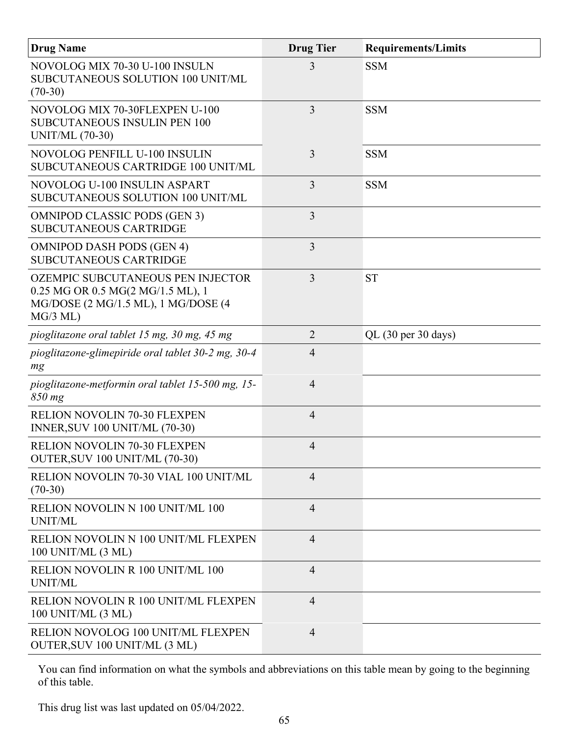| <b>Drug Name</b>                                                                                                                   | <b>Drug Tier</b> | <b>Requirements/Limits</b> |
|------------------------------------------------------------------------------------------------------------------------------------|------------------|----------------------------|
| NOVOLOG MIX 70-30 U-100 INSULN<br>SUBCUTANEOUS SOLUTION 100 UNIT/ML<br>$(70-30)$                                                   | 3                | <b>SSM</b>                 |
| NOVOLOG MIX 70-30FLEXPEN U-100<br><b>SUBCUTANEOUS INSULIN PEN 100</b><br><b>UNIT/ML (70-30)</b>                                    | 3                | <b>SSM</b>                 |
| NOVOLOG PENFILL U-100 INSULIN<br>SUBCUTANEOUS CARTRIDGE 100 UNIT/ML                                                                | 3                | <b>SSM</b>                 |
| NOVOLOG U-100 INSULIN ASPART<br>SUBCUTANEOUS SOLUTION 100 UNIT/ML                                                                  | 3                | <b>SSM</b>                 |
| <b>OMNIPOD CLASSIC PODS (GEN 3)</b><br><b>SUBCUTANEOUS CARTRIDGE</b>                                                               | 3                |                            |
| <b>OMNIPOD DASH PODS (GEN 4)</b><br><b>SUBCUTANEOUS CARTRIDGE</b>                                                                  | 3                |                            |
| <b>OZEMPIC SUBCUTANEOUS PEN INJECTOR</b><br>0.25 MG OR 0.5 MG(2 MG/1.5 ML), 1<br>MG/DOSE (2 MG/1.5 ML), 1 MG/DOSE (4<br>$MG/3$ ML) | 3                | <b>ST</b>                  |
| pioglitazone oral tablet 15 mg, 30 mg, 45 mg                                                                                       | $\overline{2}$   | QL (30 per 30 days)        |
| pioglitazone-glimepiride oral tablet 30-2 mg, 30-4<br>mg                                                                           | $\overline{4}$   |                            |
| pioglitazone-metformin oral tablet 15-500 mg, 15-<br>850 mg                                                                        | 4                |                            |
| RELION NOVOLIN 70-30 FLEXPEN<br><b>INNER, SUV 100 UNIT/ML (70-30)</b>                                                              | $\overline{4}$   |                            |
| <b>RELION NOVOLIN 70-30 FLEXPEN</b><br>OUTER, SUV 100 UNIT/ML (70-30)                                                              | 4                |                            |
| RELION NOVOLIN 70-30 VIAL 100 UNIT/ML<br>$(70-30)$                                                                                 | $\overline{4}$   |                            |
| RELION NOVOLIN N 100 UNIT/ML 100<br>UNIT/ML                                                                                        | $\overline{4}$   |                            |
| RELION NOVOLIN N 100 UNIT/ML FLEXPEN<br>100 UNIT/ML (3 ML)                                                                         | $\overline{4}$   |                            |
| RELION NOVOLIN R 100 UNIT/ML 100<br>UNIT/ML                                                                                        | $\overline{4}$   |                            |
| RELION NOVOLIN R 100 UNIT/ML FLEXPEN<br>100 UNIT/ML (3 ML)                                                                         | $\overline{4}$   |                            |
| RELION NOVOLOG 100 UNIT/ML FLEXPEN<br>OUTER, SUV 100 UNIT/ML (3 ML)                                                                | $\overline{4}$   |                            |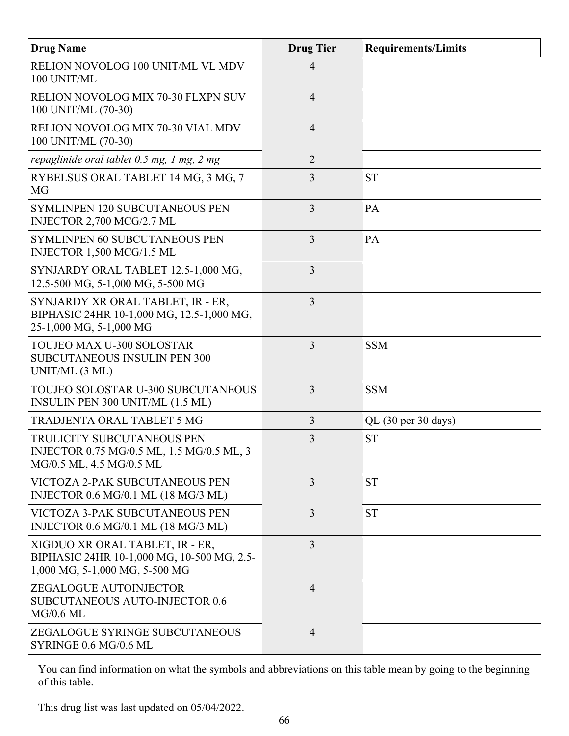| <b>Drug Name</b>                                                                                                | <b>Drug Tier</b> | <b>Requirements/Limits</b> |
|-----------------------------------------------------------------------------------------------------------------|------------------|----------------------------|
| RELION NOVOLOG 100 UNIT/ML VL MDV<br>100 UNIT/ML                                                                | $\overline{4}$   |                            |
| RELION NOVOLOG MIX 70-30 FLXPN SUV<br>100 UNIT/ML (70-30)                                                       | $\overline{4}$   |                            |
| RELION NOVOLOG MIX 70-30 VIAL MDV<br>100 UNIT/ML (70-30)                                                        | $\overline{4}$   |                            |
| repaglinide oral tablet 0.5 mg, 1 mg, 2 mg                                                                      | $\overline{2}$   |                            |
| RYBELSUS ORAL TABLET 14 MG, 3 MG, 7<br><b>MG</b>                                                                | 3                | <b>ST</b>                  |
| <b>SYMLINPEN 120 SUBCUTANEOUS PEN</b><br>INJECTOR 2,700 MCG/2.7 ML                                              | $\overline{3}$   | PA                         |
| <b>SYMLINPEN 60 SUBCUTANEOUS PEN</b><br>INJECTOR 1,500 MCG/1.5 ML                                               | $\overline{3}$   | PA                         |
| SYNJARDY ORAL TABLET 12.5-1,000 MG,<br>12.5-500 MG, 5-1,000 MG, 5-500 MG                                        | 3                |                            |
| SYNJARDY XR ORAL TABLET, IR - ER,<br>BIPHASIC 24HR 10-1,000 MG, 12.5-1,000 MG,<br>25-1,000 MG, 5-1,000 MG       | $\overline{3}$   |                            |
| TOUJEO MAX U-300 SOLOSTAR<br><b>SUBCUTANEOUS INSULIN PEN 300</b><br>UNIT/ML (3 ML)                              | $\overline{3}$   | <b>SSM</b>                 |
| TOUJEO SOLOSTAR U-300 SUBCUTANEOUS<br>INSULIN PEN 300 UNIT/ML (1.5 ML)                                          | 3                | <b>SSM</b>                 |
| <b>TRADJENTA ORAL TABLET 5 MG</b>                                                                               | $\overline{3}$   | $QL$ (30 per 30 days)      |
| TRULICITY SUBCUTANEOUS PEN<br>INJECTOR 0.75 MG/0.5 ML, 1.5 MG/0.5 ML, 3<br>MG/0.5 ML, 4.5 MG/0.5 ML             | 3                | <b>ST</b>                  |
| <b>VICTOZA 2-PAK SUBCUTANEOUS PEN</b><br>INJECTOR 0.6 MG/0.1 ML (18 MG/3 ML)                                    | $\overline{3}$   | <b>ST</b>                  |
| <b>VICTOZA 3-PAK SUBCUTANEOUS PEN</b><br>INJECTOR 0.6 MG/0.1 ML (18 MG/3 ML)                                    | 3                | <b>ST</b>                  |
| XIGDUO XR ORAL TABLET, IR - ER,<br>BIPHASIC 24HR 10-1,000 MG, 10-500 MG, 2.5-<br>1,000 MG, 5-1,000 MG, 5-500 MG | 3                |                            |
| ZEGALOGUE AUTOINJECTOR<br><b>SUBCUTANEOUS AUTO-INJECTOR 0.6</b><br>$MG/0.6$ ML                                  | $\overline{4}$   |                            |
| ZEGALOGUE SYRINGE SUBCUTANEOUS<br>SYRINGE 0.6 MG/0.6 ML                                                         | $\overline{4}$   |                            |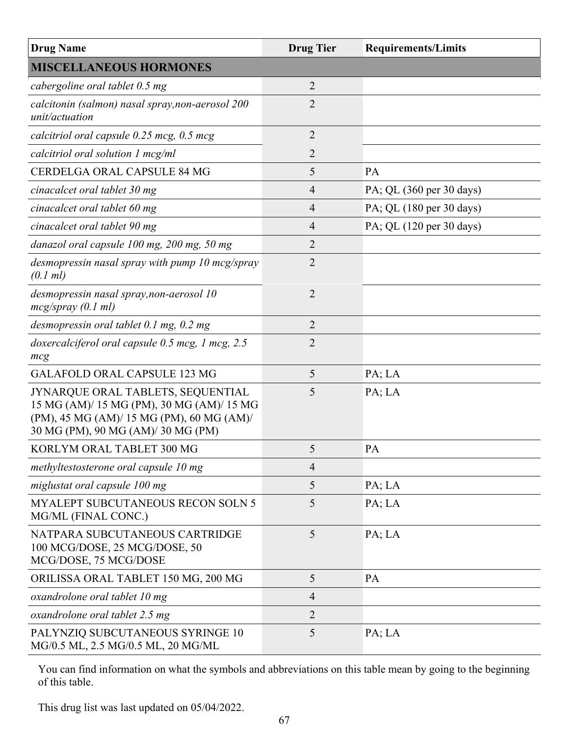| <b>Drug Name</b>                                                                                                                                                  | <b>Drug Tier</b> | <b>Requirements/Limits</b> |
|-------------------------------------------------------------------------------------------------------------------------------------------------------------------|------------------|----------------------------|
| <b>MISCELLANEOUS HORMONES</b>                                                                                                                                     |                  |                            |
| cabergoline oral tablet 0.5 mg                                                                                                                                    | $\overline{2}$   |                            |
| calcitonin (salmon) nasal spray, non-aerosol 200<br>unit/actuation                                                                                                | $\overline{2}$   |                            |
| calcitriol oral capsule 0.25 mcg, 0.5 mcg                                                                                                                         | 2                |                            |
| calcitriol oral solution 1 mcg/ml                                                                                                                                 | 2                |                            |
| CERDELGA ORAL CAPSULE 84 MG                                                                                                                                       | 5                | PA                         |
| cinacalcet oral tablet 30 mg                                                                                                                                      | 4                | PA; QL (360 per 30 days)   |
| cinacalcet oral tablet 60 mg                                                                                                                                      | $\overline{4}$   | PA; QL (180 per 30 days)   |
| cinacalcet oral tablet 90 mg                                                                                                                                      | $\overline{4}$   | PA; QL (120 per 30 days)   |
| danazol oral capsule 100 mg, 200 mg, 50 mg                                                                                                                        | $\overline{2}$   |                            |
| desmopressin nasal spray with pump 10 mcg/spray<br>(0.1 ml)                                                                                                       | $\overline{2}$   |                            |
| desmopressin nasal spray, non-aerosol 10<br>mcg/spray (0.1 ml)                                                                                                    | $\overline{2}$   |                            |
| desmopressin oral tablet 0.1 mg, 0.2 mg                                                                                                                           | 2                |                            |
| doxercalciferol oral capsule 0.5 mcg, 1 mcg, 2.5<br>mcg                                                                                                           | $\overline{2}$   |                            |
| <b>GALAFOLD ORAL CAPSULE 123 MG</b>                                                                                                                               | 5                | PA; LA                     |
| JYNARQUE ORAL TABLETS, SEQUENTIAL<br>15 MG (AM)/ 15 MG (PM), 30 MG (AM)/ 15 MG<br>(PM), 45 MG (AM)/ 15 MG (PM), 60 MG (AM)/<br>30 MG (PM), 90 MG (AM)/ 30 MG (PM) | 5                | PA; LA                     |
| KORLYM ORAL TABLET 300 MG                                                                                                                                         | 5                | PA                         |
| methyltestosterone oral capsule 10 mg                                                                                                                             | $\overline{4}$   |                            |
| miglustat oral capsule 100 mg                                                                                                                                     | 5                | PA; LA                     |
| MYALEPT SUBCUTANEOUS RECON SOLN 5<br>MG/ML (FINAL CONC.)                                                                                                          | 5                | PA; LA                     |
| NATPARA SUBCUTANEOUS CARTRIDGE<br>100 MCG/DOSE, 25 MCG/DOSE, 50<br>MCG/DOSE, 75 MCG/DOSE                                                                          | 5                | PA; LA                     |
| ORILISSA ORAL TABLET 150 MG, 200 MG                                                                                                                               | 5                | PA                         |
| oxandrolone oral tablet 10 mg                                                                                                                                     | $\overline{4}$   |                            |
| oxandrolone oral tablet 2.5 mg                                                                                                                                    | $\overline{2}$   |                            |
| PALYNZIQ SUBCUTANEOUS SYRINGE 10<br>MG/0.5 ML, 2.5 MG/0.5 ML, 20 MG/ML                                                                                            | 5                | PA; LA                     |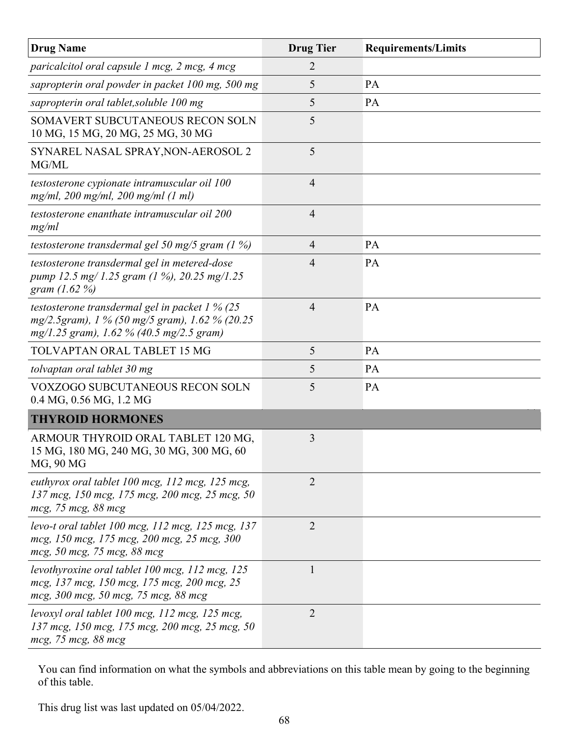| <b>Drug Name</b>                                                                                                                               | <b>Drug Tier</b> | <b>Requirements/Limits</b> |
|------------------------------------------------------------------------------------------------------------------------------------------------|------------------|----------------------------|
| paricalcitol oral capsule 1 mcg, 2 mcg, 4 mcg                                                                                                  | 2                |                            |
| sapropterin oral powder in packet 100 mg, 500 mg                                                                                               | 5                | PA                         |
| sapropterin oral tablet, soluble 100 mg                                                                                                        | 5                | <b>PA</b>                  |
| SOMAVERT SUBCUTANEOUS RECON SOLN<br>10 MG, 15 MG, 20 MG, 25 MG, 30 MG                                                                          | 5                |                            |
| SYNAREL NASAL SPRAY, NON-AEROSOL 2<br>MG/ML                                                                                                    | 5                |                            |
| testosterone cypionate intramuscular oil 100<br>$mg/ml$ , 200 mg/ml, 200 mg/ml (1 ml)                                                          | $\overline{4}$   |                            |
| testosterone enanthate intramuscular oil 200<br>mg/ml                                                                                          | 4                |                            |
| testosterone transdermal gel 50 mg/5 gram $(1\%)$                                                                                              | $\overline{4}$   | PA                         |
| testosterone transdermal gel in metered-dose<br>pump 12.5 mg/1.25 gram (1 %), 20.25 mg/1.25<br>gram $(1.62\%)$                                 | 4                | <b>PA</b>                  |
| testosterone transdermal gel in packet $1\%$ (25<br>mg/2.5gram), 1 % (50 mg/5 gram), 1.62 % (20.25<br>mg/1.25 gram), 1.62 % (40.5 mg/2.5 gram) | $\overline{4}$   | PA                         |
| TOLVAPTAN ORAL TABLET 15 MG                                                                                                                    | 5                | PA                         |
| tolvaptan oral tablet 30 mg                                                                                                                    | 5                | <b>PA</b>                  |
| VOXZOGO SUBCUTANEOUS RECON SOLN<br>0.4 MG, 0.56 MG, 1.2 MG                                                                                     | 5                | <b>PA</b>                  |
| <b>THYROID HORMONES</b>                                                                                                                        |                  |                            |
| ARMOUR THYROID ORAL TABLET 120 MG,<br>15 MG, 180 MG, 240 MG, 30 MG, 300 MG, 60<br>MG, 90 MG                                                    | 3                |                            |
| euthyrox oral tablet 100 mcg, 112 mcg, 125 mcg,<br>137 mcg, 150 mcg, 175 mcg, 200 mcg, 25 mcg, 50<br>mcg, 75 mcg, 88 mcg                       | $\overline{2}$   |                            |
| levo-t oral tablet 100 mcg, 112 mcg, 125 mcg, 137<br>mcg, 150 mcg, 175 mcg, 200 mcg, 25 mcg, 300<br>mcg, 50 mcg, 75 mcg, 88 mcg                | $\overline{2}$   |                            |
| levothyroxine oral tablet 100 mcg, 112 mcg, 125<br>mcg, 137 mcg, 150 mcg, 175 mcg, 200 mcg, 25<br>mcg, 300 mcg, 50 mcg, 75 mcg, 88 mcg         | $\mathbf{1}$     |                            |
| levoxyl oral tablet 100 mcg, 112 mcg, 125 mcg,<br>137 mcg, 150 mcg, 175 mcg, 200 mcg, 25 mcg, 50<br>mcg, 75 mcg, 88 mcg                        | $\overline{2}$   |                            |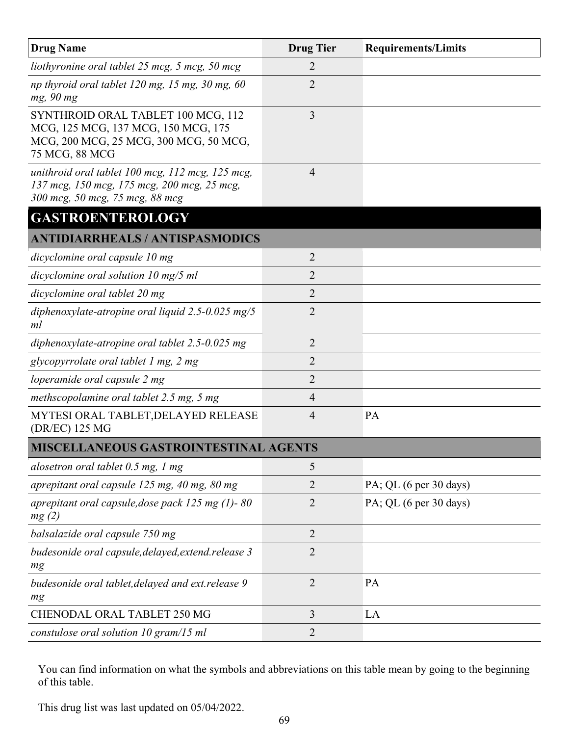| <b>Drug Name</b>                                                                                                                      | <b>Drug Tier</b> | <b>Requirements/Limits</b> |
|---------------------------------------------------------------------------------------------------------------------------------------|------------------|----------------------------|
| liothyronine oral tablet 25 mcg, 5 mcg, 50 mcg                                                                                        | $\overline{2}$   |                            |
| np thyroid oral tablet 120 mg, 15 mg, 30 mg, 60<br>mg, 90 mg                                                                          | $\overline{2}$   |                            |
| SYNTHROID ORAL TABLET 100 MCG, 112<br>MCG, 125 MCG, 137 MCG, 150 MCG, 175<br>MCG, 200 MCG, 25 MCG, 300 MCG, 50 MCG,<br>75 MCG, 88 MCG | 3                |                            |
| unithroid oral tablet 100 mcg, 112 mcg, 125 mcg,<br>137 mcg, 150 mcg, 175 mcg, 200 mcg, 25 mcg,<br>300 mcg, 50 mcg, 75 mcg, 88 mcg    | $\overline{4}$   |                            |
| <b>GASTROENTEROLOGY</b>                                                                                                               |                  |                            |
| <b>ANTIDIARRHEALS / ANTISPASMODICS</b>                                                                                                |                  |                            |
| dicyclomine oral capsule 10 mg                                                                                                        | $\overline{2}$   |                            |
| dicyclomine oral solution $10 \text{ mg}/5 \text{ ml}$                                                                                | $\overline{2}$   |                            |
| dicyclomine oral tablet 20 mg                                                                                                         | $\overline{2}$   |                            |
| diphenoxylate-atropine oral liquid $2.5 - 0.025$ mg/5<br>ml                                                                           | $\overline{2}$   |                            |
| diphenoxylate-atropine oral tablet $2.5$ -0.025 mg                                                                                    | $\overline{2}$   |                            |
| glycopyrrolate oral tablet 1 mg, 2 mg                                                                                                 | $\overline{2}$   |                            |
| loperamide oral capsule 2 mg                                                                                                          | $\overline{2}$   |                            |
| methscopolamine oral tablet 2.5 mg, 5 mg                                                                                              | $\overline{4}$   |                            |
| MYTESI ORAL TABLET, DELAYED RELEASE<br>(DR/EC) 125 MG                                                                                 | 4                | PA                         |
| <b>MISCELLANEOUS GASTROINTESTINAL AGENTS</b>                                                                                          |                  |                            |
| alosetron oral tablet 0.5 mg, 1 mg                                                                                                    | 5                |                            |
| aprepitant oral capsule 125 mg, 40 mg, 80 mg                                                                                          | $\overline{2}$   | PA; QL (6 per 30 days)     |
| aprepitant oral capsule, dose pack 125 mg (1)-80<br>mg(2)                                                                             | $\overline{2}$   | PA; QL (6 per 30 days)     |
| balsalazide oral capsule 750 mg                                                                                                       | $\overline{2}$   |                            |
| budesonide oral capsule, delayed, extend. release 3<br>mg                                                                             | $\overline{2}$   |                            |
| budesonide oral tablet, delayed and ext. release 9<br>mg                                                                              | $\overline{2}$   | PA                         |
| <b>CHENODAL ORAL TABLET 250 MG</b>                                                                                                    | 3                | LA                         |
| constulose oral solution 10 gram/15 ml                                                                                                | $\overline{2}$   |                            |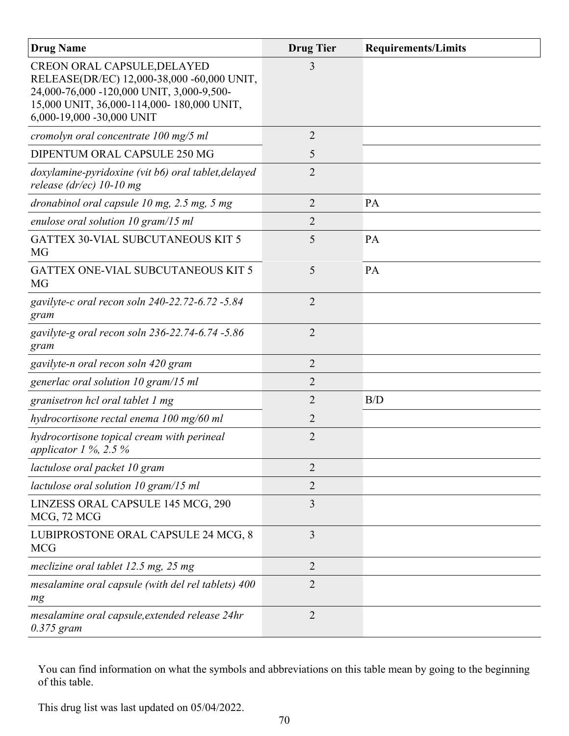| <b>Drug Name</b>                                                                                                                                                                                        | <b>Drug Tier</b> | <b>Requirements/Limits</b> |
|---------------------------------------------------------------------------------------------------------------------------------------------------------------------------------------------------------|------------------|----------------------------|
| <b>CREON ORAL CAPSULE, DELAYED</b><br>RELEASE(DR/EC) 12,000-38,000 -60,000 UNIT,<br>24,000-76,000 -120,000 UNIT, 3,000-9,500-<br>15,000 UNIT, 36,000-114,000-180,000 UNIT,<br>6,000-19,000 -30,000 UNIT | 3                |                            |
| cromolyn oral concentrate 100 mg/5 ml                                                                                                                                                                   | $\overline{2}$   |                            |
| DIPENTUM ORAL CAPSULE 250 MG                                                                                                                                                                            | 5                |                            |
| doxylamine-pyridoxine (vit b6) oral tablet, delayed<br>release (dr/ec) $10$ -10 mg                                                                                                                      | $\overline{2}$   |                            |
| dronabinol oral capsule $10$ mg, $2.5$ mg, $5$ mg                                                                                                                                                       | 2                | <b>PA</b>                  |
| enulose oral solution $10$ gram/15 ml                                                                                                                                                                   | 2                |                            |
| <b>GATTEX 30-VIAL SUBCUTANEOUS KIT 5</b><br><b>MG</b>                                                                                                                                                   | 5                | PA                         |
| <b>GATTEX ONE-VIAL SUBCUTANEOUS KIT 5</b><br>MG                                                                                                                                                         | 5                | PA                         |
| gavilyte-c oral recon soln 240-22.72-6.72 -5.84<br>gram                                                                                                                                                 | $\overline{2}$   |                            |
| gavilyte-g oral recon soln 236-22.74-6.74 -5.86<br>gram                                                                                                                                                 | $\overline{2}$   |                            |
| gavilyte-n oral recon soln 420 gram                                                                                                                                                                     | $\overline{2}$   |                            |
| generlac oral solution 10 gram/15 ml                                                                                                                                                                    | 2                |                            |
| granisetron hcl oral tablet 1 mg                                                                                                                                                                        | 2                | B/D                        |
| hydrocortisone rectal enema 100 mg/60 ml                                                                                                                                                                | 2                |                            |
| hydrocortisone topical cream with perineal<br>applicator $1\%$ , 2.5 %                                                                                                                                  | 2                |                            |
| lactulose oral packet 10 gram                                                                                                                                                                           | 2                |                            |
| lactulose oral solution 10 gram/15 ml                                                                                                                                                                   | 2                |                            |
| LINZESS ORAL CAPSULE 145 MCG, 290<br>MCG, 72 MCG                                                                                                                                                        | 3                |                            |
| LUBIPROSTONE ORAL CAPSULE 24 MCG, 8<br><b>MCG</b>                                                                                                                                                       | 3                |                            |
| meclizine oral tablet $12.5$ mg, $25$ mg                                                                                                                                                                | $\overline{2}$   |                            |
| mesalamine oral capsule (with del rel tablets) 400<br>mg                                                                                                                                                | $\overline{2}$   |                            |
| mesalamine oral capsule, extended release 24hr<br>$0.375$ gram                                                                                                                                          | $\overline{2}$   |                            |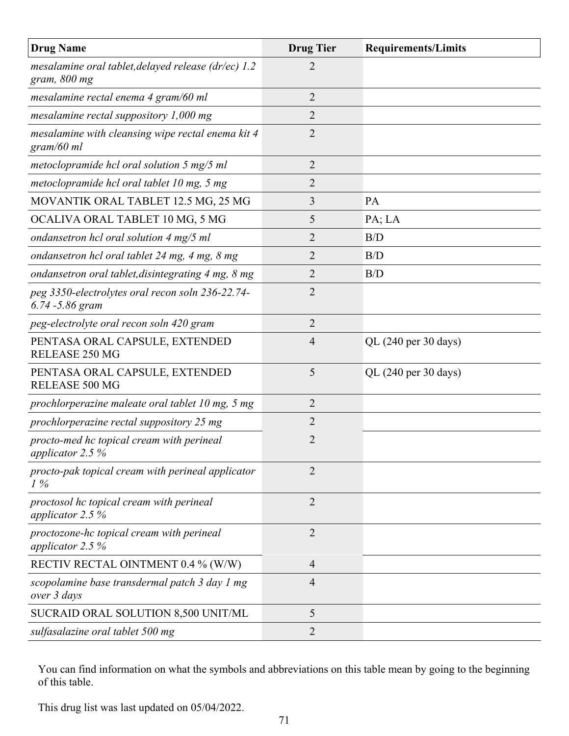| <b>Drug Name</b>                                                       | <b>Drug Tier</b> | <b>Requirements/Limits</b>              |
|------------------------------------------------------------------------|------------------|-----------------------------------------|
| mesalamine oral tablet, delayed release (dr/ec) $1.2$<br>gram, 800 mg  | $\overline{2}$   |                                         |
| mesalamine rectal enema 4 gram/60 ml                                   | $\overline{2}$   |                                         |
| mesalamine rectal suppository $1,000$ mg                               | $\overline{2}$   |                                         |
| mesalamine with cleansing wipe rectal enema kit 4<br>gram/60 ml        | $\overline{2}$   |                                         |
| metoclopramide hcl oral solution $5 \text{ mg}/5 \text{ ml}$           | $\overline{2}$   |                                         |
| metoclopramide hcl oral tablet 10 mg, 5 mg                             | 2                |                                         |
| MOVANTIK ORAL TABLET 12.5 MG, 25 MG                                    | 3                | PA                                      |
| OCALIVA ORAL TABLET 10 MG, 5 MG                                        | 5                | PA; LA                                  |
| ondansetron hcl oral solution 4 mg/5 ml                                | 2                | B/D                                     |
| ondansetron hcl oral tablet 24 mg, 4 mg, 8 mg                          | 2                | B/D                                     |
| ondansetron oral tablet, disintegrating 4 mg, 8 mg                     | 2                | B/D                                     |
| peg 3350-electrolytes oral recon soln 236-22.74-<br>$6.74 - 5.86$ gram | $\overline{2}$   |                                         |
| peg-electrolyte oral recon soln 420 gram                               | $\overline{2}$   |                                         |
| PENTASA ORAL CAPSULE, EXTENDED<br>RELEASE 250 MG                       | $\overline{4}$   | QL (240 per 30 days)                    |
| PENTASA ORAL CAPSULE, EXTENDED<br>RELEASE 500 MG                       | 5                | QL $(240 \text{ per } 30 \text{ days})$ |
| prochlorperazine maleate oral tablet 10 mg, 5 mg                       | 2                |                                         |
| prochlorperazine rectal suppository 25 mg                              | 2                |                                         |
| procto-med hc topical cream with perineal<br>applicator 2.5 %          | $\overline{2}$   |                                         |
| procto-pak topical cream with perineal applicator<br>$1\%$             | $\overline{2}$   |                                         |
| proctosol hc topical cream with perineal<br>applicator 2.5 $%$         | $\overline{2}$   |                                         |
| proctozone-hc topical cream with perineal<br>applicator 2.5 $%$        | $\overline{2}$   |                                         |
| RECTIV RECTAL OINTMENT 0.4 % (W/W)                                     | $\overline{4}$   |                                         |
| scopolamine base transdermal patch 3 day 1 mg<br>over 3 days           | 4                |                                         |
| SUCRAID ORAL SOLUTION 8,500 UNIT/ML                                    | 5                |                                         |
| sulfasalazine oral tablet 500 mg                                       | 2                |                                         |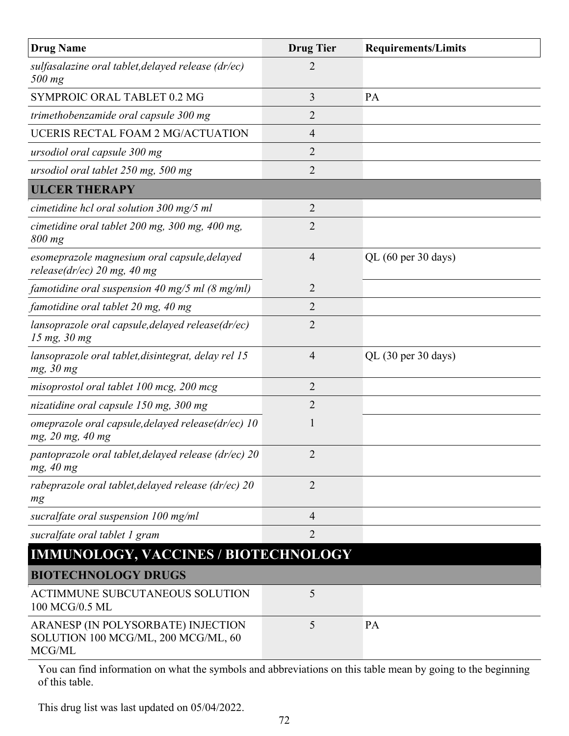| <b>Drug Name</b>                                                                    | <b>Drug Tier</b> | <b>Requirements/Limits</b> |
|-------------------------------------------------------------------------------------|------------------|----------------------------|
| sulfasalazine oral tablet, delayed release (dr/ec)<br>500 mg                        | 2                |                            |
| SYMPROIC ORAL TABLET 0.2 MG                                                         | 3                | <b>PA</b>                  |
| trimethobenzamide oral capsule 300 mg                                               | $\overline{2}$   |                            |
| UCERIS RECTAL FOAM 2 MG/ACTUATION                                                   | $\overline{4}$   |                            |
| ursodiol oral capsule 300 mg                                                        | $\overline{2}$   |                            |
| ursodiol oral tablet 250 mg, 500 mg                                                 | $\overline{2}$   |                            |
| <b>ULCER THERAPY</b>                                                                |                  |                            |
| cimetidine hcl oral solution $300 \text{ mg}/5 \text{ ml}$                          | $\overline{2}$   |                            |
| cimetidine oral tablet 200 mg, 300 mg, 400 mg,<br>$800$ mg                          | $\overline{2}$   |                            |
| esomeprazole magnesium oral capsule, delayed<br>release( $dr/ec$ ) 20 mg, 40 mg     | $\overline{4}$   | QL (60 per 30 days)        |
| famotidine oral suspension 40 mg/5 ml $(8 \text{ mg/ml})$                           | $\overline{2}$   |                            |
| famotidine oral tablet 20 mg, 40 mg                                                 | $\overline{2}$   |                            |
| lansoprazole oral capsule, delayed release(dr/ec)<br>15 mg, 30 mg                   | $\overline{2}$   |                            |
| lansoprazole oral tablet, disintegrat, delay rel 15<br>mg, 30 mg                    | $\overline{4}$   | QL (30 per 30 days)        |
| misoprostol oral tablet 100 mcg, 200 mcg                                            | $\overline{2}$   |                            |
| nizatidine oral capsule 150 mg, 300 mg                                              | $\overline{2}$   |                            |
| omeprazole oral capsule, delayed release(dr/ec) 10<br>mg, 20 mg, 40 mg              | 1                |                            |
| pantoprazole oral tablet, delayed release (dr/ec) $20$<br>mg, 40 mg                 | 2                |                            |
| rabeprazole oral tablet, delayed release (dr/ec) 20<br>mg                           | $\overline{2}$   |                            |
| sucralfate oral suspension 100 mg/ml                                                | $\overline{4}$   |                            |
| sucralfate oral tablet 1 gram                                                       | $\overline{2}$   |                            |
| <b>IMMUNOLOGY, VACCINES / BIOTECHNOLOGY</b>                                         |                  |                            |
| <b>BIOTECHNOLOGY DRUGS</b>                                                          |                  |                            |
| ACTIMMUNE SUBCUTANEOUS SOLUTION<br>100 MCG/0.5 ML                                   | 5                |                            |
| ARANESP (IN POLYSORBATE) INJECTION<br>SOLUTION 100 MCG/ML, 200 MCG/ML, 60<br>MCG/ML | 5                | PA                         |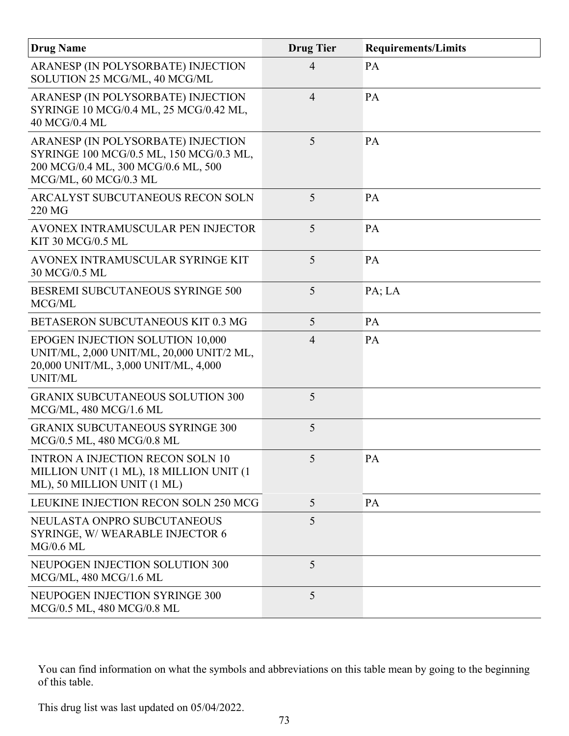| <b>Drug Name</b>                                                                                                                              | <b>Drug Tier</b> | <b>Requirements/Limits</b> |
|-----------------------------------------------------------------------------------------------------------------------------------------------|------------------|----------------------------|
| ARANESP (IN POLYSORBATE) INJECTION<br>SOLUTION 25 MCG/ML, 40 MCG/ML                                                                           | 4                | PA                         |
| ARANESP (IN POLYSORBATE) INJECTION<br>SYRINGE 10 MCG/0.4 ML, 25 MCG/0.42 ML,<br>40 MCG/0.4 ML                                                 | $\overline{4}$   | PA                         |
| ARANESP (IN POLYSORBATE) INJECTION<br>SYRINGE 100 MCG/0.5 ML, 150 MCG/0.3 ML,<br>200 MCG/0.4 ML, 300 MCG/0.6 ML, 500<br>MCG/ML, 60 MCG/0.3 ML | 5                | PA                         |
| ARCALYST SUBCUTANEOUS RECON SOLN<br>220 MG                                                                                                    | 5                | PA                         |
| AVONEX INTRAMUSCULAR PEN INJECTOR<br>KIT 30 MCG/0.5 ML                                                                                        | 5                | PA                         |
| AVONEX INTRAMUSCULAR SYRINGE KIT<br>30 MCG/0.5 ML                                                                                             | 5                | PA                         |
| BESREMI SUBCUTANEOUS SYRINGE 500<br>MCG/ML                                                                                                    | 5                | PA; LA                     |
| BETASERON SUBCUTANEOUS KIT 0.3 MG                                                                                                             | 5                | PA                         |
| EPOGEN INJECTION SOLUTION 10,000<br>UNIT/ML, 2,000 UNIT/ML, 20,000 UNIT/2 ML,<br>20,000 UNIT/ML, 3,000 UNIT/ML, 4,000<br>UNIT/ML              | $\overline{4}$   | PA                         |
| <b>GRANIX SUBCUTANEOUS SOLUTION 300</b><br>MCG/ML, 480 MCG/1.6 ML                                                                             | 5                |                            |
| <b>GRANIX SUBCUTANEOUS SYRINGE 300</b><br>MCG/0.5 ML, 480 MCG/0.8 ML                                                                          | 5                |                            |
| <b>INTRON A INJECTION RECON SOLN 10</b><br>MILLION UNIT (1 ML), 18 MILLION UNIT (1<br>ML), 50 MILLION UNIT (1 ML)                             | 5                | PA                         |
| LEUKINE INJECTION RECON SOLN 250 MCG                                                                                                          | 5                | PA                         |
| NEULASTA ONPRO SUBCUTANEOUS<br>SYRINGE, W/WEARABLE INJECTOR 6<br>$MG/0.6$ ML                                                                  | 5                |                            |
| <b>NEUPOGEN INJECTION SOLUTION 300</b><br>MCG/ML, 480 MCG/1.6 ML                                                                              | 5                |                            |
| NEUPOGEN INJECTION SYRINGE 300<br>MCG/0.5 ML, 480 MCG/0.8 ML                                                                                  | 5                |                            |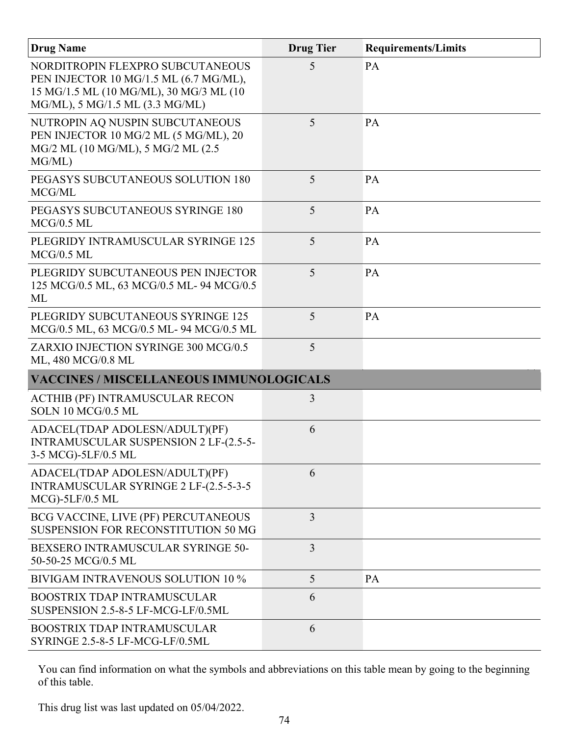| <b>Drug Name</b>                                                                                                                                         | <b>Drug Tier</b> | <b>Requirements/Limits</b> |
|----------------------------------------------------------------------------------------------------------------------------------------------------------|------------------|----------------------------|
| NORDITROPIN FLEXPRO SUBCUTANEOUS<br>PEN INJECTOR 10 MG/1.5 ML (6.7 MG/ML),<br>15 MG/1.5 ML (10 MG/ML), 30 MG/3 ML (10<br>MG/ML), 5 MG/1.5 ML (3.3 MG/ML) | 5                | PA                         |
| NUTROPIN AQ NUSPIN SUBCUTANEOUS<br>PEN INJECTOR 10 MG/2 ML (5 MG/ML), 20<br>MG/2 ML (10 MG/ML), 5 MG/2 ML (2.5<br>MG/ML)                                 | 5                | PA                         |
| PEGASYS SUBCUTANEOUS SOLUTION 180<br>MCG/ML                                                                                                              | 5                | <b>PA</b>                  |
| PEGASYS SUBCUTANEOUS SYRINGE 180<br>$MCG/0.5$ ML                                                                                                         | 5                | PA                         |
| PLEGRIDY INTRAMUSCULAR SYRINGE 125<br>$MCG/0.5$ ML                                                                                                       | 5                | PA                         |
| PLEGRIDY SUBCUTANEOUS PEN INJECTOR<br>125 MCG/0.5 ML, 63 MCG/0.5 ML- 94 MCG/0.5<br>ML                                                                    | 5                | PA                         |
| PLEGRIDY SUBCUTANEOUS SYRINGE 125<br>MCG/0.5 ML, 63 MCG/0.5 ML-94 MCG/0.5 ML                                                                             | 5                | PA                         |
| ZARXIO INJECTION SYRINGE 300 MCG/0.5<br>ML, 480 MCG/0.8 ML                                                                                               | 5                |                            |
| <b>VACCINES / MISCELLANEOUS IMMUNOLOGICALS</b>                                                                                                           |                  |                            |
| ACTHIB (PF) INTRAMUSCULAR RECON<br>SOLN 10 MCG/0.5 ML                                                                                                    | 3                |                            |
| ADACEL(TDAP ADOLESN/ADULT)(PF)<br>INTRAMUSCULAR SUSPENSION 2 LF-(2.5-5-<br>3-5 MCG)-5LF/0.5 ML                                                           | 6                |                            |
| ADACEL(TDAP ADOLESN/ADULT)(PF)<br>INTRAMUSCULAR SYRINGE 2 LF-(2.5-5-3-5<br>$MCG$ -5LF/0.5 ML                                                             | 6                |                            |
| BCG VACCINE, LIVE (PF) PERCUTANEOUS<br><b>SUSPENSION FOR RECONSTITUTION 50 MG</b>                                                                        | 3                |                            |
| BEXSERO INTRAMUSCULAR SYRINGE 50-<br>50-50-25 MCG/0.5 ML                                                                                                 | 3                |                            |
| BIVIGAM INTRAVENOUS SOLUTION 10 %                                                                                                                        | 5                | PA                         |
| <b>BOOSTRIX TDAP INTRAMUSCULAR</b><br>SUSPENSION 2.5-8-5 LF-MCG-LF/0.5ML                                                                                 | 6                |                            |
| <b>BOOSTRIX TDAP INTRAMUSCULAR</b><br>SYRINGE 2.5-8-5 LF-MCG-LF/0.5ML                                                                                    | 6                |                            |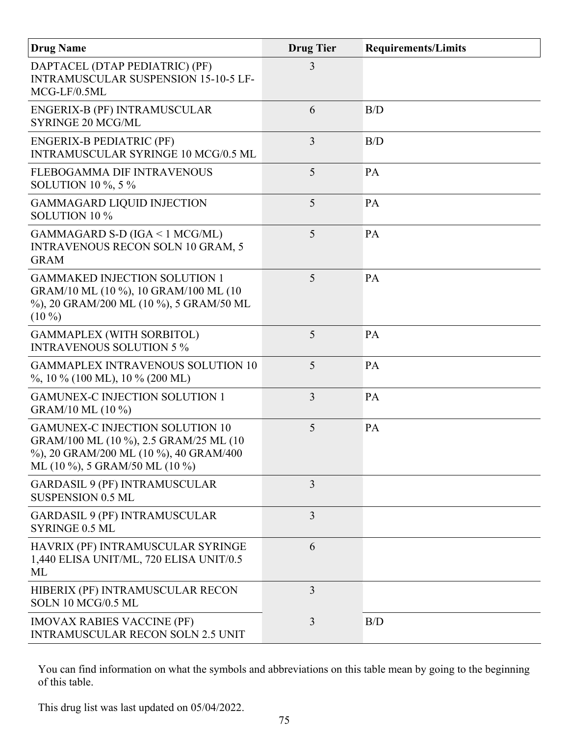| <b>Drug Name</b>                                                                                                                                                  | <b>Drug Tier</b> | <b>Requirements/Limits</b> |
|-------------------------------------------------------------------------------------------------------------------------------------------------------------------|------------------|----------------------------|
| DAPTACEL (DTAP PEDIATRIC) (PF)<br><b>INTRAMUSCULAR SUSPENSION 15-10-5 LF-</b><br>MCG-LF/0.5ML                                                                     | 3                |                            |
| ENGERIX-B (PF) INTRAMUSCULAR<br><b>SYRINGE 20 MCG/ML</b>                                                                                                          | 6                | B/D                        |
| <b>ENGERIX-B PEDIATRIC (PF)</b><br>INTRAMUSCULAR SYRINGE 10 MCG/0.5 ML                                                                                            | $\overline{3}$   | B/D                        |
| FLEBOGAMMA DIF INTRAVENOUS<br><b>SOLUTION 10 %, 5 %</b>                                                                                                           | 5                | PA                         |
| <b>GAMMAGARD LIQUID INJECTION</b><br>SOLUTION 10 %                                                                                                                | 5                | PA                         |
| GAMMAGARD S-D (IGA < 1 MCG/ML)<br><b>INTRAVENOUS RECON SOLN 10 GRAM, 5</b><br><b>GRAM</b>                                                                         | 5                | PA                         |
| <b>GAMMAKED INJECTION SOLUTION 1</b><br>GRAM/10 ML (10 %), 10 GRAM/100 ML (10<br>%), 20 GRAM/200 ML (10 %), 5 GRAM/50 ML<br>$(10\%)$                              | 5                | PA                         |
| <b>GAMMAPLEX (WITH SORBITOL)</b><br><b>INTRAVENOUS SOLUTION 5 %</b>                                                                                               | 5                | PA                         |
| <b>GAMMAPLEX INTRAVENOUS SOLUTION 10</b><br>%, 10 % (100 ML), 10 % (200 ML)                                                                                       | 5                | PA                         |
| <b>GAMUNEX-C INJECTION SOLUTION 1</b><br>GRAM/10 ML (10 %)                                                                                                        | 3                | PA                         |
| <b>GAMUNEX-C INJECTION SOLUTION 10</b><br>GRAM/100 ML (10 %), 2.5 GRAM/25 ML (10<br>%), 20 GRAM/200 ML (10 %), 40 GRAM/400<br>ML $(10\%)$ , 5 GRAM/50 ML $(10\%)$ | 5                | PA                         |
| <b>GARDASIL 9 (PF) INTRAMUSCULAR</b><br><b>SUSPENSION 0.5 ML</b>                                                                                                  | $\overline{3}$   |                            |
| <b>GARDASIL 9 (PF) INTRAMUSCULAR</b><br><b>SYRINGE 0.5 ML</b>                                                                                                     | $\overline{3}$   |                            |
| HAVRIX (PF) INTRAMUSCULAR SYRINGE<br>1,440 ELISA UNIT/ML, 720 ELISA UNIT/0.5<br>ML                                                                                | 6                |                            |
| HIBERIX (PF) INTRAMUSCULAR RECON<br>SOLN 10 MCG/0.5 ML                                                                                                            | $\overline{3}$   |                            |
| <b>IMOVAX RABIES VACCINE (PF)</b><br><b>INTRAMUSCULAR RECON SOLN 2.5 UNIT</b>                                                                                     | 3                | B/D                        |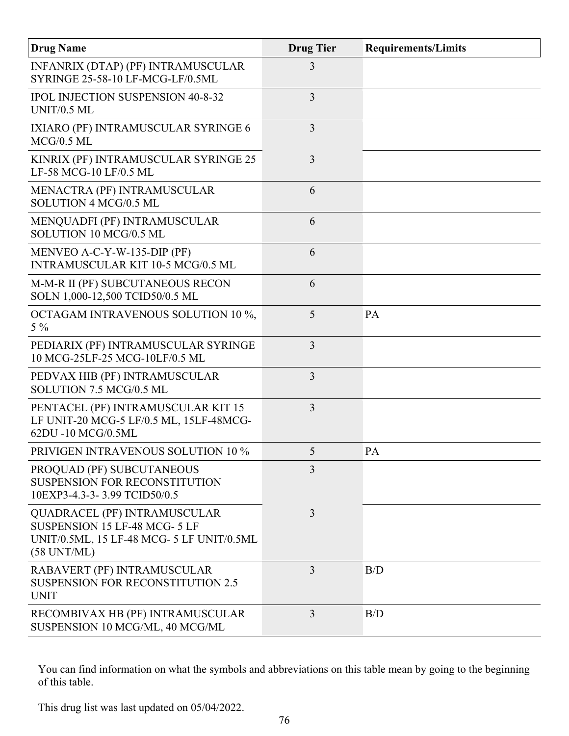| <b>Drug Name</b>                                                                                                                           | <b>Drug Tier</b> | <b>Requirements/Limits</b> |
|--------------------------------------------------------------------------------------------------------------------------------------------|------------------|----------------------------|
| INFANRIX (DTAP) (PF) INTRAMUSCULAR<br>SYRINGE 25-58-10 LF-MCG-LF/0.5ML                                                                     | 3                |                            |
| <b>IPOL INJECTION SUSPENSION 40-8-32</b><br>UNIT/0.5 ML                                                                                    | 3                |                            |
| IXIARO (PF) INTRAMUSCULAR SYRINGE 6<br>$MCG/0.5$ ML                                                                                        | 3                |                            |
| KINRIX (PF) INTRAMUSCULAR SYRINGE 25<br>LF-58 MCG-10 LF/0.5 ML                                                                             | 3                |                            |
| MENACTRA (PF) INTRAMUSCULAR<br>SOLUTION 4 MCG/0.5 ML                                                                                       | 6                |                            |
| MENQUADFI (PF) INTRAMUSCULAR<br>SOLUTION 10 MCG/0.5 ML                                                                                     | 6                |                            |
| MENVEO A-C-Y-W-135-DIP (PF)<br><b>INTRAMUSCULAR KIT 10-5 MCG/0.5 ML</b>                                                                    | 6                |                            |
| M-M-R II (PF) SUBCUTANEOUS RECON<br>SOLN 1,000-12,500 TCID50/0.5 ML                                                                        | 6                |                            |
| OCTAGAM INTRAVENOUS SOLUTION 10 %,<br>$5\%$                                                                                                | 5                | PA                         |
| PEDIARIX (PF) INTRAMUSCULAR SYRINGE<br>10 MCG-25LF-25 MCG-10LF/0.5 ML                                                                      | 3                |                            |
| PEDVAX HIB (PF) INTRAMUSCULAR<br>SOLUTION 7.5 MCG/0.5 ML                                                                                   | 3                |                            |
| PENTACEL (PF) INTRAMUSCULAR KIT 15<br>LF UNIT-20 MCG-5 LF/0.5 ML, 15LF-48MCG-<br>62DU -10 MCG/0.5ML                                        | 3                |                            |
| <b>PRIVIGEN INTRAVENOUS SOLUTION 10 %</b>                                                                                                  | 5                | PA                         |
| PROQUAD (PF) SUBCUTANEOUS<br><b>SUSPENSION FOR RECONSTITUTION</b><br>10EXP3-4.3-3-3.99 TCID50/0.5                                          | 3                |                            |
| <b>QUADRACEL (PF) INTRAMUSCULAR</b><br>SUSPENSION 15 LF-48 MCG- 5 LF<br>UNIT/0.5ML, 15 LF-48 MCG- 5 LF UNIT/0.5ML<br>$(58 \text{ UNT/ML})$ | 3                |                            |
| RABAVERT (PF) INTRAMUSCULAR<br><b>SUSPENSION FOR RECONSTITUTION 2.5</b><br><b>UNIT</b>                                                     | 3                | B/D                        |
| RECOMBIVAX HB (PF) INTRAMUSCULAR<br>SUSPENSION 10 MCG/ML, 40 MCG/ML                                                                        | 3                | B/D                        |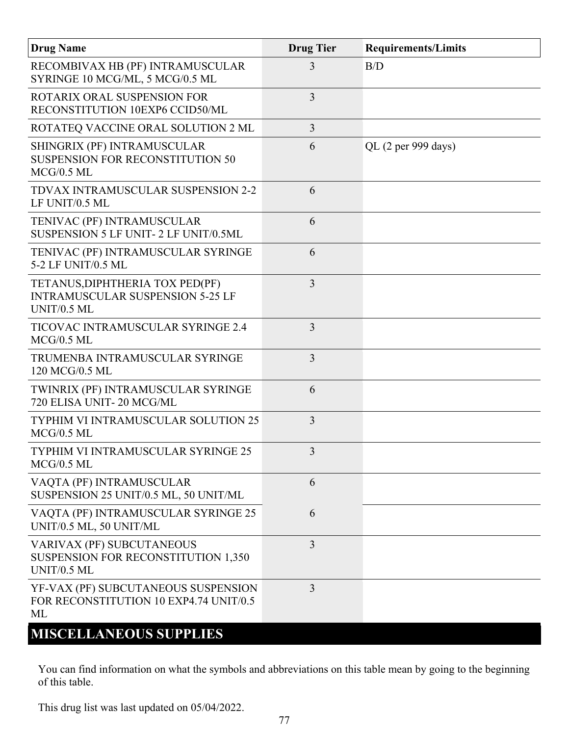| <b>Drug Name</b>                                                                          | <b>Drug Tier</b> | <b>Requirements/Limits</b> |
|-------------------------------------------------------------------------------------------|------------------|----------------------------|
| RECOMBIVAX HB (PF) INTRAMUSCULAR<br>SYRINGE 10 MCG/ML, 5 MCG/0.5 ML                       | 3                | B/D                        |
| ROTARIX ORAL SUSPENSION FOR<br>RECONSTITUTION 10EXP6 CCID50/ML                            | 3                |                            |
| ROTATEQ VACCINE ORAL SOLUTION 2 ML                                                        | 3                |                            |
| SHINGRIX (PF) INTRAMUSCULAR<br><b>SUSPENSION FOR RECONSTITUTION 50</b><br>$MCG/0.5$ ML    | 6                | QL (2 per 999 days)        |
| TDVAX INTRAMUSCULAR SUSPENSION 2-2<br>LF UNIT/0.5 ML                                      | 6                |                            |
| TENIVAC (PF) INTRAMUSCULAR<br>SUSPENSION 5 LF UNIT- 2 LF UNIT/0.5ML                       | 6                |                            |
| TENIVAC (PF) INTRAMUSCULAR SYRINGE<br>5-2 LF UNIT/0.5 ML                                  | 6                |                            |
| TETANUS, DIPHTHERIA TOX PED(PF)<br><b>INTRAMUSCULAR SUSPENSION 5-25 LF</b><br>UNIT/0.5 ML | $\overline{3}$   |                            |
| TICOVAC INTRAMUSCULAR SYRINGE 2.4<br>$MCG/0.5$ ML                                         | 3                |                            |
| TRUMENBA INTRAMUSCULAR SYRINGE<br>120 MCG/0.5 ML                                          | 3                |                            |
| TWINRIX (PF) INTRAMUSCULAR SYRINGE<br>720 ELISA UNIT-20 MCG/ML                            | 6                |                            |
| <b>TYPHIM VI INTRAMUSCULAR SOLUTION 25</b><br>$MCG/0.5$ ML                                | 3                |                            |
| <b>TYPHIM VI INTRAMUSCULAR SYRINGE 25</b><br>$MCG/0.5$ ML                                 | 3                |                            |
| VAQTA (PF) INTRAMUSCULAR<br>SUSPENSION 25 UNIT/0.5 ML, 50 UNIT/ML                         | 6                |                            |
| VAQTA (PF) INTRAMUSCULAR SYRINGE 25<br>UNIT/0.5 ML, 50 UNIT/ML                            | 6                |                            |
| VARIVAX (PF) SUBCUTANEOUS<br>SUSPENSION FOR RECONSTITUTION 1,350<br>UNIT/0.5 ML           | 3                |                            |
| YF-VAX (PF) SUBCUTANEOUS SUSPENSION<br>FOR RECONSTITUTION 10 EXP4.74 UNIT/0.5<br>ML       | $\overline{3}$   |                            |
| <b>MISCELLANEOUS SUPPLIES</b>                                                             |                  |                            |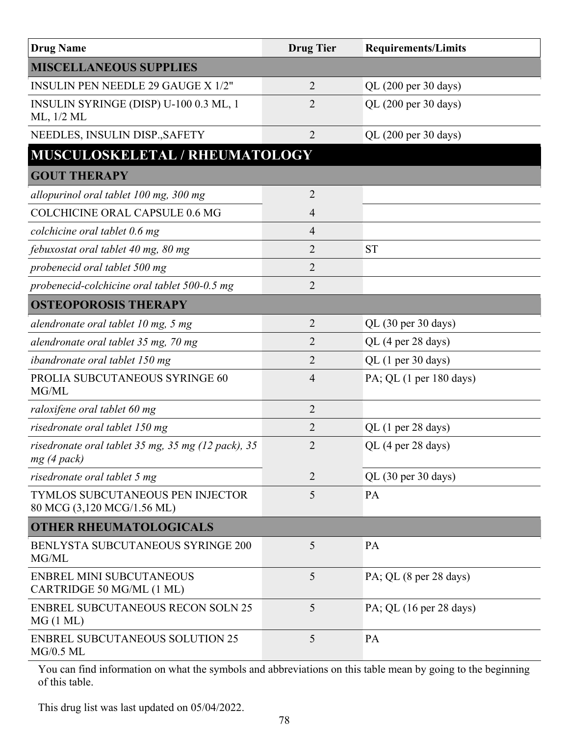| <b>Drug Name</b>                                                   | <b>Drug Tier</b> | <b>Requirements/Limits</b> |  |
|--------------------------------------------------------------------|------------------|----------------------------|--|
| <b>MISCELLANEOUS SUPPLIES</b>                                      |                  |                            |  |
| <b>INSULIN PEN NEEDLE 29 GAUGE X 1/2"</b>                          | $\overline{2}$   | QL (200 per 30 days)       |  |
| INSULIN SYRINGE (DISP) U-100 0.3 ML, 1<br>ML, 1/2 ML               | $\overline{2}$   | QL (200 per 30 days)       |  |
| NEEDLES, INSULIN DISP., SAFETY                                     | $\overline{2}$   | QL (200 per 30 days)       |  |
| MUSCULOSKELETAL / RHEUMATOLOGY                                     |                  |                            |  |
| <b>GOUT THERAPY</b>                                                |                  |                            |  |
| allopurinol oral tablet 100 mg, 300 mg                             | $\overline{2}$   |                            |  |
| <b>COLCHICINE ORAL CAPSULE 0.6 MG</b>                              | $\overline{4}$   |                            |  |
| colchicine oral tablet 0.6 mg                                      | $\overline{4}$   |                            |  |
| febuxostat oral tablet 40 mg, 80 mg                                | $\overline{2}$   | <b>ST</b>                  |  |
| probenecid oral tablet 500 mg                                      | $\overline{2}$   |                            |  |
| probenecid-colchicine oral tablet 500-0.5 mg                       | $\overline{2}$   |                            |  |
| <b>OSTEOPOROSIS THERAPY</b>                                        |                  |                            |  |
| alendronate oral tablet 10 mg, 5 mg                                | $\overline{2}$   | QL (30 per 30 days)        |  |
| alendronate oral tablet 35 mg, 70 mg                               | $\overline{2}$   | QL (4 per 28 days)         |  |
| ibandronate oral tablet 150 mg                                     | $\overline{2}$   | QL (1 per 30 days)         |  |
| PROLIA SUBCUTANEOUS SYRINGE 60<br>MG/ML                            | $\overline{4}$   | PA; QL (1 per 180 days)    |  |
| raloxifene oral tablet 60 mg                                       | $\overline{2}$   |                            |  |
| risedronate oral tablet 150 mg                                     | $\overline{2}$   | QL (1 per 28 days)         |  |
| risedronate oral tablet 35 mg, 35 mg (12 pack), 35<br>$mg(4$ pack) | $\overline{2}$   | QL (4 per 28 days)         |  |
| risedronate oral tablet 5 mg                                       | $\overline{2}$   | QL (30 per 30 days)        |  |
| TYMLOS SUBCUTANEOUS PEN INJECTOR<br>80 MCG (3,120 MCG/1.56 ML)     | 5                | <b>PA</b>                  |  |
| <b>OTHER RHEUMATOLOGICALS</b>                                      |                  |                            |  |
| BENLYSTA SUBCUTANEOUS SYRINGE 200<br>MG/ML                         | 5                | PA                         |  |
| <b>ENBREL MINI SUBCUTANEOUS</b><br>CARTRIDGE 50 MG/ML (1 ML)       | 5                | PA; QL (8 per 28 days)     |  |
| <b>ENBREL SUBCUTANEOUS RECON SOLN 25</b><br>MG(1 ML)               | 5                | PA; QL (16 per 28 days)    |  |
| <b>ENBREL SUBCUTANEOUS SOLUTION 25</b><br>$MG/0.5$ ML              | 5                | PA                         |  |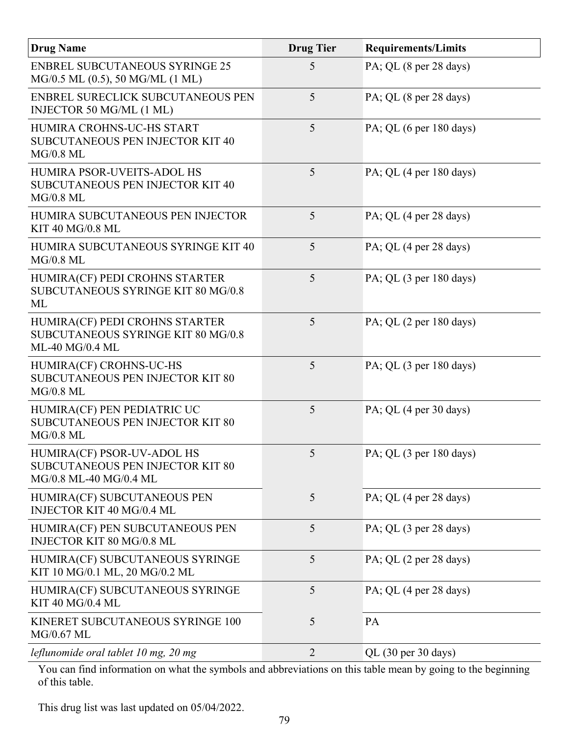| <b>Drug Name</b>                                                                         | <b>Drug Tier</b> | <b>Requirements/Limits</b>                 |
|------------------------------------------------------------------------------------------|------------------|--------------------------------------------|
| <b>ENBREL SUBCUTANEOUS SYRINGE 25</b><br>MG/0.5 ML (0.5), 50 MG/ML (1 ML)                | 5                | PA; QL (8 per 28 days)                     |
| ENBREL SURECLICK SUBCUTANEOUS PEN<br>INJECTOR 50 MG/ML (1 ML)                            | 5                | PA; QL (8 per 28 days)                     |
| HUMIRA CROHNS-UC-HS START<br><b>SUBCUTANEOUS PEN INJECTOR KIT 40</b><br>$MG/0.8$ ML      | 5                | PA; QL $(6 \text{ per } 180 \text{ days})$ |
| HUMIRA PSOR-UVEITS-ADOL HS<br><b>SUBCUTANEOUS PEN INJECTOR KIT 40</b><br>$MG/0.8$ ML     | 5                | PA; QL $(4$ per 180 days)                  |
| HUMIRA SUBCUTANEOUS PEN INJECTOR<br>KIT 40 MG/0.8 ML                                     | 5                | PA; QL (4 per 28 days)                     |
| HUMIRA SUBCUTANEOUS SYRINGE KIT 40<br>$MG/0.8$ ML                                        | 5                | PA; QL (4 per 28 days)                     |
| HUMIRA(CF) PEDI CROHNS STARTER<br>SUBCUTANEOUS SYRINGE KIT 80 MG/0.8<br>ML               | 5                | PA; QL (3 per 180 days)                    |
| HUMIRA(CF) PEDI CROHNS STARTER<br>SUBCUTANEOUS SYRINGE KIT 80 MG/0.8<br>ML-40 MG/0.4 ML  | 5                | PA; QL $(2 \text{ per } 180 \text{ days})$ |
| HUMIRA(CF) CROHNS-UC-HS<br>SUBCUTANEOUS PEN INJECTOR KIT 80<br>$MG/0.8$ ML               | 5                | PA; QL $(3$ per 180 days)                  |
| HUMIRA(CF) PEN PEDIATRIC UC<br><b>SUBCUTANEOUS PEN INJECTOR KIT 80</b><br>$MG/0.8$ ML    | 5                | PA; QL (4 per 30 days)                     |
| HUMIRA(CF) PSOR-UV-ADOL HS<br>SUBCUTANEOUS PEN INJECTOR KIT 80<br>MG/0.8 ML-40 MG/0.4 ML | $5^{\circ}$      | PA; QL $(3 \text{ per } 180 \text{ days})$ |
| HUMIRA(CF) SUBCUTANEOUS PEN<br>INJECTOR KIT 40 MG/0.4 ML                                 | 5                | PA; QL (4 per 28 days)                     |
| HUMIRA(CF) PEN SUBCUTANEOUS PEN<br>INJECTOR KIT 80 MG/0.8 ML                             | 5                | PA; QL (3 per 28 days)                     |
| HUMIRA(CF) SUBCUTANEOUS SYRINGE<br>KIT 10 MG/0.1 ML, 20 MG/0.2 ML                        | 5                | PA; QL (2 per 28 days)                     |
| HUMIRA(CF) SUBCUTANEOUS SYRINGE<br>KIT 40 MG/0.4 ML                                      | 5                | PA; QL (4 per 28 days)                     |
| KINERET SUBCUTANEOUS SYRINGE 100<br>MG/0.67 ML                                           | 5                | PA                                         |
| leflunomide oral tablet 10 mg, 20 mg                                                     | $\overline{2}$   | QL (30 per 30 days)                        |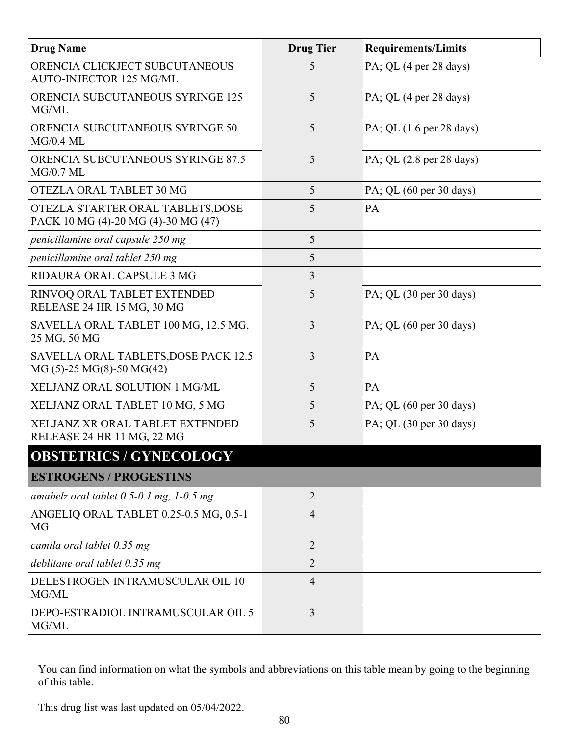| <b>Drug Name</b>                                                         | <b>Drug Tier</b> | <b>Requirements/Limits</b>                  |
|--------------------------------------------------------------------------|------------------|---------------------------------------------|
| ORENCIA CLICKJECT SUBCUTANEOUS<br><b>AUTO-INJECTOR 125 MG/ML</b>         | 5                | PA; QL (4 per 28 days)                      |
| <b>ORENCIA SUBCUTANEOUS SYRINGE 125</b><br>MG/ML                         | 5                | PA; QL (4 per 28 days)                      |
| ORENCIA SUBCUTANEOUS SYRINGE 50<br>MG/0.4 ML                             | 5                | PA; QL $(1.6 \text{ per } 28 \text{ days})$ |
| <b>ORENCIA SUBCUTANEOUS SYRINGE 87.5</b><br>$MG/0.7$ ML                  | 5                | PA; QL $(2.8 \text{ per } 28 \text{ days})$ |
| OTEZLA ORAL TABLET 30 MG                                                 | 5                | PA; QL $(60 \text{ per } 30 \text{ days})$  |
| OTEZLA STARTER ORAL TABLETS, DOSE<br>PACK 10 MG (4)-20 MG (4)-30 MG (47) | 5                | PA                                          |
| penicillamine oral capsule 250 mg                                        | 5                |                                             |
| penicillamine oral tablet 250 mg                                         | 5                |                                             |
| RIDAURA ORAL CAPSULE 3 MG                                                | $\overline{3}$   |                                             |
| RINVOQ ORAL TABLET EXTENDED<br>RELEASE 24 HR 15 MG, 30 MG                | 5                | PA; QL (30 per 30 days)                     |
| SAVELLA ORAL TABLET 100 MG, 12.5 MG,<br>25 MG, 50 MG                     | 3                | PA; QL $(60 \text{ per } 30 \text{ days})$  |
| SAVELLA ORAL TABLETS, DOSE PACK 12.5<br>$MG(5)-25 MG(8)-50 MG(42)$       | $\overline{3}$   | PA                                          |
| XELJANZ ORAL SOLUTION 1 MG/ML                                            | 5                | PA                                          |
| XELJANZ ORAL TABLET 10 MG, 5 MG                                          | 5                | PA; QL $(60 \text{ per } 30 \text{ days})$  |
| XELJANZ XR ORAL TABLET EXTENDED<br>RELEASE 24 HR 11 MG, 22 MG            | 5                | PA; QL $(30 \text{ per } 30 \text{ days})$  |
| <b>OBSTETRICS / GYNECOLOGY</b>                                           |                  |                                             |
| <b>ESTROGENS / PROGESTINS</b>                                            |                  |                                             |
| amabelz oral tablet $0.5$ -0.1 mg, 1-0.5 mg                              | $\overline{2}$   |                                             |
| ANGELIQ ORAL TABLET 0.25-0.5 MG, 0.5-1<br>MG                             | $\overline{4}$   |                                             |
| camila oral tablet 0.35 mg                                               | $\overline{2}$   |                                             |
| deblitane oral tablet 0.35 mg                                            | $\overline{2}$   |                                             |
| DELESTROGEN INTRAMUSCULAR OIL 10<br>MG/ML                                | $\overline{4}$   |                                             |
| DEPO-ESTRADIOL INTRAMUSCULAR OIL 5<br>MG/ML                              | $\overline{3}$   |                                             |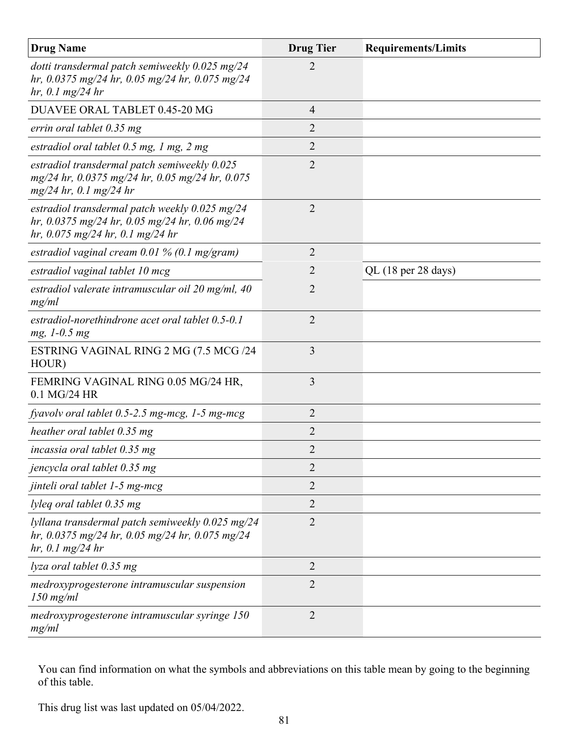| <b>Drug Name</b>                                                                                                                       | <b>Drug Tier</b> | <b>Requirements/Limits</b> |
|----------------------------------------------------------------------------------------------------------------------------------------|------------------|----------------------------|
| dotti transdermal patch semiweekly $0.025$ mg/24<br>hr, 0.0375 mg/24 hr, 0.05 mg/24 hr, 0.075 mg/24<br>$hr, 0.1$ mg/24 hr              | 2                |                            |
| DUAVEE ORAL TABLET 0.45-20 MG                                                                                                          | $\overline{4}$   |                            |
| errin oral tablet 0.35 mg                                                                                                              | $\overline{2}$   |                            |
| estradiol oral tablet $0.5$ mg, 1 mg, 2 mg                                                                                             | $\overline{2}$   |                            |
| estradiol transdermal patch semiweekly 0.025<br>mg/24 hr, 0.0375 mg/24 hr, 0.05 mg/24 hr, 0.075<br>$mg/24$ hr, 0.1 mg/24 hr            | $\overline{2}$   |                            |
| estradiol transdermal patch weekly $0.025$ mg/24<br>hr, 0.0375 mg/24 hr, 0.05 mg/24 hr, 0.06 mg/24<br>hr, 0.075 mg/24 hr, 0.1 mg/24 hr | $\overline{2}$   |                            |
| estradiol vaginal cream $0.01\%$ (0.1 mg/gram)                                                                                         | $\overline{2}$   |                            |
| estradiol vaginal tablet 10 mcg                                                                                                        | $\overline{2}$   | QL (18 per 28 days)        |
| estradiol valerate intramuscular oil 20 mg/ml, 40<br>mg/ml                                                                             | $\overline{2}$   |                            |
| estradiol-norethindrone acet oral tablet 0.5-0.1<br>$mg, 1-0.5 mg$                                                                     | $\overline{2}$   |                            |
| ESTRING VAGINAL RING 2 MG (7.5 MCG /24<br>HOUR)                                                                                        | 3                |                            |
| FEMRING VAGINAL RING 0.05 MG/24 HR,<br>0.1 MG/24 HR                                                                                    | 3                |                            |
| fyavolv oral tablet $0.5$ -2.5 mg-mcg, 1-5 mg-mcg                                                                                      | $\overline{2}$   |                            |
| heather oral tablet 0.35 mg                                                                                                            | 2                |                            |
| incassia oral tablet 0.35 mg                                                                                                           | $\overline{2}$   |                            |
| jencycla oral tablet 0.35 mg                                                                                                           | $\overline{2}$   |                            |
| jinteli oral tablet 1-5 mg-mcg                                                                                                         | $\overline{2}$   |                            |
| lyleq oral tablet 0.35 mg                                                                                                              | $\overline{2}$   |                            |
| lyllana transdermal patch semiweekly 0.025 mg/24<br>hr, 0.0375 mg/24 hr, 0.05 mg/24 hr, 0.075 mg/24<br>hr, 0.1 mg/24 hr                | $\overline{2}$   |                            |
| lyza oral tablet 0.35 mg                                                                                                               | $\overline{2}$   |                            |
| medroxyprogesterone intramuscular suspension<br>$150$ mg/ml                                                                            | $\overline{2}$   |                            |
| medroxyprogesterone intramuscular syringe 150<br>mg/ml                                                                                 | $\overline{2}$   |                            |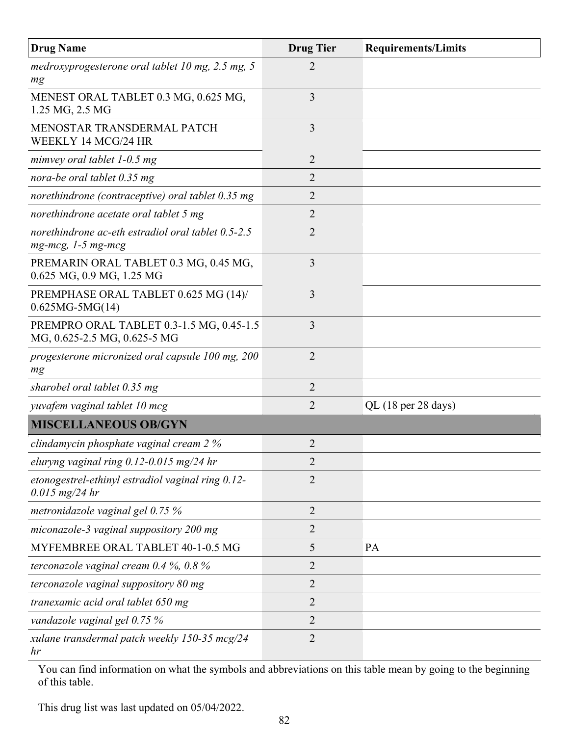| <b>Drug Name</b>                                                                      | <b>Drug Tier</b> | <b>Requirements/Limits</b>             |
|---------------------------------------------------------------------------------------|------------------|----------------------------------------|
| medroxyprogesterone oral tablet 10 mg, $2.5$ mg, $5$<br>mg                            | $\overline{2}$   |                                        |
| MENEST ORAL TABLET 0.3 MG, 0.625 MG,<br>1.25 MG, 2.5 MG                               | 3                |                                        |
| MENOSTAR TRANSDERMAL PATCH<br>WEEKLY 14 MCG/24 HR                                     | 3                |                                        |
| mimvey oral tablet $1-0.5$ mg                                                         | 2                |                                        |
| nora-be oral tablet 0.35 mg                                                           | 2                |                                        |
| norethindrone (contraceptive) oral tablet 0.35 mg                                     | 2                |                                        |
| norethindrone acetate oral tablet 5 mg                                                | 2                |                                        |
| norethindrone ac-eth estradiol oral tablet 0.5-2.5<br>$mg$ - $mcg$ , 1-5 $mg$ - $mcg$ | $\overline{2}$   |                                        |
| PREMARIN ORAL TABLET 0.3 MG, 0.45 MG,<br>0.625 MG, 0.9 MG, 1.25 MG                    | 3                |                                        |
| PREMPHASE ORAL TABLET 0.625 MG (14)/<br>$0.625MG - 5MG(14)$                           | 3                |                                        |
| PREMPRO ORAL TABLET 0.3-1.5 MG, 0.45-1.5<br>MG, 0.625-2.5 MG, 0.625-5 MG              | 3                |                                        |
| progesterone micronized oral capsule 100 mg, 200<br>mg                                | $\overline{2}$   |                                        |
| sharobel oral tablet 0.35 mg                                                          | 2                |                                        |
| yuvafem vaginal tablet 10 mcg                                                         | $\overline{2}$   | QL $(18 \text{ per } 28 \text{ days})$ |
| <b>MISCELLANEOUS OB/GYN</b>                                                           |                  |                                        |
| clindamycin phosphate vaginal cream 2 %                                               | $\overline{2}$   |                                        |
| eluryng vaginal ring $0.12$ -0.015 mg/24 hr                                           | $\overline{2}$   |                                        |
| etonogestrel-ethinyl estradiol vaginal ring 0.12-<br>$0.015$ mg/24 hr                 | $\overline{2}$   |                                        |
| metronidazole vaginal gel 0.75 %                                                      | $\overline{2}$   |                                        |
| miconazole-3 vaginal suppository 200 mg                                               | 2                |                                        |
| MYFEMBREE ORAL TABLET 40-1-0.5 MG                                                     | 5                | PA                                     |
| terconazole vaginal cream $0.4\%$ , $0.8\%$                                           | 2                |                                        |
| terconazole vaginal suppository 80 mg                                                 | $\overline{2}$   |                                        |
| tranexamic acid oral tablet 650 mg                                                    | $\overline{2}$   |                                        |
| vandazole vaginal gel 0.75 %                                                          | $\overline{2}$   |                                        |
| xulane transdermal patch weekly 150-35 mcg/24<br>hr                                   | $\overline{2}$   |                                        |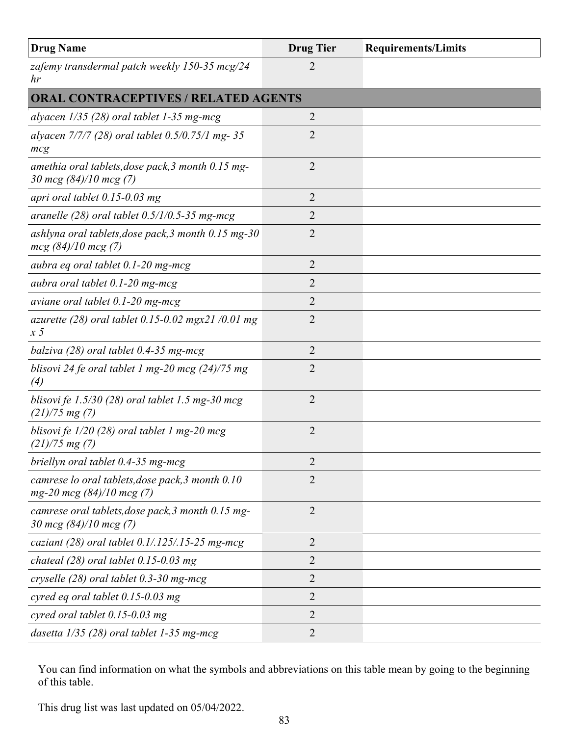| <b>Drug Name</b>                                                                  | <b>Drug Tier</b> | <b>Requirements/Limits</b> |
|-----------------------------------------------------------------------------------|------------------|----------------------------|
| zafemy transdermal patch weekly 150-35 mcg/24<br>hr                               | $\overline{2}$   |                            |
| <b>ORAL CONTRACEPTIVES / RELATED AGENTS</b>                                       |                  |                            |
| alyacen $1/35$ (28) oral tablet 1-35 mg-mcg                                       | 2                |                            |
| alyacen 7/7/7 (28) oral tablet 0.5/0.75/1 mg-35<br>mcg                            | 2                |                            |
| amethia oral tablets, dose pack, 3 month 0.15 mg-<br>30 mcg $(84)/10$ mcg $(7)$   | $\overline{2}$   |                            |
| apri oral tablet $0.15$ -0.03 mg                                                  | $\overline{2}$   |                            |
| aranelle $(28)$ oral tablet $0.5/1/0.5$ -35 mg-mcg                                | 2                |                            |
| ashlyna oral tablets, dose pack, $3$ month 0.15 mg- $30$<br>$mcg$ (84)/10 mcg (7) | $\overline{2}$   |                            |
| aubra eq oral tablet 0.1-20 mg-mcg                                                | $\overline{2}$   |                            |
| aubra oral tablet 0.1-20 mg-mcg                                                   | $\overline{2}$   |                            |
| aviane oral tablet $0.1$ -20 mg-mcg                                               | 2                |                            |
| azurette (28) oral tablet $0.15{\text -}0.02$ mgx21 /0.01 mg<br>x <sub>5</sub>    | $\overline{2}$   |                            |
| balziva $(28)$ oral tablet 0.4-35 mg-mcg                                          | $\overline{2}$   |                            |
| blisovi 24 fe oral tablet 1 mg-20 mcg $(24)/75$ mg<br>$\left( 4\right)$           | $\overline{2}$   |                            |
| blisovi fe $1.5/30$ (28) oral tablet 1.5 mg-30 mcg<br>$(21)/75$ mg $(7)$          | $\overline{2}$   |                            |
| blisovi fe $1/20$ (28) oral tablet 1 mg-20 mcg<br>$(21)/75$ mg $(7)$              | $\overline{2}$   |                            |
| briellyn oral tablet 0.4-35 mg-mcg                                                | 2                |                            |
| camrese lo oral tablets, dose pack, 3 month 0.10<br>$mg-20$ mcg $(84)/10$ mcg (7) | $\overline{2}$   |                            |
| camrese oral tablets, dose pack, 3 month 0.15 mg-<br>30 mcg $(84)/10$ mcg $(7)$   | $\overline{2}$   |                            |
| caziant (28) oral tablet $0.1/.125/.15-25$ mg-mcg                                 | $\overline{2}$   |                            |
| chateal $(28)$ oral tablet 0.15-0.03 mg                                           | 2                |                            |
| cryselle $(28)$ oral tablet 0.3-30 mg-mcg                                         | $\overline{2}$   |                            |
| cyred eq oral tablet $0.15$ -0.03 mg                                              | $\overline{2}$   |                            |
| cyred oral tablet $0.15$ -0.03 mg                                                 | $\overline{2}$   |                            |
| dasetta $1/35$ (28) oral tablet 1-35 mg-mcg                                       | $\overline{2}$   |                            |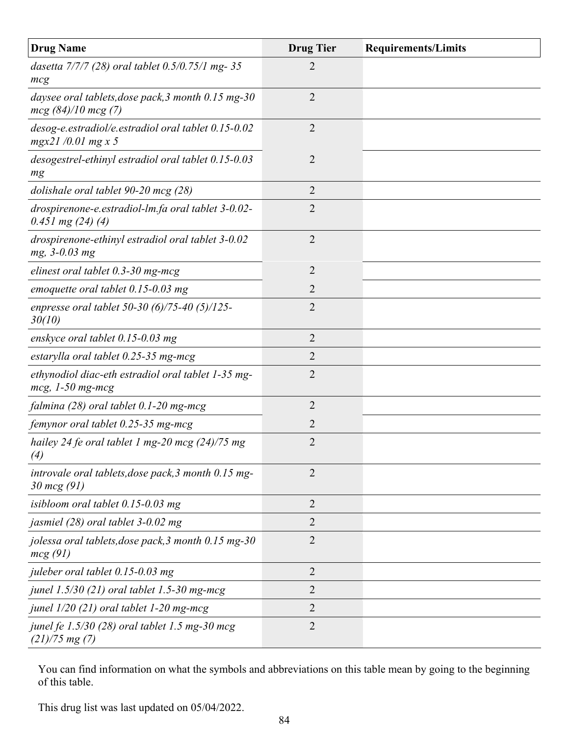| <b>Drug Name</b>                                                               | <b>Drug Tier</b> | <b>Requirements/Limits</b> |
|--------------------------------------------------------------------------------|------------------|----------------------------|
| dasetta 7/7/7 (28) oral tablet 0.5/0.75/1 mg-35<br>mcg                         | 2                |                            |
| daysee oral tablets, dose pack, 3 month 0.15 mg-30<br>$mcg(84)/10$ mcg(7)      | $\overline{2}$   |                            |
| desog-e.estradiol/e.estradiol oral tablet 0.15-0.02<br>$mgx21/0.01$ mg x 5     | $\overline{2}$   |                            |
| desogestrel-ethinyl estradiol oral tablet 0.15-0.03<br>mg                      | $\overline{2}$   |                            |
| dolishale oral tablet 90-20 mcg (28)                                           | 2                |                            |
| drospirenone-e.estradiol-lm.fa oral tablet 3-0.02-<br>$0.451$ mg $(24)$ $(4)$  | $\overline{2}$   |                            |
| drospirenone-ethinyl estradiol oral tablet 3-0.02<br>mg, 3-0.03 mg             | $\overline{2}$   |                            |
| elinest oral tablet $0.3$ -30 mg-mcg                                           | $\overline{2}$   |                            |
| emoquette oral tablet $0.15$ -0.03 mg                                          | $\overline{2}$   |                            |
| enpresse oral tablet 50-30 $(6)/75$ -40 $(5)/125$ -<br>30(10)                  | $\overline{2}$   |                            |
| enskyce oral tablet 0.15-0.03 mg                                               | $\overline{2}$   |                            |
| estarylla oral tablet 0.25-35 mg-mcg                                           | $\overline{2}$   |                            |
| ethynodiol diac-eth estradiol oral tablet 1-35 mg-<br>$mcg$ , 1-50 mg-mcg      | $\overline{2}$   |                            |
| falmina (28) oral tablet 0.1-20 mg-mcg                                         | $\overline{2}$   |                            |
| femynor oral tablet 0.25-35 mg-mcg                                             | $\overline{2}$   |                            |
| hailey 24 fe oral tablet 1 mg-20 mcg $(24)/75$ mg<br>(4)                       | $\overline{2}$   |                            |
| introvale oral tablets, dose pack, 3 month 0.15 mg-<br>$30 \, \text{mcg} (91)$ | $\overline{2}$   |                            |
| isibloom oral tablet $0.15$ -0.03 mg                                           | $\overline{2}$   |                            |
| jasmiel (28) oral tablet 3-0.02 mg                                             | 2                |                            |
| jolessa oral tablets, dose pack, 3 month 0.15 mg-30<br>mcg(91)                 | $\overline{2}$   |                            |
| juleber oral tablet 0.15-0.03 mg                                               | $\overline{2}$   |                            |
| junel 1.5/30 (21) oral tablet 1.5-30 mg-mcg                                    | $\overline{2}$   |                            |
| junel $1/20$ (21) oral tablet 1-20 mg-mcg                                      | $\overline{2}$   |                            |
| junel fe $1.5/30$ (28) oral tablet 1.5 mg-30 mcg<br>$(21)/75$ mg $(7)$         | $\overline{2}$   |                            |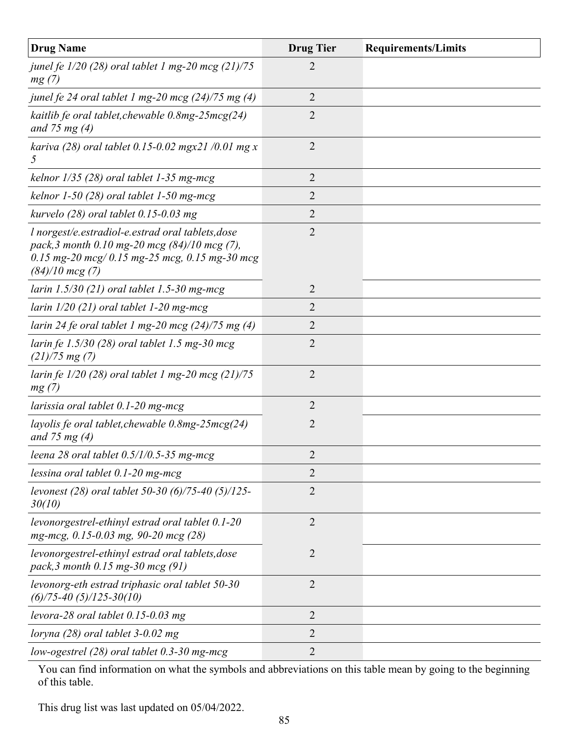| <b>Drug Name</b>                                                                                                                                                         | <b>Drug Tier</b> | <b>Requirements/Limits</b> |
|--------------------------------------------------------------------------------------------------------------------------------------------------------------------------|------------------|----------------------------|
| junel fe $1/20$ (28) oral tablet 1 mg-20 mcg (21)/75<br>mg(7)                                                                                                            | 2                |                            |
| junel fe 24 oral tablet 1 mg-20 mcg $(24)/75$ mg $(4)$                                                                                                                   | $\overline{2}$   |                            |
| kaitlib fe oral tablet, chewable $0.8mg-25mcg(24)$<br>and 75 mg $(4)$                                                                                                    | $\overline{2}$   |                            |
| kariva (28) oral tablet $0.15 - 0.02$ mgx21/0.01 mg x<br>$\mathfrak{Z}$                                                                                                  | $\overline{2}$   |                            |
| kelnor $1/35$ (28) oral tablet 1-35 mg-mcg                                                                                                                               | $\overline{2}$   |                            |
| kelnor $1-50$ (28) oral tablet $1-50$ mg-mcg                                                                                                                             | $\overline{2}$   |                            |
| kurvelo $(28)$ oral tablet 0.15-0.03 mg                                                                                                                                  | $\overline{2}$   |                            |
| l norgest/e.estradiol-e.estrad oral tablets, dose<br>pack, 3 month 0.10 mg-20 mcg (84)/10 mcg (7),<br>0.15 mg-20 mcg/0.15 mg-25 mcg, 0.15 mg-30 mcg<br>$(84)/10$ mcg (7) | $\overline{2}$   |                            |
| larin $1.5/30$ (21) oral tablet 1.5-30 mg-mcg                                                                                                                            | $\overline{2}$   |                            |
| larin $1/20$ (21) oral tablet 1-20 mg-mcg                                                                                                                                | $\overline{2}$   |                            |
| larin 24 fe oral tablet 1 mg-20 mcg $(24)/75$ mg $(4)$                                                                                                                   | $\overline{2}$   |                            |
| larin fe 1.5/30 (28) oral tablet 1.5 mg-30 mcg<br>$(21)/75$ mg $(7)$                                                                                                     | $\overline{2}$   |                            |
| larin fe $1/20$ (28) oral tablet 1 mg-20 mcg (21)/75<br>mg(7)                                                                                                            | $\overline{2}$   |                            |
| larissia oral tablet $0.1$ -20 mg-mcg                                                                                                                                    | $\overline{2}$   |                            |
| layolis fe oral tablet, chewable $0.8mg-25mcg(24)$<br>and 75 mg $(4)$                                                                                                    | $\overline{2}$   |                            |
| leena 28 oral tablet $0.5/1/0.5$ -35 mg-mcg                                                                                                                              | $\overline{2}$   |                            |
| lessina oral tablet $0.1$ -20 mg-mcg                                                                                                                                     | $\overline{2}$   |                            |
| levonest (28) oral tablet 50-30 (6)/75-40 (5)/125-<br>30(10)                                                                                                             | $\overline{2}$   |                            |
| levonorgestrel-ethinyl estrad oral tablet 0.1-20<br>mg-mcg, 0.15-0.03 mg, 90-20 mcg (28)                                                                                 | $\overline{2}$   |                            |
| levonorgestrel-ethinyl estrad oral tablets, dose<br>pack, 3 month 0.15 mg-30 mcg (91)                                                                                    | $\overline{2}$   |                            |
| levonorg-eth estrad triphasic oral tablet 50-30<br>$(6)/75 - 40(5)/125 - 30(10)$                                                                                         | $\overline{2}$   |                            |
| levora-28 oral tablet $0.15$ -0.03 mg                                                                                                                                    | $\overline{2}$   |                            |
| loryna $(28)$ oral tablet 3-0.02 mg                                                                                                                                      | $\overline{2}$   |                            |
| low-ogestrel $(28)$ oral tablet 0.3-30 mg-mcg                                                                                                                            | 2                |                            |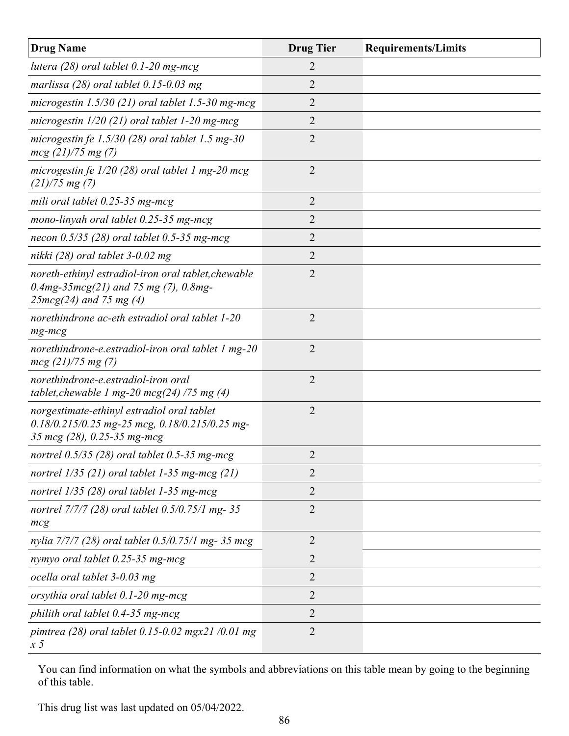| <b>Drug Name</b>                                                                                                                 | <b>Drug Tier</b> | <b>Requirements/Limits</b> |
|----------------------------------------------------------------------------------------------------------------------------------|------------------|----------------------------|
| lutera $(28)$ oral tablet 0.1-20 mg-mcg                                                                                          | 2                |                            |
| marlissa $(28)$ oral tablet 0.15-0.03 mg                                                                                         | $\overline{2}$   |                            |
| microgestin $1.5/30$ (21) oral tablet 1.5-30 mg-mcg                                                                              | $\overline{2}$   |                            |
| microgestin $1/20$ (21) oral tablet 1-20 mg-mcg                                                                                  | $\overline{2}$   |                            |
| microgestin fe $1.5/30$ (28) oral tablet 1.5 mg-30<br>$mcg$ (21)/75 mg (7)                                                       | $\overline{2}$   |                            |
| microgestin fe $1/20$ (28) oral tablet 1 mg-20 mcg<br>$(21)/75$ mg $(7)$                                                         | $\overline{2}$   |                            |
| mili oral tablet 0.25-35 mg-mcg                                                                                                  | $\overline{2}$   |                            |
| mono-linyah oral tablet 0.25-35 mg-mcg                                                                                           | $\overline{2}$   |                            |
| necon $0.5/35$ (28) oral tablet 0.5-35 mg-mcg                                                                                    | 2                |                            |
| nikki $(28)$ oral tablet 3-0.02 mg                                                                                               | $\overline{2}$   |                            |
| noreth-ethinyl estradiol-iron oral tablet, chewable<br>$0.4mg - 35mcg(21)$ and 75 mg (7), $0.8mg -$<br>$25mcg(24)$ and 75 mg (4) | $\overline{2}$   |                            |
| norethindrone ac-eth estradiol oral tablet 1-20<br>$mg$ - $mcg$                                                                  | $\overline{2}$   |                            |
| norethindrone-e.estradiol-iron oral tablet 1 mg-20<br>$mcg$ (21)/75 mg (7)                                                       | $\overline{2}$   |                            |
| norethindrone-e.estradiol-iron oral<br>tablet, chewable 1 mg-20 mcg(24) /75 mg (4)                                               | $\overline{2}$   |                            |
| norgestimate-ethinyl estradiol oral tablet<br>$0.18/0.215/0.25$ mg-25 mcg, $0.18/0.215/0.25$ mg-<br>35 mcg (28), 0.25-35 mg-mcg  | $\overline{2}$   |                            |
| nortrel 0.5/35 (28) oral tablet 0.5-35 mg-mcg                                                                                    | $\overline{2}$   |                            |
| nortrel $1/35$ (21) oral tablet 1-35 mg-mcg (21)                                                                                 | 2                |                            |
| nortrel $1/35$ (28) oral tablet 1-35 mg-mcg                                                                                      | 2                |                            |
| nortrel 7/7/7 (28) oral tablet 0.5/0.75/1 mg-35<br>mcg                                                                           | 2                |                            |
| nylia 7/7/7 (28) oral tablet 0.5/0.75/1 mg- 35 mcg                                                                               | $\overline{2}$   |                            |
| nymyo oral tablet 0.25-35 mg-mcg                                                                                                 | $\overline{2}$   |                            |
| ocella oral tablet 3-0.03 mg                                                                                                     | $\overline{2}$   |                            |
| orsythia oral tablet 0.1-20 mg-mcg                                                                                               | $\overline{2}$   |                            |
| philith oral tablet $0.4$ -35 mg-mcg                                                                                             | $\overline{2}$   |                            |
| pimtrea (28) oral tablet $0.15{\text -}0.02$ mgx21 /0.01 mg<br>$\overline{x}5$                                                   | $\overline{2}$   |                            |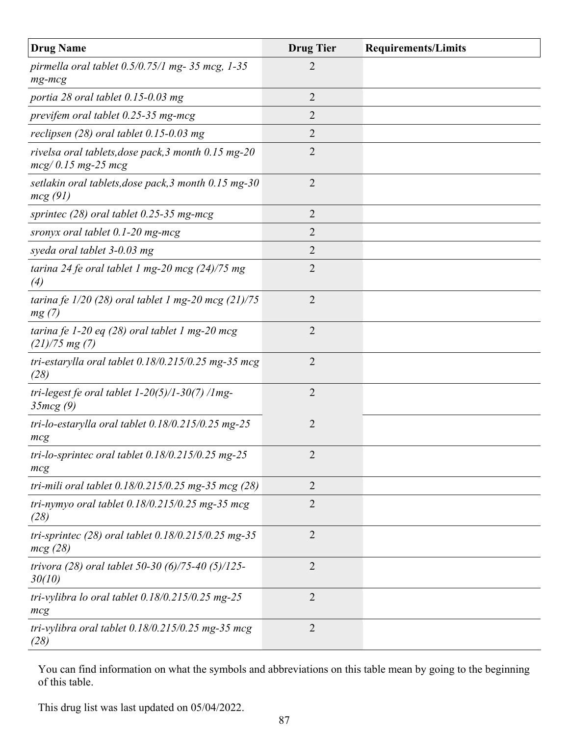| <b>Drug Name</b>                                                            | <b>Drug Tier</b> | <b>Requirements/Limits</b> |
|-----------------------------------------------------------------------------|------------------|----------------------------|
| pirmella oral tablet $0.5/0.75/1$ mg- 35 mcg, 1-35<br>$mg$ - $mcg$          | 2                |                            |
| portia 28 oral tablet 0.15-0.03 mg                                          | $\overline{2}$   |                            |
| previfem oral tablet 0.25-35 mg-mcg                                         | $\overline{2}$   |                            |
| reclipsen $(28)$ oral tablet 0.15-0.03 mg                                   | $\overline{2}$   |                            |
| rivelsa oral tablets, dose pack, 3 month 0.15 mg-20<br>$mcg/0.15$ mg-25 mcg | 2                |                            |
| setlakin oral tablets, dose pack, 3 month 0.15 mg-30<br>mcg(91)             | $\overline{2}$   |                            |
| sprintec $(28)$ oral tablet 0.25-35 mg-mcg                                  | $\overline{2}$   |                            |
| sronyx oral tablet 0.1-20 mg-mcg                                            | 2                |                            |
| syeda oral tablet 3-0.03 mg                                                 | $\overline{2}$   |                            |
| tarina 24 fe oral tablet 1 mg-20 mcg $(24)/75$ mg<br>$\left( 4\right)$      | $\overline{2}$   |                            |
| tarina fe $1/20$ (28) oral tablet 1 mg-20 mcg (21)/75<br>mg(7)              | $\overline{2}$   |                            |
| tarina fe 1-20 eq $(28)$ oral tablet 1 mg-20 mcg<br>$(21)/75$ mg $(7)$      | $\overline{2}$   |                            |
| tri-estarylla oral tablet $0.18/0.215/0.25$ mg-35 mcg<br>(28)               | $\overline{2}$   |                            |
| tri-legest fe oral tablet $1-20(5)/1-30(7)/1$ mg-<br>35mcg(9)               | $\overline{2}$   |                            |
| tri-lo-estarylla oral tablet $0.18/0.215/0.25$ mg-25<br>mcg                 | $\overline{2}$   |                            |
| tri-lo-sprintec oral tablet $0.18/0.215/0.25$ mg-25<br>mcg                  | 2                |                            |
| tri-mili oral tablet $0.18/0.215/0.25$ mg-35 mcg (28)                       | $\overline{2}$   |                            |
| tri-nymyo oral tablet $0.18/0.215/0.25$ mg-35 mcg<br>(28)                   | $\overline{2}$   |                            |
| tri-sprintec $(28)$ oral tablet $0.18/0.215/0.25$ mg-35<br>mcg(28)          | $\overline{2}$   |                            |
| trivora (28) oral tablet 50-30 (6)/75-40 (5)/125-<br>30(10)                 | $\overline{2}$   |                            |
| tri-vylibra lo oral tablet $0.18/0.215/0.25$ mg-25<br>mcg                   | $\overline{2}$   |                            |
| tri-vylibra oral tablet $0.18/0.215/0.25$ mg-35 mcg<br>(28)                 | $\overline{2}$   |                            |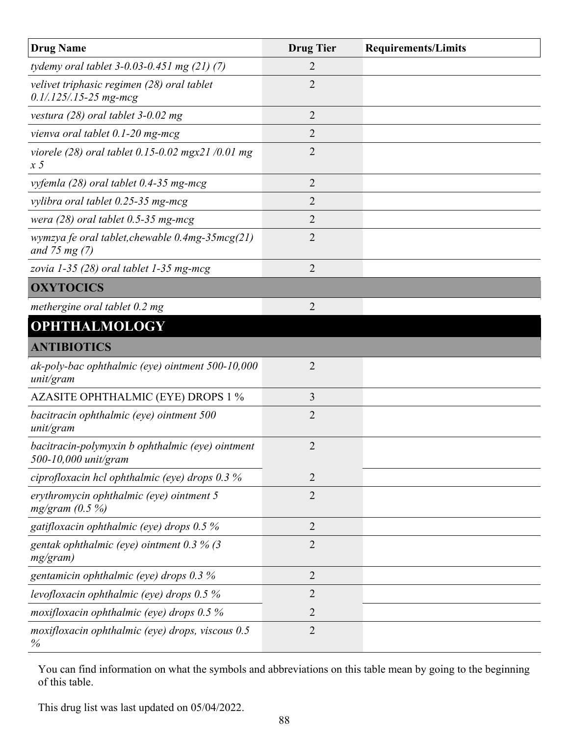| <b>Drug Name</b>                                                         | <b>Drug Tier</b> | <b>Requirements/Limits</b> |
|--------------------------------------------------------------------------|------------------|----------------------------|
| tydemy oral tablet $3-0.03-0.451$ mg $(21)$ $(7)$                        | 2                |                            |
| velivet triphasic regimen (28) oral tablet<br>$0.1/.125/.15-25$ mg-mcg   | $\overline{2}$   |                            |
| vestura $(28)$ oral tablet 3-0.02 mg                                     | $\overline{2}$   |                            |
| vienva oral tablet $0.1$ -20 mg-mcg                                      | $\overline{2}$   |                            |
| viorele (28) oral tablet 0.15-0.02 mgx21 /0.01 mg<br>$\overline{x}5$     | 2                |                            |
| vyfemla $(28)$ oral tablet 0.4-35 mg-mcg                                 | $\overline{2}$   |                            |
| vylibra oral tablet 0.25-35 mg-mcg                                       | 2                |                            |
| wera $(28)$ oral tablet 0.5-35 mg-mcg                                    | $\overline{2}$   |                            |
| wymzya fe oral tablet, chewable $0.4mg-35mcg(21)$<br>and 75 mg $(7)$     | $\overline{2}$   |                            |
| zovia 1-35 (28) oral tablet 1-35 mg-mcg                                  | $\overline{2}$   |                            |
| <b>OXYTOCICS</b>                                                         |                  |                            |
| methergine oral tablet 0.2 mg                                            | $\overline{2}$   |                            |
| <b>OPHTHALMOLOGY</b>                                                     |                  |                            |
| <b>ANTIBIOTICS</b>                                                       |                  |                            |
| ak-poly-bac ophthalmic (eye) ointment 500-10,000<br>unit/gram            | $\overline{2}$   |                            |
| <b>AZASITE OPHTHALMIC (EYE) DROPS 1 %</b>                                | 3                |                            |
| bacitracin ophthalmic (eye) ointment 500<br>unit/gram                    | $\overline{2}$   |                            |
| bacitracin-polymyxin b ophthalmic (eye) ointment<br>500-10,000 unit/gram | $\overline{2}$   |                            |
| ciprofloxacin hcl ophthalmic (eye) drops 0.3 %                           | $\overline{2}$   |                            |
| erythromycin ophthalmic (eye) ointment 5<br>$mg/gram$ (0.5 %)            | $\overline{2}$   |                            |
| gatifloxacin ophthalmic (eye) drops $0.5\%$                              | $\overline{2}$   |                            |
| gentak ophthalmic (eye) ointment $0.3\%$ (3<br>mg/gram)                  | $\overline{2}$   |                            |
| gentamicin ophthalmic (eye) drops 0.3 %                                  | $\overline{2}$   |                            |
| levofloxacin ophthalmic (eye) drops $0.5\%$                              | $\overline{2}$   |                            |
| moxifloxacin ophthalmic (eye) drops $0.5\%$                              | 2                |                            |
| moxifloxacin ophthalmic (eye) drops, viscous 0.5<br>%                    | $\overline{2}$   |                            |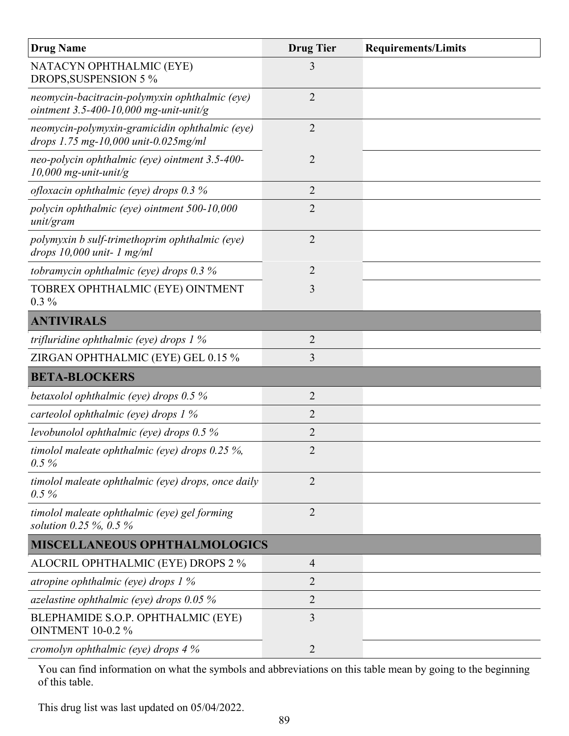| <b>Drug Name</b>                                                                         | <b>Drug Tier</b> | <b>Requirements/Limits</b> |
|------------------------------------------------------------------------------------------|------------------|----------------------------|
| NATACYN OPHTHALMIC (EYE)<br>DROPS, SUSPENSION 5 %                                        | 3                |                            |
| neomycin-bacitracin-polymyxin ophthalmic (eye)<br>ointment 3.5-400-10,000 mg-unit-unit/g | $\overline{2}$   |                            |
| neomycin-polymyxin-gramicidin ophthalmic (eye)<br>drops 1.75 mg-10,000 unit-0.025mg/ml   | $\overline{2}$   |                            |
| neo-polycin ophthalmic (eye) ointment 3.5-400-<br>10,000 mg-unit-unit/g                  | $\overline{2}$   |                            |
| ofloxacin ophthalmic (eye) drops $0.3\%$                                                 | $\overline{2}$   |                            |
| polycin ophthalmic (eye) ointment 500-10,000<br>unit/gram                                | $\overline{2}$   |                            |
| polymyxin b sulf-trimethoprim ophthalmic (eye)<br>drops $10,000$ unit- 1 mg/ml           | $\overline{2}$   |                            |
| tobramycin ophthalmic (eye) drops $0.3\%$                                                | $\overline{2}$   |                            |
| TOBREX OPHTHALMIC (EYE) OINTMENT<br>$0.3\%$                                              | 3                |                            |
| <b>ANTIVIRALS</b>                                                                        |                  |                            |
| trifluridine ophthalmic (eye) drops $1\%$                                                | $\overline{2}$   |                            |
| ZIRGAN OPHTHALMIC (EYE) GEL 0.15 %                                                       | 3                |                            |
| <b>BETA-BLOCKERS</b>                                                                     |                  |                            |
| betaxolol ophthalmic (eye) drops $0.5\%$                                                 | $\overline{2}$   |                            |
| carteolol ophthalmic (eye) drops 1 %                                                     | $\overline{2}$   |                            |
| levobunolol ophthalmic (eye) drops $0.5\%$                                               | $\overline{2}$   |                            |
| timolol maleate ophthalmic (eye) drops $0.25\%$ ,<br>$0.5\%$                             | $\overline{2}$   |                            |
| timolol maleate ophthalmic (eye) drops, once daily<br>$0.5\%$                            | $\overline{2}$   |                            |
| timolol maleate ophthalmic (eye) gel forming<br>solution 0.25 $\%$ , 0.5 $\%$            | $\overline{2}$   |                            |
| <b>MISCELLANEOUS OPHTHALMOLOGICS</b>                                                     |                  |                            |
| ALOCRIL OPHTHALMIC (EYE) DROPS 2 %                                                       | $\overline{4}$   |                            |
| atropine ophthalmic (eye) drops $1\%$                                                    | 2                |                            |
| azelastine ophthalmic (eye) drops $0.05\%$                                               | $\overline{2}$   |                            |
| BLEPHAMIDE S.O.P. OPHTHALMIC (EYE)<br><b>OINTMENT 10-0.2 %</b>                           | 3                |                            |
| cromolyn ophthalmic (eye) drops 4 %                                                      | 2                |                            |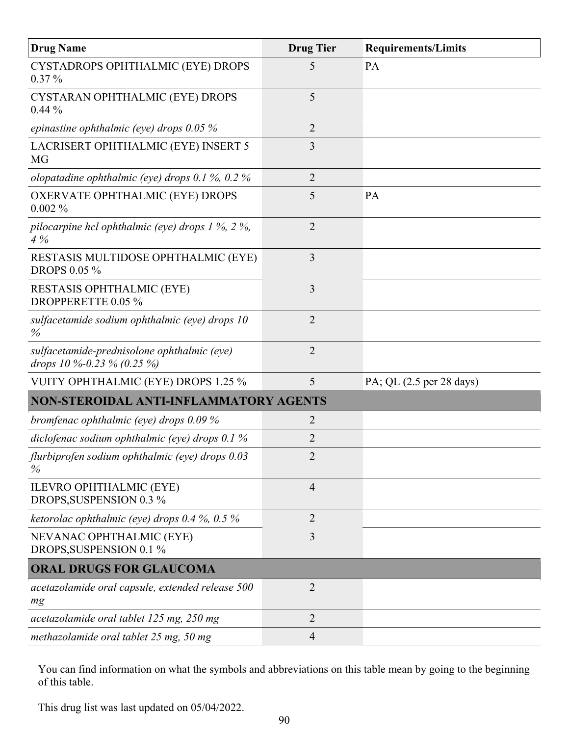| <b>Drug Name</b>                                                          | <b>Drug Tier</b> | <b>Requirements/Limits</b> |
|---------------------------------------------------------------------------|------------------|----------------------------|
| CYSTADROPS OPHTHALMIC (EYE) DROPS<br>$0.37\%$                             | 5                | <b>PA</b>                  |
| CYSTARAN OPHTHALMIC (EYE) DROPS<br>$0.44\%$                               | 5                |                            |
| epinastine ophthalmic (eye) drops $0.05\%$                                | $\overline{2}$   |                            |
| LACRISERT OPHTHALMIC (EYE) INSERT 5<br>MG                                 | 3                |                            |
| olopatadine ophthalmic (eye) drops $0.1\%$ , $0.2\%$                      | $\overline{2}$   |                            |
| OXERVATE OPHTHALMIC (EYE) DROPS<br>$0.002\%$                              | 5                | PA                         |
| pilocarpine hcl ophthalmic (eye) drops $1\%$ , $2\%$ ,<br>4%              | $\overline{2}$   |                            |
| RESTASIS MULTIDOSE OPHTHALMIC (EYE)<br><b>DROPS 0.05 %</b>                | 3                |                            |
| <b>RESTASIS OPHTHALMIC (EYE)</b><br>DROPPERETTE 0.05 %                    | 3                |                            |
| sulfacetamide sodium ophthalmic (eye) drops 10<br>$\%$                    | $\overline{2}$   |                            |
| sulfacetamide-prednisolone ophthalmic (eye)<br>drops 10 %-0.23 % (0.25 %) | $\overline{2}$   |                            |
| <b>VUITY OPHTHALMIC (EYE) DROPS 1.25 %</b>                                | 5                | PA; QL (2.5 per 28 days)   |
| NON-STEROIDAL ANTI-INFLAMMATORY AGENTS                                    |                  |                            |
| bromfenac ophthalmic (eye) drops $0.09\%$                                 | 2                |                            |
| diclofenac sodium ophthalmic (eye) drops $0.1\%$                          | 2                |                            |
| flurbiprofen sodium ophthalmic (eye) drops 0.03<br>$\%$                   | $\overline{2}$   |                            |
| <b>ILEVRO OPHTHALMIC (EYE)</b><br>DROPS, SUSPENSION 0.3 %                 | $\overline{4}$   |                            |
| ketorolac ophthalmic (eye) drops 0.4 %, 0.5 %                             | $\overline{2}$   |                            |
| NEVANAC OPHTHALMIC (EYE)<br>DROPS, SUSPENSION 0.1 %                       | $\overline{3}$   |                            |
| <b>ORAL DRUGS FOR GLAUCOMA</b>                                            |                  |                            |
| acetazolamide oral capsule, extended release 500<br>mg                    | $\overline{2}$   |                            |
| acetazolamide oral tablet 125 mg, 250 mg                                  | $\overline{2}$   |                            |
| methazolamide oral tablet 25 mg, 50 mg                                    | $\overline{4}$   |                            |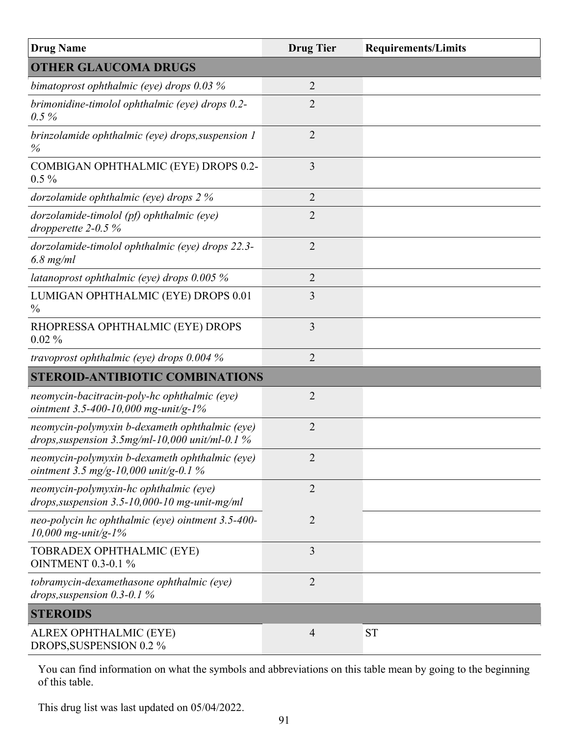| <b>Drug Name</b>                                                                                     | <b>Drug Tier</b> | <b>Requirements/Limits</b> |
|------------------------------------------------------------------------------------------------------|------------------|----------------------------|
| <b>OTHER GLAUCOMA DRUGS</b>                                                                          |                  |                            |
| bimatoprost ophthalmic (eye) drops $0.03\%$                                                          | $\overline{2}$   |                            |
| brimonidine-timolol ophthalmic (eye) drops 0.2-<br>$0.5\%$                                           | $\overline{2}$   |                            |
| brinzolamide ophthalmic (eye) drops, suspension 1<br>$\%$                                            | $\overline{2}$   |                            |
| COMBIGAN OPHTHALMIC (EYE) DROPS 0.2-<br>$0.5\%$                                                      | 3                |                            |
| dorzolamide ophthalmic (eye) drops $2\%$                                                             | $\overline{2}$   |                            |
| dorzolamide-timolol (pf) ophthalmic (eye)<br>dropperette $2-0.5\%$                                   | $\overline{2}$   |                            |
| dorzolamide-timolol ophthalmic (eye) drops 22.3-<br>$6.8$ mg/ml                                      | $\overline{2}$   |                            |
| latanoprost ophthalmic (eye) drops $0.005\%$                                                         | $\overline{2}$   |                            |
| LUMIGAN OPHTHALMIC (EYE) DROPS 0.01<br>$\frac{0}{0}$                                                 | 3                |                            |
| RHOPRESSA OPHTHALMIC (EYE) DROPS<br>$0.02\%$                                                         | 3                |                            |
| travoprost ophthalmic (eye) drops $0.004\%$                                                          | $\overline{2}$   |                            |
| <b>STEROID-ANTIBIOTIC COMBINATIONS</b>                                                               |                  |                            |
| neomycin-bacitracin-poly-hc ophthalmic (eye)<br>ointment 3.5-400-10,000 mg-unit/g-1%                 | $\overline{2}$   |                            |
| neomycin-polymyxin b-dexameth ophthalmic (eye)<br>drops, suspension $3.5$ mg/ml-10,000 unit/ml-0.1 % | $\overline{2}$   |                            |
| neomycin-polymyxin b-dexameth ophthalmic (eye)<br>ointment 3.5 mg/g-10,000 unit/g-0.1 %              | $\overline{2}$   |                            |
| neomycin-polymyxin-hc ophthalmic (eye)<br>drops, suspension $3.5$ -10,000-10 mg-unit-mg/ml           | $\overline{2}$   |                            |
| neo-polycin hc ophthalmic (eye) ointment 3.5-400-<br>$10,000$ mg-unit/g-1%                           | $\overline{2}$   |                            |
| TOBRADEX OPHTHALMIC (EYE)<br><b>OINTMENT 0.3-0.1 %</b>                                               | $\overline{3}$   |                            |
| tobramycin-dexamethasone ophthalmic (eye)<br>drops, suspension $0.3$ - $0.1\%$                       | $\overline{2}$   |                            |
| <b>STEROIDS</b>                                                                                      |                  |                            |
| ALREX OPHTHALMIC (EYE)<br>DROPS, SUSPENSION 0.2 %                                                    | $\overline{4}$   | <b>ST</b>                  |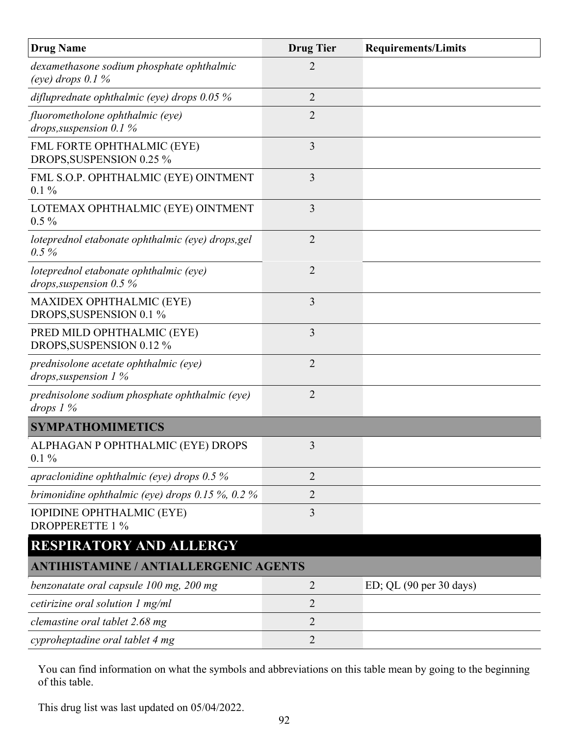| <b>Drug Name</b>                                                    | <b>Drug Tier</b> | <b>Requirements/Limits</b> |
|---------------------------------------------------------------------|------------------|----------------------------|
| dexamethasone sodium phosphate ophthalmic<br>(eye) drops $0.1\%$    | $\overline{2}$   |                            |
| difluprednate ophthalmic (eye) drops $0.05\%$                       | $\overline{2}$   |                            |
| fluorometholone ophthalmic (eye)<br>drops, suspension 0.1 $%$       | $\overline{2}$   |                            |
| FML FORTE OPHTHALMIC (EYE)<br>DROPS, SUSPENSION 0.25 %              | 3                |                            |
| FML S.O.P. OPHTHALMIC (EYE) OINTMENT<br>$0.1\%$                     | 3                |                            |
| LOTEMAX OPHTHALMIC (EYE) OINTMENT<br>$0.5\%$                        | 3                |                            |
| loteprednol etabonate ophthalmic (eye) drops, gel<br>$0.5\%$        | $\overline{2}$   |                            |
| loteprednol etabonate ophthalmic (eye)<br>drops, suspension $0.5\%$ | $\overline{2}$   |                            |
| <b>MAXIDEX OPHTHALMIC (EYE)</b><br>DROPS, SUSPENSION 0.1 %          | 3                |                            |
| PRED MILD OPHTHALMIC (EYE)<br>DROPS, SUSPENSION 0.12 %              | 3                |                            |
| prednisolone acetate ophthalmic (eye)<br>drops, suspension $1\%$    | $\overline{2}$   |                            |
| prednisolone sodium phosphate ophthalmic (eye)<br>drops $1\%$       | $\overline{2}$   |                            |
| <b>SYMPATHOMIMETICS</b>                                             |                  |                            |
| ALPHAGAN P OPHTHALMIC (EYE) DROPS<br>$0.1\%$                        | 3                |                            |
| apraclonidine ophthalmic (eye) drops $0.5\%$                        | $\overline{2}$   |                            |
| brimonidine ophthalmic (eye) drops $0.15\%$ , $0.2\%$               | $\overline{2}$   |                            |
| <b>IOPIDINE OPHTHALMIC (EYE)</b><br><b>DROPPERETTE 1 %</b>          | 3                |                            |
| <b>RESPIRATORY AND ALLERGY</b>                                      |                  |                            |
| <b>ANTIHISTAMINE / ANTIALLERGENIC AGENTS</b>                        |                  |                            |
| benzonatate oral capsule 100 mg, 200 mg                             | $\overline{2}$   | $ED$ ; QL (90 per 30 days) |
| cetirizine oral solution 1 mg/ml                                    | $\overline{2}$   |                            |
| clemastine oral tablet 2.68 mg                                      | $\overline{2}$   |                            |
| cyproheptadine oral tablet 4 mg                                     | $\overline{2}$   |                            |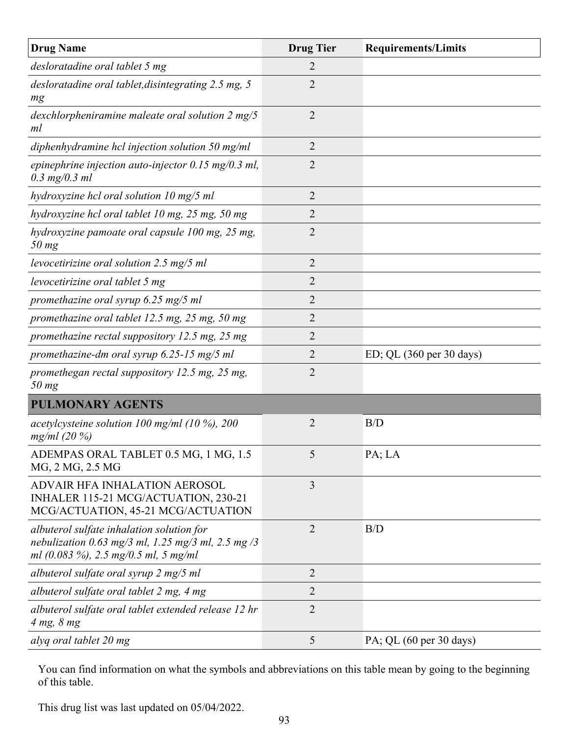| <b>Drug Name</b>                                                                                                                          | <b>Drug Tier</b> | <b>Requirements/Limits</b> |
|-------------------------------------------------------------------------------------------------------------------------------------------|------------------|----------------------------|
| desloratadine oral tablet 5 mg                                                                                                            | $\overline{2}$   |                            |
| desloratadine oral tablet, disintegrating 2.5 mg, 5<br>mg                                                                                 | $\overline{2}$   |                            |
| dexchlorpheniramine maleate oral solution 2 mg/5<br>ml                                                                                    | $\overline{2}$   |                            |
| diphenhydramine hcl injection solution $50 \text{ mg/ml}$                                                                                 | 2                |                            |
| epinephrine injection auto-injector $0.15 \text{ mg}/0.3 \text{ ml}$ ,<br>$0.3$ mg/0.3 ml                                                 | $\overline{2}$   |                            |
| hydroxyzine hcl oral solution 10 mg/5 ml                                                                                                  | $\overline{2}$   |                            |
| hydroxyzine hcl oral tablet 10 mg, 25 mg, 50 mg                                                                                           | 2                |                            |
| hydroxyzine pamoate oral capsule 100 mg, 25 mg,<br>$50$ mg                                                                                | $\overline{2}$   |                            |
| levocetirizine oral solution 2.5 mg/5 ml                                                                                                  | $\overline{2}$   |                            |
| levocetirizine oral tablet 5 mg                                                                                                           | $\overline{2}$   |                            |
| promethazine oral syrup 6.25 mg/5 ml                                                                                                      | 2                |                            |
| promethazine oral tablet 12.5 mg, 25 mg, 50 mg                                                                                            | 2                |                            |
| promethazine rectal suppository 12.5 mg, 25 mg                                                                                            | 2                |                            |
| promethazine-dm oral syrup 6.25-15 mg/5 ml                                                                                                | 2                | ED; QL (360 per 30 days)   |
| promethegan rectal suppository 12.5 mg, 25 mg,<br>$50$ mg                                                                                 | $\overline{2}$   |                            |
| <b>PULMONARY AGENTS</b>                                                                                                                   |                  |                            |
| acetylcysteine solution 100 mg/ml (10 %), 200<br>mg/ml (20 %)                                                                             | $\overline{2}$   | B/D                        |
| ADEMPAS ORAL TABLET 0.5 MG, 1 MG, 1.5<br>MG, 2 MG, 2.5 MG                                                                                 | 5                | PA; LA                     |
| ADVAIR HFA INHALATION AEROSOL<br>INHALER 115-21 MCG/ACTUATION, 230-21<br>MCG/ACTUATION, 45-21 MCG/ACTUATION                               | 3                |                            |
| albuterol sulfate inhalation solution for<br>nebulization 0.63 mg/3 ml, 1.25 mg/3 ml, 2.5 mg/3<br>ml $(0.083\%)$ , 2.5 mg/0.5 ml, 5 mg/ml | $\overline{2}$   | B/D                        |
| albuterol sulfate oral syrup 2 mg/5 ml                                                                                                    | $\overline{2}$   |                            |
| albuterol sulfate oral tablet 2 mg, 4 mg                                                                                                  | $\overline{2}$   |                            |
| albuterol sulfate oral tablet extended release 12 hr<br>$4 mg$ , $8 mg$                                                                   | $\overline{2}$   |                            |
| alyq oral tablet 20 mg                                                                                                                    | 5                | PA; QL (60 per 30 days)    |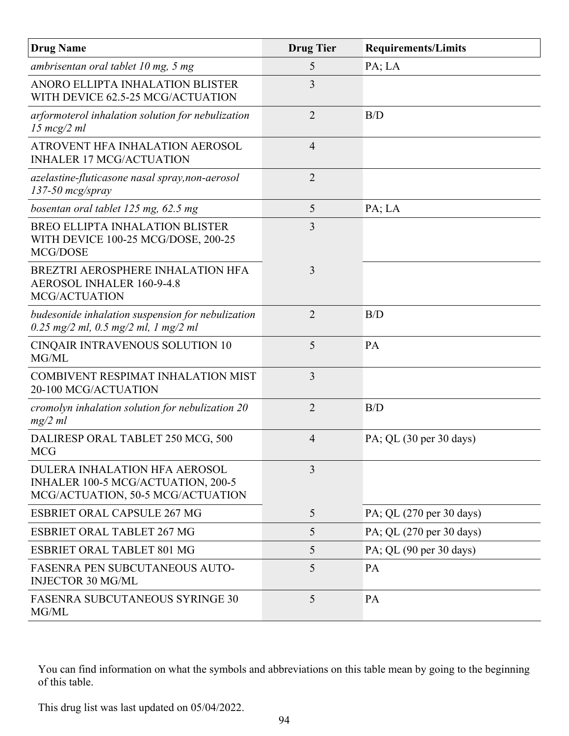| <b>Drug Name</b>                                                                                                | <b>Drug Tier</b> | <b>Requirements/Limits</b>                 |
|-----------------------------------------------------------------------------------------------------------------|------------------|--------------------------------------------|
| ambrisentan oral tablet 10 mg, 5 mg                                                                             | 5                | PA; LA                                     |
| ANORO ELLIPTA INHALATION BLISTER<br>WITH DEVICE 62.5-25 MCG/ACTUATION                                           | 3                |                                            |
| arformoterol inhalation solution for nebulization<br>$15 \; mcg/2 \; ml$                                        | $\overline{2}$   | B/D                                        |
| ATROVENT HFA INHALATION AEROSOL<br><b>INHALER 17 MCG/ACTUATION</b>                                              | $\overline{4}$   |                                            |
| azelastine-fluticasone nasal spray, non-aerosol<br>$137-50$ mcg/spray                                           | $\overline{2}$   |                                            |
| bosentan oral tablet 125 mg, 62.5 mg                                                                            | 5                | PA; LA                                     |
| BREO ELLIPTA INHALATION BLISTER<br>WITH DEVICE 100-25 MCG/DOSE, 200-25<br>MCG/DOSE                              | 3                |                                            |
| BREZTRI AEROSPHERE INHALATION HFA<br>AEROSOL INHALER 160-9-4.8<br>MCG/ACTUATION                                 | 3                |                                            |
| budesonide inhalation suspension for nebulization<br>$0.25$ mg/2 ml, 0.5 mg/2 ml, 1 mg/2 ml                     | $\overline{2}$   | B/D                                        |
| CINQAIR INTRAVENOUS SOLUTION 10<br>MG/ML                                                                        | 5                | PA                                         |
| <b>COMBIVENT RESPIMAT INHALATION MIST</b><br>20-100 MCG/ACTUATION                                               | 3                |                                            |
| cromolyn inhalation solution for nebulization 20<br>mg/2 ml                                                     | $\overline{2}$   | B/D                                        |
| DALIRESP ORAL TABLET 250 MCG, 500<br><b>MCG</b>                                                                 | $\overline{4}$   | PA; QL $(30 \text{ per } 30 \text{ days})$ |
| <b>DULERA INHALATION HFA AEROSOL</b><br>INHALER 100-5 MCG/ACTUATION, 200-5<br>MCG/ACTUATION, 50-5 MCG/ACTUATION | 3                |                                            |
| <b>ESBRIET ORAL CAPSULE 267 MG</b>                                                                              | 5                | PA; QL (270 per 30 days)                   |
| <b>ESBRIET ORAL TABLET 267 MG</b>                                                                               | 5                | PA; QL (270 per 30 days)                   |
| <b>ESBRIET ORAL TABLET 801 MG</b>                                                                               | 5                | PA; QL (90 per 30 days)                    |
| FASENRA PEN SUBCUTANEOUS AUTO-<br><b>INJECTOR 30 MG/ML</b>                                                      | 5                | PA                                         |
| <b>FASENRA SUBCUTANEOUS SYRINGE 30</b><br>MG/ML                                                                 | 5                | PA                                         |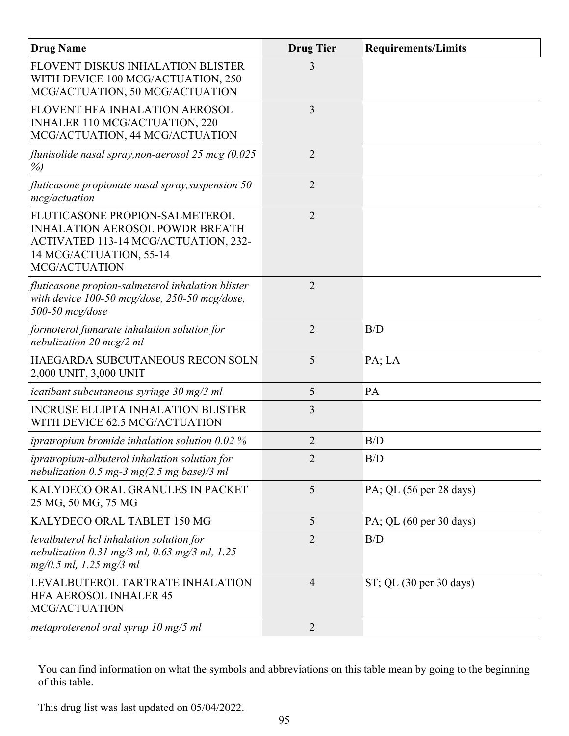| <b>Drug Name</b>                                                                                                                                                    | <b>Drug Tier</b> | <b>Requirements/Limits</b> |
|---------------------------------------------------------------------------------------------------------------------------------------------------------------------|------------------|----------------------------|
| FLOVENT DISKUS INHALATION BLISTER<br>WITH DEVICE 100 MCG/ACTUATION, 250<br>MCG/ACTUATION, 50 MCG/ACTUATION                                                          | 3                |                            |
| FLOVENT HFA INHALATION AEROSOL<br>INHALER 110 MCG/ACTUATION, 220<br>MCG/ACTUATION, 44 MCG/ACTUATION                                                                 | 3                |                            |
| flunisolide nasal spray, non-aerosol 25 mcg (0.025<br>$\%$                                                                                                          | $\overline{2}$   |                            |
| fluticasone propionate nasal spray, suspension 50<br>mcg/actuation                                                                                                  | $\overline{2}$   |                            |
| FLUTICASONE PROPION-SALMETEROL<br><b>INHALATION AEROSOL POWDR BREATH</b><br>ACTIVATED 113-14 MCG/ACTUATION, 232-<br>14 MCG/ACTUATION, 55-14<br><b>MCG/ACTUATION</b> | $\overline{2}$   |                            |
| fluticasone propion-salmeterol inhalation blister<br>with device 100-50 mcg/dose, 250-50 mcg/dose,<br>$500-50$ mcg/dose                                             | $\overline{2}$   |                            |
| formoterol fumarate inhalation solution for<br>nebulization 20 $mcg/2$ ml                                                                                           | $\overline{2}$   | B/D                        |
| HAEGARDA SUBCUTANEOUS RECON SOLN<br>2,000 UNIT, 3,000 UNIT                                                                                                          | 5                | PA; LA                     |
| icatibant subcutaneous syringe 30 mg/3 ml                                                                                                                           | 5                | PA                         |
| <b>INCRUSE ELLIPTA INHALATION BLISTER</b><br>WITH DEVICE 62.5 MCG/ACTUATION                                                                                         | 3                |                            |
| ipratropium bromide inhalation solution $0.02\%$                                                                                                                    | $\overline{2}$   | B/D                        |
| <i>ipratropium-albuterol inhalation solution for</i><br>nebulization 0.5 mg-3 mg $(2.5 \text{ mg base})/3 \text{ ml}$                                               | $\overline{2}$   | B/D                        |
| KALYDECO ORAL GRANULES IN PACKET<br>25 MG, 50 MG, 75 MG                                                                                                             | 5                | PA; QL (56 per 28 days)    |
| KALYDECO ORAL TABLET 150 MG                                                                                                                                         | 5                | PA; QL (60 per 30 days)    |
| levalbuterol hcl inhalation solution for<br>nebulization 0.31 mg/3 ml, 0.63 mg/3 ml, 1.25<br>mg/0.5 ml, 1.25 mg/3 ml                                                | $\overline{2}$   | B/D                        |
| LEVALBUTEROL TARTRATE INHALATION<br><b>HFA AEROSOL INHALER 45</b><br><b>MCG/ACTUATION</b>                                                                           | $\overline{4}$   | $ST$ ; QL (30 per 30 days) |
| metaproterenol oral syrup 10 mg/5 ml                                                                                                                                | $\overline{2}$   |                            |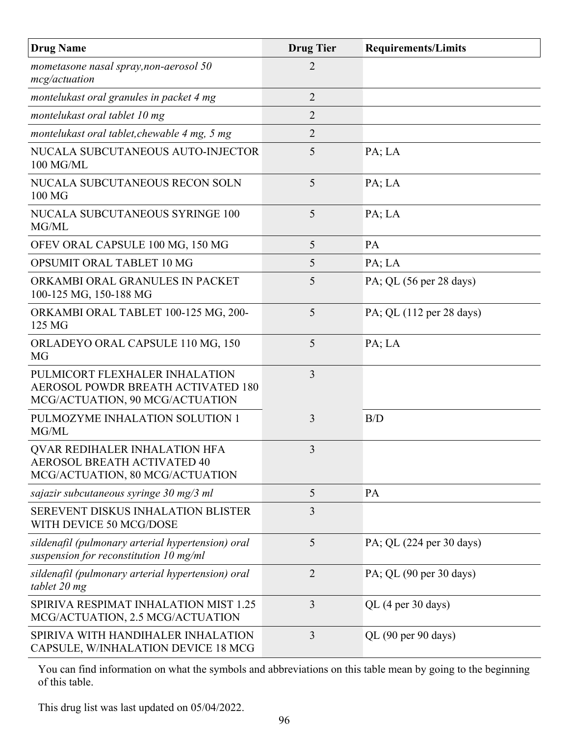| <b>Drug Name</b>                                                                                               | <b>Drug Tier</b> | <b>Requirements/Limits</b> |
|----------------------------------------------------------------------------------------------------------------|------------------|----------------------------|
| mometasone nasal spray, non-aerosol 50<br>mcg/actuation                                                        | 2                |                            |
| montelukast oral granules in packet 4 mg                                                                       | $\overline{2}$   |                            |
| montelukast oral tablet 10 mg                                                                                  | 2                |                            |
| montelukast oral tablet, chewable 4 mg, 5 mg                                                                   | $\overline{2}$   |                            |
| NUCALA SUBCUTANEOUS AUTO-INJECTOR<br>100 MG/ML                                                                 | 5                | PA; LA                     |
| NUCALA SUBCUTANEOUS RECON SOLN<br>100 MG                                                                       | 5                | PA; LA                     |
| NUCALA SUBCUTANEOUS SYRINGE 100<br>MG/ML                                                                       | 5                | PA; LA                     |
| OFEV ORAL CAPSULE 100 MG, 150 MG                                                                               | 5                | PA                         |
| OPSUMIT ORAL TABLET 10 MG                                                                                      | 5                | PA; LA                     |
| ORKAMBI ORAL GRANULES IN PACKET<br>100-125 MG, 150-188 MG                                                      | 5                | PA; QL (56 per 28 days)    |
| ORKAMBI ORAL TABLET 100-125 MG, 200-<br>125 MG                                                                 | 5                | PA; QL (112 per 28 days)   |
| ORLADEYO ORAL CAPSULE 110 MG, 150<br>MG                                                                        | 5                | PA; LA                     |
| PULMICORT FLEXHALER INHALATION<br><b>AEROSOL POWDR BREATH ACTIVATED 180</b><br>MCG/ACTUATION, 90 MCG/ACTUATION | $\overline{3}$   |                            |
| PULMOZYME INHALATION SOLUTION 1<br>MG/ML                                                                       | 3                | B/D                        |
| <b>OVAR REDIHALER INHALATION HFA</b><br><b>AEROSOL BREATH ACTIVATED 40</b><br>MCG/ACTUATION, 80 MCG/ACTUATION  | 3                |                            |
| sajazir subcutaneous syringe 30 mg/3 ml                                                                        | 5                | PA                         |
| SEREVENT DISKUS INHALATION BLISTER<br>WITH DEVICE 50 MCG/DOSE                                                  | 3                |                            |
| sildenafil (pulmonary arterial hypertension) oral<br>suspension for reconstitution $10$ mg/ml                  | 5                | PA; QL (224 per 30 days)   |
| sildenafil (pulmonary arterial hypertension) oral<br>tablet 20 mg                                              | $\overline{2}$   | PA; QL (90 per 30 days)    |
| SPIRIVA RESPIMAT INHALATION MIST 1.25<br>MCG/ACTUATION, 2.5 MCG/ACTUATION                                      | 3                | QL (4 per 30 days)         |
| SPIRIVA WITH HANDIHALER INHALATION<br>CAPSULE, W/INHALATION DEVICE 18 MCG                                      | 3                | QL (90 per 90 days)        |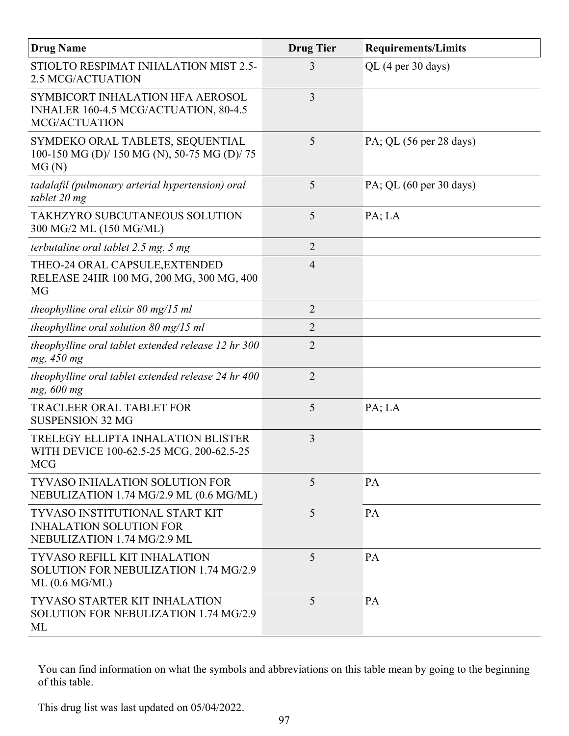| <b>Drug Name</b>                                                                                | <b>Drug Tier</b> | <b>Requirements/Limits</b>                 |
|-------------------------------------------------------------------------------------------------|------------------|--------------------------------------------|
| STIOLTO RESPIMAT INHALATION MIST 2.5-<br><b>2.5 MCG/ACTUATION</b>                               | 3                | QL (4 per 30 days)                         |
| SYMBICORT INHALATION HFA AEROSOL<br>INHALER 160-4.5 MCG/ACTUATION, 80-4.5<br>MCG/ACTUATION      | $\overline{3}$   |                                            |
| SYMDEKO ORAL TABLETS, SEQUENTIAL<br>100-150 MG (D)/ 150 MG (N), 50-75 MG (D)/ 75<br>MG(N)       | 5                | PA; QL (56 per 28 days)                    |
| tadalafil (pulmonary arterial hypertension) oral<br>tablet 20 mg                                | 5                | PA; QL $(60 \text{ per } 30 \text{ days})$ |
| TAKHZYRO SUBCUTANEOUS SOLUTION<br>300 MG/2 ML (150 MG/ML)                                       | 5                | PA; LA                                     |
| terbutaline oral tablet $2.5$ mg, $5$ mg                                                        | $\overline{2}$   |                                            |
| THEO-24 ORAL CAPSULE, EXTENDED<br>RELEASE 24HR 100 MG, 200 MG, 300 MG, 400<br><b>MG</b>         | $\overline{4}$   |                                            |
| theophylline oral elixir $80 \text{ mg}/15 \text{ ml}$                                          | $\overline{2}$   |                                            |
| theophylline oral solution $80 \text{ mg}/15 \text{ ml}$                                        | $\overline{2}$   |                                            |
| theophylline oral tablet extended release 12 hr 300<br>mg, 450 mg                               | $\overline{2}$   |                                            |
| theophylline oral tablet extended release 24 hr 400<br>mg, 600 mg                               | $\overline{2}$   |                                            |
| <b>TRACLEER ORAL TABLET FOR</b><br><b>SUSPENSION 32 MG</b>                                      | 5                | PA; LA                                     |
| TRELEGY ELLIPTA INHALATION BLISTER<br>WITH DEVICE 100-62.5-25 MCG, 200-62.5-25<br><b>MCG</b>    | 3                |                                            |
| <b>TYVASO INHALATION SOLUTION FOR</b><br>NEBULIZATION 1.74 MG/2.9 ML (0.6 MG/ML)                | 5                | PA                                         |
| TYVASO INSTITUTIONAL START KIT<br><b>INHALATION SOLUTION FOR</b><br>NEBULIZATION 1.74 MG/2.9 ML | 5                | PA                                         |
| <b>TYVASO REFILL KIT INHALATION</b><br>SOLUTION FOR NEBULIZATION 1.74 MG/2.9<br>ML (0.6 MG/ML)  | 5                | PA                                         |
| <b>TYVASO STARTER KIT INHALATION</b><br>SOLUTION FOR NEBULIZATION 1.74 MG/2.9<br>ML             | 5                | PA                                         |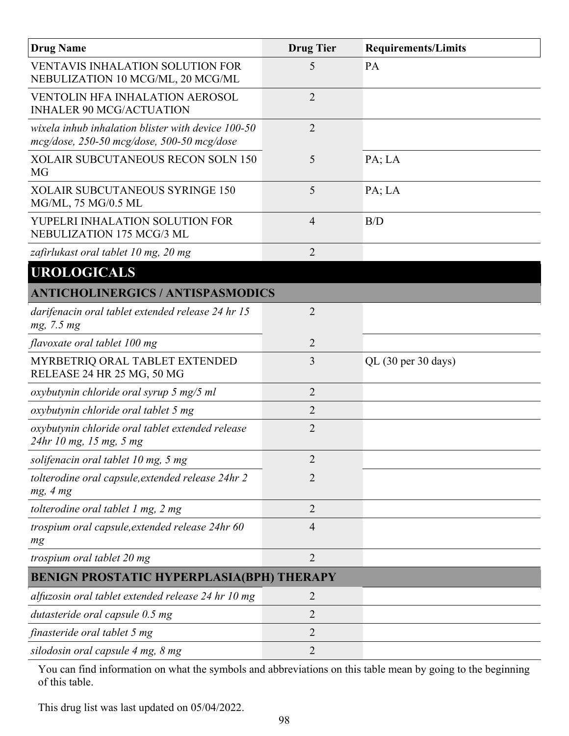| <b>Drug Name</b>                                                                                 | <b>Drug Tier</b> | <b>Requirements/Limits</b> |
|--------------------------------------------------------------------------------------------------|------------------|----------------------------|
| <b>VENTAVIS INHALATION SOLUTION FOR</b><br>NEBULIZATION 10 MCG/ML, 20 MCG/ML                     | 5                | PA                         |
| <b>VENTOLIN HFA INHALATION AEROSOL</b><br><b>INHALER 90 MCG/ACTUATION</b>                        | $\overline{2}$   |                            |
| wixela inhub inhalation blister with device 100-50<br>mcg/dose, 250-50 mcg/dose, 500-50 mcg/dose | $\overline{2}$   |                            |
| <b>XOLAIR SUBCUTANEOUS RECON SOLN 150</b><br>MG                                                  | 5                | PA; LA                     |
| <b>XOLAIR SUBCUTANEOUS SYRINGE 150</b><br>MG/ML, 75 MG/0.5 ML                                    | 5                | PA; LA                     |
| YUPELRI INHALATION SOLUTION FOR<br>NEBULIZATION 175 MCG/3 ML                                     | $\overline{4}$   | B/D                        |
| zafirlukast oral tablet 10 mg, 20 mg                                                             | $\overline{2}$   |                            |
| <b>UROLOGICALS</b>                                                                               |                  |                            |
| <b>ANTICHOLINERGICS / ANTISPASMODICS</b>                                                         |                  |                            |
| darifenacin oral tablet extended release 24 hr 15<br>mg, 7.5 mg                                  | $\overline{2}$   |                            |
| flavoxate oral tablet 100 mg                                                                     | $\overline{2}$   |                            |
| MYRBETRIQ ORAL TABLET EXTENDED<br>RELEASE 24 HR 25 MG, 50 MG                                     | 3                | QL (30 per 30 days)        |
| oxybutynin chloride oral syrup 5 mg/5 ml                                                         | $\overline{2}$   |                            |
| oxybutynin chloride oral tablet 5 mg                                                             | $\overline{2}$   |                            |
| oxybutynin chloride oral tablet extended release<br>24hr 10 mg, 15 mg, 5 mg                      | $\overline{2}$   |                            |
| solifenacin oral tablet 10 mg, 5 mg                                                              | $\overline{2}$   |                            |
| tolterodine oral capsule, extended release 24hr 2<br>mg, 4 mg                                    | $\overline{2}$   |                            |
| tolterodine oral tablet $1$ mg, $2$ mg                                                           | $\overline{2}$   |                            |
| trospium oral capsule, extended release 24hr 60<br>mg                                            | $\overline{4}$   |                            |
| trospium oral tablet 20 mg                                                                       | $\overline{2}$   |                            |
| <b>BENIGN PROSTATIC HYPERPLASIA(BPH) THERAPY</b>                                                 |                  |                            |
| alfuzosin oral tablet extended release 24 hr 10 mg                                               | $\overline{2}$   |                            |
| dutasteride oral capsule 0.5 mg                                                                  | $\overline{2}$   |                            |
| finasteride oral tablet 5 mg                                                                     | $\overline{2}$   |                            |
| silodosin oral capsule 4 mg, 8 mg                                                                | $\overline{2}$   |                            |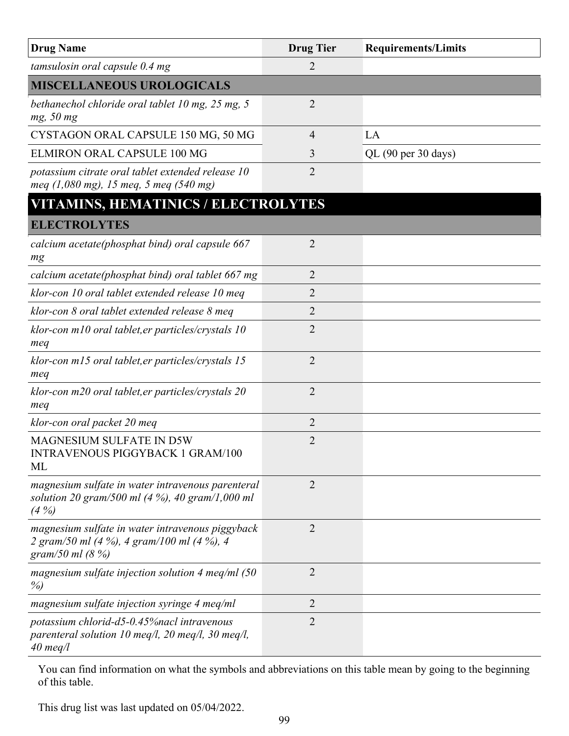| <b>Drug Name</b>                                                                                                       | <b>Drug Tier</b> | <b>Requirements/Limits</b> |
|------------------------------------------------------------------------------------------------------------------------|------------------|----------------------------|
| tamsulosin oral capsule 0.4 mg                                                                                         | $\overline{2}$   |                            |
| <b>MISCELLANEOUS UROLOGICALS</b>                                                                                       |                  |                            |
| bethanechol chloride oral tablet 10 mg, 25 mg, 5<br>mg, 50 mg                                                          | $\overline{2}$   |                            |
| CYSTAGON ORAL CAPSULE 150 MG, 50 MG                                                                                    | 4                | LA                         |
| <b>ELMIRON ORAL CAPSULE 100 MG</b>                                                                                     | 3                | QL (90 per 30 days)        |
| potassium citrate oral tablet extended release 10<br>meq $(1,080 \text{ mg})$ , 15 meq, 5 meq $(540 \text{ mg})$       | $\overline{2}$   |                            |
| <b>VITAMINS, HEMATINICS / ELECTROLYTES</b>                                                                             |                  |                            |
| <b>ELECTROLYTES</b>                                                                                                    |                  |                            |
| calcium acetate(phosphat bind) oral capsule 667<br>mg                                                                  | $\overline{2}$   |                            |
| calcium acetate(phosphat bind) oral tablet 667 mg                                                                      | $\overline{2}$   |                            |
| klor-con 10 oral tablet extended release 10 meq                                                                        | 2                |                            |
| klor-con 8 oral tablet extended release 8 meq                                                                          | $\overline{2}$   |                            |
| klor-con m10 oral tablet, er particles/crystals 10<br>meq                                                              | $\overline{2}$   |                            |
| klor-con m15 oral tablet, er particles/crystals 15<br>meq                                                              | $\overline{2}$   |                            |
| klor-con m20 oral tablet, er particles/crystals 20<br>meq                                                              | 2                |                            |
| klor-con oral packet 20 meq                                                                                            | $\overline{2}$   |                            |
| MAGNESIUM SULFATE IN D5W<br><b>INTRAVENOUS PIGGYBACK 1 GRAM/100</b><br>ML                                              | $\overline{2}$   |                            |
| magnesium sulfate in water intravenous parenteral<br>solution 20 gram/500 ml (4 %), 40 gram/1,000 ml<br>$(4\%)$        | $\overline{2}$   |                            |
| magnesium sulfate in water intravenous piggyback<br>2 gram/50 ml (4 %), 4 gram/100 ml (4 %), 4<br>gram/50 ml (8 %)     | $\overline{2}$   |                            |
| magnesium sulfate injection solution 4 meq/ml $(50)$<br>$\%$                                                           | $\overline{2}$   |                            |
| magnesium sulfate injection syringe 4 meq/ml                                                                           | 2                |                            |
| potassium chlorid-d5-0.45% nacl intravenous<br>parenteral solution 10 meq/l, 20 meq/l, 30 meq/l,<br>$40 \text{ meq}/l$ | $\overline{2}$   |                            |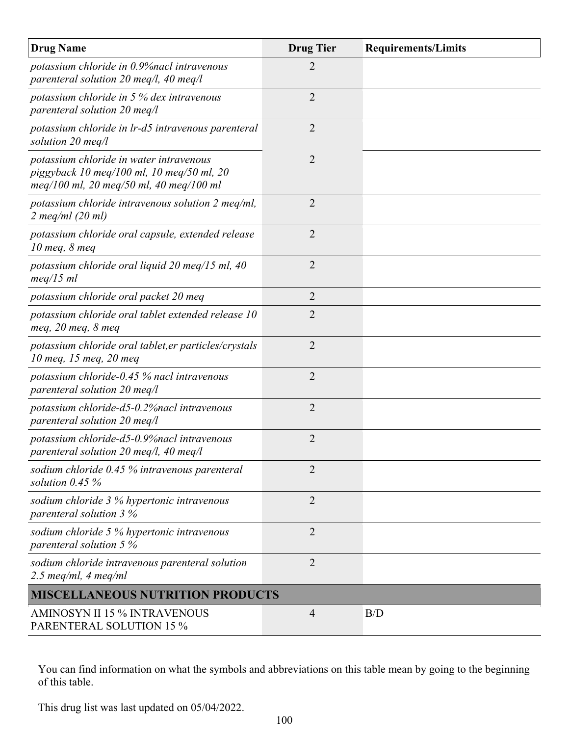| <b>Drug Name</b>                                                                                                                | <b>Drug Tier</b> | <b>Requirements/Limits</b> |
|---------------------------------------------------------------------------------------------------------------------------------|------------------|----------------------------|
| potassium chloride in 0.9% nacl intravenous<br>parenteral solution 20 meq/l, 40 meq/l                                           | 2                |                            |
| potassium chloride in $5%$ dex intravenous<br>parenteral solution 20 meq/l                                                      | 2                |                            |
| potassium chloride in lr-d5 intravenous parenteral<br>solution 20 meg/l                                                         | $\overline{2}$   |                            |
| potassium chloride in water intravenous<br>piggyback 10 meg/100 ml, 10 meg/50 ml, 20<br>meq/100 ml, 20 meq/50 ml, 40 meq/100 ml | $\overline{2}$   |                            |
| potassium chloride intravenous solution 2 meg/ml,<br>$2 \text{ meq/ml}$ (20 ml)                                                 | 2                |                            |
| potassium chloride oral capsule, extended release<br>10 meg, 8 meg                                                              | $\overline{2}$   |                            |
| potassium chloride oral liquid 20 meq/15 ml, 40<br>$meq/15$ ml                                                                  | $\overline{2}$   |                            |
| potassium chloride oral packet 20 meq                                                                                           | $\overline{2}$   |                            |
| potassium chloride oral tablet extended release 10<br>meq, $20$ meq, $8$ meq                                                    | 2                |                            |
| potassium chloride oral tablet, er particles/crystals<br>10 meq, 15 meq, 20 meq                                                 | $\overline{2}$   |                            |
| potassium chloride-0.45 $\%$ nacl intravenous<br>parenteral solution 20 meq/l                                                   | $\overline{2}$   |                            |
| potassium chloride-d5-0.2% nacl intravenous<br>parenteral solution 20 meq/l                                                     | $\overline{2}$   |                            |
| potassium chloride-d5-0.9% nacl intravenous<br>parenteral solution 20 meq/l, 40 meq/l                                           | $\overline{2}$   |                            |
| sodium chloride 0.45 % intravenous parenteral<br>solution $0.45\%$                                                              | 2                |                            |
| sodium chloride 3 % hypertonic intravenous<br>parenteral solution 3 %                                                           | $\overline{2}$   |                            |
| sodium chloride 5 % hypertonic intravenous<br>parenteral solution 5 %                                                           | 2                |                            |
| sodium chloride intravenous parenteral solution<br>$2.5$ meq/ml, 4 meq/ml                                                       | $\overline{2}$   |                            |
| <b>MISCELLANEOUS NUTRITION PRODUCTS</b>                                                                                         |                  |                            |
| <b>AMINOSYN II 15 % INTRAVENOUS</b><br><b>PARENTERAL SOLUTION 15 %</b>                                                          | $\overline{4}$   | B/D                        |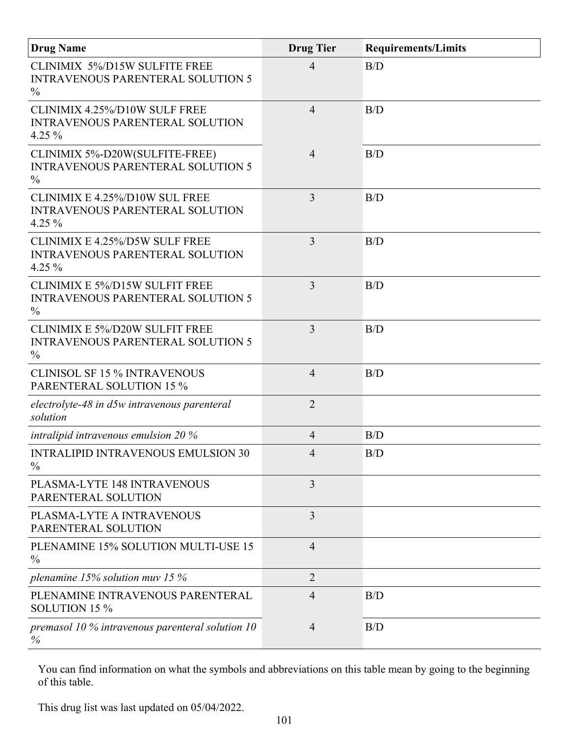| <b>Drug Name</b>                                                                                   | <b>Drug Tier</b> | <b>Requirements/Limits</b> |
|----------------------------------------------------------------------------------------------------|------------------|----------------------------|
| <b>CLINIMIX 5%/D15W SULFITE FREE</b><br><b>INTRAVENOUS PARENTERAL SOLUTION 5</b><br>$\frac{0}{0}$  | $\overline{4}$   | B/D                        |
| CLINIMIX 4.25%/D10W SULF FREE<br><b>INTRAVENOUS PARENTERAL SOLUTION</b><br>4.25 $%$                | $\overline{4}$   | B/D                        |
| CLINIMIX 5%-D20W(SULFITE-FREE)<br><b>INTRAVENOUS PARENTERAL SOLUTION 5</b><br>$\frac{0}{0}$        | $\overline{4}$   | B/D                        |
| CLINIMIX E 4.25%/D10W SUL FREE<br><b>INTRAVENOUS PARENTERAL SOLUTION</b><br>4.25 $%$               | 3                | B/D                        |
| <b>CLINIMIX E 4.25%/D5W SULF FREE</b><br>INTRAVENOUS PARENTERAL SOLUTION<br>4.25 $%$               | 3                | B/D                        |
| <b>CLINIMIX E 5%/D15W SULFIT FREE</b><br><b>INTRAVENOUS PARENTERAL SOLUTION 5</b><br>$\%$          | 3                | B/D                        |
| <b>CLINIMIX E 5%/D20W SULFIT FREE</b><br><b>INTRAVENOUS PARENTERAL SOLUTION 5</b><br>$\frac{0}{0}$ | 3                | B/D                        |
| <b>CLINISOL SF 15 % INTRAVENOUS</b><br><b>PARENTERAL SOLUTION 15 %</b>                             | $\overline{4}$   | B/D                        |
| electrolyte-48 in d5w intravenous parenteral<br>solution                                           | $\overline{2}$   |                            |
| intralipid intravenous emulsion 20 %                                                               | $\overline{4}$   | B/D                        |
| <b>INTRALIPID INTRAVENOUS EMULSION 30</b><br>$\frac{0}{0}$                                         | $\Delta$         | B/D                        |
| PLASMA-LYTE 148 INTRAVENOUS<br>PARENTERAL SOLUTION                                                 | 3                |                            |
| PLASMA-LYTE A INTRAVENOUS<br>PARENTERAL SOLUTION                                                   | 3                |                            |
| PLENAMINE 15% SOLUTION MULTI-USE 15<br>$\frac{0}{0}$                                               | $\overline{4}$   |                            |
| plenamine 15% solution muv 15 %                                                                    | $\overline{2}$   |                            |
| PLENAMINE INTRAVENOUS PARENTERAL<br>SOLUTION 15 %                                                  | $\overline{4}$   | B/D                        |
| premasol 10 $\%$ intravenous parenteral solution 10<br>$\%$                                        | $\overline{4}$   | B/D                        |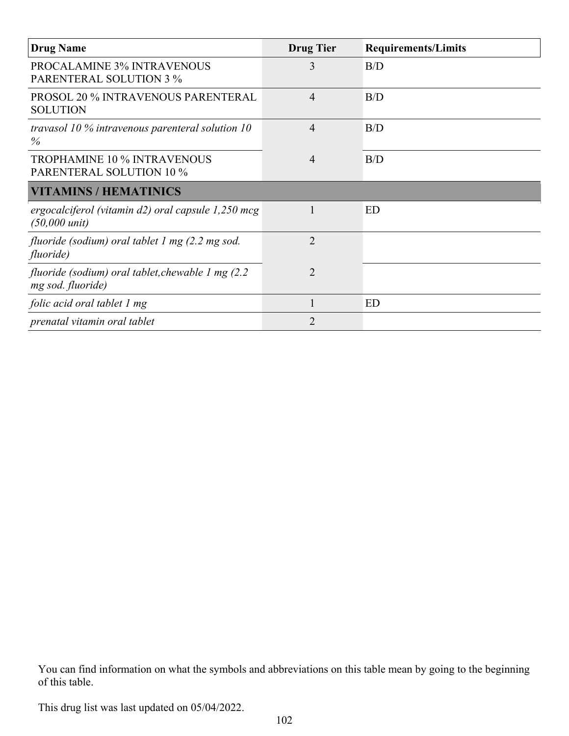| <b>Drug Name</b>                                                                  | <b>Drug Tier</b> | <b>Requirements/Limits</b> |
|-----------------------------------------------------------------------------------|------------------|----------------------------|
| <b>PROCALAMINE 3% INTRAVENOUS</b><br><b>PARENTERAL SOLUTION 3 %</b>               | 3                | B/D                        |
| <b>PROSOL 20 % INTRAVENOUS PARENTERAL</b><br><b>SOLUTION</b>                      | $\overline{4}$   | B/D                        |
| travasol 10 % intravenous parenteral solution 10<br>$\%$                          | 4                | B/D                        |
| <b>TROPHAMINE 10 % INTRAVENOUS</b><br><b>PARENTERAL SOLUTION 10 %</b>             | $\overline{4}$   | B/D                        |
| <b>VITAMINS / HEMATINICS</b>                                                      |                  |                            |
| ergocalciferol (vitamin d2) oral capsule $1,250$ mcg<br>$(50,000 \text{ unit})$   |                  | ED                         |
| fluoride (sodium) oral tablet 1 mg (2.2 mg sod.<br>fluoride)                      | $\overline{2}$   |                            |
| fluoride (sodium) oral tablet, chewable $1 \text{ mg}$ (2.2)<br>mg sod. fluoride) | $\overline{2}$   |                            |
| folic acid oral tablet 1 mg                                                       | 1                | ED                         |
| prenatal vitamin oral tablet                                                      | $\overline{2}$   |                            |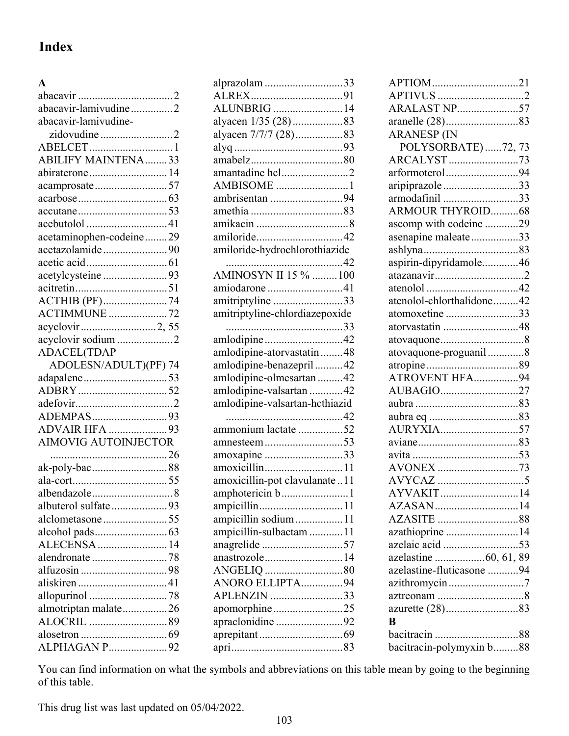## **Index**

## **A**

| abacavir-lamivudine2           |
|--------------------------------|
| abacavir-lamivudine-           |
| zidovudine 2                   |
|                                |
| <b>ABILIFY MAINTENA33</b>      |
| abiraterone14                  |
| acamprosate57                  |
|                                |
|                                |
|                                |
| acetaminophen-codeine29        |
| acetazolamide90                |
|                                |
| acetylcysteine 93              |
|                                |
|                                |
| <b>ACTIMMUNE</b> 72            |
| acyclovir2,55                  |
| acyclovir sodium 2             |
| <b>ADACEL(TDAP</b>             |
| ADOLESN/ADULT)(PF) 74          |
|                                |
|                                |
|                                |
|                                |
|                                |
| ADEMPAS93<br>ADVAIR HFA 93     |
| <b>AIMOVIG AUTOINJECTOR</b>    |
|                                |
| ak-poly-bac88                  |
|                                |
|                                |
| albuterol sulfate93            |
| alclometasone55                |
|                                |
|                                |
| ALECENSA  14<br>alendronate 78 |
|                                |
|                                |
| allopurinol 78                 |
|                                |
| almotriptan malate26           |
|                                |

| alprazolam 33                  |
|--------------------------------|
|                                |
| ALUNBRIG 14                    |
| alyacen 1/35 (28)83            |
| alyacen 7/7/7 (28)83           |
|                                |
|                                |
| amantadine hcl2                |
| AMBISOME 1                     |
| ambrisentan 94                 |
|                                |
|                                |
| amiloride42                    |
| amiloride-hydrochlorothiazide  |
|                                |
| <b>AMINOSYN II 15%</b> 100     |
| amiodarone 41                  |
| amitriptyline 33               |
| amitriptyline-chlordiazepoxide |
|                                |
| amlodipine42                   |
| amlodipine-atorvastatin48      |
| amlodipine-benazepril42        |
| amlodipine-olmesartan 42       |
| amlodipine-valsartan 42        |
| amlodipine-valsartan-hcthiazid |
|                                |
| ammonium lactate 52            |
| amnesteem53                    |
| amoxapine 33                   |
| amoxicillin11                  |
| amoxicillin-pot clavulanate11  |
| amphotericin b1                |
|                                |
| ampicillin sodium11            |
| ampicillin-sulbactam 11        |
| anagrelide 57                  |
| anastrozole14                  |
| ANGELIQ 80                     |
| ANORO ELLIPTA94                |
| APLENZIN 33                    |
| apomorphine25                  |
| apraclonidine 92               |
|                                |
|                                |
|                                |

| APTIOM21                  |
|---------------------------|
|                           |
| <b>ARALAST NP57</b>       |
|                           |
| <b>ARANESP (IN</b>        |
| POLYSORBATE) 72, 73       |
| ARCALYST73                |
| arformoterol94            |
| aripiprazole33            |
| armodafinil 33            |
| <b>ARMOUR THYROID68</b>   |
| ascomp with codeine 29    |
| asenapine maleate33       |
|                           |
| aspirin-dipyridamole46    |
| atazanavir2               |
|                           |
| atenolol-chlorthalidone42 |
| atomoxetine 33            |
| atorvastatin 48           |
|                           |
| atovaquone-proguanil 8    |
|                           |
| ATROVENT HFA94            |
| AUBAGIO27                 |
|                           |
|                           |
| AURYXIA57                 |
|                           |
|                           |
| AVONEX 73                 |
|                           |
| AYVAKIT14                 |
| AZASAN14                  |
|                           |
| azathioprine 14           |
|                           |
| azelastine 60, 61, 89     |
| azelastine-fluticasone 94 |
|                           |
|                           |
|                           |
| B                         |
|                           |
| bacitracin-polymyxin b88  |
|                           |

You can find information on what the symbols and abbreviations on this table mean by going to the beginning of this table.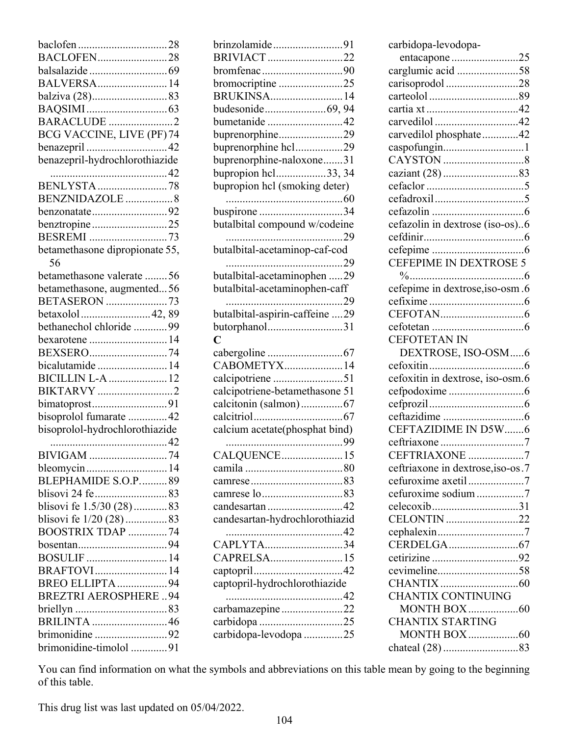| BACLOFEN28                     |
|--------------------------------|
|                                |
| BALVERSA 14                    |
| balziva (28)83                 |
|                                |
| <b>BARACLUDE</b> 2             |
| BCG VACCINE, LIVE (PF) 74      |
|                                |
| benazepril-hydrochlorothiazide |
|                                |
| <b>BENLYSTA</b> 78             |
| BENZNIDAZOLE 8                 |
| benzonatate92                  |
| benztropine25                  |
|                                |
| betamethasone dipropionate 55, |
| 56                             |
| betamethasone valerate 56      |
| betamethasone, augmented56     |
| BETASERON 73                   |
| betaxolol42,89                 |
| bethanechol chloride 99        |
| bexarotene 14                  |
| BEXSERO74                      |
| bicalutamide  14               |
| <b>BICILLIN L-A  12</b>        |
| BIKTARVY 2                     |
| bimatoprost91                  |
| bisoprolol fumarate  42        |
| bisoprolol-hydrochlorothiazide |
|                                |
| <b>BIVIGAM</b>                 |
| bleomycin14                    |
| BLEPHAMIDE S.O.P89             |
|                                |
| blisovi fe 1.5/30 (28) 83      |
| blisovi fe 1/20 (28) 83        |
| BOOSTRIX TDAP 74               |
|                                |
| <b>BOSULIF</b> 14              |
| BRAFTOVI14                     |
| BREO ELLIPTA 94                |
| <b>BREZTRI AEROSPHERE94</b>    |
|                                |
| <b>BRILINTA</b> 46             |
| brimonidine 92                 |
| brimonidine-timolol 91         |

| brinzolamide91                        |  |
|---------------------------------------|--|
| BRIVIACT22                            |  |
| bromfenac90                           |  |
| bromocriptine 25<br><b>BRUKINSA14</b> |  |
| budesonide69, 94                      |  |
| bumetanide 42                         |  |
| buprenorphine29                       |  |
| buprenorphine hcl29                   |  |
| buprenorphine-naloxone31              |  |
| bupropion hcl33, 34                   |  |
| bupropion hcl (smoking deter)         |  |
| buspirone 34                          |  |
| butalbital compound w/codeine         |  |
|                                       |  |
| butalbital-acetaminop-caf-cod         |  |
|                                       |  |
| butalbital-acetaminophen 29           |  |
| butalbital-acetaminophen-caff         |  |
|                                       |  |
| butalbital-aspirin-caffeine 29        |  |
| butorphanol31                         |  |
| C                                     |  |
|                                       |  |
|                                       |  |
| CABOMETYX14                           |  |
| calcipotriene 51                      |  |
| calcipotriene-betamethasone 51        |  |
| calcitonin (salmon)67                 |  |
| calcium acetate(phosphat bind)        |  |
|                                       |  |
| CALQUENCE15                           |  |
|                                       |  |
|                                       |  |
|                                       |  |
| candesartan 42                        |  |
| candesartan-hydrochlorothiazid        |  |
|                                       |  |
| CAPLYTA34<br>CAPRELSA15               |  |
|                                       |  |
| captopril-hydrochlorothiazide         |  |
|                                       |  |
| carbamazepine22                       |  |
| carbidopa 25<br>carbidopa-levodopa 25 |  |

| carbidopa-levodopa-               |
|-----------------------------------|
| entacapone 25                     |
| carglumic acid 58                 |
| carisoprodol 28                   |
|                                   |
| cartia xt42                       |
| carvedilol42                      |
| carvedilol phosphate42            |
| caspofungin1                      |
|                                   |
|                                   |
|                                   |
|                                   |
|                                   |
| cefazolin in dextrose (iso-os)6   |
|                                   |
| CEFEPIME IN DEXTROSE 5            |
|                                   |
| cefepime in dextrose, iso-osm.6   |
|                                   |
|                                   |
|                                   |
| <b>CEFOTETAN IN</b>               |
|                                   |
|                                   |
| DEXTROSE, ISO-OSM6                |
| cefoxitin in dextrose, iso-osm.6  |
|                                   |
|                                   |
|                                   |
| CEFTAZIDIME IN D5W6               |
|                                   |
| CEFTRIAXONE 7                     |
| ceftriaxone in dextrose, iso-os.7 |
| cefuroxime axetil7                |
| cefuroxime sodium 7               |
| celecoxib31                       |
| CELONTIN 22                       |
|                                   |
|                                   |
|                                   |
|                                   |
|                                   |
| <b>CHANTIX CONTINUING</b>         |
|                                   |
| CHANTIX STARTING                  |
|                                   |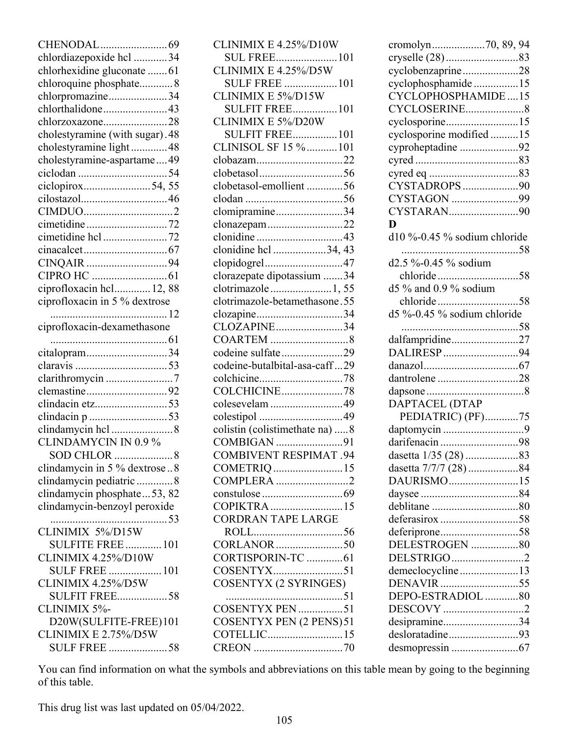| chlordiazepoxide hcl 34                     |
|---------------------------------------------|
| chlorhexidine gluconate 61                  |
| chloroquine phosphate8                      |
| chlorpromazine34                            |
| chlorthalidone43                            |
| chlorzoxazone28                             |
| cholestyramine (with sugar). 48             |
| cholestyramine light 48                     |
| cholestyramine-aspartame49                  |
|                                             |
| ciclopirox54, 55                            |
| cilostazol46                                |
|                                             |
| cimetidine72                                |
| cimetidine hcl 72                           |
|                                             |
| CINQAIR 94                                  |
|                                             |
| ciprofloxacin hcl 12, 88                    |
| ciprofloxacin in 5 % dextrose               |
|                                             |
| ciprofloxacin-dexamethasone                 |
|                                             |
| citalopram34                                |
|                                             |
| clarithromycin 7                            |
| clemastine92                                |
|                                             |
| clindacin p 53                              |
|                                             |
| <b>CLINDAMYCIN IN 0.9 %</b>                 |
|                                             |
| SOD CHLOR<br>8                              |
| clindamycin in 5 % dextrose8                |
| clindamycin pediatric 8                     |
| clindamycin phosphate 53, 82                |
| clindamycin-benzoyl peroxide                |
|                                             |
| CLINIMIX 5%/D15W                            |
| <b>SULFITE FREE  101</b>                    |
| CLINIMIX 4.25%/D10W                         |
| <b>SULF FREE  101</b>                       |
| CLINIMIX 4.25%/D5W                          |
| <b>SULFIT FREE58</b>                        |
| CLINIMIX 5%-                                |
| D20W(SULFITE-FREE)101                       |
| CLINIMIX E 2.75%/D5W<br><b>SULF FREE 58</b> |

| CLINIMIX E 4.25%/D10W           |
|---------------------------------|
| <b>SUL FREE101</b>              |
| CLINIMIX E 4.25%/D5W            |
| <b>SULF FREE</b> 101            |
| CLINIMIX E 5%/D15W              |
|                                 |
| <b>SULFIT FREE101</b>           |
| CLINIMIX E 5%/D20W              |
| <b>SULFIT FREE101</b>           |
| CLINISOL SF 15 %  101           |
| clobazam22                      |
|                                 |
|                                 |
| clobetasol-emollient56          |
|                                 |
| clomipramine34                  |
| clonazepam22                    |
|                                 |
|                                 |
| clonidine hcl 34, 43            |
| clopidogrel47                   |
| clorazepate dipotassium 34      |
| clotrimazole1,55                |
| clotrimazole-betamethasone.55   |
| clozapine34                     |
| CLOZAPINE34                     |
|                                 |
|                                 |
| codeine sulfate29               |
| codeine-butalbital-asa-caff29   |
|                                 |
|                                 |
| colesevelam 49                  |
|                                 |
|                                 |
| colistin (colistimethate na)  8 |
| COMBIGAN 91                     |
| <b>COMBIVENT RESPIMAT .94</b>   |
| COMETRIQ 15                     |
| COMPLERA 2                      |
|                                 |
|                                 |
|                                 |
| CORDRAN TAPE LARGE              |
|                                 |
|                                 |
| CORTISPORIN-TC  61              |
|                                 |
|                                 |
| <b>COSENTYX (2 SYRINGES)</b>    |
| 51                              |
|                                 |
| <b>COSENTYX PEN (2 PENS)51</b>  |
| COTELLIC15                      |
|                                 |
|                                 |

| cromolyn70, 89, 94           |  |
|------------------------------|--|
| cryselle (28)83              |  |
| cyclobenzaprine28            |  |
| cyclophosphamide15           |  |
| CYCLOPHOSPHAMIDE15           |  |
| CYCLOSERINE8                 |  |
|                              |  |
| cyclosporine15               |  |
| cyclosporine modified 15     |  |
| cyproheptadine 92            |  |
|                              |  |
|                              |  |
| CYSTADROPS90                 |  |
| CYSTAGON 99                  |  |
| CYSTARAN90                   |  |
| D                            |  |
| d10 %-0.45 % sodium chloride |  |
|                              |  |
| d2.5 %-0.45 % sodium         |  |
|                              |  |
| d5 % and 0.9 % sodium        |  |
|                              |  |
|                              |  |
| d5 %-0.45 % sodium chloride  |  |
|                              |  |
| dalfampridine27              |  |
| DALIRESP94                   |  |
|                              |  |
| dantrolene 28                |  |
|                              |  |
| DAPTACEL (DTAP               |  |
| PEDIATRIC) (PF)75            |  |
| daptomycin 9                 |  |
| darifenacin 98               |  |
|                              |  |
| dasetta 7/7/7 (28) 84        |  |
| DAURISMO15                   |  |
|                              |  |
|                              |  |
|                              |  |
| deferasirox58                |  |
|                              |  |
| DELESTROGEN 80               |  |
| DELSTRIGO 2                  |  |
| demeclocycline13             |  |
| DENAVIR 55                   |  |
| DEPO-ESTRADIOL 80            |  |
| DESCOVY 2                    |  |
| desipramine34                |  |
| desloratadine93              |  |
|                              |  |
|                              |  |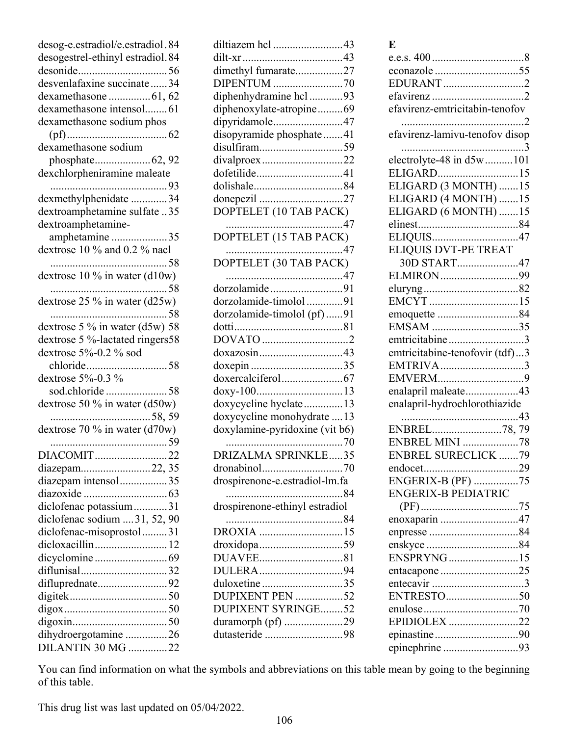| desog-e.estradiol/e.estradiol.84   |
|------------------------------------|
| desogestrel-ethinyl estradiol.84   |
|                                    |
| desvenlafaxine succinate34         |
|                                    |
| dexamethasone intensol 61          |
| dexamethasone sodium phos          |
|                                    |
| dexamethasone sodium               |
|                                    |
|                                    |
|                                    |
| dexmethylphenidate 34              |
| dextroamphetamine sulfate 35       |
| dextroamphetamine-                 |
| amphetamine 35                     |
| dextrose 10 % and 0.2 % nacl       |
|                                    |
| dextrose 10 % in water (d10w)      |
| 58                                 |
| dextrose $25\%$ in water (d25w)    |
|                                    |
| dextrose 5 % in water ( $d5w$ ) 58 |
| dextrose 5 %-lactated ringers58    |
| dextrose 5%-0.2 % sod              |
|                                    |
| dextrose 5%-0.3 %                  |
| sod.chloride58                     |
| dextrose 50 % in water $(d50w)$    |
|                                    |
|                                    |
|                                    |
| DIACOMIT22                         |
| diazepam22, 35                     |
| diazepam intensol35                |
|                                    |
| diclofenac potassium31             |
| diclofenac sodium  31, 52, 90      |
| diclofenac-misoprostol31           |
| dicloxacillin 12                   |
|                                    |
| diflunisal32                       |
| difluprednate92                    |
|                                    |
|                                    |
|                                    |
| dihydroergotamine 26               |
| DILANTIN 30 MG 22                  |
|                                    |

| diltiazem hcl 43<br>dimethyl fumarate27<br>DIPENTUM 70<br>diphenhydramine hcl 93<br>diphenoxylate-atropine69<br>dipyridamole47<br>disopyramide phosphate41<br>disulfiram59<br>divalproex22<br>dofetilide41<br>donepezil 27<br>DOPTELET (10 TAB PACK) |  |
|------------------------------------------------------------------------------------------------------------------------------------------------------------------------------------------------------------------------------------------------------|--|
|                                                                                                                                                                                                                                                      |  |
| DOPTELET (30 TAB PACK)                                                                                                                                                                                                                               |  |
| dorzolamide91<br>dorzolamide-timolol91<br>dorzolamide-timolol (pf)91<br>DOVATO 2<br>doxazosin43<br>doxepin 35<br>doxycycline hyclate 13<br>doxycycline monohydrate  13<br>doxylamine-pyridoxine (vit b6)                                             |  |
| DRIZALMA SPRINKLE35<br>drospirenone-e.estradiol-lm.fa<br>84                                                                                                                                                                                          |  |
| drospirenone-ethinyl estradiol                                                                                                                                                                                                                       |  |
| DROXIA 15<br>droxidopa59<br>DULERA94<br>duloxetine35<br>DUPIXENT PEN 52<br><b>DUPIXENT SYRINGE52</b><br>duramorph (pf) 29<br>dutasteride 98                                                                                                          |  |

| × | ×<br>۰, |  |
|---|---------|--|
|   |         |  |

| EDURANT2                       |
|--------------------------------|
|                                |
| efavirenz-emtricitabin-tenofov |
|                                |
| efavirenz-lamivu-tenofov disop |
|                                |
| electrolyte-48 in d5w101       |
| ELIGARD15                      |
| ELIGARD (3 MONTH) 15           |
| ELIGARD (4 MONTH) 15           |
| ELIGARD (6 MONTH) 15           |
| ELIQUIS47                      |
| <b>ELIQUIS DVT-PE TREAT</b>    |
| 30D START47                    |
| ELMIRON99                      |
|                                |
|                                |
| emoquette 84                   |
| EMSAM 35                       |
| emtricitabine3                 |
| emtricitabine-tenofovir (tdf)3 |
| EMTRIVA3                       |
|                                |
| enalapril maleate43            |
| enalapril-hydrochlorothiazide  |
|                                |
| ENBREL78,79                    |
| <b>ENBREL MINI 78</b>          |
| <b>ENBREL SURECLICK 79</b>     |
|                                |
| ENGERIX-B (PF) 75              |
| <b>ENGERIX-B PEDIATRIC</b>     |
|                                |
| enoxaparin 47                  |
|                                |
|                                |
| ENSPRYNG15                     |
| entacapone 25                  |
|                                |
|                                |
|                                |
| EPIDIOLEX 22                   |
|                                |
| epinephrine 93                 |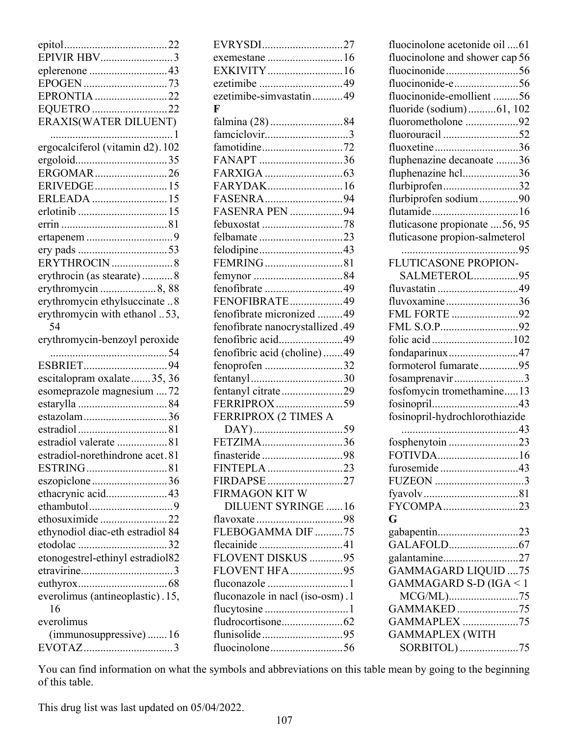| EPIVIR HBV3                            |
|----------------------------------------|
| eplerenone 43                          |
| EPRONTIA 22                            |
| EQUETRO 22                             |
| <b>ERAXIS(WATER DILUENT)</b>           |
|                                        |
| ergocalciferol (vitamin d2). 102       |
|                                        |
| ERGOMAR26                              |
| ERIVEDGE 15                            |
| ERLEADA  15                            |
|                                        |
|                                        |
|                                        |
| ERYTHROCIN 8                           |
| erythrocin (as stearate)  8            |
| erythromycin 8, 88                     |
| erythromycin ethylsuccinate  8         |
| erythromycin with ethanol 53,<br>54    |
| erythromycin-benzoyl peroxide          |
|                                        |
|                                        |
| escitalopram oxalate35, 36             |
| esomeprazole magnesium  72             |
|                                        |
|                                        |
| estazolam36                            |
|                                        |
| estradiol valerate 81                  |
| estradiol-norethindrone acet.81        |
| ESTRING81                              |
| eszopiclone36<br>ethacrynic acid43     |
|                                        |
| ethosuximide22                         |
| ethynodiol diac-eth estradiol 84       |
|                                        |
| etonogestrel-ethinyl estradiol82       |
|                                        |
|                                        |
| everolimus (antineoplastic). 15,<br>16 |
| everolimus                             |
| (immunosuppressive)16                  |

| EVRYSDI27                       |  |
|---------------------------------|--|
| exemestane 16                   |  |
| EXKIVITY 16                     |  |
| ezetimibe 49                    |  |
| ezetimibe-simvastatin49         |  |
| $\mathbf F$                     |  |
| falmina (28) 84                 |  |
| famciclovir3                    |  |
|                                 |  |
| FANAPT 36                       |  |
|                                 |  |
| FARYDAK16                       |  |
| FASENRA94                       |  |
| <b>FASENRA PEN 94</b>           |  |
| febuxostat 78                   |  |
| felbamate23                     |  |
| felodipine43                    |  |
| FEMRING81                       |  |
|                                 |  |
| fenofibrate 49                  |  |
| FENOFIBRATE49                   |  |
| fenofibrate micronized 49       |  |
| fenofibrate nanocrystallized.49 |  |
| fenofibric acid49               |  |
| fenofibric acid (choline)49     |  |
| fenoprofen 32                   |  |
|                                 |  |
| fentanyl citrate29              |  |
| FERRIPROX 59                    |  |
| FERRIPROX (2 TIMES A            |  |
|                                 |  |
| FETZIMA36                       |  |
|                                 |  |
| FINTEPLA 23                     |  |
| FIRDAPSE 27                     |  |
| FIRMAGON KIT W                  |  |
| <b>DILUENT SYRINGE 16</b>       |  |
|                                 |  |
| FLEBOGAMMA DIF 75               |  |
| flecainide41                    |  |
| FLOVENT DISKUS 95               |  |
| <b>FLOVENT HFA95</b>            |  |
| fluconazole 1                   |  |
| fluconazole in nacl (iso-osm).1 |  |
|                                 |  |
|                                 |  |
|                                 |  |
|                                 |  |

| fluocinolone acetonide oil 61        |
|--------------------------------------|
| fluocinolone and shower cap 56       |
| fluocinonide56                       |
| fluocinonide-e56                     |
| fluocinonide-emollient 56            |
| fluoride (sodium)61, 102             |
| fluorometholone 92                   |
| fluorouracil 52                      |
| fluoxetine36                         |
| fluphenazine decanoate 36            |
| fluphenazine hcl36                   |
| flurbiprofen32                       |
| flurbiprofen sodium90<br>flutamide16 |
| fluticasone propionate 56, 95        |
| fluticasone propion-salmeterol       |
|                                      |
| <b>FLUTICASONE PROPION-</b>          |
| SALMETEROL95                         |
| fluvastatin 49                       |
| fluvoxamine36                        |
| FML FORTE 92                         |
| FML S.O.P92                          |
| folic acid102                        |
| fondaparinux47                       |
| formoterol fumarate95                |
| fosamprenavir3                       |
| fosfomycin tromethamine13            |
|                                      |
| fosinopril-hydrochlorothiazide       |
|                                      |
| fosphenytoin 23                      |
| FOTIVDA16                            |
| furosemide 43                        |
| FUZEON 3                             |
|                                      |
| FYCOMPA23                            |
| G                                    |
| gabapentin23                         |
| galantamine27                        |
| <b>GAMMAGARD LIQUID 75</b>           |
| GAMMAGARD S-D (IGA < 1               |
| MCG/ML)75                            |
| GAMMAKED75                           |
| GAMMAPLEX 75                         |
| <b>GAMMAPLEX (WITH</b>               |
| SORBITOL) 75                         |
|                                      |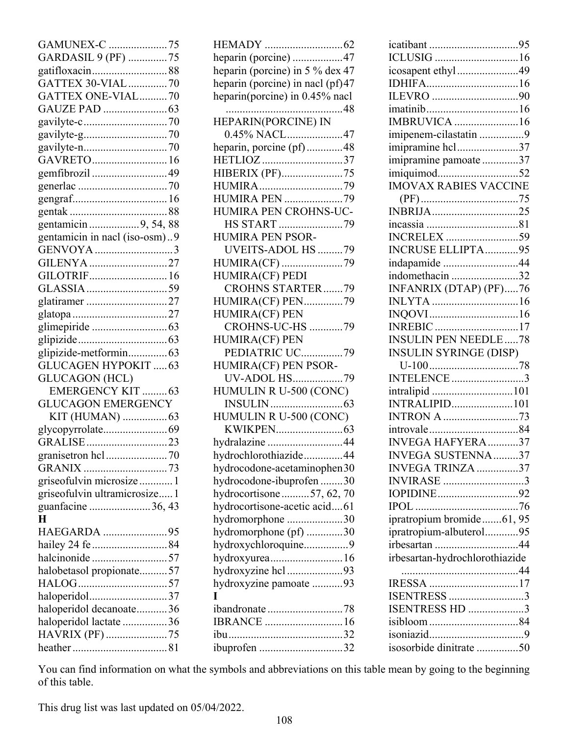| GAMUNEX-C 75                  |
|-------------------------------|
| GARDASIL 9 (PF) 75            |
|                               |
| GATTEX 30-VIAL70              |
| GATTEX ONE-VIAL70             |
|                               |
|                               |
|                               |
|                               |
| GAVRETO16                     |
| gemfibrozil 49                |
|                               |
|                               |
|                               |
| gentamicin 9, 54, 88          |
| gentamicin in nacl (iso-osm)9 |
| GENVOYA 3                     |
| GILENYA27                     |
| GILOTRIF 16                   |
|                               |
| glatiramer 27                 |
|                               |
|                               |
|                               |
| glipizide-metformin63         |
| <b>GLUCAGEN HYPOKIT  63</b>   |
| <b>GLUCAGON</b> (HCL)         |
| <b>EMERGENCY KIT  63</b>      |
| <b>GLUCAGON EMERGENCY</b>     |
| KIT (HUMAN)  63               |
|                               |
| GRALISE 23                    |
|                               |
| GRANIX 73                     |
| griseofulvin microsize  1     |
| griseofulvin ultramicrosize 1 |
| guanfacine 36, 43             |
| H                             |
| HAEGARDA 95                   |
| hailey 24 fe 84               |
| halcinonide 57                |
| halobetasol propionate57      |
|                               |
| haloperidol37                 |
| haloperidol decanoate36       |
| haloperidol lactate 36        |
| HAVRIX (PF) 75                |
|                               |

| heparin (porcine) 47             |
|----------------------------------|
| heparin (porcine) in 5 % dex 47  |
| heparin (porcine) in nacl (pf)47 |
| heparin(porcine) in 0.45% nacl   |
| 48                               |
| HEPARIN(PORCINE) IN              |
| 0.45% NACL47                     |
|                                  |
| heparin, porcine (pf)48          |
| HETLIOZ 37                       |
| HIBERIX (PF)75                   |
| HUMIRA79                         |
| <b>HUMIRA PEN 79</b>             |
| HUMIRA PEN CROHNS-UC-            |
| HS START 79                      |
| <b>HUMIRA PEN PSOR-</b>          |
| UVEITS-ADOL HS 79                |
| HUMIRA(CF) 79                    |
| <b>HUMIRA(CF) PEDI</b>           |
| <b>CROHNS STARTER79</b>          |
| HUMIRA(CF) PEN79                 |
| <b>HUMIRA(CF) PEN</b>            |
| <b>CROHNS-UC-HS 79</b>           |
| <b>HUMIRA(CF) PEN</b>            |
| PEDIATRIC UC79                   |
| HUMIRA(CF) PEN PSOR-             |
| UV-ADOL HS79                     |
| HUMULIN R U-500 (CONC)           |
|                                  |
|                                  |
| HUMULIN R U-500 (CONC)           |
|                                  |
| hydralazine 44                   |
| hydrochlorothiazide44            |
| hydrocodone-acetaminophen30      |
| hydrocodone-ibuprofen 30         |
| hydrocortisone57, 62, 70         |
| hydrocortisone-acetic acid61     |
| hydromorphone 30                 |
| hydromorphone (pf) 30            |
| hydroxychloroquine9              |
| hydroxyurea16                    |
| hydroxyzine hcl93                |
| hydroxyzine pamoate 93           |
| T                                |
| ibandronate 78                   |
| <b>IBRANCE</b> 16                |
|                                  |
|                                  |
| ibuprofen 32                     |

| icosapent ethyl49                                                     |  |
|-----------------------------------------------------------------------|--|
|                                                                       |  |
|                                                                       |  |
|                                                                       |  |
| <b>IMBRUVICA</b> 16                                                   |  |
| imipenem-cilastatin 9                                                 |  |
| imipramine hcl37                                                      |  |
| imipramine pamoate 37                                                 |  |
| imiquimod52                                                           |  |
| <b>IMOVAX RABIES VACCINE</b>                                          |  |
|                                                                       |  |
| INBRIJA25                                                             |  |
|                                                                       |  |
| <b>INCRELEX</b> 59                                                    |  |
|                                                                       |  |
| <b>INCRUSE ELLIPTA95</b>                                              |  |
| indapamide 44                                                         |  |
| indomethacin 32                                                       |  |
| INFANRIX (DTAP) (PF)76                                                |  |
|                                                                       |  |
|                                                                       |  |
| <b>INREBIC</b> 17                                                     |  |
| <b>INSULIN PEN NEEDLE78</b>                                           |  |
| <b>INSULIN SYRINGE (DISP)</b>                                         |  |
|                                                                       |  |
|                                                                       |  |
| INTELENCE3                                                            |  |
| intralipid 101                                                        |  |
| <b>INTRALIPID101</b>                                                  |  |
| <b>INTRON A 73</b>                                                    |  |
|                                                                       |  |
| <b>INVEGA HAFYERA</b> 37                                              |  |
| INVEGA SUSTENNA37                                                     |  |
| INVEGA TRINZA 37                                                      |  |
| <b>INVIRASE</b> 3                                                     |  |
| IOPIDINE92                                                            |  |
|                                                                       |  |
|                                                                       |  |
| ipratropium bromide61, 95                                             |  |
| ipratropium-albuterol95                                               |  |
|                                                                       |  |
| irbesartan 44<br>irbesartan-hydrochlorothiazide                       |  |
|                                                                       |  |
|                                                                       |  |
|                                                                       |  |
|                                                                       |  |
|                                                                       |  |
| IRESSA 17<br>ISENTRESS 3<br>ISENTRESS HD 3<br>isosorbide dinitrate 50 |  |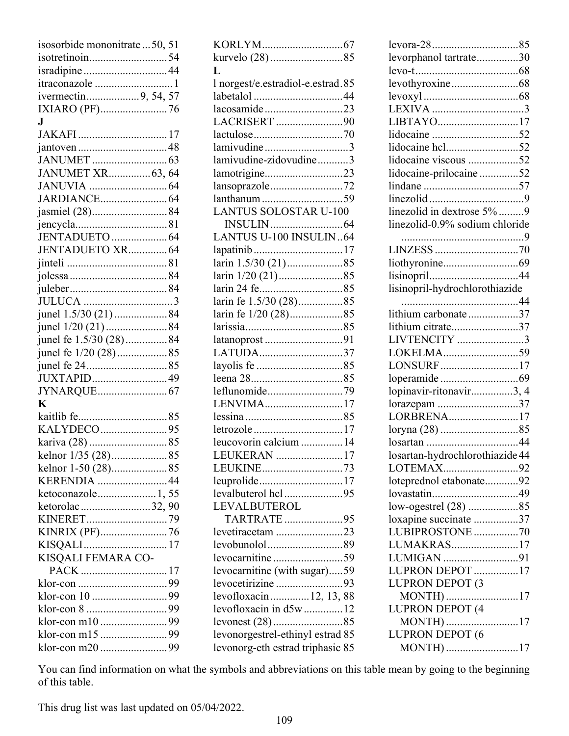| isosorbide mononitrate  50, 51 |  |
|--------------------------------|--|
| isotretinoin54                 |  |
|                                |  |
| itraconazole 1                 |  |
| ivermectin9, 54, 57            |  |
| IXIARO (PF)76                  |  |
| $\mathbf{J}$                   |  |
|                                |  |
|                                |  |
|                                |  |
| JANUMET XR63, 64               |  |
|                                |  |
|                                |  |
| jasmiel (28)84                 |  |
|                                |  |
|                                |  |
| JENTADUETO XR 64               |  |
|                                |  |
|                                |  |
|                                |  |
|                                |  |
|                                |  |
| junel 1.5/30 (21) 84           |  |
| junel 1/20 (21) 84             |  |
| junel fe 1.5/30 (28)84         |  |
| junel fe 1/20 (28)85           |  |
|                                |  |
| JUXTAPID49                     |  |
|                                |  |
| $\mathbf K$                    |  |
|                                |  |
| KALYDECO95                     |  |
|                                |  |
|                                |  |
| kelnor 1-50 (28)85             |  |
| KERENDIA 44                    |  |
| ketoconazole 1,55              |  |
| ketorolac32,90                 |  |
|                                |  |
| KINRIX (PF)76                  |  |
|                                |  |
| KISQALI FEMARA CO-             |  |
| PACK 17                        |  |
|                                |  |
|                                |  |
|                                |  |
|                                |  |
|                                |  |
|                                |  |
|                                |  |

| kurvelo (28) 85                   |
|-----------------------------------|
| L                                 |
| 1 norgest/e.estradiol-e.estrad.85 |
|                                   |
| lacosamide23                      |
| LACRISERT 90                      |
|                                   |
| lamivudine 3                      |
| lamivudine-zidovudine3            |
| lamotrigine23                     |
| lansoprazole72                    |
|                                   |
| <b>LANTUS SOLOSTAR U-100</b>      |
|                                   |
| LANTUS U-100 INSULIN64            |
| lapatinib17                       |
|                                   |
|                                   |
|                                   |
| larin fe 1.5/30 (28)85            |
| larin fe 1/20 (28)85              |
|                                   |
| latanoprost 91                    |
| LATUDA37                          |
|                                   |
|                                   |
| leflunomide79                     |
| LENVIMA17                         |
|                                   |
| letrozole17                       |
| leucovorin calcium 14             |
| LEUKERAN 17                       |
| LEUKINE73                         |
| leuprolide17                      |
| levalbuterol hcl95                |
| LEVALBUTEROL                      |
| TARTRATE95                        |
| levetiracetam 23                  |
| levobunolol89                     |
| levocarnitine59                   |
| levocarnitine (with sugar)59      |
| levocetirizine 93                 |
| levofloxacin 12, 13, 88           |
| levofloxacin in d5w  12           |
|                                   |
| levonorgestrel-ethinyl estrad 85  |
| levonorg-eth estrad triphasic 85  |

| levora-2885                     |  |
|---------------------------------|--|
| levorphanol tartrate30          |  |
|                                 |  |
|                                 |  |
|                                 |  |
|                                 |  |
| LIBTAYO17                       |  |
|                                 |  |
| lidocaine hcl52                 |  |
| lidocaine viscous 52            |  |
| lidocaine-prilocaine52          |  |
|                                 |  |
|                                 |  |
| linezolid in dextrose 5% 9      |  |
| linezolid-0.9% sodium chloride  |  |
|                                 |  |
|                                 |  |
|                                 |  |
| lisinopril44                    |  |
| lisinopril-hydrochlorothiazide  |  |
|                                 |  |
| lithium carbonate37             |  |
| lithium citrate37               |  |
| LIVTENCITY 3                    |  |
| LOKELMA59                       |  |
| LONSURF17                       |  |
|                                 |  |
| lopinavir-ritonavir3, 4         |  |
| lorazepam 37                    |  |
| LORBRENA17                      |  |
|                                 |  |
| losartan 44                     |  |
| losartan-hydrochlorothiazide 44 |  |
| LOTEMAX92                       |  |
| loteprednol etabonate92         |  |
| lovastatin49                    |  |
| low-ogestrel (28) 85            |  |
| loxapine succinate 37           |  |
| LUBIPROSTONE70                  |  |
| LUMAKRAS17                      |  |
|                                 |  |
| LUMIGAN 91<br>LUPRON DEPOT 17   |  |
| LUPRON DEPOT (3                 |  |
| MONTH) 17                       |  |
| LUPRON DEPOT (4                 |  |
|                                 |  |
| MONTH) 17<br>LUPRON DEPOT (6    |  |
|                                 |  |
| MONTH) 17                       |  |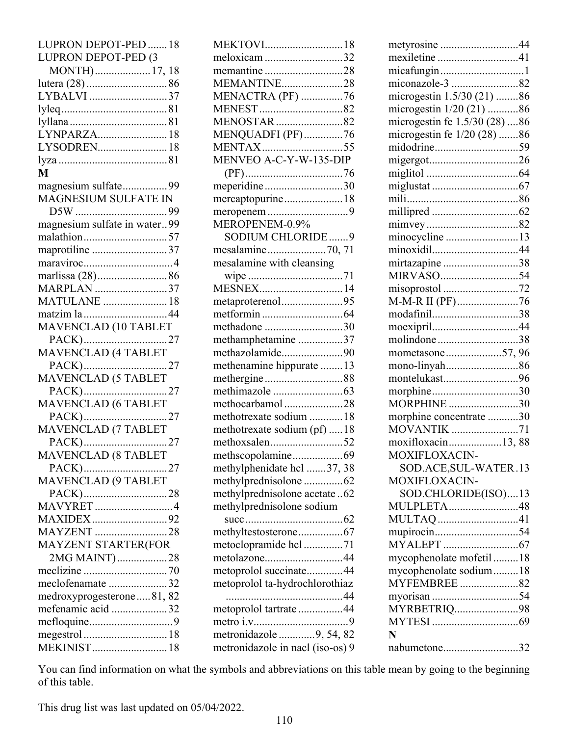| LUPRON DEPOT-PED  18         |
|------------------------------|
| LUPRON DEPOT-PED (3          |
| MONTH) 17, 18                |
|                              |
| LYBALVI 37                   |
|                              |
|                              |
| LYNPARZA 18                  |
| LYSODREN18                   |
|                              |
| M                            |
| magnesium sulfate99          |
| MAGNESIUM SULFATE IN         |
|                              |
| magnesium sulfate in water99 |
| malathion57                  |
| maprotiline 37               |
|                              |
|                              |
| marlissa (28)86              |
| MARPLAN 37                   |
| <b>MATULANE</b> 18           |
| matzim la 44                 |
| MAVENCLAD (10 TABLET         |
| PACK)27                      |
| MAVENCLAD (4 TABLET          |
| PACK)27                      |
| <b>MAVENCLAD (5 TABLET</b>   |
| PACK)27                      |
| MAVENCLAD (6 TABLET          |
| PACK)27                      |
| MAVENCLAD (7 TABLET          |
| PACK)27                      |
| <b>MAVENCLAD (8 TABLET</b>   |
| PACK)27                      |
| MAVENCLAD (9 TABLET          |
| PACK)28                      |
| <b>MAVYRET</b> 4             |
| MAXIDEX92                    |
| <b>MAYZENT</b> 28            |
| MAYZENT STARTER(FOR          |
| 2MG MAINT)28                 |
|                              |
| meclofenamate 32             |
| medroxyprogesterone81, 82    |
| mefenamic acid 32            |
|                              |
| megestrol  18                |
| MEKINIST 18                  |
|                              |

| MEKTOVI18                                                   |
|-------------------------------------------------------------|
| meloxicam 32                                                |
| memantine 28                                                |
| MEMANTINE28                                                 |
| MENACTRA (PF) 76                                            |
|                                                             |
| <b>MENOSTAR</b> 82                                          |
| MENQUADFI (PF)76                                            |
| MENTAX55                                                    |
| MENVEO A-C-Y-W-135-DIP                                      |
|                                                             |
| meperidine30                                                |
| mercaptopurine18                                            |
|                                                             |
| MEROPENEM-0.9%                                              |
| SODIUM CHLORIDE9                                            |
| mesalamine70, 71                                            |
| mesalamine with cleansing                                   |
|                                                             |
| MESNEX14                                                    |
| metaproterenol95                                            |
|                                                             |
| methadone 30                                                |
| methamphetamine 37                                          |
| methazolamide90                                             |
| methenamine hippurate  13                                   |
| methergine88                                                |
|                                                             |
| methocarbamol28                                             |
| methotrexate sodium  18                                     |
| methotrexate sodium (pf)  18                                |
| methoxsalen52                                               |
| methscopolamine69                                           |
| methylphenidate hcl 37, 38                                  |
| methylprednisolone 62                                       |
| methylprednisolone acetate62                                |
| methylprednisolone sodium                                   |
|                                                             |
| methyltestosterone67                                        |
| metoclopramide hcl71                                        |
| metolazone44                                                |
| metoprolol succinate44                                      |
| metoprolol ta-hydrochlorothiaz                              |
|                                                             |
| metoprolol tartrate 44                                      |
|                                                             |
|                                                             |
| metronidazole 9, 54, 82<br>metronidazole in nacl (iso-os) 9 |

| metyrosine 44                 |  |
|-------------------------------|--|
| mexiletine41                  |  |
| micafungin1                   |  |
| miconazole-3 82               |  |
| microgestin 1.5/30 (21) 86    |  |
| microgestin 1/20 (21) 86      |  |
| microgestin fe 1.5/30 (28) 86 |  |
| microgestin fe 1/20 (28) 86   |  |
| midodrine59                   |  |
| migergot26                    |  |
|                               |  |
|                               |  |
|                               |  |
|                               |  |
|                               |  |
|                               |  |
| minocycline 13                |  |
| minoxidil44                   |  |
| mirtazapine 38                |  |
| MIRVASO54                     |  |
| misoprostol 72                |  |
| M-M-R II (PF)76               |  |
| modafinil38                   |  |
| moexipril44                   |  |
| molindone38                   |  |
| mometasone57,96               |  |
| mono-linyah86                 |  |
| montelukast96                 |  |
| morphine30                    |  |
| MORPHINE 30                   |  |
| morphine concentrate 30       |  |
| <b>MOVANTIK</b> 71            |  |
| moxifloxacin13,88             |  |
| MOXIFLOXACIN-                 |  |
|                               |  |
| SOD.ACE, SUL-WATER.13         |  |
| MOXIFLOXACIN-                 |  |
| SOD.CHLORIDE(ISO)13           |  |
| MULPLETA48                    |  |
| MULTAQ 41                     |  |
|                               |  |
|                               |  |
| mycophenolate mofetil18       |  |
| mycophenolate sodium18        |  |
| MYFEMBREE82                   |  |
|                               |  |
| MYRBETRIQ98                   |  |
|                               |  |
| N                             |  |
| nabumetone32                  |  |
|                               |  |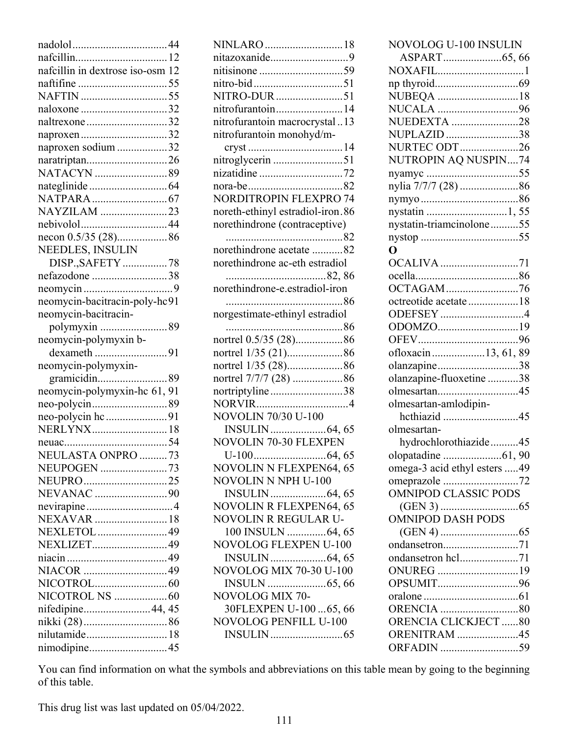| nafcillin in dextrose iso-osm 12 |
|----------------------------------|
|                                  |
|                                  |
| naloxone 32                      |
| naltrexone 32                    |
| naproxen32                       |
| naproxen sodium 32               |
| naratriptan26                    |
|                                  |
|                                  |
|                                  |
| NAYZILAM 23                      |
| nebivolol44                      |
| necon 0.5/35 (28)86              |
| NEEDLES, INSULIN                 |
| DISP., SAFETY 78                 |
| nefazodone 38                    |
|                                  |
|                                  |
| neomycin-bacitracin-poly-hc91    |
| neomycin-bacitracin-             |
| polymyxin 89                     |
| neomycin-polymyxin b-            |
| dexameth 91                      |
| neomycin-polymyxin-              |
|                                  |
|                                  |
| neomycin-polymyxin-hc 61, 91     |
| neo-polycin89                    |
| neo-polycin hc91                 |
| NERLYNX18                        |
|                                  |
| NEULASTA ONPRO 73                |
| <b>NEUPOGEN</b> 73               |
| NEUPRO25                         |
| NEVANAC 90                       |
|                                  |
| NEXAVAR  18                      |
| NEXLETOL 49                      |
| NEXLIZET49                       |
|                                  |
|                                  |
|                                  |
|                                  |
|                                  |
| nifedipine44, 45                 |
|                                  |
| nilutamide 18<br>nimodipine45    |

| NINLARO  18                      |
|----------------------------------|
| nitazoxanide9                    |
|                                  |
|                                  |
| NITRO-DUR 51                     |
| nitrofurantoin14                 |
| nitrofurantoin macrocrystal13    |
| nitrofurantoin monohyd/m-        |
|                                  |
| nitroglycerin 51                 |
| nizatidine 72                    |
|                                  |
| <b>NORDITROPIN FLEXPRO 74</b>    |
| noreth-ethinyl estradiol-iron.86 |
| norethindrone (contraceptive)    |
|                                  |
| norethindrone acetate 82         |
| norethindrone ac-eth estradiol   |
|                                  |
| norethindrone-e.estradiol-iron   |
|                                  |
| norgestimate-ethinyl estradiol   |
| 86                               |
| nortrel 0.5/35 (28)86            |
|                                  |
| nortrel 1/35 (28)86              |
| nortrel 7/7/7 (28) 86            |
| nortriptyline38                  |
|                                  |
| <b>NOVOLIN 70/30 U-100</b>       |
|                                  |
| <b>NOVOLIN 70-30 FLEXPEN</b>     |
|                                  |
| <b>NOVOLIN N FLEXPEN64, 65</b>   |
| NOVOLIN N NPH U-100              |
|                                  |
| <b>NOVOLIN R FLEXPEN64, 65</b>   |
| NOVOLIN R REGULAR U-             |
| 100 INSULN 64, 65                |
| <b>NOVOLOG FLEXPEN U-100</b>     |
|                                  |
|                                  |
|                                  |
| NOVOLOG MIX 70-                  |
| 30FLEXPEN U-10065, 66            |
| <b>NOVOLOG PENFILL U-100</b>     |
|                                  |

| NOVOLOG U-100 INSULIN        |
|------------------------------|
| ASPART65,66                  |
| NOXAFIL1                     |
|                              |
| NUBEQA 18                    |
| NUCALA 96                    |
| NUEDEXTA 28                  |
| NUPLAZID 38                  |
| <b>NURTEC ODT</b> 26         |
| NUTROPIN AQ NUSPIN74         |
|                              |
| nylia 7/7/7 (28) 86          |
|                              |
|                              |
| nystatin-triamcinolone55     |
|                              |
| O                            |
| OCALIVA 71                   |
|                              |
| OCTAGAM76                    |
| octreotide acetate 18        |
| ODEFSEY 4                    |
| ODOMZO19                     |
|                              |
| ofloxacin13, 61, 89          |
| olanzapine38                 |
| olanzapine-fluoxetine 38     |
| olmesartan45                 |
| olmesartan-amlodipin-        |
| hcthiazid 45                 |
| olmesartan-                  |
| hydrochlorothiazide45        |
|                              |
| omega-3 acid ethyl esters 49 |
| omeprazole 72                |
| <b>OMNIPOD CLASSIC PODS</b>  |
|                              |
| <b>OMNIPOD DASH PODS</b>     |
|                              |
| ondansetron71                |
|                              |
| ONUREG 19                    |
| OPSUMIT96                    |
|                              |
| <b>ORENCIA</b> 80            |
| ORENCIA CLICKJECT 80         |
| <b>ORENITRAM</b> 45          |
| ORFADIN 59                   |
|                              |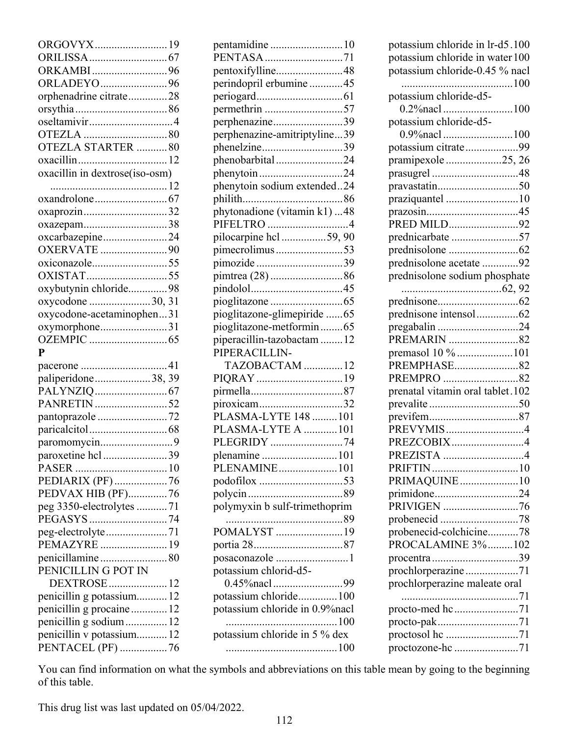| ORGOVYX19                                     |  |
|-----------------------------------------------|--|
|                                               |  |
| ORKAMBI96                                     |  |
| ORLADEYO96                                    |  |
| orphenadrine citrate28                        |  |
|                                               |  |
| oseltamivir4                                  |  |
|                                               |  |
| OTEZLA STARTER 80                             |  |
|                                               |  |
| oxacillin in dextrose(iso-osm)                |  |
|                                               |  |
|                                               |  |
| oxaprozin32                                   |  |
| oxazepam38                                    |  |
| oxcarbazepine24                               |  |
| <b>OXERVATE</b> 90                            |  |
| oxiconazole55                                 |  |
| OXISTAT55                                     |  |
| oxybutynin chloride98                         |  |
| oxycodone 30, 31                              |  |
| oxycodone-acetaminophen31                     |  |
| oxymorphone31                                 |  |
|                                               |  |
|                                               |  |
| $\mathbf{P}$                                  |  |
|                                               |  |
| paliperidone38, 39                            |  |
|                                               |  |
| PANRETIN 52                                   |  |
| pantoprazole 72                               |  |
|                                               |  |
|                                               |  |
| paroxetine hcl 39                             |  |
|                                               |  |
| PEDIARIX (PF)76                               |  |
| PEDVAX HIB (PF)76                             |  |
| peg 3350-electrolytes 71                      |  |
|                                               |  |
| peg-electrolyte71                             |  |
| PEMAZYRE  19                                  |  |
| penicillamine80                               |  |
| PENICILLIN G POT IN                           |  |
| DEXTROSE  12                                  |  |
| penicillin g potassium 12                     |  |
| penicillin g procaine  12                     |  |
| penicillin g sodium 12                        |  |
| penicillin v potassium 12<br>PENTACEL (PF) 76 |  |

| pentamidine 10                             |  |
|--------------------------------------------|--|
| PENTASA 71                                 |  |
| pentoxifylline48                           |  |
| perindopril erbumine 45                    |  |
|                                            |  |
| permethrin 57                              |  |
| perphenazine39                             |  |
| perphenazine-amitriptyline39               |  |
| phenelzine39                               |  |
| phenobarbital24                            |  |
| phenytoin24<br>phenytoin sodium extended24 |  |
|                                            |  |
| phytonadione (vitamin k1) 48               |  |
| PIFELTRO 4                                 |  |
| pilocarpine hcl 59, 90                     |  |
| pimecrolimus53                             |  |
| pimozide 39                                |  |
|                                            |  |
|                                            |  |
|                                            |  |
| pioglitazone-glimepiride 65                |  |
| pioglitazone-metformin65                   |  |
| piperacillin-tazobactam 12                 |  |
| PIPERACILLIN-                              |  |
| TAZOBACTAM 12                              |  |
| PIQRAY 19                                  |  |
|                                            |  |
| piroxicam32                                |  |
| PLASMA-LYTE 148  101                       |  |
| PLASMA-LYTE A 101                          |  |
| PLEGRIDY 74                                |  |
| plenamine 101                              |  |
| PLENAMINE101                               |  |
| podofilox 53                               |  |
|                                            |  |
| polymyxin b sulf-trimethoprim              |  |
|                                            |  |
| POMALYST 19                                |  |
|                                            |  |
| posaconazole 1                             |  |
| potassium chlorid-d5-                      |  |
|                                            |  |
| potassium chloride100                      |  |
| potassium chloride in 0.9% nacl            |  |
|                                            |  |
| potassium chloride in 5 % dex              |  |
|                                            |  |

| potassium chloride in lr-d5.100  |
|----------------------------------|
| potassium chloride in water 100  |
| potassium chloride-0.45 % nacl   |
|                                  |
|                                  |
| potassium chloride-d5-           |
|                                  |
| potassium chloride-d5-           |
|                                  |
| potassium citrate99              |
| pramipexole 25, 26               |
|                                  |
| prasugrel 48                     |
| pravastatin50                    |
| praziquantel 10                  |
| prazosin45                       |
| PRED MILD92                      |
| prednicarbate 57                 |
|                                  |
|                                  |
| prednisolone acetate 92          |
| prednisolone sodium phosphate    |
|                                  |
|                                  |
| prednisone intensol62            |
| pregabalin 24                    |
| PREMARIN 82                      |
|                                  |
| premasol 10 % 101                |
| PREMPHASE82                      |
| PREMPRO 82                       |
| prenatal vitamin oral tablet.102 |
|                                  |
|                                  |
| PREVYMIS4                        |
| PREZCOBIX4                       |
|                                  |
| PREZISTA 4                       |
|                                  |
| PRIMAQUINE10                     |
| primidone24                      |
| PRIVIGEN 76                      |
| probenecid 78                    |
| probenecid-colchicine78          |
| PROCALAMINE 3%102                |
|                                  |
| procentra 39                     |
| prochlorperazine71               |
| prochlorperazine maleate oral    |
|                                  |
| procto-med hc71                  |
| procto-pak71                     |
| proctosol he 71                  |
|                                  |
| proctozone-hc 71                 |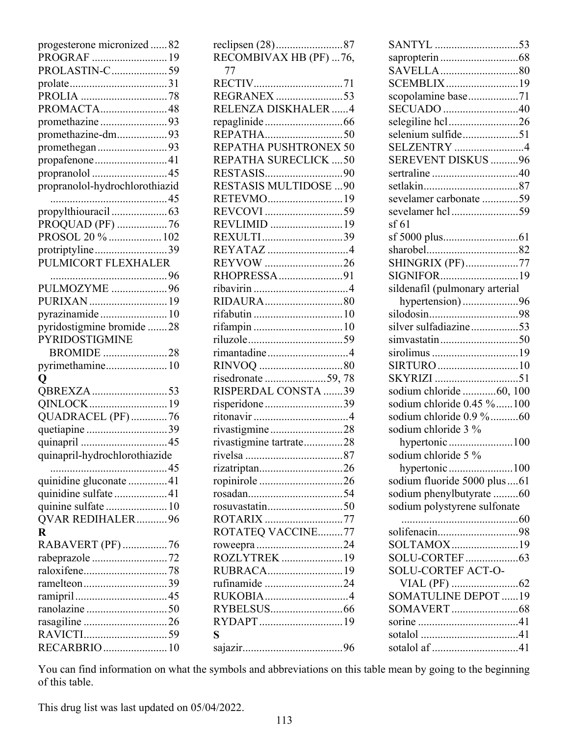| progesterone micronized82           |
|-------------------------------------|
| PROGRAF 19                          |
| PROLASTIN-C59                       |
|                                     |
| PROMACTA48                          |
| promethazine93                      |
| promethazine-dm93                   |
| promethegan93                       |
| propafenone41                       |
|                                     |
| propranolol-hydrochlorothiazid      |
|                                     |
|                                     |
| PROQUAD (PF) 76                     |
| PROSOL 20 %  102<br>protriptyline39 |
| PULMICORT FLEXHALER                 |
|                                     |
| PULMOZYME 96                        |
|                                     |
| pyrazinamide 10                     |
| pyridostigmine bromide 28           |
| <b>PYRIDOSTIGMINE</b>               |
| <b>BROMIDE</b> 28                   |
| pyrimethamine 10                    |
| Q                                   |
| QBREXZA 53<br>QINLOCK19             |
| QUADRACEL (PF) 76                   |
| quetiapine 39                       |
|                                     |
| quinapril-hydrochlorothiazide       |
|                                     |
| quinidine gluconate 41              |
| quinidine sulfate 41                |
| quinine sulfate  10                 |
| QVAR REDIHALER96<br>$\mathbf R$     |
| RABAVERT (PF) 76                    |
| rabeprazole 72                      |
|                                     |
| ramelteon39                         |
|                                     |
|                                     |
| rasagiline 26                       |
|                                     |
| RECARBRIO  10                       |

| reclipsen (28)87<br>RECOMBIVAX HB (PF) 76, |
|--------------------------------------------|
| 77                                         |
|                                            |
| RELENZA DISKHALER4                         |
|                                            |
|                                            |
| REPATHA PUSHTRONEX 50                      |
| REPATHA SURECLICK  50                      |
|                                            |
| <b>RESTASIS MULTIDOSE  90</b>              |
| RETEVMO19                                  |
|                                            |
| REVLIMID 19                                |
| REXULTI39<br>REYATAZ 4                     |
| REYVOW 26                                  |
| RHOPRESSA91                                |
|                                            |
|                                            |
| rifabutin 10                               |
|                                            |
|                                            |
| rimantadine4                               |
|                                            |
| risedronate 59, 78                         |
|                                            |
| RISPERDAL CONSTA 39                        |
| risperidone39                              |
|                                            |
| rivastigmine28                             |
| rivastigmine tartrate28                    |
|                                            |
| rizatriptan26                              |
| ropinirole26                               |
|                                            |
|                                            |
| ROTARIX 77                                 |
| ROTATEQ VACCINE77                          |
| roweepra 24<br>ROZLYTREK 19                |
| RUBRACA19                                  |
| rufinamide 24                              |
| RUKOBIA4                                   |
|                                            |
| RYDAPT19                                   |
| S                                          |

| SANTYL 53                      |  |
|--------------------------------|--|
|                                |  |
|                                |  |
| SCEMBLIX19                     |  |
| scopolamine base71             |  |
| SECUADO 40                     |  |
| selegiline hcl26               |  |
| selenium sulfide51             |  |
| <b>SELZENTRY</b> 4             |  |
| SEREVENT DISKUS 96             |  |
|                                |  |
|                                |  |
| sevelamer carbonate 59         |  |
| sevelamer hcl 59               |  |
| sf 61                          |  |
|                                |  |
|                                |  |
| SHINGRIX (PF)77<br>SIGNIFOR19  |  |
|                                |  |
| sildenafil (pulmonary arterial |  |
| hypertension)96<br>silodosin98 |  |
| silver sulfadiazine53          |  |
| simvastatin50                  |  |
| sirolimus 19                   |  |
| SIRTURO 10                     |  |
|                                |  |
| sodium chloride 60, 100        |  |
| sodium chloride 0.45 % 100     |  |
| sodium chloride 0.9 %60        |  |
| sodium chloride 3 %            |  |
| hypertonic100                  |  |
| sodium chloride 5 %            |  |
|                                |  |
| sodium fluoride 5000 plus  61  |  |
| sodium phenylbutyrate 60       |  |
| sodium polystyrene sulfonate   |  |
|                                |  |
| solifenacin98                  |  |
| SOLTAMOX19                     |  |
|                                |  |
| SOLU-CORTEF ACT-O-             |  |
|                                |  |
| <b>SOMATULINE DEPOT 19</b>     |  |
|                                |  |
|                                |  |
|                                |  |
| sotalol af 41                  |  |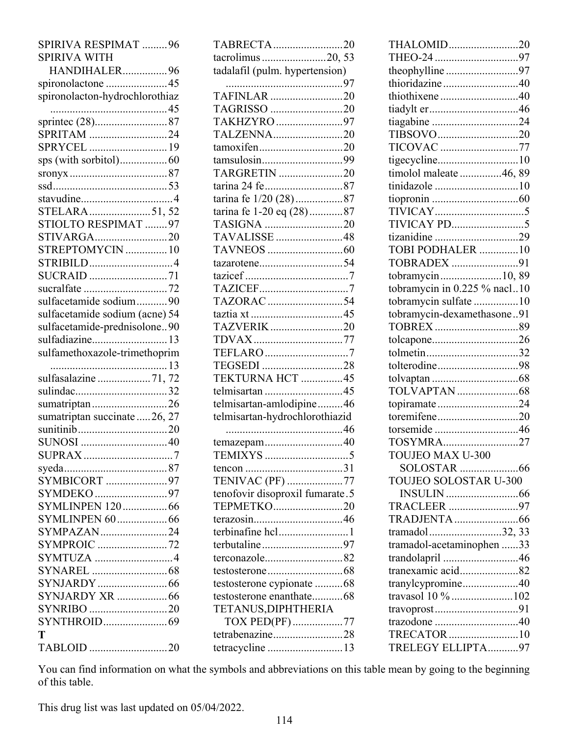| SPIRIVA RESPIMAT 96            |
|--------------------------------|
| <b>SPIRIVA WITH</b>            |
| HANDIHALER96                   |
| spironolactone 45              |
| spironolacton-hydrochlorothiaz |
|                                |
|                                |
| SPRITAM 24                     |
| SPRYCEL 19                     |
|                                |
|                                |
|                                |
| stavudine4                     |
| STELARA51,52                   |
| STIOLTO RESPIMAT 97            |
| STIVARGA20                     |
| STREPTOMYCIN  10               |
| STRIBILD4                      |
| SUCRAID 71                     |
|                                |
| sulfacetamide sodium90         |
| sulfacetamide sodium (acne) 54 |
| sulfacetamide-prednisolone90   |
| sulfadiazine 13                |
|                                |
|                                |
| sulfamethoxazole-trimethoprim  |
| sulfasalazine 71,72            |
|                                |
| sumatriptan26                  |
|                                |
| sumatriptan succinate  26, 27  |
|                                |
|                                |
|                                |
|                                |
| SYMBICORT 97<br>SYMDEKO 97     |
| <b>SYMLINPEN 120  66</b>       |
| <b>SYMLINPEN 60  66</b>        |
| SYMPAZAN24                     |
| SYMPROIC 72                    |
| SYMTUZA 4                      |
|                                |
|                                |
| SYNJARDY XR 66                 |
| SYNRIBO 20                     |
|                                |
| T<br>TABLOID 20                |

| TABRECTA20                                 |  |
|--------------------------------------------|--|
| tacrolimus 20, 53                          |  |
| tadalafil (pulm. hypertension)             |  |
|                                            |  |
| TAFINLAR 20                                |  |
| TAGRISSO 20                                |  |
| TAKHZYRO 97                                |  |
| TALZENNA20                                 |  |
| tamoxifen20                                |  |
| tamsulosin99                               |  |
| TARGRETIN 20                               |  |
| tarina 24 fe 87                            |  |
| tarina fe 1/20 (28)87                      |  |
| tarina fe 1-20 eq (28)87                   |  |
| TASIGNA 20                                 |  |
| TAVALISSE 48                               |  |
|                                            |  |
| tazarotene54                               |  |
|                                            |  |
|                                            |  |
| TAZORAC 54                                 |  |
|                                            |  |
| TAZVERIK20                                 |  |
| TDVAX77                                    |  |
| TEFLARO7                                   |  |
| TEGSEDI 28                                 |  |
| TEKTURNA HCT 45                            |  |
| telmisartan 45<br>telmisartan-amlodipine46 |  |
|                                            |  |
| telmisartan-hydrochlorothiazid             |  |
|                                            |  |
| temazepam40                                |  |
|                                            |  |
| TENIVAC (PF) 77                            |  |
| tenofovir disoproxil fumarate.5            |  |
| TEPMETKO20                                 |  |
|                                            |  |
| terbinafine hcl1                           |  |
| terbutaline97                              |  |
| terconazole82                              |  |
|                                            |  |
| testosterone cypionate 68                  |  |
| testosterone enanthate68                   |  |
| TETANUS, DIPHTHERIA                        |  |
| TOX PED(PF)77                              |  |
| tetrabenazine28                            |  |
| tetracycline 13                            |  |
|                                            |  |

| THALOMID20                   |  |
|------------------------------|--|
|                              |  |
| theophylline97               |  |
| thioridazine40               |  |
| thiothixene40                |  |
| tiadylt er46                 |  |
| tiagabine 24                 |  |
| TIBSOVO20                    |  |
| TICOVAC 77                   |  |
|                              |  |
| timolol maleate 46, 89       |  |
| tinidazole 10                |  |
|                              |  |
|                              |  |
|                              |  |
| tizanidine 29                |  |
| TOBI PODHALER 10             |  |
| TOBRADEX 91                  |  |
| tobramycin10,89              |  |
| tobramycin in 0.225 % nacl10 |  |
| tobramycin sulfate 10        |  |
| tobramycin-dexamethasone91   |  |
|                              |  |
| tolcapone26                  |  |
|                              |  |
| tolterodine98                |  |
|                              |  |
|                              |  |
| topiramate24                 |  |
| toremifene20                 |  |
| torsemide46                  |  |
| TOSYMRA27                    |  |
| TOUJEO MAX U-300             |  |
|                              |  |
| TOUJEO SOLOSTAR U-300        |  |
|                              |  |
| TRACLEER 97                  |  |
|                              |  |
| tramadol32, 33               |  |
| tramadol-acetaminophen 33    |  |
| trandolapril 46              |  |
| tranexamic acid82            |  |
| tranylcypromine40            |  |
| travasol 10 % 102            |  |
| travoprost91                 |  |
| trazodone 40                 |  |
| TRECATOR10                   |  |
| TRELEGY ELLIPTA97            |  |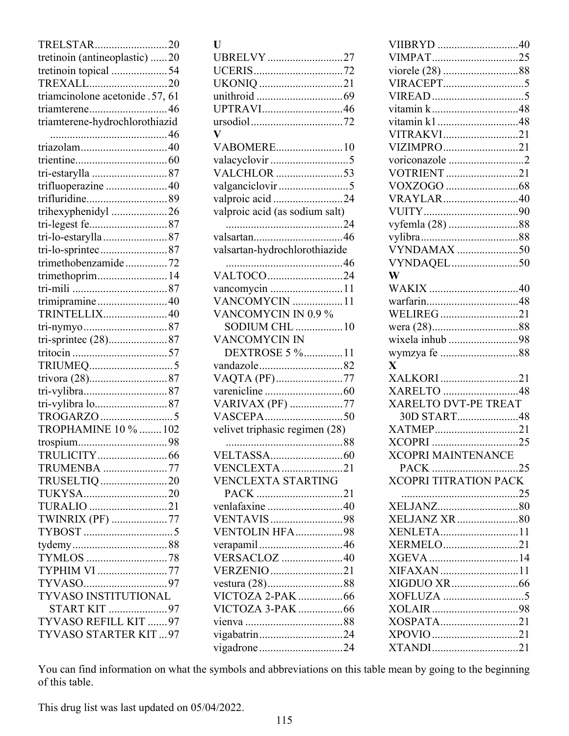| TRELSTAR20                      |
|---------------------------------|
| tretinoin (antineoplastic) 20   |
| tretinoin topical 54            |
| TREXALL20                       |
| triamcinolone acetonide .57, 61 |
|                                 |
| triamterene-hydrochlorothiazid  |
|                                 |
| triazolam40                     |
|                                 |
|                                 |
|                                 |
| trifluoperazine 40              |
| trifluridine89                  |
| trihexyphenidyl 26              |
|                                 |
| tri-lo-estarylla 87             |
| tri-lo-sprintec87               |
| trimethobenzamide72             |
| trimethoprim 14                 |
|                                 |
| trimipramine40                  |
| TRINTELLIX40                    |
|                                 |
|                                 |
|                                 |
|                                 |
|                                 |
|                                 |
| tri-vylibra lo87                |
|                                 |
| TROPHAMINE 10 %  102            |
|                                 |
| TRULICITY<br>. 66               |
| TRUMENBA 77                     |
| TRUSELTIQ 20                    |
| TUKYSA20                        |
| TURALIO 21                      |
|                                 |
| TWINRIX (PF) 77                 |
|                                 |
|                                 |
| TYMLOS 78                       |
| TYPHIM VI 77                    |
|                                 |
| <b>TYVASO INSTITUTIONAL</b>     |
| START KIT 97                    |
| TYVASO REFILL KIT  97           |
| TYVASO STARTER KIT97            |
|                                 |

| $\mathbf{U}$                   |
|--------------------------------|
| UBRELVY 27                     |
|                                |
| UKONIQ 21                      |
|                                |
| UPTRAVI46                      |
| $\mathbf{V}$                   |
| VABOMERE10                     |
|                                |
| VALCHLOR 53                    |
| valganciclovir 5               |
| valproic acid24                |
| valproic acid (as sodium salt) |
|                                |
|                                |
| valsartan-hydrochlorothiazide  |
|                                |
| VALTOCO24                      |
| vancomycin 11                  |
| VANCOMYCIN 11                  |
| VANCOMYCIN IN 0.9 %            |
| <b>SODIUM CHL</b> 10           |
| <b>VANCOMYCIN IN</b>           |
| DEXTROSE 5 %11                 |
| vandazole82                    |
| VAQTA (PF)77                   |
|                                |
| VARIVAX (PF) 77                |
|                                |
| velivet triphasic regimen (28) |
|                                |
| VENCLEXTA21                    |
| <b>VENCLEXTA STARTING</b>      |
| PACK 21                        |
| venlafaxine 40                 |
| VENTAVIS 98                    |
| VENTOLIN HFA98                 |
| verapamil46                    |
| <b>VERSACLOZ</b> 40            |
| VERZENIO 21                    |
|                                |
| VICTOZA 2-PAK 66               |
| VICTOZA 3-PAK 66               |
|                                |
| vigabatrin24                   |
| vigadrone24                    |

| VIIBRYD 40                   |      |
|------------------------------|------|
| VIMPAT25                     |      |
|                              |      |
| VIRACEPT5                    |      |
|                              |      |
| vitamin k48                  |      |
| vitamin k148                 |      |
| VITRAKVI21                   |      |
| VIZIMPRO21                   |      |
|                              |      |
| voriconazole 2               |      |
| VOTRIENT 21                  |      |
|                              |      |
| VRAYLAR40                    |      |
|                              |      |
| vyfemla (28) 88              |      |
|                              |      |
| VYNDAMAX 50                  |      |
| VYNDAQEL50                   |      |
| W                            |      |
|                              |      |
| warfarin48                   |      |
| WELIREG21                    |      |
|                              |      |
| wixela inhub 98              |      |
| wymzya fe 88                 |      |
| $\overline{\mathbf{X}}$      |      |
|                              |      |
| XALKORI 21                   |      |
| XARELTO 48                   |      |
| XARELTO DVT-PE TREAT         |      |
| 30D START48                  |      |
| XATMEP21                     |      |
|                              |      |
| <b>XCOPRI MAINTENANCE</b>    |      |
| PACK                         | 0.25 |
| <b>XCOPRI TITRATION PACK</b> |      |
|                              |      |
|                              |      |
| XELJANZ XR80                 |      |
| XENLETA11                    |      |
| XERMELO21                    |      |
|                              |      |
| XIFAXAN 11                   |      |
|                              |      |
|                              |      |
|                              |      |
|                              |      |
| XOSPATA21                    |      |
|                              |      |
| XTANDI21                     |      |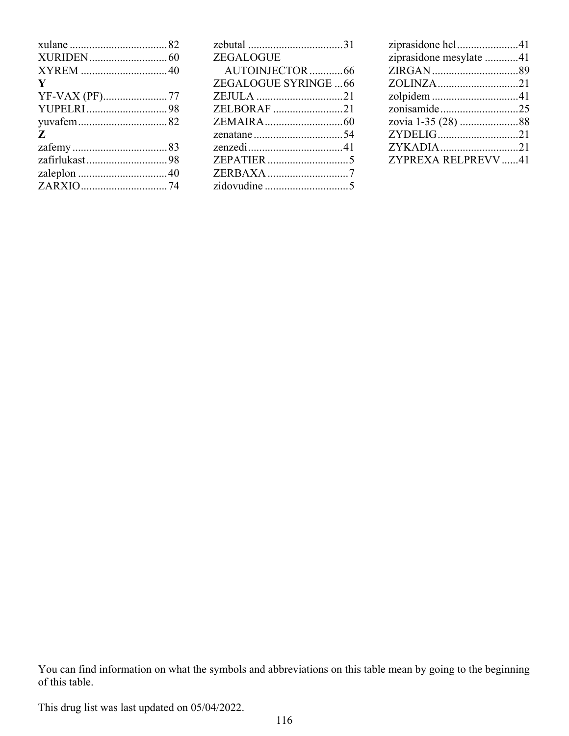| ZEGALOGUE            |  |
|----------------------|--|
| AUTOINJECTOR66       |  |
| ZEGALOGUE SYRINGE 66 |  |
|                      |  |
| ZELBORAF 21          |  |
|                      |  |
|                      |  |
|                      |  |
|                      |  |
| ZERBAXA 7            |  |
|                      |  |
|                      |  |

| ziprasidone hcl41       |  |
|-------------------------|--|
| ziprasidone mesylate 41 |  |
|                         |  |
|                         |  |
|                         |  |
| zonisamide25            |  |
|                         |  |
| ZYDELIG21               |  |
| ZYKADIA21               |  |
| ZYPREXA RELPREVV41      |  |